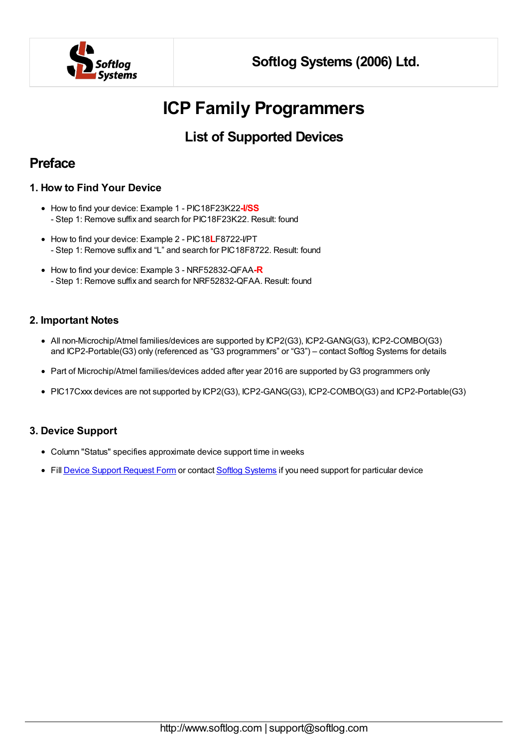

# **ICP Family Programmers**

#### **List of Supported Devices**

#### **Preface**

#### **1. How to Find Your Device**

- How to find your device: Example 1 PIC18F23K22**-I/SS** - Step 1: Remove suffix and search for PIC18F23K22. Result: found
- How to find your device: Example 2 PIC18**L**F8722-I/PT - Step 1: Remove suffix and "L" and search for PIC18F8722. Result: found
- How to find your device: Example 3 NRF52832-QFAA**-R** - Step 1: Remove suffix and search for NRF52832-QFAA. Result: found

#### **2. Important Notes**

- All non-Microchip/Atmel families/devices are supported by ICP2(G3), ICP2-GANG(G3), ICP2-COMBO(G3) and ICP2-Portable(G3) only (referenced as "G3 programmers" or "G3") – contact Softlog Systems for details
- Part of Microchip/Atmel families/devices added after year 2016 are supported by G3 programmers only
- PIC17Cxxx devices are not supported by ICP2(G3), ICP2-GANG(G3), ICP2-COMBO(G3) and ICP2-Portable(G3)

#### **3. Device Support**

- Column "Status" specifies approximate device support time in weeks
- Fill Device Support [Request](http://softlog.com/device-support-form/) Form or contact Softlog [Systems](mailto:support@softlog.com) if you need support for particular device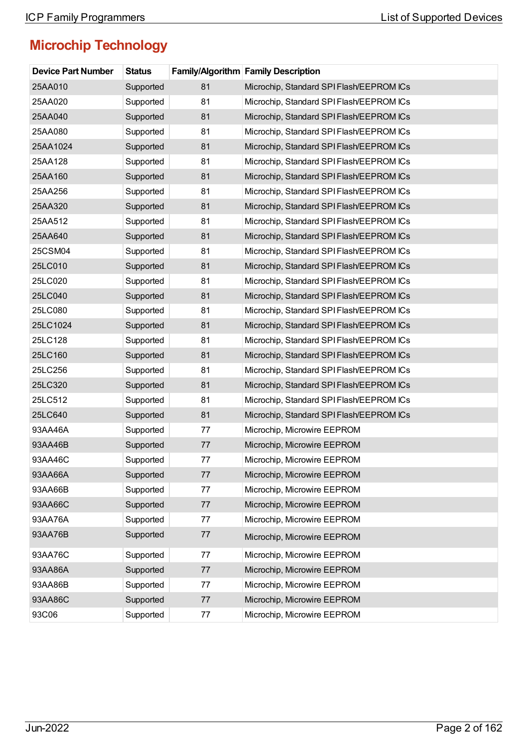| <b>Device Part Number</b> | <b>Status</b> |      | <b>Family/Algorithm Family Description</b> |
|---------------------------|---------------|------|--------------------------------------------|
| 25AA010                   | Supported     | 81   | Microchip, Standard SPI Flash/EEPROM ICs   |
| 25AA020                   | Supported     | 81   | Microchip, Standard SPI Flash/EEPROM ICs   |
| 25AA040                   | Supported     | 81   | Microchip, Standard SPI Flash/EEPROM ICs   |
| 25AA080                   | Supported     | 81   | Microchip, Standard SPI Flash/EEPROM ICs   |
| 25AA1024                  | Supported     | 81   | Microchip, Standard SPI Flash/EEPROM ICs   |
| 25AA128                   | Supported     | 81   | Microchip, Standard SPI Flash/EEPROM ICs   |
| 25AA160                   | Supported     | 81   | Microchip, Standard SPI Flash/EEPROM ICs   |
| 25AA256                   | Supported     | 81   | Microchip, Standard SPI Flash/EEPROM ICs   |
| 25AA320                   | Supported     | 81   | Microchip, Standard SPI Flash/EEPROM ICs   |
| 25AA512                   | Supported     | 81   | Microchip, Standard SPI Flash/EEPROM ICs   |
| 25AA640                   | Supported     | 81   | Microchip, Standard SPI Flash/EEPROM ICs   |
| 25CSM04                   | Supported     | 81   | Microchip, Standard SPI Flash/EEPROM ICs   |
| 25LC010                   | Supported     | 81   | Microchip, Standard SPI Flash/EEPROM ICs   |
| 25LC020                   | Supported     | 81   | Microchip, Standard SPI Flash/EEPROM ICs   |
| 25LC040                   | Supported     | 81   | Microchip, Standard SPI Flash/EEPROM ICs   |
| 25LC080                   | Supported     | 81   | Microchip, Standard SPI Flash/EEPROM ICs   |
| 25LC1024                  | Supported     | 81   | Microchip, Standard SPI Flash/EEPROM ICs   |
| 25LC128                   | Supported     | 81   | Microchip, Standard SPI Flash/EEPROM ICs   |
| 25LC160                   | Supported     | 81   | Microchip, Standard SPI Flash/EEPROM ICs   |
| 25LC256                   | Supported     | 81   | Microchip, Standard SPI Flash/EEPROM ICs   |
| 25LC320                   | Supported     | 81   | Microchip, Standard SPI Flash/EEPROM ICs   |
| 25LC512                   | Supported     | 81   | Microchip, Standard SPI Flash/EEPROM ICs   |
| 25LC640                   | Supported     | 81   | Microchip, Standard SPI Flash/EEPROM ICs   |
| 93AA46A                   | Supported     | 77   | Microchip, Microwire EEPROM                |
| 93AA46B                   | Supported     | 77   | Microchip, Microwire EEPROM                |
| 93AA46C                   | Supported     | 77   | Microchip, Microwire EEPROM                |
| 93AA66A                   | Supported     | 77   | Microchip, Microwire EEPROM                |
| 93AA66B                   | Supported     | 77   | Microchip, Microwire EEPROM                |
| 93AA66C                   | Supported     | 77   | Microchip, Microwire EEPROM                |
| 93AA76A                   | Supported     | 77   | Microchip, Microwire EEPROM                |
| 93AA76B                   | Supported     | 77   | Microchip, Microwire EEPROM                |
| 93AA76C                   | Supported     | 77   | Microchip, Microwire EEPROM                |
| 93AA86A                   | Supported     | $77$ | Microchip, Microwire EEPROM                |
| 93AA86B                   | Supported     | 77   | Microchip, Microwire EEPROM                |
| 93AA86C                   | Supported     | 77   | Microchip, Microwire EEPROM                |
| 93C06                     | Supported     | 77   | Microchip, Microwire EEPROM                |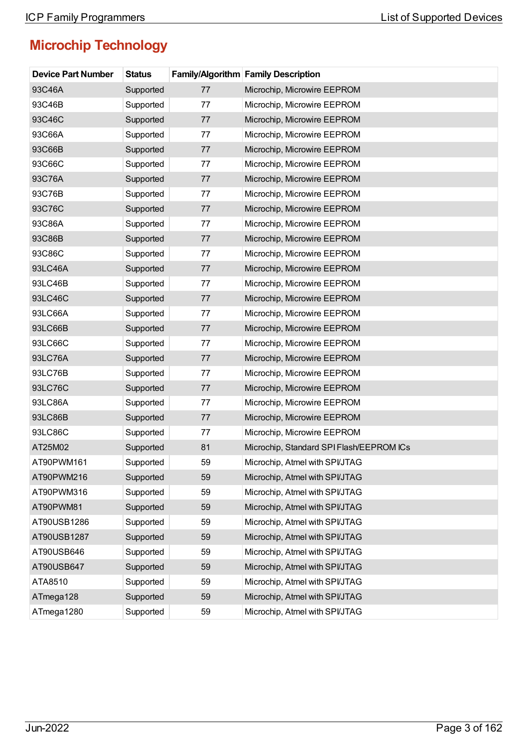| <b>Device Part Number</b> | <b>Status</b> |    | <b>Family/Algorithm Family Description</b> |
|---------------------------|---------------|----|--------------------------------------------|
| 93C46A                    | Supported     | 77 | Microchip, Microwire EEPROM                |
| 93C46B                    | Supported     | 77 | Microchip, Microwire EEPROM                |
| 93C46C                    | Supported     | 77 | Microchip, Microwire EEPROM                |
| 93C66A                    | Supported     | 77 | Microchip, Microwire EEPROM                |
| 93C66B                    | Supported     | 77 | Microchip, Microwire EEPROM                |
| 93C66C                    | Supported     | 77 | Microchip, Microwire EEPROM                |
| 93C76A                    | Supported     | 77 | Microchip, Microwire EEPROM                |
| 93C76B                    | Supported     | 77 | Microchip, Microwire EEPROM                |
| 93C76C                    | Supported     | 77 | Microchip, Microwire EEPROM                |
| 93C86A                    | Supported     | 77 | Microchip, Microwire EEPROM                |
| 93C86B                    | Supported     | 77 | Microchip, Microwire EEPROM                |
| 93C86C                    | Supported     | 77 | Microchip, Microwire EEPROM                |
| 93LC46A                   | Supported     | 77 | Microchip, Microwire EEPROM                |
| 93LC46B                   | Supported     | 77 | Microchip, Microwire EEPROM                |
| 93LC46C                   | Supported     | 77 | Microchip, Microwire EEPROM                |
| 93LC66A                   | Supported     | 77 | Microchip, Microwire EEPROM                |
| 93LC66B                   | Supported     | 77 | Microchip, Microwire EEPROM                |
| 93LC66C                   | Supported     | 77 | Microchip, Microwire EEPROM                |
| 93LC76A                   | Supported     | 77 | Microchip, Microwire EEPROM                |
| 93LC76B                   | Supported     | 77 | Microchip, Microwire EEPROM                |
| 93LC76C                   | Supported     | 77 | Microchip, Microwire EEPROM                |
| 93LC86A                   | Supported     | 77 | Microchip, Microwire EEPROM                |
| 93LC86B                   | Supported     | 77 | Microchip, Microwire EEPROM                |
| 93LC86C                   | Supported     | 77 | Microchip, Microwire EEPROM                |
| AT25M02                   | Supported     | 81 | Microchip, Standard SPI Flash/EEPROM ICs   |
| AT90PWM161                | Supported     | 59 | Microchip, Atmel with SPI/JTAG             |
| AT90PWM216                | Supported     | 59 | Microchip, Atmel with SPI/JTAG             |
| AT90PWM316                | Supported     | 59 | Microchip, Atmel with SPI/JTAG             |
| AT90PWM81                 | Supported     | 59 | Microchip, Atmel with SPI/JTAG             |
| AT90USB1286               | Supported     | 59 | Microchip, Atmel with SPI/JTAG             |
| AT90USB1287               | Supported     | 59 | Microchip, Atmel with SPI/JTAG             |
| AT90USB646                | Supported     | 59 | Microchip, Atmel with SPI/JTAG             |
| AT90USB647                | Supported     | 59 | Microchip, Atmel with SPI/JTAG             |
| ATA8510                   | Supported     | 59 | Microchip, Atmel with SPI/JTAG             |
| ATmega128                 | Supported     | 59 | Microchip, Atmel with SPI/JTAG             |
| ATmega1280                | Supported     | 59 | Microchip, Atmel with SPI/JTAG             |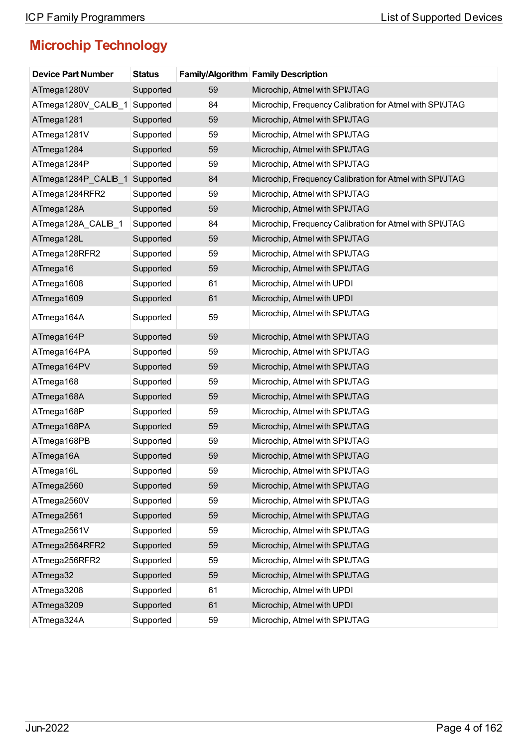| <b>Device Part Number</b> | <b>Status</b> |    | <b>Family/Algorithm Family Description</b>               |
|---------------------------|---------------|----|----------------------------------------------------------|
| ATmega1280V               | Supported     | 59 | Microchip, Atmel with SPI/JTAG                           |
| ATmega1280V_CALIB_1       | Supported     | 84 | Microchip, Frequency Calibration for Atmel with SPI/JTAG |
| ATmega1281                | Supported     | 59 | Microchip, Atmel with SPI/JTAG                           |
| ATmega1281V               | Supported     | 59 | Microchip, Atmel with SPI/JTAG                           |
| ATmega1284                | Supported     | 59 | Microchip, Atmel with SPI/JTAG                           |
| ATmega1284P               | Supported     | 59 | Microchip, Atmel with SPI/JTAG                           |
| ATmega1284P_CALIB_1       | Supported     | 84 | Microchip, Frequency Calibration for Atmel with SPI/JTAG |
| ATmega1284RFR2            | Supported     | 59 | Microchip, Atmel with SPI/JTAG                           |
| ATmega128A                | Supported     | 59 | Microchip, Atmel with SPI/JTAG                           |
| ATmega128A_CALIB_1        | Supported     | 84 | Microchip, Frequency Calibration for Atmel with SPI/JTAG |
| ATmega128L                | Supported     | 59 | Microchip, Atmel with SPI/JTAG                           |
| ATmega128RFR2             | Supported     | 59 | Microchip, Atmel with SPI/JTAG                           |
| ATmega16                  | Supported     | 59 | Microchip, Atmel with SPI/JTAG                           |
| ATmega1608                | Supported     | 61 | Microchip, Atmel with UPDI                               |
| ATmega1609                | Supported     | 61 | Microchip, Atmel with UPDI                               |
| ATmega164A                | Supported     | 59 | Microchip, Atmel with SPI/JTAG                           |
| ATmega164P                | Supported     | 59 | Microchip, Atmel with SPI/JTAG                           |
| ATmega164PA               | Supported     | 59 | Microchip, Atmel with SPI/JTAG                           |
| ATmega164PV               | Supported     | 59 | Microchip, Atmel with SPI/JTAG                           |
| ATmega168                 | Supported     | 59 | Microchip, Atmel with SPI/JTAG                           |
| ATmega168A                | Supported     | 59 | Microchip, Atmel with SPI/JTAG                           |
| ATmega168P                | Supported     | 59 | Microchip, Atmel with SPI/JTAG                           |
| ATmega168PA               | Supported     | 59 | Microchip, Atmel with SPI/JTAG                           |
| ATmega168PB               | Supported     | 59 | Microchip, Atmel with SPI/JTAG                           |
| ATmega16A                 | Supported     | 59 | Microchip, Atmel with SPI/JTAG                           |
| ATmega16L                 | Supported     | 59 | Microchip, Atmel with SPI/JTAG                           |
| ATmega2560                | Supported     | 59 | Microchip, Atmel with SPI/JTAG                           |
| ATmega2560V               | Supported     | 59 | Microchip, Atmel with SPI/JTAG                           |
| ATmega2561                | Supported     | 59 | Microchip, Atmel with SPI/JTAG                           |
| ATmega2561V               | Supported     | 59 | Microchip, Atmel with SPI/JTAG                           |
| ATmega2564RFR2            | Supported     | 59 | Microchip, Atmel with SPI/JTAG                           |
| ATmega256RFR2             | Supported     | 59 | Microchip, Atmel with SPI/JTAG                           |
| ATmega32                  | Supported     | 59 | Microchip, Atmel with SPI/JTAG                           |
| ATmega3208                | Supported     | 61 | Microchip, Atmel with UPDI                               |
| ATmega3209                | Supported     | 61 | Microchip, Atmel with UPDI                               |
| ATmega324A                | Supported     | 59 | Microchip, Atmel with SPI/JTAG                           |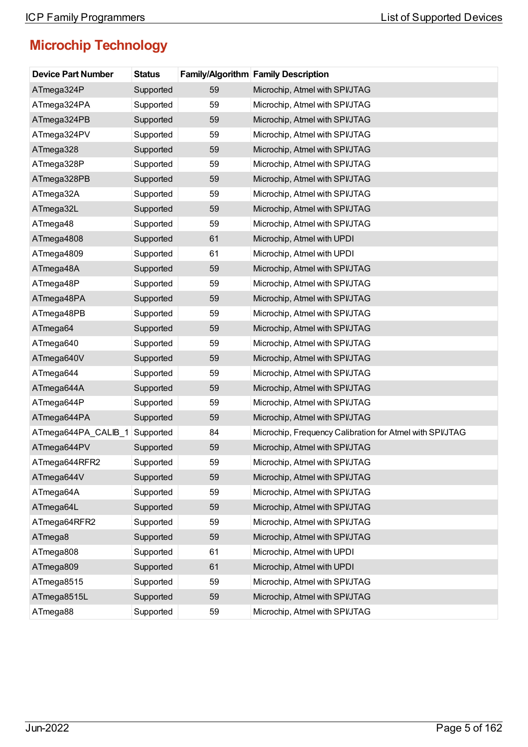| <b>Device Part Number</b> | <b>Status</b> |    | <b>Family/Algorithm Family Description</b>               |
|---------------------------|---------------|----|----------------------------------------------------------|
| ATmega324P                | Supported     | 59 | Microchip, Atmel with SPI/JTAG                           |
| ATmega324PA               | Supported     | 59 | Microchip, Atmel with SPI/JTAG                           |
| ATmega324PB               | Supported     | 59 | Microchip, Atmel with SPI/JTAG                           |
| ATmega324PV               | Supported     | 59 | Microchip, Atmel with SPI/JTAG                           |
| ATmega328                 | Supported     | 59 | Microchip, Atmel with SPI/JTAG                           |
| ATmega328P                | Supported     | 59 | Microchip, Atmel with SPI/JTAG                           |
| ATmega328PB               | Supported     | 59 | Microchip, Atmel with SPI/JTAG                           |
| ATmega32A                 | Supported     | 59 | Microchip, Atmel with SPI/JTAG                           |
| ATmega32L                 | Supported     | 59 | Microchip, Atmel with SPI/JTAG                           |
| ATmega48                  | Supported     | 59 | Microchip, Atmel with SPI/JTAG                           |
| ATmega4808                | Supported     | 61 | Microchip, Atmel with UPDI                               |
| ATmega4809                | Supported     | 61 | Microchip, Atmel with UPDI                               |
| ATmega48A                 | Supported     | 59 | Microchip, Atmel with SPI/JTAG                           |
| ATmega48P                 | Supported     | 59 | Microchip, Atmel with SPI/JTAG                           |
| ATmega48PA                | Supported     | 59 | Microchip, Atmel with SPI/JTAG                           |
| ATmega48PB                | Supported     | 59 | Microchip, Atmel with SPI/JTAG                           |
| ATmega64                  | Supported     | 59 | Microchip, Atmel with SPI/JTAG                           |
| ATmega640                 | Supported     | 59 | Microchip, Atmel with SPI/JTAG                           |
| ATmega640V                | Supported     | 59 | Microchip, Atmel with SPI/JTAG                           |
| ATmega644                 | Supported     | 59 | Microchip, Atmel with SPI/JTAG                           |
| ATmega644A                | Supported     | 59 | Microchip, Atmel with SPI/JTAG                           |
| ATmega644P                | Supported     | 59 | Microchip, Atmel with SPI/JTAG                           |
| ATmega644PA               | Supported     | 59 | Microchip, Atmel with SPI/JTAG                           |
| ATmega644PA_CALIB_1       | Supported     | 84 | Microchip, Frequency Calibration for Atmel with SPI/JTAG |
| ATmega644PV               | Supported     | 59 | Microchip, Atmel with SPI/JTAG                           |
| ATmega644RFR2             | Supported     | 59 | Microchip, Atmel with SPI/JTAG                           |
| ATmega644V                | Supported     | 59 | Microchip, Atmel with SPI/JTAG                           |
| ATmega64A                 | Supported     | 59 | Microchip, Atmel with SPI/JTAG                           |
| ATmega64L                 | Supported     | 59 | Microchip, Atmel with SPI/JTAG                           |
| ATmega64RFR2              | Supported     | 59 | Microchip, Atmel with SPI/JTAG                           |
| ATmega8                   | Supported     | 59 | Microchip, Atmel with SPI/JTAG                           |
| ATmega808                 | Supported     | 61 | Microchip, Atmel with UPDI                               |
| ATmega809                 | Supported     | 61 | Microchip, Atmel with UPDI                               |
| ATmega8515                | Supported     | 59 | Microchip, Atmel with SPI/JTAG                           |
| ATmega8515L               | Supported     | 59 | Microchip, Atmel with SPI/JTAG                           |
| ATmega88                  | Supported     | 59 | Microchip, Atmel with SPI/JTAG                           |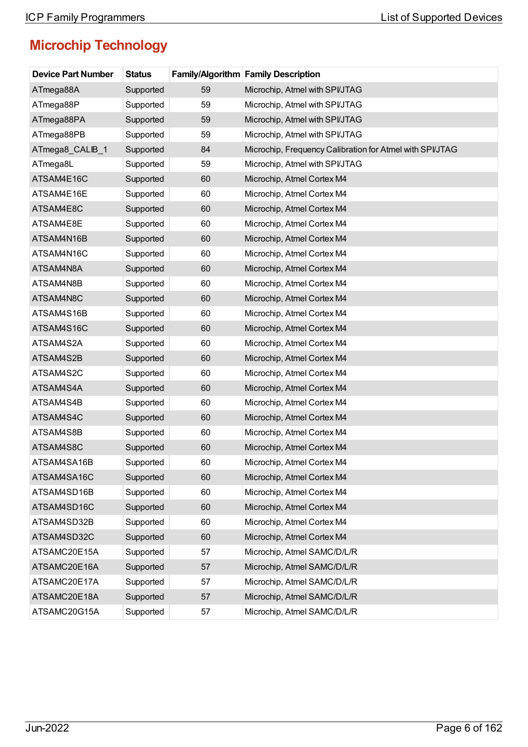| <b>Device Part Number</b> | <b>Status</b> |    | <b>Family/Algorithm Family Description</b>               |
|---------------------------|---------------|----|----------------------------------------------------------|
| ATmega88A                 | Supported     | 59 | Microchip, Atmel with SPI/JTAG                           |
| ATmega88P                 | Supported     | 59 | Microchip, Atmel with SPI/JTAG                           |
| ATmega88PA                | Supported     | 59 | Microchip, Atmel with SPI/JTAG                           |
| ATmega88PB                | Supported     | 59 | Microchip, Atmel with SPI/JTAG                           |
| ATmega8_CALIB_1           | Supported     | 84 | Microchip, Frequency Calibration for Atmel with SPI/JTAG |
| ATmega8L                  | Supported     | 59 | Microchip, Atmel with SPI/JTAG                           |
| ATSAM4E16C                | Supported     | 60 | Microchip, Atmel Cortex M4                               |
| ATSAM4E16E                | Supported     | 60 | Microchip, Atmel Cortex M4                               |
| ATSAM4E8C                 | Supported     | 60 | Microchip, Atmel Cortex M4                               |
| ATSAM4E8E                 | Supported     | 60 | Microchip, Atmel Cortex M4                               |
| ATSAM4N16B                | Supported     | 60 | Microchip, Atmel Cortex M4                               |
| ATSAM4N16C                | Supported     | 60 | Microchip, Atmel Cortex M4                               |
| ATSAM4N8A                 | Supported     | 60 | Microchip, Atmel Cortex M4                               |
| ATSAM4N8B                 | Supported     | 60 | Microchip, Atmel Cortex M4                               |
| ATSAM4N8C                 | Supported     | 60 | Microchip, Atmel Cortex M4                               |
| ATSAM4S16B                | Supported     | 60 | Microchip, Atmel Cortex M4                               |
| ATSAM4S16C                | Supported     | 60 | Microchip, Atmel Cortex M4                               |
| ATSAM4S2A                 | Supported     | 60 | Microchip, Atmel Cortex M4                               |
| ATSAM4S2B                 | Supported     | 60 | Microchip, Atmel Cortex M4                               |
| ATSAM4S2C                 | Supported     | 60 | Microchip, Atmel Cortex M4                               |
| ATSAM4S4A                 | Supported     | 60 | Microchip, Atmel Cortex M4                               |
| ATSAM4S4B                 | Supported     | 60 | Microchip, Atmel Cortex M4                               |
| ATSAM4S4C                 | Supported     | 60 | Microchip, Atmel Cortex M4                               |
| ATSAM4S8B                 | Supported     | 60 | Microchip, Atmel Cortex M4                               |
| ATSAM4S8C                 | Supported     | 60 | Microchip, Atmel Cortex M4                               |
| ATSAM4SA16B               | Supported     | 60 | Microchip, Atmel Cortex M4                               |
| ATSAM4SA16C               | Supported     | 60 | Microchip, Atmel Cortex M4                               |
| ATSAM4SD16B               | Supported     | 60 | Microchip, Atmel Cortex M4                               |
| ATSAM4SD16C               | Supported     | 60 | Microchip, Atmel Cortex M4                               |
| ATSAM4SD32B               | Supported     | 60 | Microchip, Atmel Cortex M4                               |
| ATSAM4SD32C               | Supported     | 60 | Microchip, Atmel Cortex M4                               |
| ATSAMC20E15A              | Supported     | 57 | Microchip, Atmel SAMC/D/L/R                              |
| ATSAMC20E16A              | Supported     | 57 | Microchip, Atmel SAMC/D/L/R                              |
| ATSAMC20E17A              | Supported     | 57 | Microchip, Atmel SAMC/D/L/R                              |
| ATSAMC20E18A              | Supported     | 57 | Microchip, Atmel SAMC/D/L/R                              |
| ATSAMC20G15A              | Supported     | 57 | Microchip, Atmel SAMC/D/L/R                              |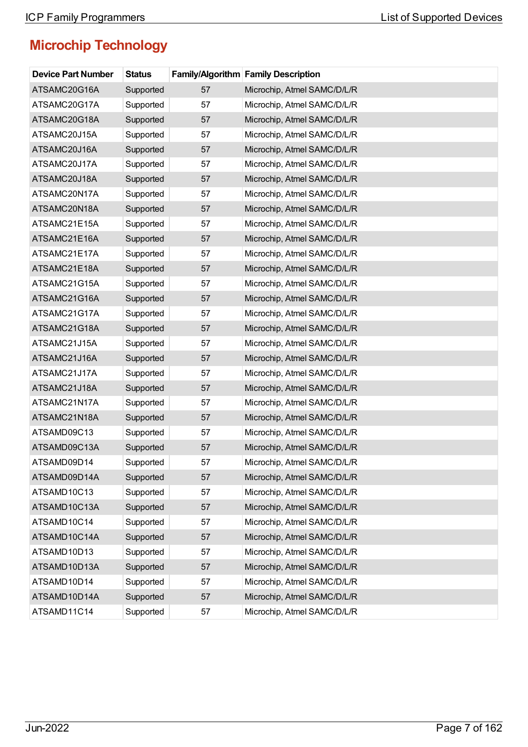| <b>Device Part Number</b> | <b>Status</b> |    | Family/Algorithm Family Description |
|---------------------------|---------------|----|-------------------------------------|
| ATSAMC20G16A              | Supported     | 57 | Microchip, Atmel SAMC/D/L/R         |
| ATSAMC20G17A              | Supported     | 57 | Microchip, Atmel SAMC/D/L/R         |
| ATSAMC20G18A              | Supported     | 57 | Microchip, Atmel SAMC/D/L/R         |
| ATSAMC20J15A              | Supported     | 57 | Microchip, Atmel SAMC/D/L/R         |
| ATSAMC20J16A              | Supported     | 57 | Microchip, Atmel SAMC/D/L/R         |
| ATSAMC20J17A              | Supported     | 57 | Microchip, Atmel SAMC/D/L/R         |
| ATSAMC20J18A              | Supported     | 57 | Microchip, Atmel SAMC/D/L/R         |
| ATSAMC20N17A              | Supported     | 57 | Microchip, Atmel SAMC/D/L/R         |
| ATSAMC20N18A              | Supported     | 57 | Microchip, Atmel SAMC/D/L/R         |
| ATSAMC21E15A              | Supported     | 57 | Microchip, Atmel SAMC/D/L/R         |
| ATSAMC21E16A              | Supported     | 57 | Microchip, Atmel SAMC/D/L/R         |
| ATSAMC21E17A              | Supported     | 57 | Microchip, Atmel SAMC/D/L/R         |
| ATSAMC21E18A              | Supported     | 57 | Microchip, Atmel SAMC/D/L/R         |
| ATSAMC21G15A              | Supported     | 57 | Microchip, Atmel SAMC/D/L/R         |
| ATSAMC21G16A              | Supported     | 57 | Microchip, Atmel SAMC/D/L/R         |
| ATSAMC21G17A              | Supported     | 57 | Microchip, Atmel SAMC/D/L/R         |
| ATSAMC21G18A              | Supported     | 57 | Microchip, Atmel SAMC/D/L/R         |
| ATSAMC21J15A              | Supported     | 57 | Microchip, Atmel SAMC/D/L/R         |
| ATSAMC21J16A              | Supported     | 57 | Microchip, Atmel SAMC/D/L/R         |
| ATSAMC21J17A              | Supported     | 57 | Microchip, Atmel SAMC/D/L/R         |
| ATSAMC21J18A              | Supported     | 57 | Microchip, Atmel SAMC/D/L/R         |
| ATSAMC21N17A              | Supported     | 57 | Microchip, Atmel SAMC/D/L/R         |
| ATSAMC21N18A              | Supported     | 57 | Microchip, Atmel SAMC/D/L/R         |
| ATSAMD09C13               | Supported     | 57 | Microchip, Atmel SAMC/D/L/R         |
| ATSAMD09C13A              | Supported     | 57 | Microchip, Atmel SAMC/D/L/R         |
| ATSAMD09D14               | Supported     | 57 | Microchip, Atmel SAMC/D/L/R         |
| ATSAMD09D14A              | Supported     | 57 | Microchip, Atmel SAMC/D/L/R         |
| ATSAMD10C13               | Supported     | 57 | Microchip, Atmel SAMC/D/L/R         |
| ATSAMD10C13A              | Supported     | 57 | Microchip, Atmel SAMC/D/L/R         |
| ATSAMD10C14               | Supported     | 57 | Microchip, Atmel SAMC/D/L/R         |
| ATSAMD10C14A              | Supported     | 57 | Microchip, Atmel SAMC/D/L/R         |
| ATSAMD10D13               | Supported     | 57 | Microchip, Atmel SAMC/D/L/R         |
| ATSAMD10D13A              | Supported     | 57 | Microchip, Atmel SAMC/D/L/R         |
| ATSAMD10D14               | Supported     | 57 | Microchip, Atmel SAMC/D/L/R         |
| ATSAMD10D14A              | Supported     | 57 | Microchip, Atmel SAMC/D/L/R         |
| ATSAMD11C14               | Supported     | 57 | Microchip, Atmel SAMC/D/L/R         |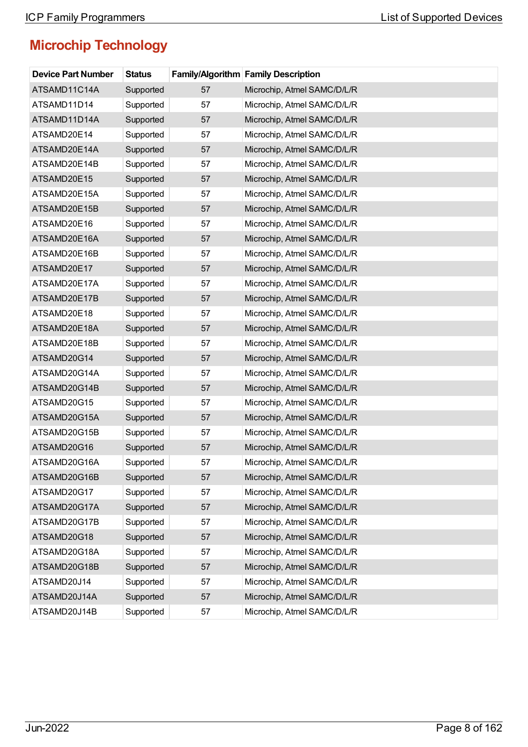| <b>Device Part Number</b> | <b>Status</b> |    | <b>Family/Algorithm Family Description</b> |
|---------------------------|---------------|----|--------------------------------------------|
| ATSAMD11C14A              | Supported     | 57 | Microchip, Atmel SAMC/D/L/R                |
| ATSAMD11D14               | Supported     | 57 | Microchip, Atmel SAMC/D/L/R                |
| ATSAMD11D14A              | Supported     | 57 | Microchip, Atmel SAMC/D/L/R                |
| ATSAMD20E14               | Supported     | 57 | Microchip, Atmel SAMC/D/L/R                |
| ATSAMD20E14A              | Supported     | 57 | Microchip, Atmel SAMC/D/L/R                |
| ATSAMD20E14B              | Supported     | 57 | Microchip, Atmel SAMC/D/L/R                |
| ATSAMD20E15               | Supported     | 57 | Microchip, Atmel SAMC/D/L/R                |
| ATSAMD20E15A              | Supported     | 57 | Microchip, Atmel SAMC/D/L/R                |
| ATSAMD20E15B              | Supported     | 57 | Microchip, Atmel SAMC/D/L/R                |
| ATSAMD20E16               | Supported     | 57 | Microchip, Atmel SAMC/D/L/R                |
| ATSAMD20E16A              | Supported     | 57 | Microchip, Atmel SAMC/D/L/R                |
| ATSAMD20E16B              | Supported     | 57 | Microchip, Atmel SAMC/D/L/R                |
| ATSAMD20E17               | Supported     | 57 | Microchip, Atmel SAMC/D/L/R                |
| ATSAMD20E17A              | Supported     | 57 | Microchip, Atmel SAMC/D/L/R                |
| ATSAMD20E17B              | Supported     | 57 | Microchip, Atmel SAMC/D/L/R                |
| ATSAMD20E18               | Supported     | 57 | Microchip, Atmel SAMC/D/L/R                |
| ATSAMD20E18A              | Supported     | 57 | Microchip, Atmel SAMC/D/L/R                |
| ATSAMD20E18B              | Supported     | 57 | Microchip, Atmel SAMC/D/L/R                |
| ATSAMD20G14               | Supported     | 57 | Microchip, Atmel SAMC/D/L/R                |
| ATSAMD20G14A              | Supported     | 57 | Microchip, Atmel SAMC/D/L/R                |
| ATSAMD20G14B              | Supported     | 57 | Microchip, Atmel SAMC/D/L/R                |
| ATSAMD20G15               | Supported     | 57 | Microchip, Atmel SAMC/D/L/R                |
| ATSAMD20G15A              | Supported     | 57 | Microchip, Atmel SAMC/D/L/R                |
| ATSAMD20G15B              | Supported     | 57 | Microchip, Atmel SAMC/D/L/R                |
| ATSAMD20G16               | Supported     | 57 | Microchip, Atmel SAMC/D/L/R                |
| ATSAMD20G16A              | Supported     | 57 | Microchip, Atmel SAMC/D/L/R                |
| ATSAMD20G16B              | Supported     | 57 | Microchip, Atmel SAMC/D/L/R                |
| ATSAMD20G17               | Supported     | 57 | Microchip, Atmel SAMC/D/L/R                |
| ATSAMD20G17A              | Supported     | 57 | Microchip, Atmel SAMC/D/L/R                |
| ATSAMD20G17B              | Supported     | 57 | Microchip, Atmel SAMC/D/L/R                |
| ATSAMD20G18               | Supported     | 57 | Microchip, Atmel SAMC/D/L/R                |
| ATSAMD20G18A              | Supported     | 57 | Microchip, Atmel SAMC/D/L/R                |
| ATSAMD20G18B              | Supported     | 57 | Microchip, Atmel SAMC/D/L/R                |
| ATSAMD20J14               | Supported     | 57 | Microchip, Atmel SAMC/D/L/R                |
| ATSAMD20J14A              | Supported     | 57 | Microchip, Atmel SAMC/D/L/R                |
| ATSAMD20J14B              | Supported     | 57 | Microchip, Atmel SAMC/D/L/R                |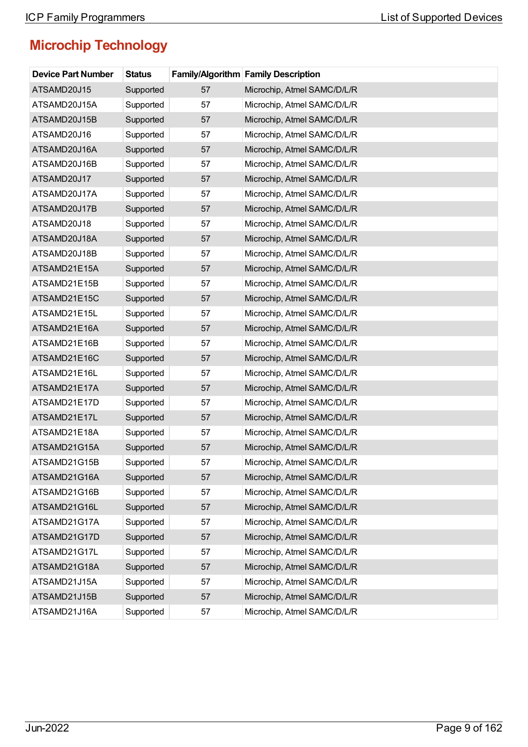| <b>Device Part Number</b> | <b>Status</b> |    | Family/Algorithm Family Description |
|---------------------------|---------------|----|-------------------------------------|
| ATSAMD20J15               | Supported     | 57 | Microchip, Atmel SAMC/D/L/R         |
| ATSAMD20J15A              | Supported     | 57 | Microchip, Atmel SAMC/D/L/R         |
| ATSAMD20J15B              | Supported     | 57 | Microchip, Atmel SAMC/D/L/R         |
| ATSAMD20J16               | Supported     | 57 | Microchip, Atmel SAMC/D/L/R         |
| ATSAMD20J16A              | Supported     | 57 | Microchip, Atmel SAMC/D/L/R         |
| ATSAMD20J16B              | Supported     | 57 | Microchip, Atmel SAMC/D/L/R         |
| ATSAMD20J17               | Supported     | 57 | Microchip, Atmel SAMC/D/L/R         |
| ATSAMD20J17A              | Supported     | 57 | Microchip, Atmel SAMC/D/L/R         |
| ATSAMD20J17B              | Supported     | 57 | Microchip, Atmel SAMC/D/L/R         |
| ATSAMD20J18               | Supported     | 57 | Microchip, Atmel SAMC/D/L/R         |
| ATSAMD20J18A              | Supported     | 57 | Microchip, Atmel SAMC/D/L/R         |
| ATSAMD20J18B              | Supported     | 57 | Microchip, Atmel SAMC/D/L/R         |
| ATSAMD21E15A              | Supported     | 57 | Microchip, Atmel SAMC/D/L/R         |
| ATSAMD21E15B              | Supported     | 57 | Microchip, Atmel SAMC/D/L/R         |
| ATSAMD21E15C              | Supported     | 57 | Microchip, Atmel SAMC/D/L/R         |
| ATSAMD21E15L              | Supported     | 57 | Microchip, Atmel SAMC/D/L/R         |
| ATSAMD21E16A              | Supported     | 57 | Microchip, Atmel SAMC/D/L/R         |
| ATSAMD21E16B              | Supported     | 57 | Microchip, Atmel SAMC/D/L/R         |
| ATSAMD21E16C              | Supported     | 57 | Microchip, Atmel SAMC/D/L/R         |
| ATSAMD21E16L              | Supported     | 57 | Microchip, Atmel SAMC/D/L/R         |
| ATSAMD21E17A              | Supported     | 57 | Microchip, Atmel SAMC/D/L/R         |
| ATSAMD21E17D              | Supported     | 57 | Microchip, Atmel SAMC/D/L/R         |
| ATSAMD21E17L              | Supported     | 57 | Microchip, Atmel SAMC/D/L/R         |
| ATSAMD21E18A              | Supported     | 57 | Microchip, Atmel SAMC/D/L/R         |
| ATSAMD21G15A              | Supported     | 57 | Microchip, Atmel SAMC/D/L/R         |
| ATSAMD21G15B              | Supported     | 57 | Microchip, Atmel SAMC/D/L/R         |
| ATSAMD21G16A              | Supported     | 57 | Microchip, Atmel SAMC/D/L/R         |
| ATSAMD21G16B              | Supported     | 57 | Microchip, Atmel SAMC/D/L/R         |
| ATSAMD21G16L              | Supported     | 57 | Microchip, Atmel SAMC/D/L/R         |
| ATSAMD21G17A              | Supported     | 57 | Microchip, Atmel SAMC/D/L/R         |
| ATSAMD21G17D              | Supported     | 57 | Microchip, Atmel SAMC/D/L/R         |
| ATSAMD21G17L              | Supported     | 57 | Microchip, Atmel SAMC/D/L/R         |
| ATSAMD21G18A              | Supported     | 57 | Microchip, Atmel SAMC/D/L/R         |
| ATSAMD21J15A              | Supported     | 57 | Microchip, Atmel SAMC/D/L/R         |
| ATSAMD21J15B              | Supported     | 57 | Microchip, Atmel SAMC/D/L/R         |
| ATSAMD21J16A              | Supported     | 57 | Microchip, Atmel SAMC/D/L/R         |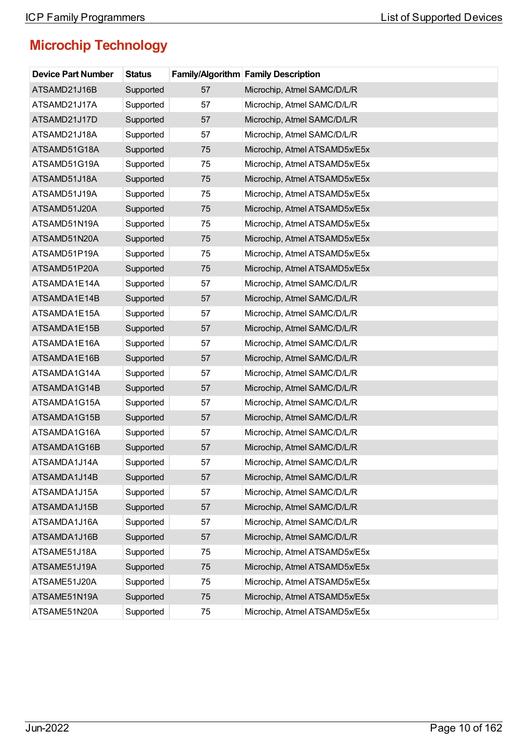| <b>Device Part Number</b> | <b>Status</b> |    | <b>Family/Algorithm Family Description</b> |
|---------------------------|---------------|----|--------------------------------------------|
| ATSAMD21J16B              | Supported     | 57 | Microchip, Atmel SAMC/D/L/R                |
| ATSAMD21J17A              | Supported     | 57 | Microchip, Atmel SAMC/D/L/R                |
| ATSAMD21J17D              | Supported     | 57 | Microchip, Atmel SAMC/D/L/R                |
| ATSAMD21J18A              | Supported     | 57 | Microchip, Atmel SAMC/D/L/R                |
| ATSAMD51G18A              | Supported     | 75 | Microchip, Atmel ATSAMD5x/E5x              |
| ATSAMD51G19A              | Supported     | 75 | Microchip, Atmel ATSAMD5x/E5x              |
| ATSAMD51J18A              | Supported     | 75 | Microchip, Atmel ATSAMD5x/E5x              |
| ATSAMD51J19A              | Supported     | 75 | Microchip, Atmel ATSAMD5x/E5x              |
| ATSAMD51J20A              | Supported     | 75 | Microchip, Atmel ATSAMD5x/E5x              |
| ATSAMD51N19A              | Supported     | 75 | Microchip, Atmel ATSAMD5x/E5x              |
| ATSAMD51N20A              | Supported     | 75 | Microchip, Atmel ATSAMD5x/E5x              |
| ATSAMD51P19A              | Supported     | 75 | Microchip, Atmel ATSAMD5x/E5x              |
| ATSAMD51P20A              | Supported     | 75 | Microchip, Atmel ATSAMD5x/E5x              |
| ATSAMDA1E14A              | Supported     | 57 | Microchip, Atmel SAMC/D/L/R                |
| ATSAMDA1E14B              | Supported     | 57 | Microchip, Atmel SAMC/D/L/R                |
| ATSAMDA1E15A              | Supported     | 57 | Microchip, Atmel SAMC/D/L/R                |
| ATSAMDA1E15B              | Supported     | 57 | Microchip, Atmel SAMC/D/L/R                |
| ATSAMDA1E16A              | Supported     | 57 | Microchip, Atmel SAMC/D/L/R                |
| ATSAMDA1E16B              | Supported     | 57 | Microchip, Atmel SAMC/D/L/R                |
| ATSAMDA1G14A              | Supported     | 57 | Microchip, Atmel SAMC/D/L/R                |
| ATSAMDA1G14B              | Supported     | 57 | Microchip, Atmel SAMC/D/L/R                |
| ATSAMDA1G15A              | Supported     | 57 | Microchip, Atmel SAMC/D/L/R                |
| ATSAMDA1G15B              | Supported     | 57 | Microchip, Atmel SAMC/D/L/R                |
| ATSAMDA1G16A              | Supported     | 57 | Microchip, Atmel SAMC/D/L/R                |
| ATSAMDA1G16B              | Supported     | 57 | Microchip, Atmel SAMC/D/L/R                |
| ATSAMDA1J14A              | Supported     | 57 | Microchip, Atmel SAMC/D/L/R                |
| ATSAMDA1J14B              | Supported     | 57 | Microchip, Atmel SAMC/D/L/R                |
| ATSAMDA1J15A              | Supported     | 57 | Microchip, Atmel SAMC/D/L/R                |
| ATSAMDA1J15B              | Supported     | 57 | Microchip, Atmel SAMC/D/L/R                |
| ATSAMDA1J16A              | Supported     | 57 | Microchip, Atmel SAMC/D/L/R                |
| ATSAMDA1J16B              | Supported     | 57 | Microchip, Atmel SAMC/D/L/R                |
| ATSAME51J18A              | Supported     | 75 | Microchip, Atmel ATSAMD5x/E5x              |
| ATSAME51J19A              | Supported     | 75 | Microchip, Atmel ATSAMD5x/E5x              |
| ATSAME51J20A              | Supported     | 75 | Microchip, Atmel ATSAMD5x/E5x              |
| ATSAME51N19A              | Supported     | 75 | Microchip, Atmel ATSAMD5x/E5x              |
| ATSAME51N20A              | Supported     | 75 | Microchip, Atmel ATSAMD5x/E5x              |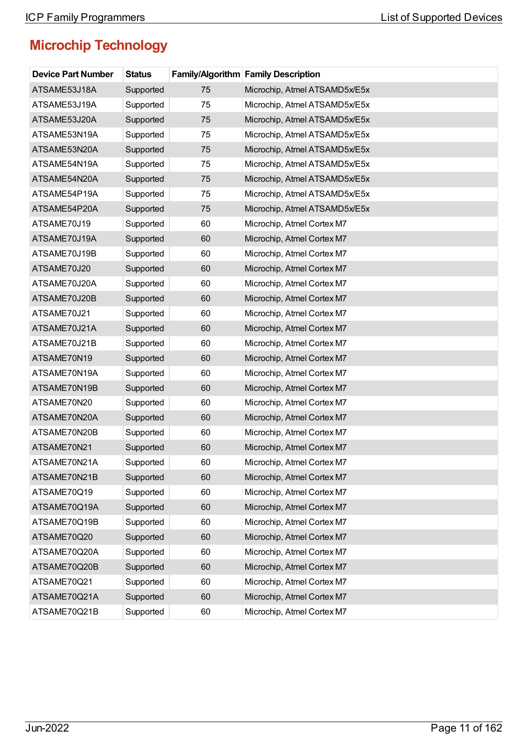| <b>Device Part Number</b> | <b>Status</b> |    | <b>Family/Algorithm Family Description</b> |
|---------------------------|---------------|----|--------------------------------------------|
| ATSAME53J18A              | Supported     | 75 | Microchip, Atmel ATSAMD5x/E5x              |
| ATSAME53J19A              | Supported     | 75 | Microchip, Atmel ATSAMD5x/E5x              |
| ATSAME53J20A              | Supported     | 75 | Microchip, Atmel ATSAMD5x/E5x              |
| ATSAME53N19A              | Supported     | 75 | Microchip, Atmel ATSAMD5x/E5x              |
| ATSAME53N20A              | Supported     | 75 | Microchip, Atmel ATSAMD5x/E5x              |
| ATSAME54N19A              | Supported     | 75 | Microchip, Atmel ATSAMD5x/E5x              |
| ATSAME54N20A              | Supported     | 75 | Microchip, Atmel ATSAMD5x/E5x              |
| ATSAME54P19A              | Supported     | 75 | Microchip, Atmel ATSAMD5x/E5x              |
| ATSAME54P20A              | Supported     | 75 | Microchip, Atmel ATSAMD5x/E5x              |
| ATSAME70J19               | Supported     | 60 | Microchip, Atmel Cortex M7                 |
| ATSAME70J19A              | Supported     | 60 | Microchip, Atmel Cortex M7                 |
| ATSAME70J19B              | Supported     | 60 | Microchip, Atmel Cortex M7                 |
| ATSAME70J20               | Supported     | 60 | Microchip, Atmel Cortex M7                 |
| ATSAME70J20A              | Supported     | 60 | Microchip, Atmel Cortex M7                 |
| ATSAME70J20B              | Supported     | 60 | Microchip, Atmel Cortex M7                 |
| ATSAME70J21               | Supported     | 60 | Microchip, Atmel Cortex M7                 |
| ATSAME70J21A              | Supported     | 60 | Microchip, Atmel Cortex M7                 |
| ATSAME70J21B              | Supported     | 60 | Microchip, Atmel Cortex M7                 |
| ATSAME70N19               | Supported     | 60 | Microchip, Atmel Cortex M7                 |
| ATSAME70N19A              | Supported     | 60 | Microchip, Atmel Cortex M7                 |
| ATSAME70N19B              | Supported     | 60 | Microchip, Atmel Cortex M7                 |
| ATSAME70N20               | Supported     | 60 | Microchip, Atmel Cortex M7                 |
| ATSAME70N20A              | Supported     | 60 | Microchip, Atmel Cortex M7                 |
| ATSAME70N20B              | Supported     | 60 | Microchip, Atmel Cortex M7                 |
| ATSAME70N21               | Supported     | 60 | Microchip, Atmel Cortex M7                 |
| ATSAME70N21A              | Supported     | 60 | Microchip, Atmel Cortex M7                 |
| ATSAME70N21B              | Supported     | 60 | Microchip, Atmel Cortex M7                 |
| ATSAME70Q19               | Supported     | 60 | Microchip, Atmel Cortex M7                 |
| ATSAME70Q19A              | Supported     | 60 | Microchip, Atmel Cortex M7                 |
| ATSAME70Q19B              | Supported     | 60 | Microchip, Atmel Cortex M7                 |
| ATSAME70Q20               | Supported     | 60 | Microchip, Atmel Cortex M7                 |
| ATSAME70Q20A              | Supported     | 60 | Microchip, Atmel Cortex M7                 |
| ATSAME70Q20B              | Supported     | 60 | Microchip, Atmel Cortex M7                 |
| ATSAME70Q21               | Supported     | 60 | Microchip, Atmel Cortex M7                 |
| ATSAME70Q21A              | Supported     | 60 | Microchip, Atmel Cortex M7                 |
| ATSAME70Q21B              | Supported     | 60 | Microchip, Atmel Cortex M7                 |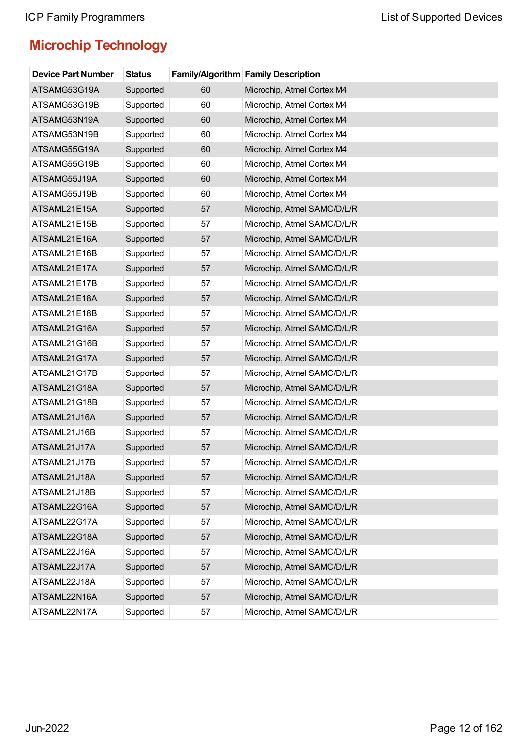| <b>Device Part Number</b> | <b>Status</b> |    | <b>Family/Algorithm Family Description</b> |
|---------------------------|---------------|----|--------------------------------------------|
| ATSAMG53G19A              | Supported     | 60 | Microchip, Atmel Cortex M4                 |
| ATSAMG53G19B              | Supported     | 60 | Microchip, Atmel Cortex M4                 |
| ATSAMG53N19A              | Supported     | 60 | Microchip, Atmel Cortex M4                 |
| ATSAMG53N19B              | Supported     | 60 | Microchip, Atmel Cortex M4                 |
| ATSAMG55G19A              | Supported     | 60 | Microchip, Atmel Cortex M4                 |
| ATSAMG55G19B              | Supported     | 60 | Microchip, Atmel Cortex M4                 |
| ATSAMG55J19A              | Supported     | 60 | Microchip, Atmel Cortex M4                 |
| ATSAMG55J19B              | Supported     | 60 | Microchip, Atmel Cortex M4                 |
| ATSAML21E15A              | Supported     | 57 | Microchip, Atmel SAMC/D/L/R                |
| ATSAML21E15B              | Supported     | 57 | Microchip, Atmel SAMC/D/L/R                |
| ATSAML21E16A              | Supported     | 57 | Microchip, Atmel SAMC/D/L/R                |
| ATSAML21E16B              | Supported     | 57 | Microchip, Atmel SAMC/D/L/R                |
| ATSAML21E17A              | Supported     | 57 | Microchip, Atmel SAMC/D/L/R                |
| ATSAML21E17B              | Supported     | 57 | Microchip, Atmel SAMC/D/L/R                |
| ATSAML21E18A              | Supported     | 57 | Microchip, Atmel SAMC/D/L/R                |
| ATSAML21E18B              | Supported     | 57 | Microchip, Atmel SAMC/D/L/R                |
| ATSAML21G16A              | Supported     | 57 | Microchip, Atmel SAMC/D/L/R                |
| ATSAML21G16B              | Supported     | 57 | Microchip, Atmel SAMC/D/L/R                |
| ATSAML21G17A              | Supported     | 57 | Microchip, Atmel SAMC/D/L/R                |
| ATSAML21G17B              | Supported     | 57 | Microchip, Atmel SAMC/D/L/R                |
| ATSAML21G18A              | Supported     | 57 | Microchip, Atmel SAMC/D/L/R                |
| ATSAML21G18B              | Supported     | 57 | Microchip, Atmel SAMC/D/L/R                |
| ATSAML21J16A              | Supported     | 57 | Microchip, Atmel SAMC/D/L/R                |
| ATSAML21J16B              | Supported     | 57 | Microchip, Atmel SAMC/D/L/R                |
| ATSAML21J17A              | Supported     | 57 | Microchip, Atmel SAMC/D/L/R                |
| ATSAML21J17B              | Supported     | 57 | Microchip, Atmel SAMC/D/L/R                |
| ATSAML21J18A              | Supported     | 57 | Microchip, Atmel SAMC/D/L/R                |
| ATSAML21J18B              | Supported     | 57 | Microchip, Atmel SAMC/D/L/R                |
| ATSAML22G16A              | Supported     | 57 | Microchip, Atmel SAMC/D/L/R                |
| ATSAML22G17A              | Supported     | 57 | Microchip, Atmel SAMC/D/L/R                |
| ATSAML22G18A              | Supported     | 57 | Microchip, Atmel SAMC/D/L/R                |
| ATSAML22J16A              | Supported     | 57 | Microchip, Atmel SAMC/D/L/R                |
| ATSAML22J17A              | Supported     | 57 | Microchip, Atmel SAMC/D/L/R                |
| ATSAML22J18A              | Supported     | 57 | Microchip, Atmel SAMC/D/L/R                |
| ATSAML22N16A              | Supported     | 57 | Microchip, Atmel SAMC/D/L/R                |
| ATSAML22N17A              | Supported     | 57 | Microchip, Atmel SAMC/D/L/R                |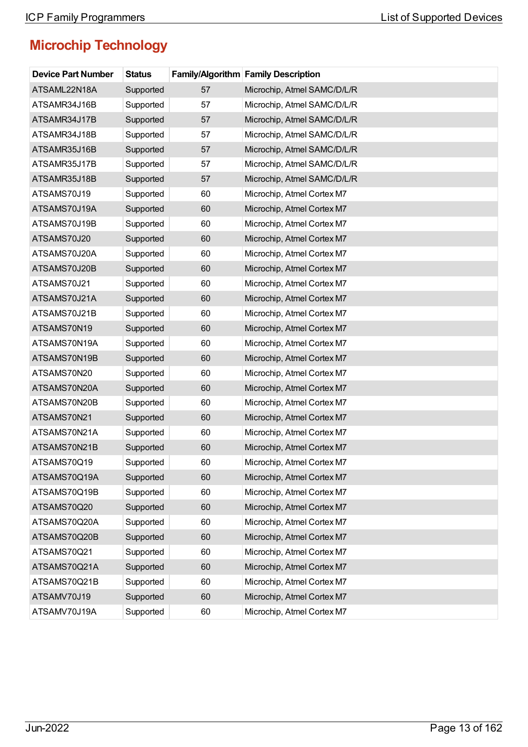| <b>Device Part Number</b> | <b>Status</b> |    | <b>Family/Algorithm Family Description</b> |
|---------------------------|---------------|----|--------------------------------------------|
| ATSAML22N18A              | Supported     | 57 | Microchip, Atmel SAMC/D/L/R                |
| ATSAMR34J16B              | Supported     | 57 | Microchip, Atmel SAMC/D/L/R                |
| ATSAMR34J17B              | Supported     | 57 | Microchip, Atmel SAMC/D/L/R                |
| ATSAMR34J18B              | Supported     | 57 | Microchip, Atmel SAMC/D/L/R                |
| ATSAMR35J16B              | Supported     | 57 | Microchip, Atmel SAMC/D/L/R                |
| ATSAMR35J17B              | Supported     | 57 | Microchip, Atmel SAMC/D/L/R                |
| ATSAMR35J18B              | Supported     | 57 | Microchip, Atmel SAMC/D/L/R                |
| ATSAMS70J19               | Supported     | 60 | Microchip, Atmel Cortex M7                 |
| ATSAMS70J19A              | Supported     | 60 | Microchip, Atmel Cortex M7                 |
| ATSAMS70J19B              | Supported     | 60 | Microchip, Atmel Cortex M7                 |
| ATSAMS70J20               | Supported     | 60 | Microchip, Atmel Cortex M7                 |
| ATSAMS70J20A              | Supported     | 60 | Microchip, Atmel Cortex M7                 |
| ATSAMS70J20B              | Supported     | 60 | Microchip, Atmel Cortex M7                 |
| ATSAMS70J21               | Supported     | 60 | Microchip, Atmel Cortex M7                 |
| ATSAMS70J21A              | Supported     | 60 | Microchip, Atmel Cortex M7                 |
| ATSAMS70J21B              | Supported     | 60 | Microchip, Atmel Cortex M7                 |
| ATSAMS70N19               | Supported     | 60 | Microchip, Atmel Cortex M7                 |
| ATSAMS70N19A              | Supported     | 60 | Microchip, Atmel Cortex M7                 |
| ATSAMS70N19B              | Supported     | 60 | Microchip, Atmel Cortex M7                 |
| ATSAMS70N20               | Supported     | 60 | Microchip, Atmel Cortex M7                 |
| ATSAMS70N20A              | Supported     | 60 | Microchip, Atmel Cortex M7                 |
| ATSAMS70N20B              | Supported     | 60 | Microchip, Atmel Cortex M7                 |
| ATSAMS70N21               | Supported     | 60 | Microchip, Atmel Cortex M7                 |
| ATSAMS70N21A              | Supported     | 60 | Microchip, Atmel Cortex M7                 |
| ATSAMS70N21B              | Supported     | 60 | Microchip, Atmel Cortex M7                 |
| ATSAMS70Q19               | Supported     | 60 | Microchip, Atmel Cortex M7                 |
| ATSAMS70Q19A              | Supported     | 60 | Microchip, Atmel Cortex M7                 |
| ATSAMS70Q19B              | Supported     | 60 | Microchip, Atmel Cortex M7                 |
| ATSAMS70Q20               | Supported     | 60 | Microchip, Atmel Cortex M7                 |
| ATSAMS70Q20A              | Supported     | 60 | Microchip, Atmel Cortex M7                 |
| ATSAMS70Q20B              | Supported     | 60 | Microchip, Atmel Cortex M7                 |
| ATSAMS70Q21               | Supported     | 60 | Microchip, Atmel Cortex M7                 |
| ATSAMS70Q21A              | Supported     | 60 | Microchip, Atmel Cortex M7                 |
| ATSAMS70Q21B              | Supported     | 60 | Microchip, Atmel Cortex M7                 |
| ATSAMV70J19               | Supported     | 60 | Microchip, Atmel Cortex M7                 |
| ATSAMV70J19A              | Supported     | 60 | Microchip, Atmel Cortex M7                 |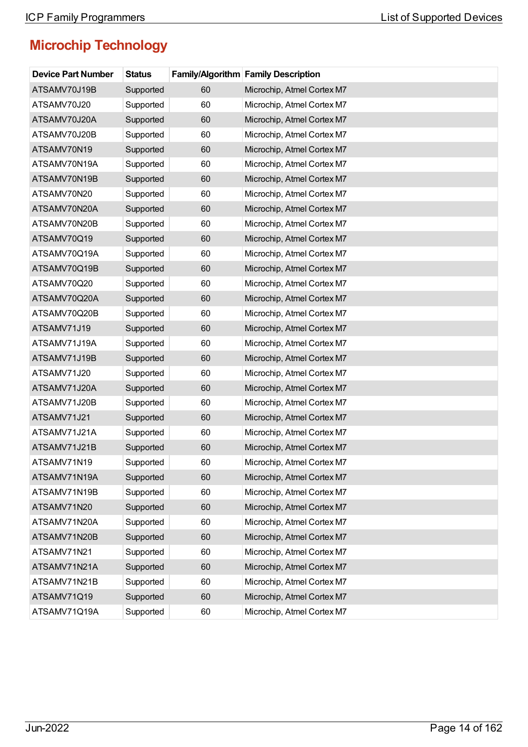| <b>Device Part Number</b> | <b>Status</b> |    | <b>Family/Algorithm Family Description</b> |
|---------------------------|---------------|----|--------------------------------------------|
| ATSAMV70J19B              | Supported     | 60 | Microchip, Atmel Cortex M7                 |
| ATSAMV70J20               | Supported     | 60 | Microchip, Atmel Cortex M7                 |
| ATSAMV70J20A              | Supported     | 60 | Microchip, Atmel Cortex M7                 |
| ATSAMV70J20B              | Supported     | 60 | Microchip, Atmel Cortex M7                 |
| ATSAMV70N19               | Supported     | 60 | Microchip, Atmel Cortex M7                 |
| ATSAMV70N19A              | Supported     | 60 | Microchip, Atmel Cortex M7                 |
| ATSAMV70N19B              | Supported     | 60 | Microchip, Atmel Cortex M7                 |
| ATSAMV70N20               | Supported     | 60 | Microchip, Atmel Cortex M7                 |
| ATSAMV70N20A              | Supported     | 60 | Microchip, Atmel Cortex M7                 |
| ATSAMV70N20B              | Supported     | 60 | Microchip, Atmel Cortex M7                 |
| ATSAMV70Q19               | Supported     | 60 | Microchip, Atmel Cortex M7                 |
| ATSAMV70Q19A              | Supported     | 60 | Microchip, Atmel Cortex M7                 |
| ATSAMV70Q19B              | Supported     | 60 | Microchip, Atmel Cortex M7                 |
| ATSAMV70Q20               | Supported     | 60 | Microchip, Atmel Cortex M7                 |
| ATSAMV70Q20A              | Supported     | 60 | Microchip, Atmel Cortex M7                 |
| ATSAMV70Q20B              | Supported     | 60 | Microchip, Atmel Cortex M7                 |
| ATSAMV71J19               | Supported     | 60 | Microchip, Atmel Cortex M7                 |
| ATSAMV71J19A              | Supported     | 60 | Microchip, Atmel Cortex M7                 |
| ATSAMV71J19B              | Supported     | 60 | Microchip, Atmel Cortex M7                 |
| ATSAMV71J20               | Supported     | 60 | Microchip, Atmel Cortex M7                 |
| ATSAMV71J20A              | Supported     | 60 | Microchip, Atmel Cortex M7                 |
| ATSAMV71J20B              | Supported     | 60 | Microchip, Atmel Cortex M7                 |
| ATSAMV71J21               | Supported     | 60 | Microchip, Atmel Cortex M7                 |
| ATSAMV71J21A              | Supported     | 60 | Microchip, Atmel Cortex M7                 |
| ATSAMV71J21B              | Supported     | 60 | Microchip, Atmel Cortex M7                 |
| ATSAMV71N19               | Supported     | 60 | Microchip, Atmel Cortex M7                 |
| ATSAMV71N19A              | Supported     | 60 | Microchip, Atmel Cortex M7                 |
| ATSAMV71N19B              | Supported     | 60 | Microchip, Atmel Cortex M7                 |
| ATSAMV71N20               | Supported     | 60 | Microchip, Atmel Cortex M7                 |
| ATSAMV71N20A              | Supported     | 60 | Microchip, Atmel Cortex M7                 |
| ATSAMV71N20B              | Supported     | 60 | Microchip, Atmel Cortex M7                 |
| ATSAMV71N21               | Supported     | 60 | Microchip, Atmel Cortex M7                 |
| ATSAMV71N21A              | Supported     | 60 | Microchip, Atmel Cortex M7                 |
| ATSAMV71N21B              | Supported     | 60 | Microchip, Atmel Cortex M7                 |
| ATSAMV71Q19               | Supported     | 60 | Microchip, Atmel Cortex M7                 |
| ATSAMV71Q19A              | Supported     | 60 | Microchip, Atmel Cortex M7                 |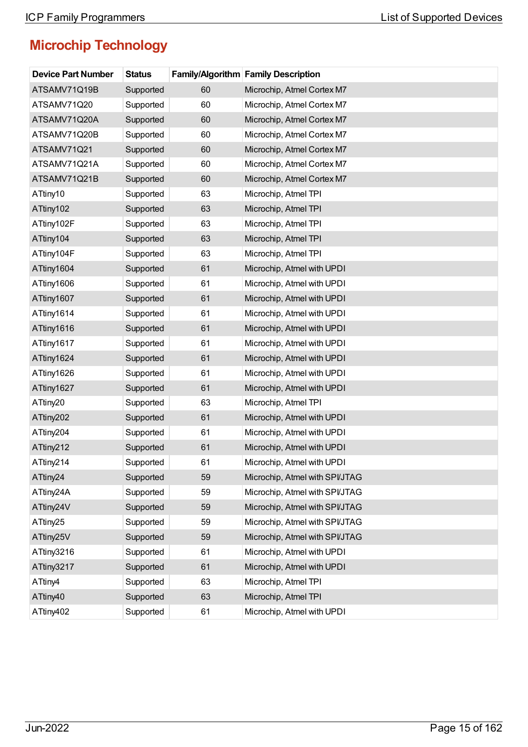| <b>Device Part Number</b> | <b>Status</b> |    | <b>Family/Algorithm Family Description</b> |
|---------------------------|---------------|----|--------------------------------------------|
| ATSAMV71Q19B              | Supported     | 60 | Microchip, Atmel Cortex M7                 |
| ATSAMV71Q20               | Supported     | 60 | Microchip, Atmel Cortex M7                 |
| ATSAMV71Q20A              | Supported     | 60 | Microchip, Atmel Cortex M7                 |
| ATSAMV71Q20B              | Supported     | 60 | Microchip, Atmel Cortex M7                 |
| ATSAMV71Q21               | Supported     | 60 | Microchip, Atmel Cortex M7                 |
| ATSAMV71Q21A              | Supported     | 60 | Microchip, Atmel Cortex M7                 |
| ATSAMV71Q21B              | Supported     | 60 | Microchip, Atmel Cortex M7                 |
| ATtiny10                  | Supported     | 63 | Microchip, Atmel TPI                       |
| ATtiny102                 | Supported     | 63 | Microchip, Atmel TPI                       |
| ATtiny102F                | Supported     | 63 | Microchip, Atmel TPI                       |
| ATtiny104                 | Supported     | 63 | Microchip, Atmel TPI                       |
| ATtiny104F                | Supported     | 63 | Microchip, Atmel TPI                       |
| ATtiny1604                | Supported     | 61 | Microchip, Atmel with UPDI                 |
| ATtiny1606                | Supported     | 61 | Microchip, Atmel with UPDI                 |
| ATtiny1607                | Supported     | 61 | Microchip, Atmel with UPDI                 |
| ATtiny1614                | Supported     | 61 | Microchip, Atmel with UPDI                 |
| ATtiny1616                | Supported     | 61 | Microchip, Atmel with UPDI                 |
| ATtiny1617                | Supported     | 61 | Microchip, Atmel with UPDI                 |
| ATtiny1624                | Supported     | 61 | Microchip, Atmel with UPDI                 |
| ATtiny1626                | Supported     | 61 | Microchip, Atmel with UPDI                 |
| ATtiny1627                | Supported     | 61 | Microchip, Atmel with UPDI                 |
| ATtiny20                  | Supported     | 63 | Microchip, Atmel TPI                       |
| ATtiny202                 | Supported     | 61 | Microchip, Atmel with UPDI                 |
| ATtiny204                 | Supported     | 61 | Microchip, Atmel with UPDI                 |
| ATtiny212                 | Supported     | 61 | Microchip, Atmel with UPDI                 |
| ATtiny214                 | Supported     | 61 | Microchip, Atmel with UPDI                 |
| ATtiny24                  | Supported     | 59 | Microchip, Atmel with SPI/JTAG             |
| ATtiny24A                 | Supported     | 59 | Microchip, Atmel with SPI/JTAG             |
| ATtiny24V                 | Supported     | 59 | Microchip, Atmel with SPI/JTAG             |
| ATtiny25                  | Supported     | 59 | Microchip, Atmel with SPI/JTAG             |
| ATtiny25V                 | Supported     | 59 | Microchip, Atmel with SPI/JTAG             |
| ATtiny3216                | Supported     | 61 | Microchip, Atmel with UPDI                 |
| ATtiny3217                | Supported     | 61 | Microchip, Atmel with UPDI                 |
| ATtiny4                   | Supported     | 63 | Microchip, Atmel TPI                       |
| ATtiny40                  | Supported     | 63 | Microchip, Atmel TPI                       |
| ATtiny402                 | Supported     | 61 | Microchip, Atmel with UPDI                 |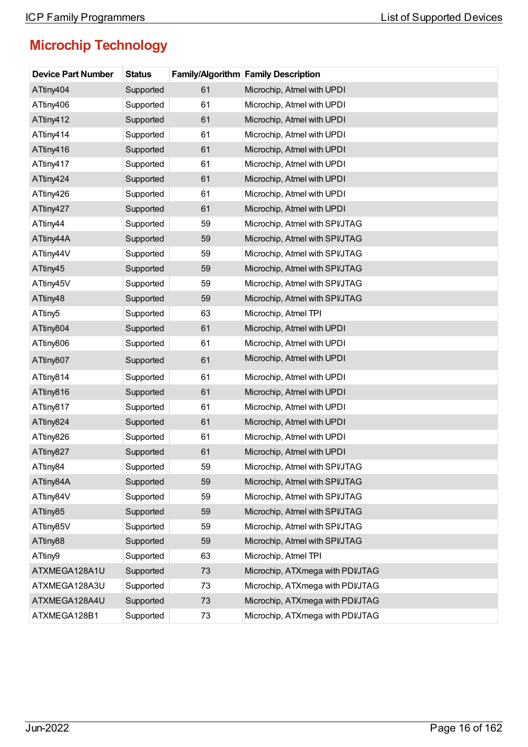| <b>Device Part Number</b> | <b>Status</b> |    | <b>Family/Algorithm Family Description</b> |
|---------------------------|---------------|----|--------------------------------------------|
| ATtiny404                 | Supported     | 61 | Microchip, Atmel with UPDI                 |
| ATtiny406                 | Supported     | 61 | Microchip, Atmel with UPDI                 |
| ATtiny412                 | Supported     | 61 | Microchip, Atmel with UPDI                 |
| ATtiny414                 | Supported     | 61 | Microchip, Atmel with UPDI                 |
| ATtiny416                 | Supported     | 61 | Microchip, Atmel with UPDI                 |
| ATtiny417                 | Supported     | 61 | Microchip, Atmel with UPDI                 |
| ATtiny424                 | Supported     | 61 | Microchip, Atmel with UPDI                 |
| ATtiny426                 | Supported     | 61 | Microchip, Atmel with UPDI                 |
| ATtiny427                 | Supported     | 61 | Microchip, Atmel with UPDI                 |
| ATtiny44                  | Supported     | 59 | Microchip, Atmel with SPI/JTAG             |
| ATtiny44A                 | Supported     | 59 | Microchip, Atmel with SPI/JTAG             |
| ATtiny44V                 | Supported     | 59 | Microchip, Atmel with SPI/JTAG             |
| ATtiny45                  | Supported     | 59 | Microchip, Atmel with SPI/JTAG             |
| ATtiny45V                 | Supported     | 59 | Microchip, Atmel with SPI/JTAG             |
| ATtiny48                  | Supported     | 59 | Microchip, Atmel with SPI/JTAG             |
| ATtiny <sub>5</sub>       | Supported     | 63 | Microchip, Atmel TPI                       |
| ATtiny804                 | Supported     | 61 | Microchip, Atmel with UPDI                 |
| ATtiny806                 | Supported     | 61 | Microchip, Atmel with UPDI                 |
| ATtiny807                 | Supported     | 61 | Microchip, Atmel with UPDI                 |
| ATtiny814                 | Supported     | 61 | Microchip, Atmel with UPDI                 |
| ATtiny816                 | Supported     | 61 | Microchip, Atmel with UPDI                 |
| ATtiny817                 | Supported     | 61 | Microchip, Atmel with UPDI                 |
| ATtiny824                 | Supported     | 61 | Microchip, Atmel with UPDI                 |
| ATtiny826                 | Supported     | 61 | Microchip, Atmel with UPDI                 |
| ATtiny827                 | Supported     | 61 | Microchip, Atmel with UPDI                 |
| ATtiny84                  | Supported     | 59 | Microchip, Atmel with SPI/JTAG             |
| ATtiny84A                 | Supported     | 59 | Microchip, Atmel with SPI/JTAG             |
| ATtiny84V                 | Supported     | 59 | Microchip, Atmel with SPI/JTAG             |
| ATtiny85                  | Supported     | 59 | Microchip, Atmel with SPI/JTAG             |
| ATtiny85V                 | Supported     | 59 | Microchip, Atmel with SPI/JTAG             |
| ATtiny88                  | Supported     | 59 | Microchip, Atmel with SPI/JTAG             |
| ATtiny9                   | Supported     | 63 | Microchip, Atmel TPI                       |
| ATXMEGA128A1U             | Supported     | 73 | Microchip, ATXmega with PDI/JTAG           |
| ATXMEGA128A3U             | Supported     | 73 | Microchip, ATXmega with PDI/JTAG           |
| ATXMEGA128A4U             | Supported     | 73 | Microchip, ATXmega with PDI/JTAG           |
| ATXMEGA128B1              | Supported     | 73 | Microchip, ATXmega with PDI/JTAG           |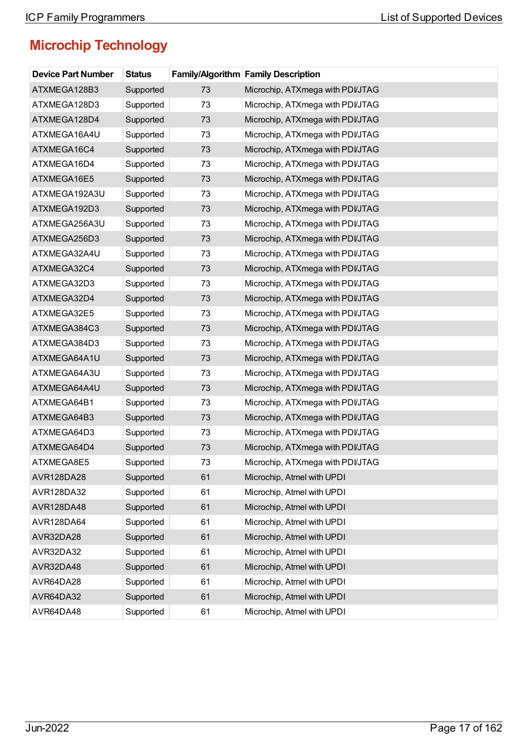| <b>Device Part Number</b> | <b>Status</b> |    | <b>Family/Algorithm Family Description</b> |
|---------------------------|---------------|----|--------------------------------------------|
| ATXMEGA128B3              | Supported     | 73 | Microchip, ATXmega with PDI/JTAG           |
| ATXMEGA128D3              | Supported     | 73 | Microchip, ATXmega with PDI/JTAG           |
| ATXMEGA128D4              | Supported     | 73 | Microchip, ATXmega with PDI/JTAG           |
| ATXMEGA16A4U              | Supported     | 73 | Microchip, ATXmega with PDI/JTAG           |
| ATXMEGA16C4               | Supported     | 73 | Microchip, ATXmega with PDI/JTAG           |
| ATXMEGA16D4               | Supported     | 73 | Microchip, ATXmega with PDI/JTAG           |
| ATXMEGA16E5               | Supported     | 73 | Microchip, ATXmega with PDI/JTAG           |
| ATXMEGA192A3U             | Supported     | 73 | Microchip, ATXmega with PDI/JTAG           |
| ATXMEGA192D3              | Supported     | 73 | Microchip, ATXmega with PDI/JTAG           |
| ATXMEGA256A3U             | Supported     | 73 | Microchip, ATXmega with PDI/JTAG           |
| ATXMEGA256D3              | Supported     | 73 | Microchip, ATXmega with PDIJTAG            |
| ATXMEGA32A4U              | Supported     | 73 | Microchip, ATXmega with PDI/JTAG           |
| ATXMEGA32C4               | Supported     | 73 | Microchip, ATXmega with PDI/JTAG           |
| ATXMEGA32D3               | Supported     | 73 | Microchip, ATXmega with PDI/JTAG           |
| ATXMEGA32D4               | Supported     | 73 | Microchip, ATXmega with PDI/JTAG           |
| ATXMEGA32E5               | Supported     | 73 | Microchip, ATXmega with PDI/JTAG           |
| ATXMEGA384C3              | Supported     | 73 | Microchip, ATXmega with PDI/JTAG           |
| ATXMEGA384D3              | Supported     | 73 | Microchip, ATXmega with PDI/JTAG           |
| ATXMEGA64A1U              | Supported     | 73 | Microchip, ATXmega with PDI/JTAG           |
| ATXMEGA64A3U              | Supported     | 73 | Microchip, ATXmega with PDI/JTAG           |
| ATXMEGA64A4U              | Supported     | 73 | Microchip, ATXmega with PDIJTAG            |
| ATXMEGA64B1               | Supported     | 73 | Microchip, ATXmega with PDI/JTAG           |
| ATXMEGA64B3               | Supported     | 73 | Microchip, ATXmega with PDI/JTAG           |
| ATXMEGA64D3               | Supported     | 73 | Microchip, ATXmega with PDI/JTAG           |
| ATXMEGA64D4               | Supported     | 73 | Microchip, ATXmega with PDI/JTAG           |
| ATXMEGA8E5                | Supported     | 73 | Microchip, ATXmega with PDI/JTAG           |
| AVR128DA28                | Supported     | 61 | Microchip, Atmel with UPDI                 |
| AVR128DA32                | Supported     | 61 | Microchip, Atmel with UPDI                 |
| AVR128DA48                | Supported     | 61 | Microchip, Atmel with UPDI                 |
| AVR128DA64                | Supported     | 61 | Microchip, Atmel with UPDI                 |
| AVR32DA28                 | Supported     | 61 | Microchip, Atmel with UPDI                 |
| AVR32DA32                 | Supported     | 61 | Microchip, Atmel with UPDI                 |
| AVR32DA48                 | Supported     | 61 | Microchip, Atmel with UPDI                 |
| AVR64DA28                 | Supported     | 61 | Microchip, Atmel with UPDI                 |
| AVR64DA32                 | Supported     | 61 | Microchip, Atmel with UPDI                 |
| AVR64DA48                 | Supported     | 61 | Microchip, Atmel with UPDI                 |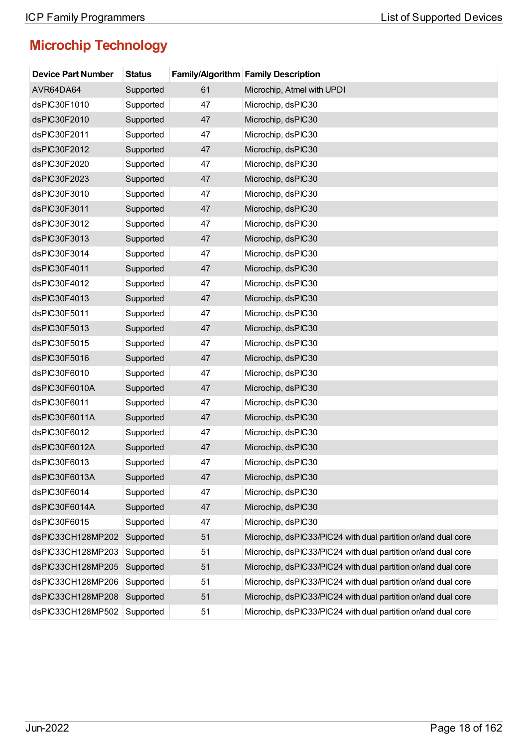| <b>Device Part Number</b> | <b>Status</b> |    | <b>Family/Algorithm Family Description</b>                    |
|---------------------------|---------------|----|---------------------------------------------------------------|
| AVR64DA64                 | Supported     | 61 | Microchip, Atmel with UPDI                                    |
| dsPIC30F1010              | Supported     | 47 | Microchip, dsPIC30                                            |
| dsPIC30F2010              | Supported     | 47 | Microchip, dsPIC30                                            |
| dsPIC30F2011              | Supported     | 47 | Microchip, dsPIC30                                            |
| dsPIC30F2012              | Supported     | 47 | Microchip, dsPIC30                                            |
| dsPIC30F2020              | Supported     | 47 | Microchip, dsPIC30                                            |
| dsPIC30F2023              | Supported     | 47 | Microchip, dsPIC30                                            |
| dsPIC30F3010              | Supported     | 47 | Microchip, dsPIC30                                            |
| dsPIC30F3011              | Supported     | 47 | Microchip, dsPIC30                                            |
| dsPIC30F3012              | Supported     | 47 | Microchip, dsPIC30                                            |
| dsPIC30F3013              | Supported     | 47 | Microchip, dsPIC30                                            |
| dsPIC30F3014              | Supported     | 47 | Microchip, dsPIC30                                            |
| dsPIC30F4011              | Supported     | 47 | Microchip, dsPIC30                                            |
| dsPIC30F4012              | Supported     | 47 | Microchip, dsPIC30                                            |
| dsPIC30F4013              | Supported     | 47 | Microchip, dsPIC30                                            |
| dsPIC30F5011              | Supported     | 47 | Microchip, dsPIC30                                            |
| dsPIC30F5013              | Supported     | 47 | Microchip, dsPIC30                                            |
| dsPIC30F5015              | Supported     | 47 | Microchip, dsPIC30                                            |
| dsPIC30F5016              | Supported     | 47 | Microchip, dsPIC30                                            |
| dsPIC30F6010              | Supported     | 47 | Microchip, dsPIC30                                            |
| dsPIC30F6010A             | Supported     | 47 | Microchip, dsPIC30                                            |
| dsPIC30F6011              | Supported     | 47 | Microchip, dsPIC30                                            |
| dsPIC30F6011A             | Supported     | 47 | Microchip, dsPIC30                                            |
| dsPIC30F6012              | Supported     | 47 | Microchip, dsPIC30                                            |
| dsPIC30F6012A             | Supported     | 47 | Microchip, dsPIC30                                            |
| dsPIC30F6013              | Supported     | 47 | Microchip, dsPIC30                                            |
| dsPIC30F6013A             | Supported     | 47 | Microchip, dsPIC30                                            |
| dsPIC30F6014              | Supported     | 47 | Microchip, dsPIC30                                            |
| dsPIC30F6014A             | Supported     | 47 | Microchip, dsPIC30                                            |
| dsPIC30F6015              | Supported     | 47 | Microchip, dsPIC30                                            |
| dsPIC33CH128MP202         | Supported     | 51 | Microchip, dsPIC33/PIC24 with dual partition or/and dual core |
| dsPIC33CH128MP203         | Supported     | 51 | Microchip, dsPIC33/PIC24 with dual partition or/and dual core |
| dsPIC33CH128MP205         | Supported     | 51 | Microchip, dsPIC33/PIC24 with dual partition or/and dual core |
| dsPIC33CH128MP206         | Supported     | 51 | Microchip, dsPIC33/PIC24 with dual partition or/and dual core |
| dsPIC33CH128MP208         | Supported     | 51 | Microchip, dsPIC33/PIC24 with dual partition or/and dual core |
| dsPIC33CH128MP502         | Supported     | 51 | Microchip, dsPIC33/PIC24 with dual partition or/and dual core |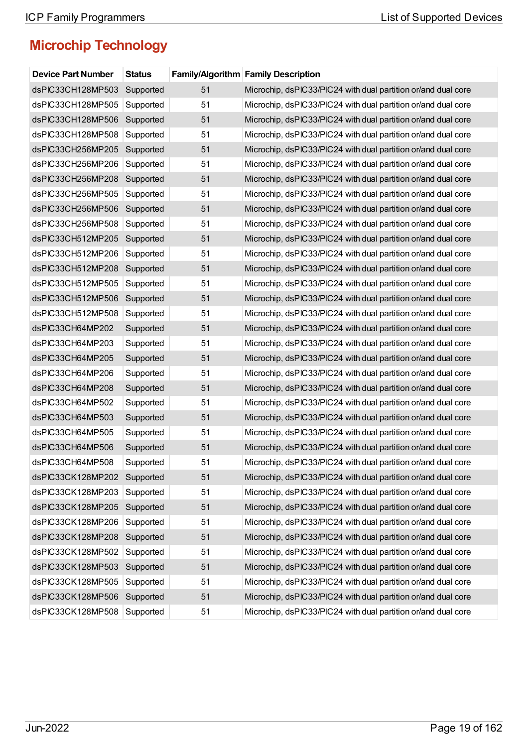| <b>Device Part Number</b> | <b>Status</b> |    | Family/Algorithm Family Description                           |
|---------------------------|---------------|----|---------------------------------------------------------------|
| dsPIC33CH128MP503         | Supported     | 51 | Microchip, dsPIC33/PIC24 with dual partition or/and dual core |
| dsPIC33CH128MP505         | Supported     | 51 | Microchip, dsPIC33/PIC24 with dual partition or/and dual core |
| dsPIC33CH128MP506         | Supported     | 51 | Microchip, dsPIC33/PIC24 with dual partition or/and dual core |
| dsPIC33CH128MP508         | Supported     | 51 | Microchip, dsPIC33/PIC24 with dual partition or/and dual core |
| dsPIC33CH256MP205         | Supported     | 51 | Microchip, dsPIC33/PIC24 with dual partition or/and dual core |
| dsPIC33CH256MP206         | Supported     | 51 | Microchip, dsPIC33/PIC24 with dual partition or/and dual core |
| dsPIC33CH256MP208         | Supported     | 51 | Microchip, dsPIC33/PIC24 with dual partition or/and dual core |
| dsPIC33CH256MP505         | Supported     | 51 | Microchip, dsPIC33/PIC24 with dual partition or/and dual core |
| dsPIC33CH256MP506         | Supported     | 51 | Microchip, dsPIC33/PIC24 with dual partition or/and dual core |
| dsPIC33CH256MP508         | Supported     | 51 | Microchip, dsPIC33/PIC24 with dual partition or/and dual core |
| dsPIC33CH512MP205         | Supported     | 51 | Microchip, dsPIC33/PIC24 with dual partition or/and dual core |
| dsPIC33CH512MP206         | Supported     | 51 | Microchip, dsPIC33/PIC24 with dual partition or/and dual core |
| dsPIC33CH512MP208         | Supported     | 51 | Microchip, dsPIC33/PIC24 with dual partition or/and dual core |
| dsPIC33CH512MP505         | Supported     | 51 | Microchip, dsPIC33/PIC24 with dual partition or/and dual core |
| dsPIC33CH512MP506         | Supported     | 51 | Microchip, dsPIC33/PIC24 with dual partition or/and dual core |
| dsPIC33CH512MP508         | Supported     | 51 | Microchip, dsPIC33/PIC24 with dual partition or/and dual core |
| dsPIC33CH64MP202          | Supported     | 51 | Microchip, dsPIC33/PIC24 with dual partition or/and dual core |
| dsPIC33CH64MP203          | Supported     | 51 | Microchip, dsPIC33/PIC24 with dual partition or/and dual core |
| dsPIC33CH64MP205          | Supported     | 51 | Microchip, dsPIC33/PIC24 with dual partition or/and dual core |
| dsPIC33CH64MP206          | Supported     | 51 | Microchip, dsPIC33/PIC24 with dual partition or/and dual core |
| dsPIC33CH64MP208          | Supported     | 51 | Microchip, dsPIC33/PIC24 with dual partition or/and dual core |
| dsPIC33CH64MP502          | Supported     | 51 | Microchip, dsPIC33/PIC24 with dual partition or/and dual core |
| dsPIC33CH64MP503          | Supported     | 51 | Microchip, dsPIC33/PIC24 with dual partition or/and dual core |
| dsPIC33CH64MP505          | Supported     | 51 | Microchip, dsPIC33/PIC24 with dual partition or/and dual core |
| dsPIC33CH64MP506          | Supported     | 51 | Microchip, dsPIC33/PIC24 with dual partition or/and dual core |
| dsPIC33CH64MP508          | Supported     | 51 | Microchip, dsPIC33/PIC24 with dual partition or/and dual core |
| dsPIC33CK128MP202         | Supported     | 51 | Microchip, dsPIC33/PIC24 with dual partition or/and dual core |
| dsPIC33CK128MP203         | Supported     | 51 | Microchip, dsPIC33/PIC24 with dual partition or/and dual core |
| dsPIC33CK128MP205         | Supported     | 51 | Microchip, dsPIC33/PIC24 with dual partition or/and dual core |
| dsPIC33CK128MP206         | Supported     | 51 | Microchip, dsPIC33/PIC24 with dual partition or/and dual core |
| dsPIC33CK128MP208         | Supported     | 51 | Microchip, dsPIC33/PIC24 with dual partition or/and dual core |
| dsPIC33CK128MP502         | Supported     | 51 | Microchip, dsPIC33/PIC24 with dual partition or/and dual core |
| dsPIC33CK128MP503         | Supported     | 51 | Microchip, dsPIC33/PIC24 with dual partition or/and dual core |
| dsPIC33CK128MP505         | Supported     | 51 | Microchip, dsPIC33/PIC24 with dual partition or/and dual core |
| dsPIC33CK128MP506         | Supported     | 51 | Microchip, dsPIC33/PIC24 with dual partition or/and dual core |
| dsPIC33CK128MP508         | Supported     | 51 | Microchip, dsPIC33/PIC24 with dual partition or/and dual core |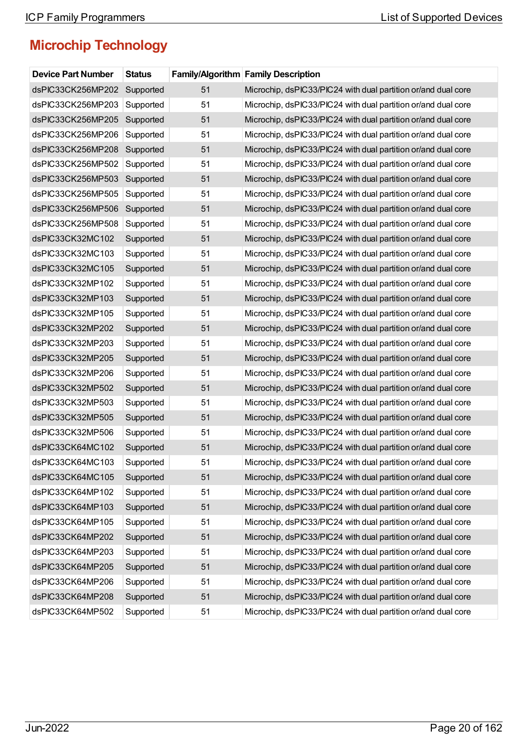| <b>Device Part Number</b> | <b>Status</b> |    | <b>Family/Algorithm Family Description</b>                    |
|---------------------------|---------------|----|---------------------------------------------------------------|
| dsPIC33CK256MP202         | Supported     | 51 | Microchip, dsPIC33/PIC24 with dual partition or/and dual core |
| dsPIC33CK256MP203         | Supported     | 51 | Microchip, dsPIC33/PIC24 with dual partition or/and dual core |
| dsPIC33CK256MP205         | Supported     | 51 | Microchip, dsPIC33/PIC24 with dual partition or/and dual core |
| dsPIC33CK256MP206         | Supported     | 51 | Microchip, dsPIC33/PIC24 with dual partition or/and dual core |
| dsPIC33CK256MP208         | Supported     | 51 | Microchip, dsPIC33/PIC24 with dual partition or/and dual core |
| dsPIC33CK256MP502         | Supported     | 51 | Microchip, dsPIC33/PIC24 with dual partition or/and dual core |
| dsPIC33CK256MP503         | Supported     | 51 | Microchip, dsPIC33/PIC24 with dual partition or/and dual core |
| dsPIC33CK256MP505         | Supported     | 51 | Microchip, dsPIC33/PIC24 with dual partition or/and dual core |
| dsPIC33CK256MP506         | Supported     | 51 | Microchip, dsPIC33/PIC24 with dual partition or/and dual core |
| dsPIC33CK256MP508         | Supported     | 51 | Microchip, dsPIC33/PIC24 with dual partition or/and dual core |
| dsPIC33CK32MC102          | Supported     | 51 | Microchip, dsPIC33/PIC24 with dual partition or/and dual core |
| dsPIC33CK32MC103          | Supported     | 51 | Microchip, dsPIC33/PIC24 with dual partition or/and dual core |
| dsPIC33CK32MC105          | Supported     | 51 | Microchip, dsPIC33/PIC24 with dual partition or/and dual core |
| dsPIC33CK32MP102          | Supported     | 51 | Microchip, dsPIC33/PIC24 with dual partition or/and dual core |
| dsPIC33CK32MP103          | Supported     | 51 | Microchip, dsPIC33/PIC24 with dual partition or/and dual core |
| dsPIC33CK32MP105          | Supported     | 51 | Microchip, dsPIC33/PIC24 with dual partition or/and dual core |
| dsPIC33CK32MP202          | Supported     | 51 | Microchip, dsPIC33/PIC24 with dual partition or/and dual core |
| dsPIC33CK32MP203          | Supported     | 51 | Microchip, dsPIC33/PIC24 with dual partition or/and dual core |
| dsPIC33CK32MP205          | Supported     | 51 | Microchip, dsPIC33/PIC24 with dual partition or/and dual core |
| dsPIC33CK32MP206          | Supported     | 51 | Microchip, dsPIC33/PIC24 with dual partition or/and dual core |
| dsPIC33CK32MP502          | Supported     | 51 | Microchip, dsPIC33/PIC24 with dual partition or/and dual core |
| dsPIC33CK32MP503          | Supported     | 51 | Microchip, dsPIC33/PIC24 with dual partition or/and dual core |
| dsPIC33CK32MP505          | Supported     | 51 | Microchip, dsPIC33/PIC24 with dual partition or/and dual core |
| dsPIC33CK32MP506          | Supported     | 51 | Microchip, dsPIC33/PIC24 with dual partition or/and dual core |
| dsPIC33CK64MC102          | Supported     | 51 | Microchip, dsPIC33/PIC24 with dual partition or/and dual core |
| dsPIC33CK64MC103          | Supported     | 51 | Microchip, dsPIC33/PIC24 with dual partition or/and dual core |
| dsPIC33CK64MC105          | Supported     | 51 | Microchip, dsPIC33/PIC24 with dual partition or/and dual core |
| dsPIC33CK64MP102          | Supported     | 51 | Microchip, dsPIC33/PIC24 with dual partition or/and dual core |
| dsPIC33CK64MP103          | Supported     | 51 | Microchip, dsPIC33/PIC24 with dual partition or/and dual core |
| dsPIC33CK64MP105          | Supported     | 51 | Microchip, dsPIC33/PIC24 with dual partition or/and dual core |
| dsPIC33CK64MP202          | Supported     | 51 | Microchip, dsPIC33/PIC24 with dual partition or/and dual core |
| dsPIC33CK64MP203          | Supported     | 51 | Microchip, dsPIC33/PIC24 with dual partition or/and dual core |
| dsPIC33CK64MP205          | Supported     | 51 | Microchip, dsPIC33/PIC24 with dual partition or/and dual core |
| dsPIC33CK64MP206          | Supported     | 51 | Microchip, dsPIC33/PIC24 with dual partition or/and dual core |
| dsPIC33CK64MP208          | Supported     | 51 | Microchip, dsPIC33/PIC24 with dual partition or/and dual core |
| dsPIC33CK64MP502          | Supported     | 51 | Microchip, dsPIC33/PIC24 with dual partition or/and dual core |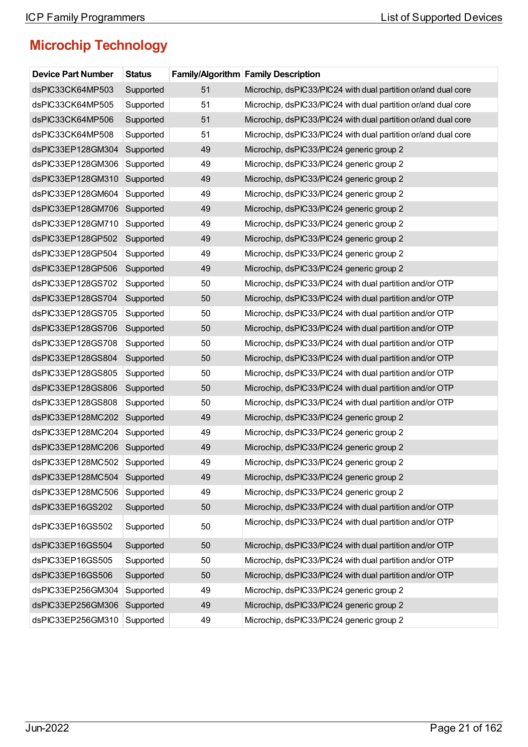| <b>Device Part Number</b> | <b>Status</b> |    | <b>Family/Algorithm Family Description</b>                    |
|---------------------------|---------------|----|---------------------------------------------------------------|
| dsPIC33CK64MP503          | Supported     | 51 | Microchip, dsPIC33/PIC24 with dual partition or/and dual core |
| dsPIC33CK64MP505          | Supported     | 51 | Microchip, dsPIC33/PIC24 with dual partition or/and dual core |
| dsPIC33CK64MP506          | Supported     | 51 | Microchip, dsPIC33/PIC24 with dual partition or/and dual core |
| dsPIC33CK64MP508          | Supported     | 51 | Microchip, dsPIC33/PIC24 with dual partition or/and dual core |
| dsPIC33EP128GM304         | Supported     | 49 | Microchip, dsPIC33/PIC24 generic group 2                      |
| dsPIC33EP128GM306         | Supported     | 49 | Microchip, dsPIC33/PIC24 generic group 2                      |
| dsPIC33EP128GM310         | Supported     | 49 | Microchip, dsPIC33/PIC24 generic group 2                      |
| dsPIC33EP128GM604         | Supported     | 49 | Microchip, dsPIC33/PIC24 generic group 2                      |
| dsPIC33EP128GM706         | Supported     | 49 | Microchip, dsPIC33/PIC24 generic group 2                      |
| dsPIC33EP128GM710         | Supported     | 49 | Microchip, dsPIC33/PIC24 generic group 2                      |
| dsPIC33EP128GP502         | Supported     | 49 | Microchip, dsPIC33/PIC24 generic group 2                      |
| dsPIC33EP128GP504         | Supported     | 49 | Microchip, dsPIC33/PIC24 generic group 2                      |
| dsPIC33EP128GP506         | Supported     | 49 | Microchip, dsPIC33/PIC24 generic group 2                      |
| dsPIC33EP128GS702         | Supported     | 50 | Microchip, dsPIC33/PIC24 with dual partition and/or OTP       |
| dsPIC33EP128GS704         | Supported     | 50 | Microchip, dsPIC33/PIC24 with dual partition and/or OTP       |
| dsPIC33EP128GS705         | Supported     | 50 | Microchip, dsPIC33/PIC24 with dual partition and/or OTP       |
| dsPIC33EP128GS706         | Supported     | 50 | Microchip, dsPIC33/PIC24 with dual partition and/or OTP       |
| dsPIC33EP128GS708         | Supported     | 50 | Microchip, dsPIC33/PIC24 with dual partition and/or OTP       |
| dsPIC33EP128GS804         | Supported     | 50 | Microchip, dsPIC33/PIC24 with dual partition and/or OTP       |
| dsPIC33EP128GS805         | Supported     | 50 | Microchip, dsPIC33/PIC24 with dual partition and/or OTP       |
| dsPIC33EP128GS806         | Supported     | 50 | Microchip, dsPIC33/PIC24 with dual partition and/or OTP       |
| dsPIC33EP128GS808         | Supported     | 50 | Microchip, dsPIC33/PIC24 with dual partition and/or OTP       |
| dsPIC33EP128MC202         | Supported     | 49 | Microchip, dsPIC33/PIC24 generic group 2                      |
| dsPIC33EP128MC204         | Supported     | 49 | Microchip, dsPIC33/PIC24 generic group 2                      |
| dsPIC33EP128MC206         | Supported     | 49 | Microchip, dsPIC33/PIC24 generic group 2                      |
| dsPIC33EP128MC502         | Supported     | 49 | Microchip, dsPIC33/PIC24 generic group 2                      |
| dsPIC33EP128MC504         | Supported     | 49 | Microchip, dsPIC33/PIC24 generic group 2                      |
| dsPIC33EP128MC506         | Supported     | 49 | Microchip, dsPIC33/PIC24 generic group 2                      |
| dsPIC33EP16GS202          | Supported     | 50 | Microchip, dsPIC33/PIC24 with dual partition and/or OTP       |
| dsPIC33EP16GS502          | Supported     | 50 | Microchip, dsPIC33/PIC24 with dual partition and/or OTP       |
| dsPIC33EP16GS504          | Supported     | 50 | Microchip, dsPIC33/PIC24 with dual partition and/or OTP       |
| dsPIC33EP16GS505          | Supported     | 50 | Microchip, dsPIC33/PIC24 with dual partition and/or OTP       |
| dsPIC33EP16GS506          | Supported     | 50 | Microchip, dsPIC33/PIC24 with dual partition and/or OTP       |
| dsPIC33EP256GM304         | Supported     | 49 | Microchip, dsPIC33/PIC24 generic group 2                      |
| dsPIC33EP256GM306         | Supported     | 49 | Microchip, dsPIC33/PIC24 generic group 2                      |
| dsPIC33EP256GM310         | Supported     | 49 | Microchip, dsPIC33/PIC24 generic group 2                      |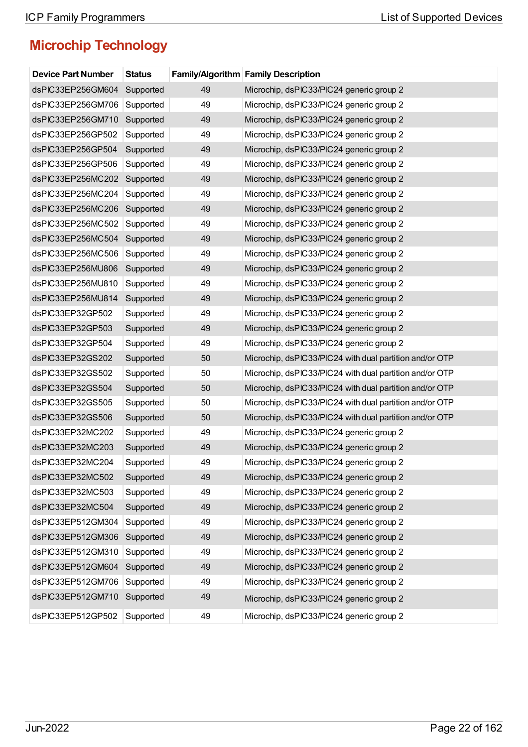| <b>Device Part Number</b> | <b>Status</b> |    | <b>Family/Algorithm Family Description</b>              |
|---------------------------|---------------|----|---------------------------------------------------------|
| dsPIC33EP256GM604         | Supported     | 49 | Microchip, dsPIC33/PIC24 generic group 2                |
| dsPIC33EP256GM706         | Supported     | 49 | Microchip, dsPIC33/PIC24 generic group 2                |
| dsPIC33EP256GM710         | Supported     | 49 | Microchip, dsPIC33/PIC24 generic group 2                |
| dsPIC33EP256GP502         | Supported     | 49 | Microchip, dsPIC33/PIC24 generic group 2                |
| dsPIC33EP256GP504         | Supported     | 49 | Microchip, dsPIC33/PIC24 generic group 2                |
| dsPIC33EP256GP506         | Supported     | 49 | Microchip, dsPIC33/PIC24 generic group 2                |
| dsPIC33EP256MC202         | Supported     | 49 | Microchip, dsPIC33/PIC24 generic group 2                |
| dsPIC33EP256MC204         | Supported     | 49 | Microchip, dsPIC33/PIC24 generic group 2                |
| dsPIC33EP256MC206         | Supported     | 49 | Microchip, dsPIC33/PIC24 generic group 2                |
| dsPIC33EP256MC502         | Supported     | 49 | Microchip, dsPIC33/PIC24 generic group 2                |
| dsPIC33EP256MC504         | Supported     | 49 | Microchip, dsPIC33/PIC24 generic group 2                |
| dsPIC33EP256MC506         | Supported     | 49 | Microchip, dsPIC33/PIC24 generic group 2                |
| dsPIC33EP256MU806         | Supported     | 49 | Microchip, dsPIC33/PIC24 generic group 2                |
| dsPIC33EP256MU810         | Supported     | 49 | Microchip, dsPIC33/PIC24 generic group 2                |
| dsPIC33EP256MU814         | Supported     | 49 | Microchip, dsPIC33/PIC24 generic group 2                |
| dsPIC33EP32GP502          | Supported     | 49 | Microchip, dsPIC33/PIC24 generic group 2                |
| dsPIC33EP32GP503          | Supported     | 49 | Microchip, dsPIC33/PIC24 generic group 2                |
| dsPIC33EP32GP504          | Supported     | 49 | Microchip, dsPIC33/PIC24 generic group 2                |
| dsPIC33EP32GS202          | Supported     | 50 | Microchip, dsPIC33/PIC24 with dual partition and/or OTP |
| dsPIC33EP32GS502          | Supported     | 50 | Microchip, dsPIC33/PIC24 with dual partition and/or OTP |
| dsPIC33EP32GS504          | Supported     | 50 | Microchip, dsPIC33/PIC24 with dual partition and/or OTP |
| dsPIC33EP32GS505          | Supported     | 50 | Microchip, dsPIC33/PIC24 with dual partition and/or OTP |
| dsPIC33EP32GS506          | Supported     | 50 | Microchip, dsPIC33/PIC24 with dual partition and/or OTP |
| dsPIC33EP32MC202          | Supported     | 49 | Microchip, dsPIC33/PIC24 generic group 2                |
| dsPIC33EP32MC203          | Supported     | 49 | Microchip, dsPIC33/PIC24 generic group 2                |
| dsPIC33EP32MC204          | Supported     | 49 | Microchip, dsPIC33/PIC24 generic group 2                |
| dsPIC33EP32MC502          | Supported     | 49 | Microchip, dsPIC33/PIC24 generic group 2                |
| dsPIC33EP32MC503          | Supported     | 49 | Microchip, dsPIC33/PIC24 generic group 2                |
| dsPIC33EP32MC504          | Supported     | 49 | Microchip, dsPIC33/PIC24 generic group 2                |
| dsPIC33EP512GM304         | Supported     | 49 | Microchip, dsPIC33/PIC24 generic group 2                |
| dsPIC33EP512GM306         | Supported     | 49 | Microchip, dsPIC33/PIC24 generic group 2                |
| dsPIC33EP512GM310         | Supported     | 49 | Microchip, dsPIC33/PIC24 generic group 2                |
| dsPIC33EP512GM604         | Supported     | 49 | Microchip, dsPIC33/PIC24 generic group 2                |
| dsPIC33EP512GM706         | Supported     | 49 | Microchip, dsPIC33/PIC24 generic group 2                |
| dsPIC33EP512GM710         | Supported     | 49 | Microchip, dsPIC33/PIC24 generic group 2                |
| dsPIC33EP512GP502         | Supported     | 49 | Microchip, dsPIC33/PIC24 generic group 2                |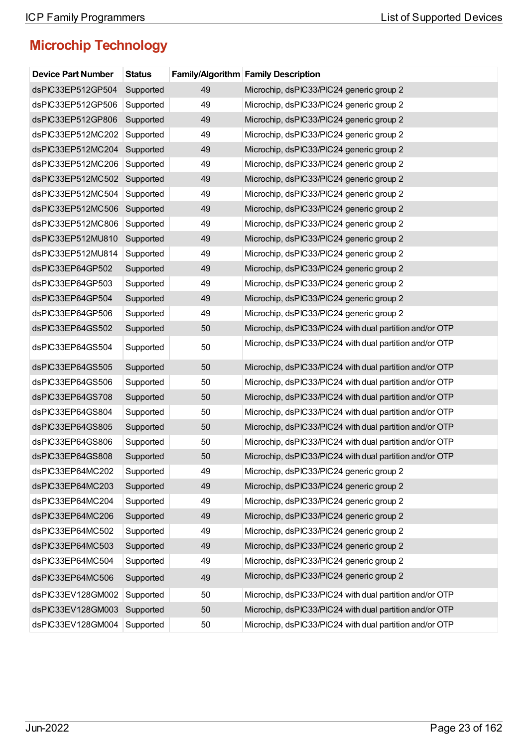| <b>Device Part Number</b> | <b>Status</b> |    | Family/Algorithm Family Description                     |
|---------------------------|---------------|----|---------------------------------------------------------|
| dsPIC33EP512GP504         | Supported     | 49 | Microchip, dsPIC33/PIC24 generic group 2                |
| dsPIC33EP512GP506         | Supported     | 49 | Microchip, dsPIC33/PIC24 generic group 2                |
| dsPIC33EP512GP806         | Supported     | 49 | Microchip, dsPIC33/PIC24 generic group 2                |
| dsPIC33EP512MC202         | Supported     | 49 | Microchip, dsPIC33/PIC24 generic group 2                |
| dsPIC33EP512MC204         | Supported     | 49 | Microchip, dsPIC33/PIC24 generic group 2                |
| dsPIC33EP512MC206         | Supported     | 49 | Microchip, dsPIC33/PIC24 generic group 2                |
| dsPIC33EP512MC502         | Supported     | 49 | Microchip, dsPIC33/PIC24 generic group 2                |
| dsPIC33EP512MC504         | Supported     | 49 | Microchip, dsPIC33/PIC24 generic group 2                |
| dsPIC33EP512MC506         | Supported     | 49 | Microchip, dsPIC33/PIC24 generic group 2                |
| dsPIC33EP512MC806         | Supported     | 49 | Microchip, dsPIC33/PIC24 generic group 2                |
| dsPIC33EP512MU810         | Supported     | 49 | Microchip, dsPIC33/PIC24 generic group 2                |
| dsPIC33EP512MU814         | Supported     | 49 | Microchip, dsPIC33/PIC24 generic group 2                |
| dsPIC33EP64GP502          | Supported     | 49 | Microchip, dsPIC33/PIC24 generic group 2                |
| dsPIC33EP64GP503          | Supported     | 49 | Microchip, dsPIC33/PIC24 generic group 2                |
| dsPIC33EP64GP504          | Supported     | 49 | Microchip, dsPIC33/PIC24 generic group 2                |
| dsPIC33EP64GP506          | Supported     | 49 | Microchip, dsPIC33/PIC24 generic group 2                |
| dsPIC33EP64GS502          | Supported     | 50 | Microchip, dsPIC33/PIC24 with dual partition and/or OTP |
| dsPIC33EP64GS504          | Supported     | 50 | Microchip, dsPIC33/PIC24 with dual partition and/or OTP |
| dsPIC33EP64GS505          | Supported     | 50 | Microchip, dsPIC33/PIC24 with dual partition and/or OTP |
| dsPIC33EP64GS506          | Supported     | 50 | Microchip, dsPIC33/PIC24 with dual partition and/or OTP |
| dsPIC33EP64GS708          | Supported     | 50 | Microchip, dsPIC33/PIC24 with dual partition and/or OTP |
| dsPIC33EP64GS804          | Supported     | 50 | Microchip, dsPIC33/PIC24 with dual partition and/or OTP |
| dsPIC33EP64GS805          | Supported     | 50 | Microchip, dsPIC33/PIC24 with dual partition and/or OTP |
| dsPIC33EP64GS806          | Supported     | 50 | Microchip, dsPIC33/PIC24 with dual partition and/or OTP |
| dsPIC33EP64GS808          | Supported     | 50 | Microchip, dsPIC33/PIC24 with dual partition and/or OTP |
| dsPIC33EP64MC202          | Supported     | 49 | Microchip, dsPIC33/PIC24 generic group 2                |
| dsPIC33EP64MC203          | Supported     | 49 | Microchip, dsPIC33/PIC24 generic group 2                |
| dsPIC33EP64MC204          | Supported     | 49 | Microchip, dsPIC33/PIC24 generic group 2                |
| dsPIC33EP64MC206          | Supported     | 49 | Microchip, dsPIC33/PIC24 generic group 2                |
| dsPIC33EP64MC502          | Supported     | 49 | Microchip, dsPIC33/PIC24 generic group 2                |
| dsPIC33EP64MC503          | Supported     | 49 | Microchip, dsPIC33/PIC24 generic group 2                |
| dsPIC33EP64MC504          | Supported     | 49 | Microchip, dsPIC33/PIC24 generic group 2                |
| dsPIC33EP64MC506          | Supported     | 49 | Microchip, dsPIC33/PIC24 generic group 2                |
| dsPIC33EV128GM002         | Supported     | 50 | Microchip, dsPIC33/PIC24 with dual partition and/or OTP |
| dsPIC33EV128GM003         | Supported     | 50 | Microchip, dsPIC33/PIC24 with dual partition and/or OTP |
| dsPIC33EV128GM004         | Supported     | 50 | Microchip, dsPIC33/PIC24 with dual partition and/or OTP |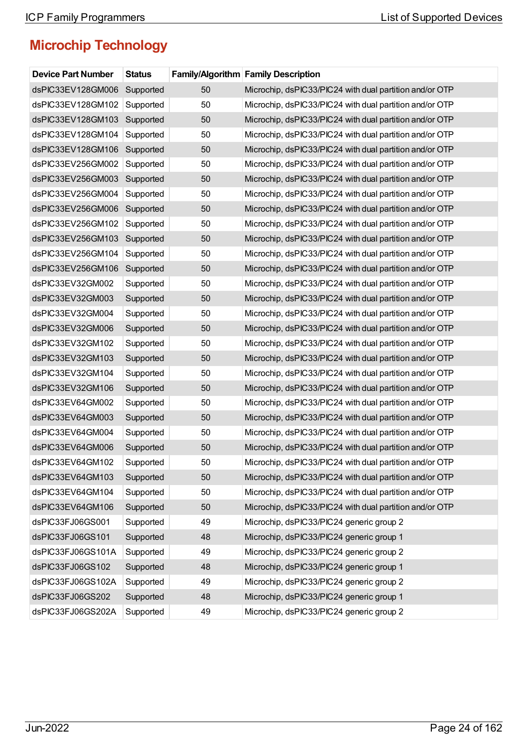| <b>Device Part Number</b> | <b>Status</b> |    | Family/Algorithm Family Description                     |
|---------------------------|---------------|----|---------------------------------------------------------|
| dsPIC33EV128GM006         | Supported     | 50 | Microchip, dsPIC33/PIC24 with dual partition and/or OTP |
| dsPIC33EV128GM102         | Supported     | 50 | Microchip, dsPIC33/PIC24 with dual partition and/or OTP |
| dsPIC33EV128GM103         | Supported     | 50 | Microchip, dsPIC33/PIC24 with dual partition and/or OTP |
| dsPIC33EV128GM104         | Supported     | 50 | Microchip, dsPIC33/PIC24 with dual partition and/or OTP |
| dsPIC33EV128GM106         | Supported     | 50 | Microchip, dsPIC33/PIC24 with dual partition and/or OTP |
| dsPIC33EV256GM002         | Supported     | 50 | Microchip, dsPIC33/PIC24 with dual partition and/or OTP |
| dsPIC33EV256GM003         | Supported     | 50 | Microchip, dsPIC33/PIC24 with dual partition and/or OTP |
| dsPIC33EV256GM004         | Supported     | 50 | Microchip, dsPIC33/PIC24 with dual partition and/or OTP |
| dsPIC33EV256GM006         | Supported     | 50 | Microchip, dsPIC33/PIC24 with dual partition and/or OTP |
| dsPIC33EV256GM102         | Supported     | 50 | Microchip, dsPIC33/PIC24 with dual partition and/or OTP |
| dsPIC33EV256GM103         | Supported     | 50 | Microchip, dsPIC33/PIC24 with dual partition and/or OTP |
| dsPIC33EV256GM104         | Supported     | 50 | Microchip, dsPIC33/PIC24 with dual partition and/or OTP |
| dsPIC33EV256GM106         | Supported     | 50 | Microchip, dsPIC33/PIC24 with dual partition and/or OTP |
| dsPIC33EV32GM002          | Supported     | 50 | Microchip, dsPIC33/PIC24 with dual partition and/or OTP |
| dsPIC33EV32GM003          | Supported     | 50 | Microchip, dsPIC33/PIC24 with dual partition and/or OTP |
| dsPIC33EV32GM004          | Supported     | 50 | Microchip, dsPIC33/PIC24 with dual partition and/or OTP |
| dsPIC33EV32GM006          | Supported     | 50 | Microchip, dsPIC33/PIC24 with dual partition and/or OTP |
| dsPIC33EV32GM102          | Supported     | 50 | Microchip, dsPIC33/PIC24 with dual partition and/or OTP |
| dsPIC33EV32GM103          | Supported     | 50 | Microchip, dsPIC33/PIC24 with dual partition and/or OTP |
| dsPIC33EV32GM104          | Supported     | 50 | Microchip, dsPIC33/PIC24 with dual partition and/or OTP |
| dsPIC33EV32GM106          | Supported     | 50 | Microchip, dsPIC33/PIC24 with dual partition and/or OTP |
| dsPIC33EV64GM002          | Supported     | 50 | Microchip, dsPIC33/PIC24 with dual partition and/or OTP |
| dsPIC33EV64GM003          | Supported     | 50 | Microchip, dsPIC33/PIC24 with dual partition and/or OTP |
| dsPIC33EV64GM004          | Supported     | 50 | Microchip, dsPIC33/PIC24 with dual partition and/or OTP |
| dsPIC33EV64GM006          | Supported     | 50 | Microchip, dsPIC33/PIC24 with dual partition and/or OTP |
| dsPIC33EV64GM102          | Supported     | 50 | Microchip, dsPIC33/PIC24 with dual partition and/or OTP |
| dsPIC33EV64GM103          | Supported     | 50 | Microchip, dsPIC33/PIC24 with dual partition and/or OTP |
| dsPIC33EV64GM104          | Supported     | 50 | Microchip, dsPIC33/PIC24 with dual partition and/or OTP |
| dsPIC33EV64GM106          | Supported     | 50 | Microchip, dsPIC33/PIC24 with dual partition and/or OTP |
| dsPIC33FJ06GS001          | Supported     | 49 | Microchip, dsPIC33/PIC24 generic group 2                |
| dsPIC33FJ06GS101          | Supported     | 48 | Microchip, dsPIC33/PIC24 generic group 1                |
| dsPIC33FJ06GS101A         | Supported     | 49 | Microchip, dsPIC33/PIC24 generic group 2                |
| dsPIC33FJ06GS102          | Supported     | 48 | Microchip, dsPIC33/PIC24 generic group 1                |
| dsPIC33FJ06GS102A         | Supported     | 49 | Microchip, dsPIC33/PIC24 generic group 2                |
| dsPIC33FJ06GS202          | Supported     | 48 | Microchip, dsPIC33/PIC24 generic group 1                |
| dsPIC33FJ06GS202A         | Supported     | 49 | Microchip, dsPIC33/PIC24 generic group 2                |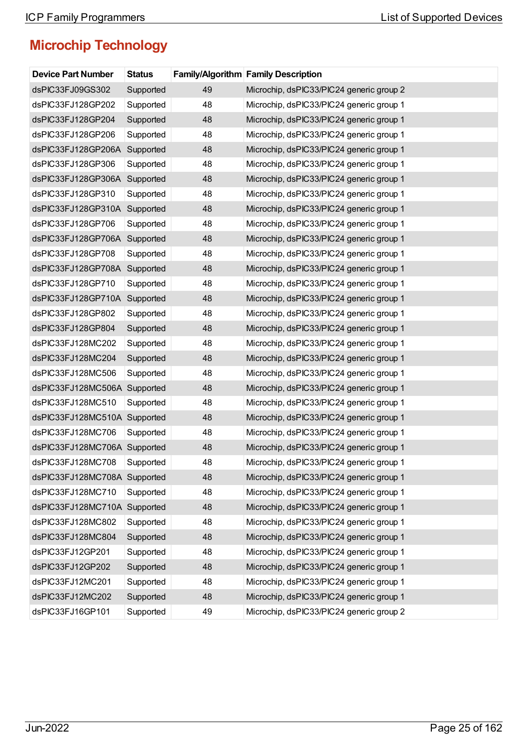| <b>Device Part Number</b>    | <b>Status</b> |    | <b>Family/Algorithm Family Description</b> |
|------------------------------|---------------|----|--------------------------------------------|
| dsPIC33FJ09GS302             | Supported     | 49 | Microchip, dsPIC33/PIC24 generic group 2   |
| dsPIC33FJ128GP202            | Supported     | 48 | Microchip, dsPIC33/PIC24 generic group 1   |
| dsPIC33FJ128GP204            | Supported     | 48 | Microchip, dsPIC33/PIC24 generic group 1   |
| dsPIC33FJ128GP206            | Supported     | 48 | Microchip, dsPIC33/PIC24 generic group 1   |
| dsPIC33FJ128GP206A           | Supported     | 48 | Microchip, dsPIC33/PIC24 generic group 1   |
| dsPIC33FJ128GP306            | Supported     | 48 | Microchip, dsPIC33/PIC24 generic group 1   |
| dsPIC33FJ128GP306A           | Supported     | 48 | Microchip, dsPIC33/PIC24 generic group 1   |
| dsPIC33FJ128GP310            | Supported     | 48 | Microchip, dsPIC33/PIC24 generic group 1   |
| dsPIC33FJ128GP310A Supported |               | 48 | Microchip, dsPIC33/PIC24 generic group 1   |
| dsPIC33FJ128GP706            | Supported     | 48 | Microchip, dsPIC33/PIC24 generic group 1   |
| dsPIC33FJ128GP706A           | Supported     | 48 | Microchip, dsPIC33/PIC24 generic group 1   |
| dsPIC33FJ128GP708            | Supported     | 48 | Microchip, dsPIC33/PIC24 generic group 1   |
| dsPIC33FJ128GP708A           | Supported     | 48 | Microchip, dsPIC33/PIC24 generic group 1   |
| dsPIC33FJ128GP710            | Supported     | 48 | Microchip, dsPIC33/PIC24 generic group 1   |
| dsPIC33FJ128GP710A           | Supported     | 48 | Microchip, dsPIC33/PIC24 generic group 1   |
| dsPIC33FJ128GP802            | Supported     | 48 | Microchip, dsPIC33/PIC24 generic group 1   |
| dsPIC33FJ128GP804            | Supported     | 48 | Microchip, dsPIC33/PIC24 generic group 1   |
| dsPIC33FJ128MC202            | Supported     | 48 | Microchip, dsPIC33/PIC24 generic group 1   |
| dsPIC33FJ128MC204            | Supported     | 48 | Microchip, dsPIC33/PIC24 generic group 1   |
| dsPIC33FJ128MC506            | Supported     | 48 | Microchip, dsPIC33/PIC24 generic group 1   |
| dsPIC33FJ128MC506A Supported |               | 48 | Microchip, dsPIC33/PIC24 generic group 1   |
| dsPIC33FJ128MC510            | Supported     | 48 | Microchip, dsPIC33/PIC24 generic group 1   |
| dsPIC33FJ128MC510A Supported |               | 48 | Microchip, dsPIC33/PIC24 generic group 1   |
| dsPIC33FJ128MC706            | Supported     | 48 | Microchip, dsPIC33/PIC24 generic group 1   |
| dsPIC33FJ128MC706A Supported |               | 48 | Microchip, dsPIC33/PIC24 generic group 1   |
| dsPIC33FJ128MC708            | Supported     | 48 | Microchip, dsPIC33/PIC24 generic group 1   |
| dsPIC33FJ128MC708A Supported |               | 48 | Microchip, dsPIC33/PIC24 generic group 1   |
| dsPIC33FJ128MC710            | Supported     | 48 | Microchip, dsPIC33/PIC24 generic group 1   |
| dsPIC33FJ128MC710A Supported |               | 48 | Microchip, dsPIC33/PIC24 generic group 1   |
| dsPIC33FJ128MC802            | Supported     | 48 | Microchip, dsPIC33/PIC24 generic group 1   |
| dsPIC33FJ128MC804            | Supported     | 48 | Microchip, dsPIC33/PIC24 generic group 1   |
| dsPIC33FJ12GP201             | Supported     | 48 | Microchip, dsPIC33/PIC24 generic group 1   |
| dsPIC33FJ12GP202             | Supported     | 48 | Microchip, dsPIC33/PIC24 generic group 1   |
| dsPIC33FJ12MC201             | Supported     | 48 | Microchip, dsPIC33/PIC24 generic group 1   |
| dsPIC33FJ12MC202             | Supported     | 48 | Microchip, dsPIC33/PIC24 generic group 1   |
| dsPIC33FJ16GP101             | Supported     | 49 | Microchip, dsPIC33/PIC24 generic group 2   |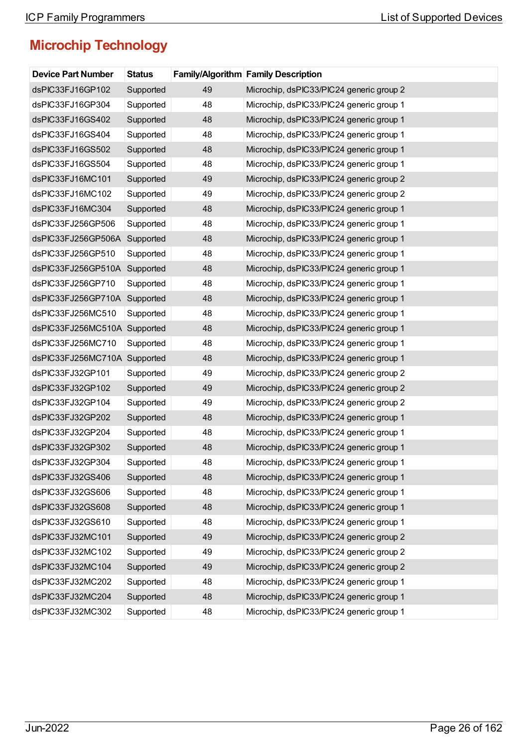| <b>Device Part Number</b>    | <b>Status</b> |    | <b>Family/Algorithm Family Description</b> |
|------------------------------|---------------|----|--------------------------------------------|
| dsPIC33FJ16GP102             | Supported     | 49 | Microchip, dsPIC33/PIC24 generic group 2   |
| dsPIC33FJ16GP304             | Supported     | 48 | Microchip, dsPIC33/PIC24 generic group 1   |
| dsPIC33FJ16GS402             | Supported     | 48 | Microchip, dsPIC33/PIC24 generic group 1   |
| dsPIC33FJ16GS404             | Supported     | 48 | Microchip, dsPIC33/PIC24 generic group 1   |
| dsPIC33FJ16GS502             | Supported     | 48 | Microchip, dsPIC33/PIC24 generic group 1   |
| dsPIC33FJ16GS504             | Supported     | 48 | Microchip, dsPIC33/PIC24 generic group 1   |
| dsPIC33FJ16MC101             | Supported     | 49 | Microchip, dsPIC33/PIC24 generic group 2   |
| dsPIC33FJ16MC102             | Supported     | 49 | Microchip, dsPIC33/PIC24 generic group 2   |
| dsPIC33FJ16MC304             | Supported     | 48 | Microchip, dsPIC33/PIC24 generic group 1   |
| dsPIC33FJ256GP506            | Supported     | 48 | Microchip, dsPIC33/PIC24 generic group 1   |
| dsPIC33FJ256GP506A           | Supported     | 48 | Microchip, dsPIC33/PIC24 generic group 1   |
| dsPIC33FJ256GP510            | Supported     | 48 | Microchip, dsPIC33/PIC24 generic group 1   |
| dsPIC33FJ256GP510A           | Supported     | 48 | Microchip, dsPIC33/PIC24 generic group 1   |
| dsPIC33FJ256GP710            | Supported     | 48 | Microchip, dsPIC33/PIC24 generic group 1   |
| dsPIC33FJ256GP710A           | Supported     | 48 | Microchip, dsPIC33/PIC24 generic group 1   |
| dsPIC33FJ256MC510            | Supported     | 48 | Microchip, dsPIC33/PIC24 generic group 1   |
| dsPIC33FJ256MC510A Supported |               | 48 | Microchip, dsPIC33/PIC24 generic group 1   |
| dsPIC33FJ256MC710            | Supported     | 48 | Microchip, dsPIC33/PIC24 generic group 1   |
| dsPIC33FJ256MC710A Supported |               | 48 | Microchip, dsPIC33/PIC24 generic group 1   |
| dsPIC33FJ32GP101             | Supported     | 49 | Microchip, dsPIC33/PIC24 generic group 2   |
| dsPIC33FJ32GP102             | Supported     | 49 | Microchip, dsPIC33/PIC24 generic group 2   |
| dsPIC33FJ32GP104             | Supported     | 49 | Microchip, dsPIC33/PIC24 generic group 2   |
| dsPIC33FJ32GP202             | Supported     | 48 | Microchip, dsPIC33/PIC24 generic group 1   |
| dsPIC33FJ32GP204             | Supported     | 48 | Microchip, dsPIC33/PIC24 generic group 1   |
| dsPIC33FJ32GP302             | Supported     | 48 | Microchip, dsPIC33/PIC24 generic group 1   |
| dsPIC33FJ32GP304             | Supported     | 48 | Microchip, dsPIC33/PIC24 generic group 1   |
| dsPIC33FJ32GS406             | Supported     | 48 | Microchip, dsPIC33/PIC24 generic group 1   |
| dsPIC33FJ32GS606             | Supported     | 48 | Microchip, dsPIC33/PIC24 generic group 1   |
| dsPIC33FJ32GS608             | Supported     | 48 | Microchip, dsPIC33/PIC24 generic group 1   |
| dsPIC33FJ32GS610             | Supported     | 48 | Microchip, dsPIC33/PIC24 generic group 1   |
| dsPIC33FJ32MC101             | Supported     | 49 | Microchip, dsPIC33/PIC24 generic group 2   |
| dsPIC33FJ32MC102             | Supported     | 49 | Microchip, dsPIC33/PIC24 generic group 2   |
| dsPIC33FJ32MC104             | Supported     | 49 | Microchip, dsPIC33/PIC24 generic group 2   |
| dsPIC33FJ32MC202             | Supported     | 48 | Microchip, dsPIC33/PIC24 generic group 1   |
| dsPIC33FJ32MC204             | Supported     | 48 | Microchip, dsPIC33/PIC24 generic group 1   |
| dsPIC33FJ32MC302             | Supported     | 48 | Microchip, dsPIC33/PIC24 generic group 1   |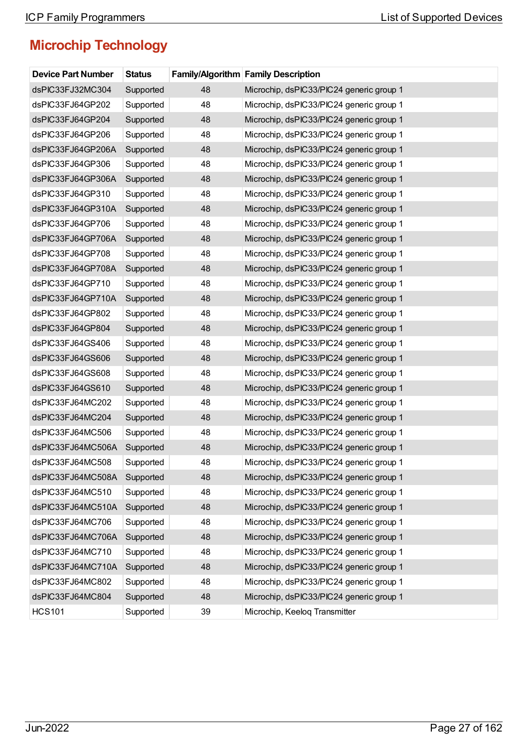| <b>Device Part Number</b> | <b>Status</b> |    | <b>Family/Algorithm Family Description</b> |
|---------------------------|---------------|----|--------------------------------------------|
| dsPIC33FJ32MC304          | Supported     | 48 | Microchip, dsPIC33/PIC24 generic group 1   |
| dsPIC33FJ64GP202          | Supported     | 48 | Microchip, dsPIC33/PIC24 generic group 1   |
| dsPIC33FJ64GP204          | Supported     | 48 | Microchip, dsPIC33/PIC24 generic group 1   |
| dsPIC33FJ64GP206          | Supported     | 48 | Microchip, dsPIC33/PIC24 generic group 1   |
| dsPIC33FJ64GP206A         | Supported     | 48 | Microchip, dsPIC33/PIC24 generic group 1   |
| dsPIC33FJ64GP306          | Supported     | 48 | Microchip, dsPIC33/PIC24 generic group 1   |
| dsPIC33FJ64GP306A         | Supported     | 48 | Microchip, dsPIC33/PIC24 generic group 1   |
| dsPIC33FJ64GP310          | Supported     | 48 | Microchip, dsPIC33/PIC24 generic group 1   |
| dsPIC33FJ64GP310A         | Supported     | 48 | Microchip, dsPIC33/PIC24 generic group 1   |
| dsPIC33FJ64GP706          | Supported     | 48 | Microchip, dsPIC33/PIC24 generic group 1   |
| dsPIC33FJ64GP706A         | Supported     | 48 | Microchip, dsPIC33/PIC24 generic group 1   |
| dsPIC33FJ64GP708          | Supported     | 48 | Microchip, dsPIC33/PIC24 generic group 1   |
| dsPIC33FJ64GP708A         | Supported     | 48 | Microchip, dsPIC33/PIC24 generic group 1   |
| dsPIC33FJ64GP710          | Supported     | 48 | Microchip, dsPIC33/PIC24 generic group 1   |
| dsPIC33FJ64GP710A         | Supported     | 48 | Microchip, dsPIC33/PIC24 generic group 1   |
| dsPIC33FJ64GP802          | Supported     | 48 | Microchip, dsPIC33/PIC24 generic group 1   |
| dsPIC33FJ64GP804          | Supported     | 48 | Microchip, dsPIC33/PIC24 generic group 1   |
| dsPIC33FJ64GS406          | Supported     | 48 | Microchip, dsPIC33/PIC24 generic group 1   |
| dsPIC33FJ64GS606          | Supported     | 48 | Microchip, dsPIC33/PIC24 generic group 1   |
| dsPIC33FJ64GS608          | Supported     | 48 | Microchip, dsPIC33/PIC24 generic group 1   |
| dsPIC33FJ64GS610          | Supported     | 48 | Microchip, dsPIC33/PIC24 generic group 1   |
| dsPIC33FJ64MC202          | Supported     | 48 | Microchip, dsPIC33/PIC24 generic group 1   |
| dsPIC33FJ64MC204          | Supported     | 48 | Microchip, dsPIC33/PIC24 generic group 1   |
| dsPIC33FJ64MC506          | Supported     | 48 | Microchip, dsPIC33/PIC24 generic group 1   |
| dsPIC33FJ64MC506A         | Supported     | 48 | Microchip, dsPIC33/PIC24 generic group 1   |
| dsPIC33FJ64MC508          | Supported     | 48 | Microchip, dsPIC33/PIC24 generic group 1   |
| dsPIC33FJ64MC508A         | Supported     | 48 | Microchip, dsPIC33/PIC24 generic group 1   |
| dsPIC33FJ64MC510          | Supported     | 48 | Microchip, dsPIC33/PIC24 generic group 1   |
| dsPIC33FJ64MC510A         | Supported     | 48 | Microchip, dsPIC33/PIC24 generic group 1   |
| dsPIC33FJ64MC706          | Supported     | 48 | Microchip, dsPIC33/PIC24 generic group 1   |
| dsPIC33FJ64MC706A         | Supported     | 48 | Microchip, dsPIC33/PIC24 generic group 1   |
| dsPIC33FJ64MC710          | Supported     | 48 | Microchip, dsPIC33/PIC24 generic group 1   |
| dsPIC33FJ64MC710A         | Supported     | 48 | Microchip, dsPIC33/PIC24 generic group 1   |
| dsPIC33FJ64MC802          | Supported     | 48 | Microchip, dsPIC33/PIC24 generic group 1   |
| dsPIC33FJ64MC804          | Supported     | 48 | Microchip, dsPIC33/PIC24 generic group 1   |
| <b>HCS101</b>             | Supported     | 39 | Microchip, Keeloq Transmitter              |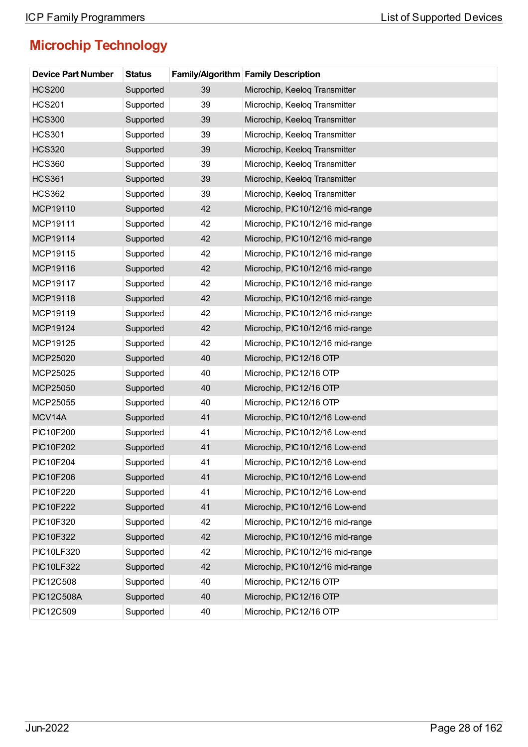| <b>Device Part Number</b> | <b>Status</b> |    | <b>Family/Algorithm Family Description</b> |
|---------------------------|---------------|----|--------------------------------------------|
| <b>HCS200</b>             | Supported     | 39 | Microchip, Keeloq Transmitter              |
| <b>HCS201</b>             | Supported     | 39 | Microchip, Keeloq Transmitter              |
| <b>HCS300</b>             | Supported     | 39 | Microchip, Keeloq Transmitter              |
| <b>HCS301</b>             | Supported     | 39 | Microchip, Keeloq Transmitter              |
| <b>HCS320</b>             | Supported     | 39 | Microchip, Keeloq Transmitter              |
| <b>HCS360</b>             | Supported     | 39 | Microchip, Keeloq Transmitter              |
| <b>HCS361</b>             | Supported     | 39 | Microchip, Keeloq Transmitter              |
| <b>HCS362</b>             | Supported     | 39 | Microchip, Keeloq Transmitter              |
| MCP19110                  | Supported     | 42 | Microchip, PIC10/12/16 mid-range           |
| MCP19111                  | Supported     | 42 | Microchip, PIC10/12/16 mid-range           |
| MCP19114                  | Supported     | 42 | Microchip, PIC10/12/16 mid-range           |
| MCP19115                  | Supported     | 42 | Microchip, PIC10/12/16 mid-range           |
| MCP19116                  | Supported     | 42 | Microchip, PIC10/12/16 mid-range           |
| MCP19117                  | Supported     | 42 | Microchip, PIC10/12/16 mid-range           |
| MCP19118                  | Supported     | 42 | Microchip, PIC10/12/16 mid-range           |
| MCP19119                  | Supported     | 42 | Microchip, PIC10/12/16 mid-range           |
| MCP19124                  | Supported     | 42 | Microchip, PIC10/12/16 mid-range           |
| MCP19125                  | Supported     | 42 | Microchip, PIC10/12/16 mid-range           |
| MCP25020                  | Supported     | 40 | Microchip, PIC12/16 OTP                    |
| MCP25025                  | Supported     | 40 | Microchip, PIC12/16 OTP                    |
| MCP25050                  | Supported     | 40 | Microchip, PIC12/16 OTP                    |
| MCP25055                  | Supported     | 40 | Microchip, PIC12/16 OTP                    |
| MCV14A                    | Supported     | 41 | Microchip, PIC10/12/16 Low-end             |
| PIC10F200                 | Supported     | 41 | Microchip, PIC10/12/16 Low-end             |
| <b>PIC10F202</b>          | Supported     | 41 | Microchip, PIC10/12/16 Low-end             |
| PIC10F204                 | Supported     | 41 | Microchip, PIC10/12/16 Low-end             |
| <b>PIC10F206</b>          | Supported     | 41 | Microchip, PIC10/12/16 Low-end             |
| <b>PIC10F220</b>          | Supported     | 41 | Microchip, PIC10/12/16 Low-end             |
| <b>PIC10F222</b>          | Supported     | 41 | Microchip, PIC10/12/16 Low-end             |
| PIC10F320                 | Supported     | 42 | Microchip, PIC10/12/16 mid-range           |
| PIC10F322                 | Supported     | 42 | Microchip, PIC10/12/16 mid-range           |
| <b>PIC10LF320</b>         | Supported     | 42 | Microchip, PIC10/12/16 mid-range           |
| <b>PIC10LF322</b>         | Supported     | 42 | Microchip, PIC10/12/16 mid-range           |
| PIC12C508                 | Supported     | 40 | Microchip, PIC12/16 OTP                    |
| <b>PIC12C508A</b>         | Supported     | 40 | Microchip, PIC12/16 OTP                    |
| PIC12C509                 | Supported     | 40 | Microchip, PIC12/16 OTP                    |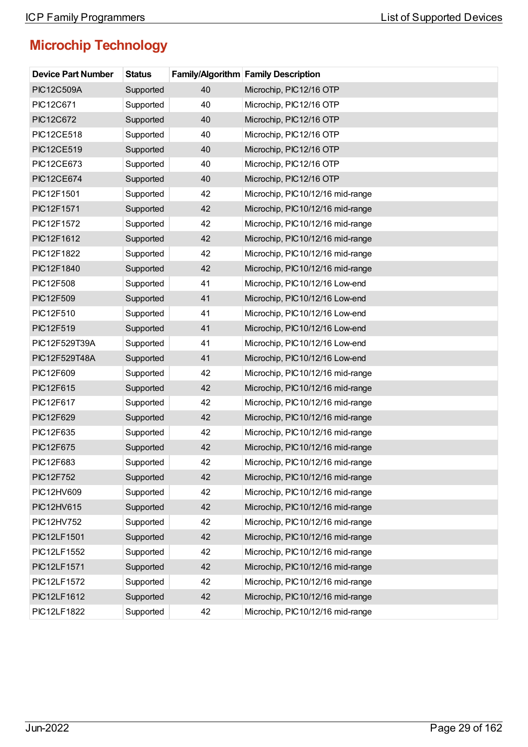| <b>Device Part Number</b> | <b>Status</b> |    | <b>Family/Algorithm Family Description</b> |
|---------------------------|---------------|----|--------------------------------------------|
| <b>PIC12C509A</b>         | Supported     | 40 | Microchip, PIC12/16 OTP                    |
| PIC12C671                 | Supported     | 40 | Microchip, PIC12/16 OTP                    |
| <b>PIC12C672</b>          | Supported     | 40 | Microchip, PIC12/16 OTP                    |
| <b>PIC12CE518</b>         | Supported     | 40 | Microchip, PIC12/16 OTP                    |
| <b>PIC12CE519</b>         | Supported     | 40 | Microchip, PIC12/16 OTP                    |
| <b>PIC12CE673</b>         | Supported     | 40 | Microchip, PIC12/16 OTP                    |
| <b>PIC12CE674</b>         | Supported     | 40 | Microchip, PIC12/16 OTP                    |
| PIC12F1501                | Supported     | 42 | Microchip, PIC10/12/16 mid-range           |
| PIC12F1571                | Supported     | 42 | Microchip, PIC10/12/16 mid-range           |
| PIC12F1572                | Supported     | 42 | Microchip, PIC10/12/16 mid-range           |
| PIC12F1612                | Supported     | 42 | Microchip, PIC10/12/16 mid-range           |
| PIC12F1822                | Supported     | 42 | Microchip, PIC10/12/16 mid-range           |
| PIC12F1840                | Supported     | 42 | Microchip, PIC10/12/16 mid-range           |
| PIC12F508                 | Supported     | 41 | Microchip, PIC10/12/16 Low-end             |
| PIC12F509                 | Supported     | 41 | Microchip, PIC10/12/16 Low-end             |
| PIC12F510                 | Supported     | 41 | Microchip, PIC10/12/16 Low-end             |
| PIC12F519                 | Supported     | 41 | Microchip, PIC10/12/16 Low-end             |
| PIC12F529T39A             | Supported     | 41 | Microchip, PIC10/12/16 Low-end             |
| PIC12F529T48A             | Supported     | 41 | Microchip, PIC10/12/16 Low-end             |
| PIC12F609                 | Supported     | 42 | Microchip, PIC10/12/16 mid-range           |
| PIC12F615                 | Supported     | 42 | Microchip, PIC10/12/16 mid-range           |
| PIC12F617                 | Supported     | 42 | Microchip, PIC10/12/16 mid-range           |
| PIC12F629                 | Supported     | 42 | Microchip, PIC10/12/16 mid-range           |
| PIC12F635                 | Supported     | 42 | Microchip, PIC10/12/16 mid-range           |
| PIC12F675                 | Supported     | 42 | Microchip, PIC10/12/16 mid-range           |
| PIC12F683                 | Supported     | 42 | Microchip, PIC10/12/16 mid-range           |
| PIC12F752                 | Supported     | 42 | Microchip, PIC10/12/16 mid-range           |
| PIC12HV609                | Supported     | 42 | Microchip, PIC10/12/16 mid-range           |
| PIC12HV615                | Supported     | 42 | Microchip, PIC10/12/16 mid-range           |
| PIC12HV752                | Supported     | 42 | Microchip, PIC10/12/16 mid-range           |
| PIC12LF1501               | Supported     | 42 | Microchip, PIC10/12/16 mid-range           |
| PIC12LF1552               | Supported     | 42 | Microchip, PIC10/12/16 mid-range           |
| PIC12LF1571               | Supported     | 42 | Microchip, PIC10/12/16 mid-range           |
| PIC12LF1572               | Supported     | 42 | Microchip, PIC10/12/16 mid-range           |
| PIC12LF1612               | Supported     | 42 | Microchip, PIC10/12/16 mid-range           |
| PIC12LF1822               | Supported     | 42 | Microchip, PIC10/12/16 mid-range           |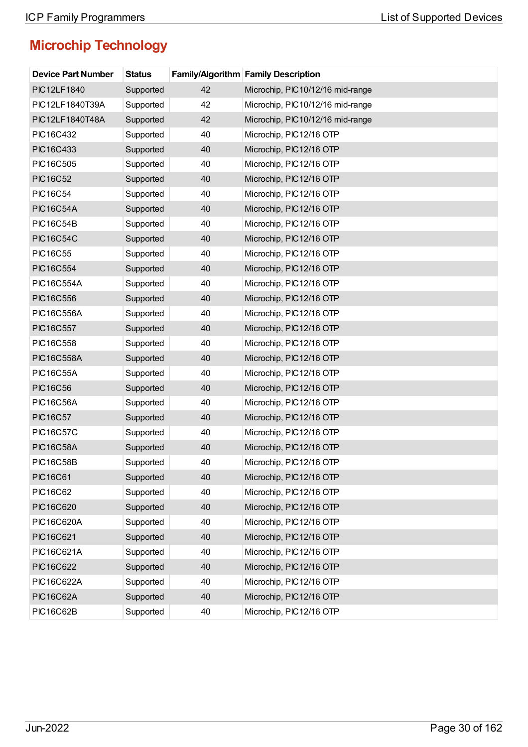| <b>Device Part Number</b> | <b>Status</b> |    | <b>Family/Algorithm Family Description</b> |
|---------------------------|---------------|----|--------------------------------------------|
| <b>PIC12LF1840</b>        | Supported     | 42 | Microchip, PIC10/12/16 mid-range           |
| PIC12LF1840T39A           | Supported     | 42 | Microchip, PIC10/12/16 mid-range           |
| PIC12LF1840T48A           | Supported     | 42 | Microchip, PIC10/12/16 mid-range           |
| PIC16C432                 | Supported     | 40 | Microchip, PIC12/16 OTP                    |
| PIC16C433                 | Supported     | 40 | Microchip, PIC12/16 OTP                    |
| PIC16C505                 | Supported     | 40 | Microchip, PIC12/16 OTP                    |
| <b>PIC16C52</b>           | Supported     | 40 | Microchip, PIC12/16 OTP                    |
| <b>PIC16C54</b>           | Supported     | 40 | Microchip, PIC12/16 OTP                    |
| <b>PIC16C54A</b>          | Supported     | 40 | Microchip, PIC12/16 OTP                    |
| <b>PIC16C54B</b>          | Supported     | 40 | Microchip, PIC12/16 OTP                    |
| <b>PIC16C54C</b>          | Supported     | 40 | Microchip, PIC12/16 OTP                    |
| <b>PIC16C55</b>           | Supported     | 40 | Microchip, PIC12/16 OTP                    |
| <b>PIC16C554</b>          | Supported     | 40 | Microchip, PIC12/16 OTP                    |
| <b>PIC16C554A</b>         | Supported     | 40 | Microchip, PIC12/16 OTP                    |
| <b>PIC16C556</b>          | Supported     | 40 | Microchip, PIC12/16 OTP                    |
| <b>PIC16C556A</b>         | Supported     | 40 | Microchip, PIC12/16 OTP                    |
| <b>PIC16C557</b>          | Supported     | 40 | Microchip, PIC12/16 OTP                    |
| PIC16C558                 | Supported     | 40 | Microchip, PIC12/16 OTP                    |
| <b>PIC16C558A</b>         | Supported     | 40 | Microchip, PIC12/16 OTP                    |
| <b>PIC16C55A</b>          | Supported     | 40 | Microchip, PIC12/16 OTP                    |
| <b>PIC16C56</b>           | Supported     | 40 | Microchip, PIC12/16 OTP                    |
| <b>PIC16C56A</b>          | Supported     | 40 | Microchip, PIC12/16 OTP                    |
| <b>PIC16C57</b>           | Supported     | 40 | Microchip, PIC12/16 OTP                    |
| <b>PIC16C57C</b>          | Supported     | 40 | Microchip, PIC12/16 OTP                    |
| <b>PIC16C58A</b>          | Supported     | 40 | Microchip, PIC12/16 OTP                    |
| <b>PIC16C58B</b>          | Supported     | 40 | Microchip, PIC12/16 OTP                    |
| <b>PIC16C61</b>           | Supported     | 40 | Microchip, PIC12/16 OTP                    |
| <b>PIC16C62</b>           | Supported     | 40 | Microchip, PIC12/16 OTP                    |
| <b>PIC16C620</b>          | Supported     | 40 | Microchip, PIC12/16 OTP                    |
| <b>PIC16C620A</b>         | Supported     | 40 | Microchip, PIC12/16 OTP                    |
| PIC16C621                 | Supported     | 40 | Microchip, PIC12/16 OTP                    |
| <b>PIC16C621A</b>         | Supported     | 40 | Microchip, PIC12/16 OTP                    |
| <b>PIC16C622</b>          | Supported     | 40 | Microchip, PIC12/16 OTP                    |
| <b>PIC16C622A</b>         | Supported     | 40 | Microchip, PIC12/16 OTP                    |
| <b>PIC16C62A</b>          | Supported     | 40 | Microchip, PIC12/16 OTP                    |
| <b>PIC16C62B</b>          | Supported     | 40 | Microchip, PIC12/16 OTP                    |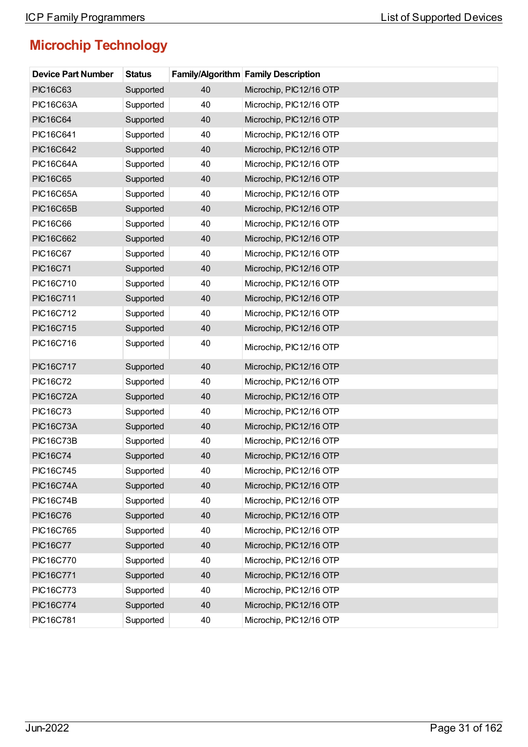| <b>Device Part Number</b> | <b>Status</b> |    | Family/Algorithm Family Description |
|---------------------------|---------------|----|-------------------------------------|
| <b>PIC16C63</b>           | Supported     | 40 | Microchip, PIC12/16 OTP             |
| <b>PIC16C63A</b>          | Supported     | 40 | Microchip, PIC12/16 OTP             |
| <b>PIC16C64</b>           | Supported     | 40 | Microchip, PIC12/16 OTP             |
| PIC16C641                 | Supported     | 40 | Microchip, PIC12/16 OTP             |
| <b>PIC16C642</b>          | Supported     | 40 | Microchip, PIC12/16 OTP             |
| <b>PIC16C64A</b>          | Supported     | 40 | Microchip, PIC12/16 OTP             |
| <b>PIC16C65</b>           | Supported     | 40 | Microchip, PIC12/16 OTP             |
| <b>PIC16C65A</b>          | Supported     | 40 | Microchip, PIC12/16 OTP             |
| <b>PIC16C65B</b>          | Supported     | 40 | Microchip, PIC12/16 OTP             |
| <b>PIC16C66</b>           | Supported     | 40 | Microchip, PIC12/16 OTP             |
| <b>PIC16C662</b>          | Supported     | 40 | Microchip, PIC12/16 OTP             |
| <b>PIC16C67</b>           | Supported     | 40 | Microchip, PIC12/16 OTP             |
| <b>PIC16C71</b>           | Supported     | 40 | Microchip, PIC12/16 OTP             |
| PIC16C710                 | Supported     | 40 | Microchip, PIC12/16 OTP             |
| <b>PIC16C711</b>          | Supported     | 40 | Microchip, PIC12/16 OTP             |
| PIC16C712                 | Supported     | 40 | Microchip, PIC12/16 OTP             |
| <b>PIC16C715</b>          | Supported     | 40 | Microchip, PIC12/16 OTP             |
| PIC16C716                 | Supported     | 40 | Microchip, PIC12/16 OTP             |
| <b>PIC16C717</b>          | Supported     | 40 | Microchip, PIC12/16 OTP             |
| <b>PIC16C72</b>           | Supported     | 40 | Microchip, PIC12/16 OTP             |
| <b>PIC16C72A</b>          | Supported     | 40 | Microchip, PIC12/16 OTP             |
| <b>PIC16C73</b>           | Supported     | 40 | Microchip, PIC12/16 OTP             |
| <b>PIC16C73A</b>          | Supported     | 40 | Microchip, PIC12/16 OTP             |
| <b>PIC16C73B</b>          | Supported     | 40 | Microchip, PIC12/16 OTP             |
| <b>PIC16C74</b>           | Supported     | 40 | Microchip, PIC12/16 OTP             |
| <b>PIC16C745</b>          | Supported     | 40 | Microchip, PIC12/16 OTP             |
| <b>PIC16C74A</b>          | Supported     | 40 | Microchip, PIC12/16 OTP             |
| <b>PIC16C74B</b>          | Supported     | 40 | Microchip, PIC12/16 OTP             |
| <b>PIC16C76</b>           | Supported     | 40 | Microchip, PIC12/16 OTP             |
| PIC16C765                 | Supported     | 40 | Microchip, PIC12/16 OTP             |
| <b>PIC16C77</b>           | Supported     | 40 | Microchip, PIC12/16 OTP             |
| <b>PIC16C770</b>          | Supported     | 40 | Microchip, PIC12/16 OTP             |
| <b>PIC16C771</b>          | Supported     | 40 | Microchip, PIC12/16 OTP             |
| PIC16C773                 | Supported     | 40 | Microchip, PIC12/16 OTP             |
| <b>PIC16C774</b>          | Supported     | 40 | Microchip, PIC12/16 OTP             |
| PIC16C781                 | Supported     | 40 | Microchip, PIC12/16 OTP             |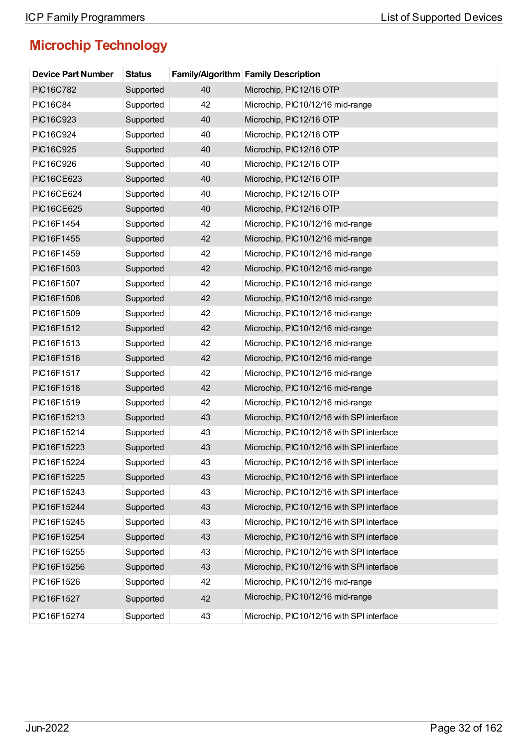| <b>Device Part Number</b> | <b>Status</b> |    | <b>Family/Algorithm Family Description</b> |
|---------------------------|---------------|----|--------------------------------------------|
| <b>PIC16C782</b>          | Supported     | 40 | Microchip, PIC12/16 OTP                    |
| <b>PIC16C84</b>           | Supported     | 42 | Microchip, PIC10/12/16 mid-range           |
| PIC16C923                 | Supported     | 40 | Microchip, PIC12/16 OTP                    |
| PIC16C924                 | Supported     | 40 | Microchip, PIC12/16 OTP                    |
| <b>PIC16C925</b>          | Supported     | 40 | Microchip, PIC12/16 OTP                    |
| PIC16C926                 | Supported     | 40 | Microchip, PIC12/16 OTP                    |
| <b>PIC16CE623</b>         | Supported     | 40 | Microchip, PIC12/16 OTP                    |
| <b>PIC16CE624</b>         | Supported     | 40 | Microchip, PIC12/16 OTP                    |
| <b>PIC16CE625</b>         | Supported     | 40 | Microchip, PIC12/16 OTP                    |
| PIC16F1454                | Supported     | 42 | Microchip, PIC10/12/16 mid-range           |
| PIC16F1455                | Supported     | 42 | Microchip, PIC10/12/16 mid-range           |
| PIC16F1459                | Supported     | 42 | Microchip, PIC10/12/16 mid-range           |
| PIC16F1503                | Supported     | 42 | Microchip, PIC10/12/16 mid-range           |
| PIC16F1507                | Supported     | 42 | Microchip, PIC10/12/16 mid-range           |
| PIC16F1508                | Supported     | 42 | Microchip, PIC10/12/16 mid-range           |
| PIC16F1509                | Supported     | 42 | Microchip, PIC10/12/16 mid-range           |
| PIC16F1512                | Supported     | 42 | Microchip, PIC10/12/16 mid-range           |
| PIC16F1513                | Supported     | 42 | Microchip, PIC10/12/16 mid-range           |
| PIC16F1516                | Supported     | 42 | Microchip, PIC10/12/16 mid-range           |
| PIC16F1517                | Supported     | 42 | Microchip, PIC10/12/16 mid-range           |
| PIC16F1518                | Supported     | 42 | Microchip, PIC10/12/16 mid-range           |
| PIC16F1519                | Supported     | 42 | Microchip, PIC10/12/16 mid-range           |
| PIC16F15213               | Supported     | 43 | Microchip, PIC10/12/16 with SPI interface  |
| PIC16F15214               | Supported     | 43 | Microchip, PIC10/12/16 with SPI interface  |
| PIC16F15223               | Supported     | 43 | Microchip, PIC10/12/16 with SPI interface  |
| PIC16F15224               | Supported     | 43 | Microchip, PIC10/12/16 with SPI interface  |
| PIC16F15225               | Supported     | 43 | Microchip, PIC10/12/16 with SPI interface  |
| PIC16F15243               | Supported     | 43 | Microchip, PIC10/12/16 with SPI interface  |
| PIC16F15244               | Supported     | 43 | Microchip, PIC10/12/16 with SPI interface  |
| PIC16F15245               | Supported     | 43 | Microchip, PIC10/12/16 with SPI interface  |
| PIC16F15254               | Supported     | 43 | Microchip, PIC10/12/16 with SPI interface  |
| PIC16F15255               | Supported     | 43 | Microchip, PIC10/12/16 with SPI interface  |
| PIC16F15256               | Supported     | 43 | Microchip, PIC10/12/16 with SPI interface  |
| PIC16F1526                | Supported     | 42 | Microchip, PIC10/12/16 mid-range           |
| PIC16F1527                | Supported     | 42 | Microchip, PIC10/12/16 mid-range           |
| PIC16F15274               | Supported     | 43 | Microchip, PIC10/12/16 with SPI interface  |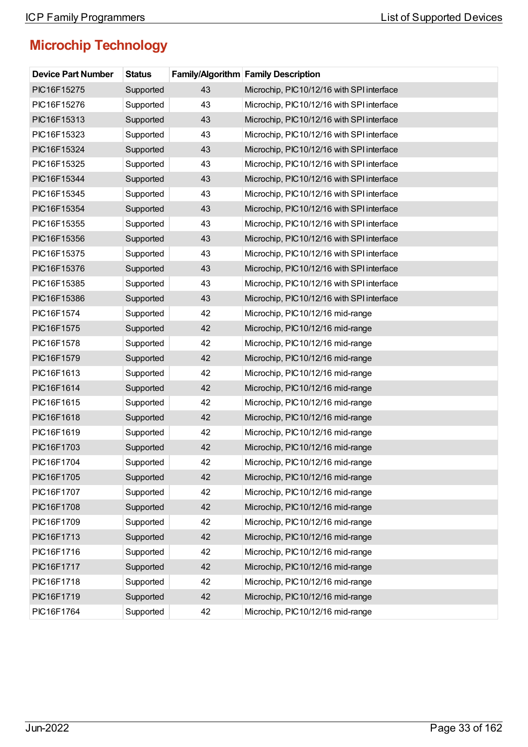| <b>Device Part Number</b> | <b>Status</b> |    | <b>Family/Algorithm Family Description</b> |
|---------------------------|---------------|----|--------------------------------------------|
| PIC16F15275               | Supported     | 43 | Microchip, PIC10/12/16 with SPI interface  |
| PIC16F15276               | Supported     | 43 | Microchip, PIC10/12/16 with SPI interface  |
| PIC16F15313               | Supported     | 43 | Microchip, PIC10/12/16 with SPI interface  |
| PIC16F15323               | Supported     | 43 | Microchip, PIC10/12/16 with SPI interface  |
| PIC16F15324               | Supported     | 43 | Microchip, PIC10/12/16 with SPI interface  |
| PIC16F15325               | Supported     | 43 | Microchip, PIC10/12/16 with SPI interface  |
| PIC16F15344               | Supported     | 43 | Microchip, PIC10/12/16 with SPI interface  |
| PIC16F15345               | Supported     | 43 | Microchip, PIC10/12/16 with SPI interface  |
| PIC16F15354               | Supported     | 43 | Microchip, PIC10/12/16 with SPI interface  |
| PIC16F15355               | Supported     | 43 | Microchip, PIC10/12/16 with SPI interface  |
| PIC16F15356               | Supported     | 43 | Microchip, PIC10/12/16 with SPI interface  |
| PIC16F15375               | Supported     | 43 | Microchip, PIC10/12/16 with SPI interface  |
| PIC16F15376               | Supported     | 43 | Microchip, PIC10/12/16 with SPI interface  |
| PIC16F15385               | Supported     | 43 | Microchip, PIC10/12/16 with SPI interface  |
| PIC16F15386               | Supported     | 43 | Microchip, PIC10/12/16 with SPI interface  |
| PIC16F1574                | Supported     | 42 | Microchip, PIC10/12/16 mid-range           |
| PIC16F1575                | Supported     | 42 | Microchip, PIC10/12/16 mid-range           |
| PIC16F1578                | Supported     | 42 | Microchip, PIC10/12/16 mid-range           |
| PIC16F1579                | Supported     | 42 | Microchip, PIC10/12/16 mid-range           |
| PIC16F1613                | Supported     | 42 | Microchip, PIC10/12/16 mid-range           |
| PIC16F1614                | Supported     | 42 | Microchip, PIC10/12/16 mid-range           |
| PIC16F1615                | Supported     | 42 | Microchip, PIC10/12/16 mid-range           |
| PIC16F1618                | Supported     | 42 | Microchip, PIC10/12/16 mid-range           |
| PIC16F1619                | Supported     | 42 | Microchip, PIC10/12/16 mid-range           |
| PIC16F1703                | Supported     | 42 | Microchip, PIC10/12/16 mid-range           |
| PIC16F1704                | Supported     | 42 | Microchip, PIC10/12/16 mid-range           |
| PIC16F1705                | Supported     | 42 | Microchip, PIC10/12/16 mid-range           |
| PIC16F1707                | Supported     | 42 | Microchip, PIC10/12/16 mid-range           |
| PIC16F1708                | Supported     | 42 | Microchip, PIC10/12/16 mid-range           |
| PIC16F1709                | Supported     | 42 | Microchip, PIC10/12/16 mid-range           |
| PIC16F1713                | Supported     | 42 | Microchip, PIC10/12/16 mid-range           |
| PIC16F1716                | Supported     | 42 | Microchip, PIC10/12/16 mid-range           |
| PIC16F1717                | Supported     | 42 | Microchip, PIC10/12/16 mid-range           |
| PIC16F1718                | Supported     | 42 | Microchip, PIC10/12/16 mid-range           |
| PIC16F1719                | Supported     | 42 | Microchip, PIC10/12/16 mid-range           |
| PIC16F1764                | Supported     | 42 | Microchip, PIC10/12/16 mid-range           |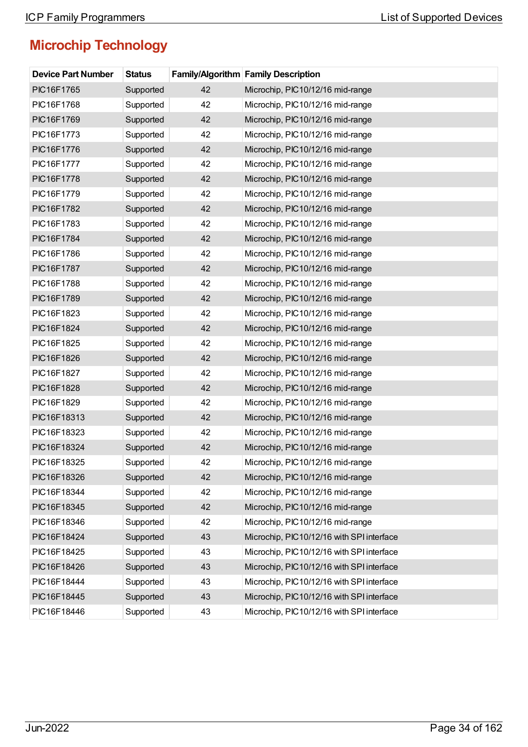| <b>Device Part Number</b> | <b>Status</b> |    | <b>Family/Algorithm Family Description</b> |
|---------------------------|---------------|----|--------------------------------------------|
| PIC16F1765                | Supported     | 42 | Microchip, PIC10/12/16 mid-range           |
| PIC16F1768                | Supported     | 42 | Microchip, PIC10/12/16 mid-range           |
| PIC16F1769                | Supported     | 42 | Microchip, PIC10/12/16 mid-range           |
| PIC16F1773                | Supported     | 42 | Microchip, PIC10/12/16 mid-range           |
| PIC16F1776                | Supported     | 42 | Microchip, PIC10/12/16 mid-range           |
| PIC16F1777                | Supported     | 42 | Microchip, PIC10/12/16 mid-range           |
| PIC16F1778                | Supported     | 42 | Microchip, PIC10/12/16 mid-range           |
| PIC16F1779                | Supported     | 42 | Microchip, PIC10/12/16 mid-range           |
| PIC16F1782                | Supported     | 42 | Microchip, PIC10/12/16 mid-range           |
| PIC16F1783                | Supported     | 42 | Microchip, PIC10/12/16 mid-range           |
| PIC16F1784                | Supported     | 42 | Microchip, PIC10/12/16 mid-range           |
| PIC16F1786                | Supported     | 42 | Microchip, PIC10/12/16 mid-range           |
| PIC16F1787                | Supported     | 42 | Microchip, PIC10/12/16 mid-range           |
| PIC16F1788                | Supported     | 42 | Microchip, PIC10/12/16 mid-range           |
| PIC16F1789                | Supported     | 42 | Microchip, PIC10/12/16 mid-range           |
| PIC16F1823                | Supported     | 42 | Microchip, PIC10/12/16 mid-range           |
| PIC16F1824                | Supported     | 42 | Microchip, PIC10/12/16 mid-range           |
| PIC16F1825                | Supported     | 42 | Microchip, PIC10/12/16 mid-range           |
| PIC16F1826                | Supported     | 42 | Microchip, PIC10/12/16 mid-range           |
| PIC16F1827                | Supported     | 42 | Microchip, PIC10/12/16 mid-range           |
| PIC16F1828                | Supported     | 42 | Microchip, PIC10/12/16 mid-range           |
| PIC16F1829                | Supported     | 42 | Microchip, PIC10/12/16 mid-range           |
| PIC16F18313               | Supported     | 42 | Microchip, PIC10/12/16 mid-range           |
| PIC16F18323               | Supported     | 42 | Microchip, PIC10/12/16 mid-range           |
| PIC16F18324               | Supported     | 42 | Microchip, PIC10/12/16 mid-range           |
| PIC16F18325               | Supported     | 42 | Microchip, PIC10/12/16 mid-range           |
| PIC16F18326               | Supported     | 42 | Microchip, PIC10/12/16 mid-range           |
| PIC16F18344               | Supported     | 42 | Microchip, PIC10/12/16 mid-range           |
| PIC16F18345               | Supported     | 42 | Microchip, PIC10/12/16 mid-range           |
| PIC16F18346               | Supported     | 42 | Microchip, PIC10/12/16 mid-range           |
| PIC16F18424               | Supported     | 43 | Microchip, PIC10/12/16 with SPI interface  |
| PIC16F18425               | Supported     | 43 | Microchip, PIC10/12/16 with SPI interface  |
| PIC16F18426               | Supported     | 43 | Microchip, PIC10/12/16 with SPI interface  |
| PIC16F18444               | Supported     | 43 | Microchip, PIC10/12/16 with SPI interface  |
| PIC16F18445               | Supported     | 43 | Microchip, PIC10/12/16 with SPI interface  |
| PIC16F18446               | Supported     | 43 | Microchip, PIC10/12/16 with SPI interface  |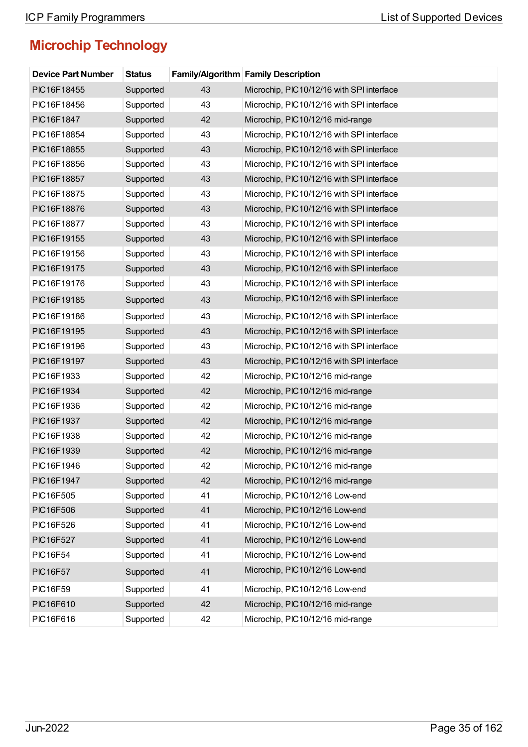| <b>Device Part Number</b> | <b>Status</b> |    | <b>Family/Algorithm Family Description</b> |
|---------------------------|---------------|----|--------------------------------------------|
| PIC16F18455               | Supported     | 43 | Microchip, PIC10/12/16 with SPI interface  |
| PIC16F18456               | Supported     | 43 | Microchip, PIC10/12/16 with SPI interface  |
| PIC16F1847                | Supported     | 42 | Microchip, PIC10/12/16 mid-range           |
| PIC16F18854               | Supported     | 43 | Microchip, PIC10/12/16 with SPI interface  |
| PIC16F18855               | Supported     | 43 | Microchip, PIC10/12/16 with SPI interface  |
| PIC16F18856               | Supported     | 43 | Microchip, PIC10/12/16 with SPI interface  |
| PIC16F18857               | Supported     | 43 | Microchip, PIC10/12/16 with SPI interface  |
| PIC16F18875               | Supported     | 43 | Microchip, PIC10/12/16 with SPI interface  |
| PIC16F18876               | Supported     | 43 | Microchip, PIC10/12/16 with SPI interface  |
| PIC16F18877               | Supported     | 43 | Microchip, PIC10/12/16 with SPI interface  |
| PIC16F19155               | Supported     | 43 | Microchip, PIC10/12/16 with SPI interface  |
| PIC16F19156               | Supported     | 43 | Microchip, PIC10/12/16 with SPI interface  |
| PIC16F19175               | Supported     | 43 | Microchip, PIC10/12/16 with SPI interface  |
| PIC16F19176               | Supported     | 43 | Microchip, PIC10/12/16 with SPI interface  |
| PIC16F19185               | Supported     | 43 | Microchip, PIC10/12/16 with SPI interface  |
| PIC16F19186               | Supported     | 43 | Microchip, PIC10/12/16 with SPI interface  |
| PIC16F19195               | Supported     | 43 | Microchip, PIC10/12/16 with SPI interface  |
| PIC16F19196               | Supported     | 43 | Microchip, PIC10/12/16 with SPI interface  |
| PIC16F19197               | Supported     | 43 | Microchip, PIC10/12/16 with SPI interface  |
| PIC16F1933                | Supported     | 42 | Microchip, PIC10/12/16 mid-range           |
| PIC16F1934                | Supported     | 42 | Microchip, PIC10/12/16 mid-range           |
| PIC16F1936                | Supported     | 42 | Microchip, PIC10/12/16 mid-range           |
| PIC16F1937                | Supported     | 42 | Microchip, PIC10/12/16 mid-range           |
| PIC16F1938                | Supported     | 42 | Microchip, PIC10/12/16 mid-range           |
| PIC16F1939                | Supported     | 42 | Microchip, PIC10/12/16 mid-range           |
| PIC16F1946                | Supported     | 42 | Microchip, PIC10/12/16 mid-range           |
| PIC16F1947                | Supported     | 42 | Microchip, PIC10/12/16 mid-range           |
| PIC16F505                 | Supported     | 41 | Microchip, PIC10/12/16 Low-end             |
| PIC16F506                 | Supported     | 41 | Microchip, PIC10/12/16 Low-end             |
| PIC16F526                 | Supported     | 41 | Microchip, PIC10/12/16 Low-end             |
| <b>PIC16F527</b>          | Supported     | 41 | Microchip, PIC10/12/16 Low-end             |
| <b>PIC16F54</b>           | Supported     | 41 | Microchip, PIC10/12/16 Low-end             |
| <b>PIC16F57</b>           | Supported     | 41 | Microchip, PIC10/12/16 Low-end             |
| <b>PIC16F59</b>           | Supported     | 41 | Microchip, PIC10/12/16 Low-end             |
| PIC16F610                 | Supported     | 42 | Microchip, PIC10/12/16 mid-range           |
| PIC16F616                 | Supported     | 42 | Microchip, PIC10/12/16 mid-range           |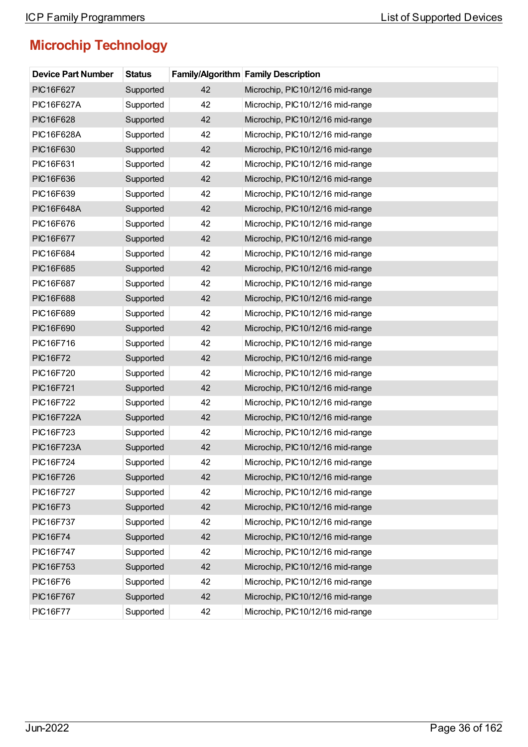| <b>Device Part Number</b> | <b>Status</b> |    | <b>Family/Algorithm Family Description</b> |
|---------------------------|---------------|----|--------------------------------------------|
| PIC16F627                 | Supported     | 42 | Microchip, PIC10/12/16 mid-range           |
| <b>PIC16F627A</b>         | Supported     | 42 | Microchip, PIC10/12/16 mid-range           |
| PIC16F628                 | Supported     | 42 | Microchip, PIC10/12/16 mid-range           |
| <b>PIC16F628A</b>         | Supported     | 42 | Microchip, PIC10/12/16 mid-range           |
| PIC16F630                 | Supported     | 42 | Microchip, PIC10/12/16 mid-range           |
| PIC16F631                 | Supported     | 42 | Microchip, PIC10/12/16 mid-range           |
| PIC16F636                 | Supported     | 42 | Microchip, PIC10/12/16 mid-range           |
| PIC16F639                 | Supported     | 42 | Microchip, PIC10/12/16 mid-range           |
| <b>PIC16F648A</b>         | Supported     | 42 | Microchip, PIC10/12/16 mid-range           |
| PIC16F676                 | Supported     | 42 | Microchip, PIC10/12/16 mid-range           |
| <b>PIC16F677</b>          | Supported     | 42 | Microchip, PIC10/12/16 mid-range           |
| PIC16F684                 | Supported     | 42 | Microchip, PIC10/12/16 mid-range           |
| PIC16F685                 | Supported     | 42 | Microchip, PIC10/12/16 mid-range           |
| PIC16F687                 | Supported     | 42 | Microchip, PIC10/12/16 mid-range           |
| PIC16F688                 | Supported     | 42 | Microchip, PIC10/12/16 mid-range           |
| PIC16F689                 | Supported     | 42 | Microchip, PIC10/12/16 mid-range           |
| PIC16F690                 | Supported     | 42 | Microchip, PIC10/12/16 mid-range           |
| PIC16F716                 | Supported     | 42 | Microchip, PIC10/12/16 mid-range           |
| <b>PIC16F72</b>           | Supported     | 42 | Microchip, PIC10/12/16 mid-range           |
| PIC16F720                 | Supported     | 42 | Microchip, PIC10/12/16 mid-range           |
| <b>PIC16F721</b>          | Supported     | 42 | Microchip, PIC10/12/16 mid-range           |
| PIC16F722                 | Supported     | 42 | Microchip, PIC10/12/16 mid-range           |
| <b>PIC16F722A</b>         | Supported     | 42 | Microchip, PIC10/12/16 mid-range           |
| PIC16F723                 | Supported     | 42 | Microchip, PIC10/12/16 mid-range           |
| <b>PIC16F723A</b>         | Supported     | 42 | Microchip, PIC10/12/16 mid-range           |
| PIC16F724                 | Supported     | 42 | Microchip, PIC10/12/16 mid-range           |
| <b>PIC16F726</b>          | Supported     | 42 | Microchip, PIC10/12/16 mid-range           |
| <b>PIC16F727</b>          | Supported     | 42 | Microchip, PIC10/12/16 mid-range           |
| <b>PIC16F73</b>           | Supported     | 42 | Microchip, PIC10/12/16 mid-range           |
| PIC16F737                 | Supported     | 42 | Microchip, PIC10/12/16 mid-range           |
| <b>PIC16F74</b>           | Supported     | 42 | Microchip, PIC10/12/16 mid-range           |
| <b>PIC16F747</b>          | Supported     | 42 | Microchip, PIC10/12/16 mid-range           |
| PIC16F753                 | Supported     | 42 | Microchip, PIC10/12/16 mid-range           |
| <b>PIC16F76</b>           | Supported     | 42 | Microchip, PIC10/12/16 mid-range           |
| <b>PIC16F767</b>          | Supported     | 42 | Microchip, PIC10/12/16 mid-range           |
| <b>PIC16F77</b>           | Supported     | 42 | Microchip, PIC10/12/16 mid-range           |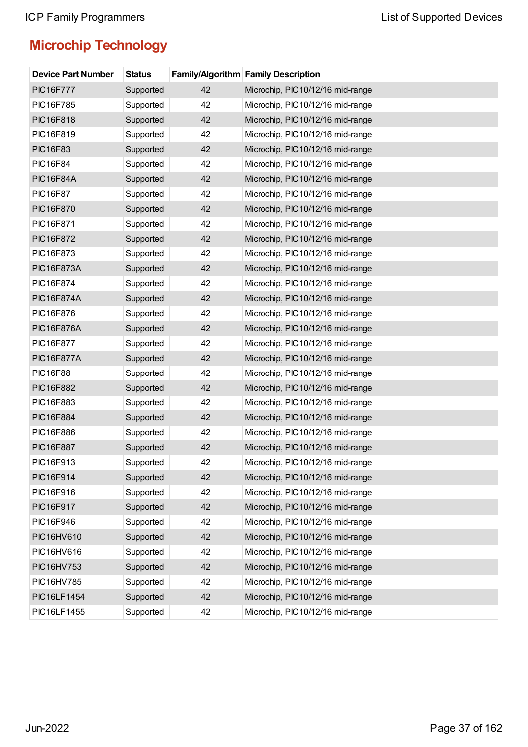| <b>Device Part Number</b> | <b>Status</b> |    | <b>Family/Algorithm Family Description</b> |
|---------------------------|---------------|----|--------------------------------------------|
| <b>PIC16F777</b>          | Supported     | 42 | Microchip, PIC10/12/16 mid-range           |
| PIC16F785                 | Supported     | 42 | Microchip, PIC10/12/16 mid-range           |
| PIC16F818                 | Supported     | 42 | Microchip, PIC10/12/16 mid-range           |
| PIC16F819                 | Supported     | 42 | Microchip, PIC10/12/16 mid-range           |
| <b>PIC16F83</b>           | Supported     | 42 | Microchip, PIC10/12/16 mid-range           |
| <b>PIC16F84</b>           | Supported     | 42 | Microchip, PIC10/12/16 mid-range           |
| <b>PIC16F84A</b>          | Supported     | 42 | Microchip, PIC10/12/16 mid-range           |
| <b>PIC16F87</b>           | Supported     | 42 | Microchip, PIC10/12/16 mid-range           |
| <b>PIC16F870</b>          | Supported     | 42 | Microchip, PIC10/12/16 mid-range           |
| PIC16F871                 | Supported     | 42 | Microchip, PIC10/12/16 mid-range           |
| <b>PIC16F872</b>          | Supported     | 42 | Microchip, PIC10/12/16 mid-range           |
| PIC16F873                 | Supported     | 42 | Microchip, PIC10/12/16 mid-range           |
| <b>PIC16F873A</b>         | Supported     | 42 | Microchip, PIC10/12/16 mid-range           |
| PIC16F874                 | Supported     | 42 | Microchip, PIC10/12/16 mid-range           |
| <b>PIC16F874A</b>         | Supported     | 42 | Microchip, PIC10/12/16 mid-range           |
| PIC16F876                 | Supported     | 42 | Microchip, PIC10/12/16 mid-range           |
| <b>PIC16F876A</b>         | Supported     | 42 | Microchip, PIC10/12/16 mid-range           |
| PIC16F877                 | Supported     | 42 | Microchip, PIC10/12/16 mid-range           |
| <b>PIC16F877A</b>         | Supported     | 42 | Microchip, PIC10/12/16 mid-range           |
| <b>PIC16F88</b>           | Supported     | 42 | Microchip, PIC10/12/16 mid-range           |
| PIC16F882                 | Supported     | 42 | Microchip, PIC10/12/16 mid-range           |
| PIC16F883                 | Supported     | 42 | Microchip, PIC10/12/16 mid-range           |
| PIC16F884                 | Supported     | 42 | Microchip, PIC10/12/16 mid-range           |
| PIC16F886                 | Supported     | 42 | Microchip, PIC10/12/16 mid-range           |
| <b>PIC16F887</b>          | Supported     | 42 | Microchip, PIC10/12/16 mid-range           |
| PIC16F913                 | Supported     | 42 | Microchip, PIC10/12/16 mid-range           |
| PIC16F914                 | Supported     | 42 | Microchip, PIC10/12/16 mid-range           |
| PIC16F916                 | Supported     | 42 | Microchip, PIC10/12/16 mid-range           |
| PIC16F917                 | Supported     | 42 | Microchip, PIC10/12/16 mid-range           |
| PIC16F946                 | Supported     | 42 | Microchip, PIC10/12/16 mid-range           |
| PIC16HV610                | Supported     | 42 | Microchip, PIC10/12/16 mid-range           |
| PIC16HV616                | Supported     | 42 | Microchip, PIC10/12/16 mid-range           |
| PIC16HV753                | Supported     | 42 | Microchip, PIC10/12/16 mid-range           |
| PIC16HV785                | Supported     | 42 | Microchip, PIC10/12/16 mid-range           |
| PIC16LF1454               | Supported     | 42 | Microchip, PIC10/12/16 mid-range           |
| PIC16LF1455               | Supported     | 42 | Microchip, PIC10/12/16 mid-range           |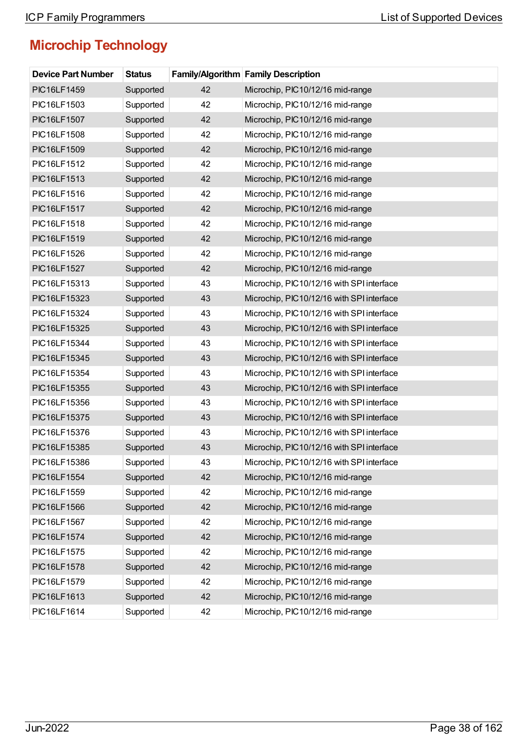| <b>Device Part Number</b> | <b>Status</b> |    | <b>Family/Algorithm Family Description</b> |
|---------------------------|---------------|----|--------------------------------------------|
| PIC16LF1459               | Supported     | 42 | Microchip, PIC10/12/16 mid-range           |
| PIC16LF1503               | Supported     | 42 | Microchip, PIC10/12/16 mid-range           |
| PIC16LF1507               | Supported     | 42 | Microchip, PIC10/12/16 mid-range           |
| PIC16LF1508               | Supported     | 42 | Microchip, PIC10/12/16 mid-range           |
| PIC16LF1509               | Supported     | 42 | Microchip, PIC10/12/16 mid-range           |
| PIC16LF1512               | Supported     | 42 | Microchip, PIC10/12/16 mid-range           |
| PIC16LF1513               | Supported     | 42 | Microchip, PIC10/12/16 mid-range           |
| PIC16LF1516               | Supported     | 42 | Microchip, PIC10/12/16 mid-range           |
| PIC16LF1517               | Supported     | 42 | Microchip, PIC10/12/16 mid-range           |
| PIC16LF1518               | Supported     | 42 | Microchip, PIC10/12/16 mid-range           |
| PIC16LF1519               | Supported     | 42 | Microchip, PIC10/12/16 mid-range           |
| PIC16LF1526               | Supported     | 42 | Microchip, PIC10/12/16 mid-range           |
| PIC16LF1527               | Supported     | 42 | Microchip, PIC10/12/16 mid-range           |
| PIC16LF15313              | Supported     | 43 | Microchip, PIC10/12/16 with SPI interface  |
| PIC16LF15323              | Supported     | 43 | Microchip, PIC10/12/16 with SPI interface  |
| PIC16LF15324              | Supported     | 43 | Microchip, PIC10/12/16 with SPI interface  |
| PIC16LF15325              | Supported     | 43 | Microchip, PIC10/12/16 with SPI interface  |
| PIC16LF15344              | Supported     | 43 | Microchip, PIC10/12/16 with SPI interface  |
| PIC16LF15345              | Supported     | 43 | Microchip, PIC10/12/16 with SPI interface  |
| PIC16LF15354              | Supported     | 43 | Microchip, PIC10/12/16 with SPI interface  |
| PIC16LF15355              | Supported     | 43 | Microchip, PIC10/12/16 with SPI interface  |
| PIC16LF15356              | Supported     | 43 | Microchip, PIC10/12/16 with SPI interface  |
| PIC16LF15375              | Supported     | 43 | Microchip, PIC10/12/16 with SPI interface  |
| PIC16LF15376              | Supported     | 43 | Microchip, PIC10/12/16 with SPI interface  |
| PIC16LF15385              | Supported     | 43 | Microchip, PIC10/12/16 with SPI interface  |
| PIC16LF15386              | Supported     | 43 | Microchip, PIC10/12/16 with SPI interface  |
| PIC16LF1554               | Supported     | 42 | Microchip, PIC10/12/16 mid-range           |
| PIC16LF1559               | Supported     | 42 | Microchip, PIC10/12/16 mid-range           |
| PIC16LF1566               | Supported     | 42 | Microchip, PIC10/12/16 mid-range           |
| PIC16LF1567               | Supported     | 42 | Microchip, PIC10/12/16 mid-range           |
| PIC16LF1574               | Supported     | 42 | Microchip, PIC10/12/16 mid-range           |
| PIC16LF1575               | Supported     | 42 | Microchip, PIC10/12/16 mid-range           |
| PIC16LF1578               | Supported     | 42 | Microchip, PIC10/12/16 mid-range           |
| PIC16LF1579               | Supported     | 42 | Microchip, PIC10/12/16 mid-range           |
| PIC16LF1613               | Supported     | 42 | Microchip, PIC10/12/16 mid-range           |
| PIC16LF1614               | Supported     | 42 | Microchip, PIC10/12/16 mid-range           |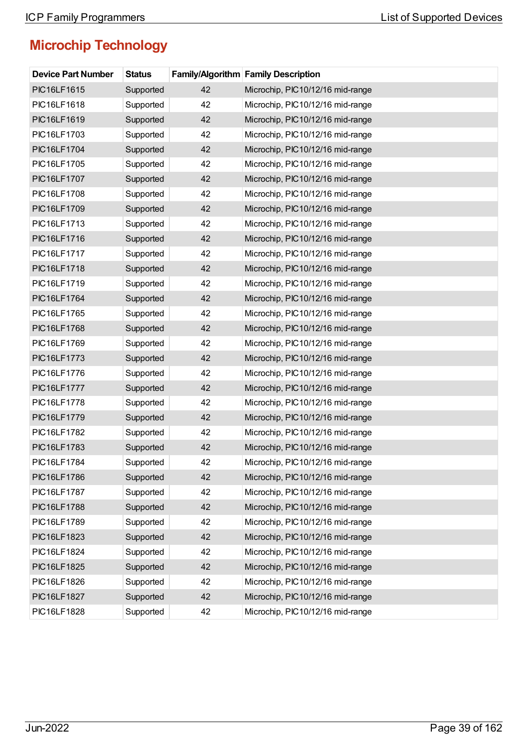| <b>Device Part Number</b> | <b>Status</b> |    | <b>Family/Algorithm Family Description</b> |
|---------------------------|---------------|----|--------------------------------------------|
| PIC16LF1615               | Supported     | 42 | Microchip, PIC10/12/16 mid-range           |
| PIC16LF1618               | Supported     | 42 | Microchip, PIC10/12/16 mid-range           |
| PIC16LF1619               | Supported     | 42 | Microchip, PIC10/12/16 mid-range           |
| PIC16LF1703               | Supported     | 42 | Microchip, PIC10/12/16 mid-range           |
| PIC16LF1704               | Supported     | 42 | Microchip, PIC10/12/16 mid-range           |
| PIC16LF1705               | Supported     | 42 | Microchip, PIC10/12/16 mid-range           |
| PIC16LF1707               | Supported     | 42 | Microchip, PIC10/12/16 mid-range           |
| PIC16LF1708               | Supported     | 42 | Microchip, PIC10/12/16 mid-range           |
| PIC16LF1709               | Supported     | 42 | Microchip, PIC10/12/16 mid-range           |
| PIC16LF1713               | Supported     | 42 | Microchip, PIC10/12/16 mid-range           |
| PIC16LF1716               | Supported     | 42 | Microchip, PIC10/12/16 mid-range           |
| PIC16LF1717               | Supported     | 42 | Microchip, PIC10/12/16 mid-range           |
| PIC16LF1718               | Supported     | 42 | Microchip, PIC10/12/16 mid-range           |
| PIC16LF1719               | Supported     | 42 | Microchip, PIC10/12/16 mid-range           |
| PIC16LF1764               | Supported     | 42 | Microchip, PIC10/12/16 mid-range           |
| PIC16LF1765               | Supported     | 42 | Microchip, PIC10/12/16 mid-range           |
| PIC16LF1768               | Supported     | 42 | Microchip, PIC10/12/16 mid-range           |
| PIC16LF1769               | Supported     | 42 | Microchip, PIC10/12/16 mid-range           |
| PIC16LF1773               | Supported     | 42 | Microchip, PIC10/12/16 mid-range           |
| PIC16LF1776               | Supported     | 42 | Microchip, PIC10/12/16 mid-range           |
| <b>PIC16LF1777</b>        | Supported     | 42 | Microchip, PIC10/12/16 mid-range           |
| PIC16LF1778               | Supported     | 42 | Microchip, PIC10/12/16 mid-range           |
| PIC16LF1779               | Supported     | 42 | Microchip, PIC10/12/16 mid-range           |
| PIC16LF1782               | Supported     | 42 | Microchip, PIC10/12/16 mid-range           |
| PIC16LF1783               | Supported     | 42 | Microchip, PIC10/12/16 mid-range           |
| PIC16LF1784               | Supported     | 42 | Microchip, PIC10/12/16 mid-range           |
| PIC16LF1786               | Supported     | 42 | Microchip, PIC10/12/16 mid-range           |
| PIC16LF1787               | Supported     | 42 | Microchip, PIC10/12/16 mid-range           |
| PIC16LF1788               | Supported     | 42 | Microchip, PIC10/12/16 mid-range           |
| PIC16LF1789               | Supported     | 42 | Microchip, PIC10/12/16 mid-range           |
| PIC16LF1823               | Supported     | 42 | Microchip, PIC10/12/16 mid-range           |
| PIC16LF1824               | Supported     | 42 | Microchip, PIC10/12/16 mid-range           |
| PIC16LF1825               | Supported     | 42 | Microchip, PIC10/12/16 mid-range           |
| PIC16LF1826               | Supported     | 42 | Microchip, PIC10/12/16 mid-range           |
| PIC16LF1827               | Supported     | 42 | Microchip, PIC10/12/16 mid-range           |
| PIC16LF1828               | Supported     | 42 | Microchip, PIC10/12/16 mid-range           |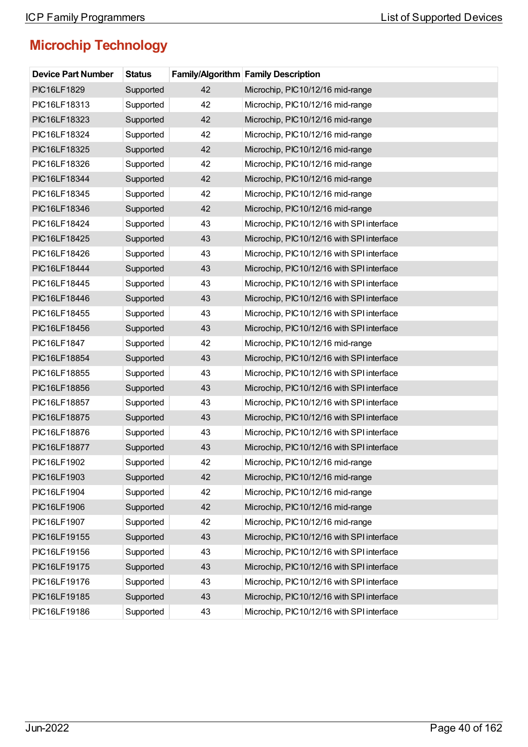| <b>Device Part Number</b> | <b>Status</b> |    | <b>Family/Algorithm Family Description</b> |
|---------------------------|---------------|----|--------------------------------------------|
| PIC16LF1829               | Supported     | 42 | Microchip, PIC10/12/16 mid-range           |
| PIC16LF18313              | Supported     | 42 | Microchip, PIC10/12/16 mid-range           |
| PIC16LF18323              | Supported     | 42 | Microchip, PIC10/12/16 mid-range           |
| PIC16LF18324              | Supported     | 42 | Microchip, PIC10/12/16 mid-range           |
| PIC16LF18325              | Supported     | 42 | Microchip, PIC10/12/16 mid-range           |
| PIC16LF18326              | Supported     | 42 | Microchip, PIC10/12/16 mid-range           |
| PIC16LF18344              | Supported     | 42 | Microchip, PIC10/12/16 mid-range           |
| PIC16LF18345              | Supported     | 42 | Microchip, PIC10/12/16 mid-range           |
| PIC16LF18346              | Supported     | 42 | Microchip, PIC10/12/16 mid-range           |
| PIC16LF18424              | Supported     | 43 | Microchip, PIC10/12/16 with SPI interface  |
| PIC16LF18425              | Supported     | 43 | Microchip, PIC10/12/16 with SPI interface  |
| PIC16LF18426              | Supported     | 43 | Microchip, PIC10/12/16 with SPI interface  |
| PIC16LF18444              | Supported     | 43 | Microchip, PIC10/12/16 with SPI interface  |
| PIC16LF18445              | Supported     | 43 | Microchip, PIC10/12/16 with SPI interface  |
| PIC16LF18446              | Supported     | 43 | Microchip, PIC10/12/16 with SPI interface  |
| PIC16LF18455              | Supported     | 43 | Microchip, PIC10/12/16 with SPI interface  |
| PIC16LF18456              | Supported     | 43 | Microchip, PIC10/12/16 with SPI interface  |
| PIC16LF1847               | Supported     | 42 | Microchip, PIC10/12/16 mid-range           |
| PIC16LF18854              | Supported     | 43 | Microchip, PIC10/12/16 with SPI interface  |
| PIC16LF18855              | Supported     | 43 | Microchip, PIC10/12/16 with SPI interface  |
| PIC16LF18856              | Supported     | 43 | Microchip, PIC10/12/16 with SPI interface  |
| PIC16LF18857              | Supported     | 43 | Microchip, PIC10/12/16 with SPI interface  |
| PIC16LF18875              | Supported     | 43 | Microchip, PIC10/12/16 with SPI interface  |
| PIC16LF18876              | Supported     | 43 | Microchip, PIC10/12/16 with SPI interface  |
| PIC16LF18877              | Supported     | 43 | Microchip, PIC10/12/16 with SPI interface  |
| PIC16LF1902               | Supported     | 42 | Microchip, PIC10/12/16 mid-range           |
| PIC16LF1903               | Supported     | 42 | Microchip, PIC10/12/16 mid-range           |
| PIC16LF1904               | Supported     | 42 | Microchip, PIC10/12/16 mid-range           |
| PIC16LF1906               | Supported     | 42 | Microchip, PIC10/12/16 mid-range           |
| PIC16LF1907               | Supported     | 42 | Microchip, PIC10/12/16 mid-range           |
| PIC16LF19155              | Supported     | 43 | Microchip, PIC10/12/16 with SPI interface  |
| PIC16LF19156              | Supported     | 43 | Microchip, PIC10/12/16 with SPI interface  |
| PIC16LF19175              | Supported     | 43 | Microchip, PIC10/12/16 with SPI interface  |
| PIC16LF19176              | Supported     | 43 | Microchip, PIC10/12/16 with SPI interface  |
| PIC16LF19185              | Supported     | 43 | Microchip, PIC10/12/16 with SPI interface  |
| PIC16LF19186              | Supported     | 43 | Microchip, PIC10/12/16 with SPI interface  |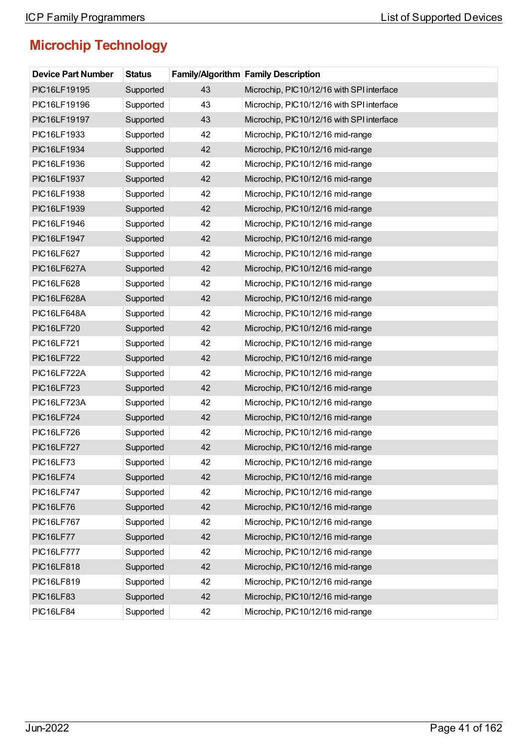| <b>Device Part Number</b> | <b>Status</b> |    | <b>Family/Algorithm Family Description</b> |
|---------------------------|---------------|----|--------------------------------------------|
| PIC16LF19195              | Supported     | 43 | Microchip, PIC10/12/16 with SPI interface  |
| PIC16LF19196              | Supported     | 43 | Microchip, PIC10/12/16 with SPI interface  |
| PIC16LF19197              | Supported     | 43 | Microchip, PIC10/12/16 with SPI interface  |
| PIC16LF1933               | Supported     | 42 | Microchip, PIC10/12/16 mid-range           |
| PIC16LF1934               | Supported     | 42 | Microchip, PIC10/12/16 mid-range           |
| PIC16LF1936               | Supported     | 42 | Microchip, PIC10/12/16 mid-range           |
| PIC16LF1937               | Supported     | 42 | Microchip, PIC10/12/16 mid-range           |
| PIC16LF1938               | Supported     | 42 | Microchip, PIC10/12/16 mid-range           |
| PIC16LF1939               | Supported     | 42 | Microchip, PIC10/12/16 mid-range           |
| PIC16LF1946               | Supported     | 42 | Microchip, PIC10/12/16 mid-range           |
| PIC16LF1947               | Supported     | 42 | Microchip, PIC10/12/16 mid-range           |
| <b>PIC16LF627</b>         | Supported     | 42 | Microchip, PIC10/12/16 mid-range           |
| PIC16LF627A               | Supported     | 42 | Microchip, PIC10/12/16 mid-range           |
| <b>PIC16LF628</b>         | Supported     | 42 | Microchip, PIC10/12/16 mid-range           |
| PIC16LF628A               | Supported     | 42 | Microchip, PIC10/12/16 mid-range           |
| PIC16LF648A               | Supported     | 42 | Microchip, PIC10/12/16 mid-range           |
| <b>PIC16LF720</b>         | Supported     | 42 | Microchip, PIC10/12/16 mid-range           |
| <b>PIC16LF721</b>         | Supported     | 42 | Microchip, PIC10/12/16 mid-range           |
| <b>PIC16LF722</b>         | Supported     | 42 | Microchip, PIC10/12/16 mid-range           |
| <b>PIC16LF722A</b>        | Supported     | 42 | Microchip, PIC10/12/16 mid-range           |
| <b>PIC16LF723</b>         | Supported     | 42 | Microchip, PIC10/12/16 mid-range           |
| PIC16LF723A               | Supported     | 42 | Microchip, PIC10/12/16 mid-range           |
| <b>PIC16LF724</b>         | Supported     | 42 | Microchip, PIC10/12/16 mid-range           |
| <b>PIC16LF726</b>         | Supported     | 42 | Microchip, PIC10/12/16 mid-range           |
| <b>PIC16LF727</b>         | Supported     | 42 | Microchip, PIC10/12/16 mid-range           |
| <b>PIC16LF73</b>          | Supported     | 42 | Microchip, PIC10/12/16 mid-range           |
| <b>PIC16LF74</b>          | Supported     | 42 | Microchip, PIC10/12/16 mid-range           |
| <b>PIC16LF747</b>         | Supported     | 42 | Microchip, PIC10/12/16 mid-range           |
| <b>PIC16LF76</b>          | Supported     | 42 | Microchip, PIC10/12/16 mid-range           |
| <b>PIC16LF767</b>         | Supported     | 42 | Microchip, PIC10/12/16 mid-range           |
| <b>PIC16LF77</b>          | Supported     | 42 | Microchip, PIC10/12/16 mid-range           |
| <b>PIC16LF777</b>         | Supported     | 42 | Microchip, PIC10/12/16 mid-range           |
| <b>PIC16LF818</b>         | Supported     | 42 | Microchip, PIC10/12/16 mid-range           |
| PIC16LF819                | Supported     | 42 | Microchip, PIC10/12/16 mid-range           |
| <b>PIC16LF83</b>          | Supported     | 42 | Microchip, PIC10/12/16 mid-range           |
| <b>PIC16LF84</b>          | Supported     | 42 | Microchip, PIC10/12/16 mid-range           |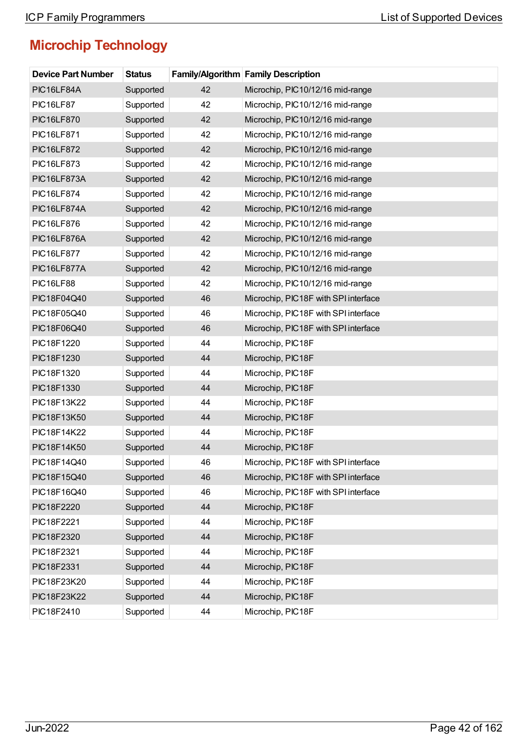| <b>Device Part Number</b> | <b>Status</b> |    | Family/Algorithm Family Description  |
|---------------------------|---------------|----|--------------------------------------|
| PIC16LF84A                | Supported     | 42 | Microchip, PIC10/12/16 mid-range     |
| <b>PIC16LF87</b>          | Supported     | 42 | Microchip, PIC10/12/16 mid-range     |
| <b>PIC16LF870</b>         | Supported     | 42 | Microchip, PIC10/12/16 mid-range     |
| <b>PIC16LF871</b>         | Supported     | 42 | Microchip, PIC10/12/16 mid-range     |
| <b>PIC16LF872</b>         | Supported     | 42 | Microchip, PIC10/12/16 mid-range     |
| PIC16LF873                | Supported     | 42 | Microchip, PIC10/12/16 mid-range     |
| PIC16LF873A               | Supported     | 42 | Microchip, PIC10/12/16 mid-range     |
| <b>PIC16LF874</b>         | Supported     | 42 | Microchip, PIC10/12/16 mid-range     |
| PIC16LF874A               | Supported     | 42 | Microchip, PIC10/12/16 mid-range     |
| <b>PIC16LF876</b>         | Supported     | 42 | Microchip, PIC10/12/16 mid-range     |
| PIC16LF876A               | Supported     | 42 | Microchip, PIC10/12/16 mid-range     |
| <b>PIC16LF877</b>         | Supported     | 42 | Microchip, PIC10/12/16 mid-range     |
| PIC16LF877A               | Supported     | 42 | Microchip, PIC10/12/16 mid-range     |
| <b>PIC16LF88</b>          | Supported     | 42 | Microchip, PIC10/12/16 mid-range     |
| PIC18F04Q40               | Supported     | 46 | Microchip, PIC18F with SPI interface |
| PIC18F05Q40               | Supported     | 46 | Microchip, PIC18F with SPI interface |
| PIC18F06Q40               | Supported     | 46 | Microchip, PIC18F with SPI interface |
| PIC18F1220                | Supported     | 44 | Microchip, PIC18F                    |
| PIC18F1230                | Supported     | 44 | Microchip, PIC18F                    |
| PIC18F1320                | Supported     | 44 | Microchip, PIC18F                    |
| PIC18F1330                | Supported     | 44 | Microchip, PIC18F                    |
| PIC18F13K22               | Supported     | 44 | Microchip, PIC18F                    |
| PIC18F13K50               | Supported     | 44 | Microchip, PIC18F                    |
| PIC18F14K22               | Supported     | 44 | Microchip, PIC18F                    |
| PIC18F14K50               | Supported     | 44 | Microchip, PIC18F                    |
| PIC18F14Q40               | Supported     | 46 | Microchip, PIC18F with SPI interface |
| PIC18F15Q40               | Supported     | 46 | Microchip, PIC18F with SPI interface |
| PIC18F16Q40               | Supported     | 46 | Microchip, PIC18F with SPI interface |
| PIC18F2220                | Supported     | 44 | Microchip, PIC18F                    |
| PIC18F2221                | Supported     | 44 | Microchip, PIC18F                    |
| PIC18F2320                | Supported     | 44 | Microchip, PIC18F                    |
| PIC18F2321                | Supported     | 44 | Microchip, PIC18F                    |
| PIC18F2331                | Supported     | 44 | Microchip, PIC18F                    |
| PIC18F23K20               | Supported     | 44 | Microchip, PIC18F                    |
| PIC18F23K22               | Supported     | 44 | Microchip, PIC18F                    |
| PIC18F2410                | Supported     | 44 | Microchip, PIC18F                    |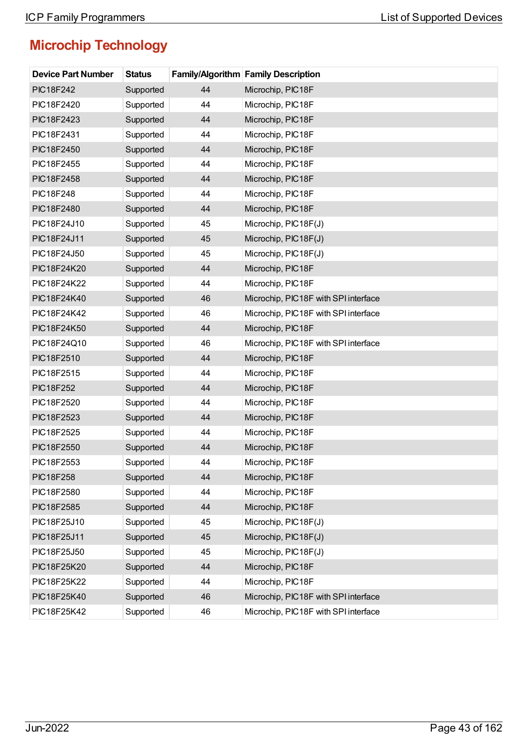| <b>Device Part Number</b> | <b>Status</b> |    | <b>Family/Algorithm Family Description</b> |
|---------------------------|---------------|----|--------------------------------------------|
| <b>PIC18F242</b>          | Supported     | 44 | Microchip, PIC18F                          |
| PIC18F2420                | Supported     | 44 | Microchip, PIC18F                          |
| PIC18F2423                | Supported     | 44 | Microchip, PIC18F                          |
| PIC18F2431                | Supported     | 44 | Microchip, PIC18F                          |
| PIC18F2450                | Supported     | 44 | Microchip, PIC18F                          |
| PIC18F2455                | Supported     | 44 | Microchip, PIC18F                          |
| PIC18F2458                | Supported     | 44 | Microchip, PIC18F                          |
| PIC18F248                 | Supported     | 44 | Microchip, PIC18F                          |
| PIC18F2480                | Supported     | 44 | Microchip, PIC18F                          |
| PIC18F24J10               | Supported     | 45 | Microchip, PIC18F(J)                       |
| PIC18F24J11               | Supported     | 45 | Microchip, PIC18F(J)                       |
| PIC18F24J50               | Supported     | 45 | Microchip, PIC18F(J)                       |
| PIC18F24K20               | Supported     | 44 | Microchip, PIC18F                          |
| PIC18F24K22               | Supported     | 44 | Microchip, PIC18F                          |
| PIC18F24K40               | Supported     | 46 | Microchip, PIC18F with SPI interface       |
| PIC18F24K42               | Supported     | 46 | Microchip, PIC18F with SPI interface       |
| PIC18F24K50               | Supported     | 44 | Microchip, PIC18F                          |
| PIC18F24Q10               | Supported     | 46 | Microchip, PIC18F with SPI interface       |
| PIC18F2510                | Supported     | 44 | Microchip, PIC18F                          |
| PIC18F2515                | Supported     | 44 | Microchip, PIC18F                          |
| <b>PIC18F252</b>          | Supported     | 44 | Microchip, PIC18F                          |
| PIC18F2520                | Supported     | 44 | Microchip, PIC18F                          |
| PIC18F2523                | Supported     | 44 | Microchip, PIC18F                          |
| PIC18F2525                | Supported     | 44 | Microchip, PIC18F                          |
| PIC18F2550                | Supported     | 44 | Microchip, PIC18F                          |
| PIC18F2553                | Supported     | 44 | Microchip, PIC18F                          |
| PIC18F258                 | Supported     | 44 | Microchip, PIC18F                          |
| PIC18F2580                | Supported     | 44 | Microchip, PIC18F                          |
| PIC18F2585                | Supported     | 44 | Microchip, PIC18F                          |
| PIC18F25J10               | Supported     | 45 | Microchip, PIC18F(J)                       |
| PIC18F25J11               | Supported     | 45 | Microchip, PIC18F(J)                       |
| PIC18F25J50               | Supported     | 45 | Microchip, PIC18F(J)                       |
| PIC18F25K20               | Supported     | 44 | Microchip, PIC18F                          |
| PIC18F25K22               | Supported     | 44 | Microchip, PIC18F                          |
| PIC18F25K40               | Supported     | 46 | Microchip, PIC18F with SPI interface       |
| PIC18F25K42               | Supported     | 46 | Microchip, PIC18F with SPI interface       |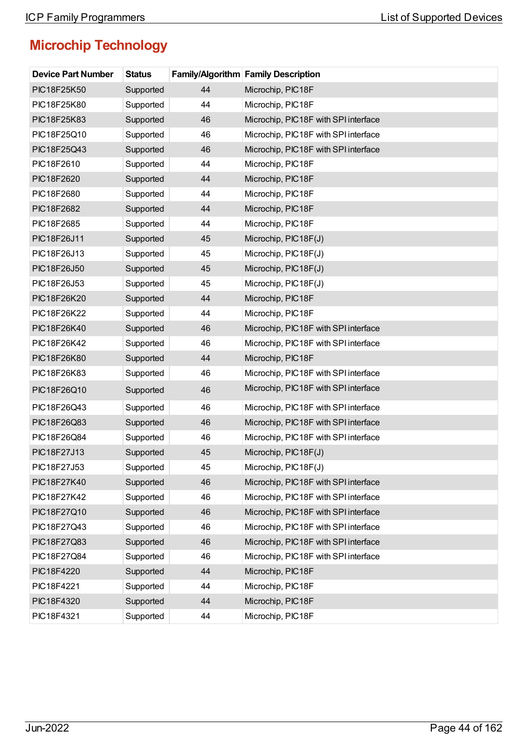| <b>Device Part Number</b> | <b>Status</b> |    | Family/Algorithm Family Description  |
|---------------------------|---------------|----|--------------------------------------|
| PIC18F25K50               | Supported     | 44 | Microchip, PIC18F                    |
| PIC18F25K80               | Supported     | 44 | Microchip, PIC18F                    |
| PIC18F25K83               | Supported     | 46 | Microchip, PIC18F with SPI interface |
| PIC18F25Q10               | Supported     | 46 | Microchip, PIC18F with SPI interface |
| PIC18F25Q43               | Supported     | 46 | Microchip, PIC18F with SPI interface |
| PIC18F2610                | Supported     | 44 | Microchip, PIC18F                    |
| PIC18F2620                | Supported     | 44 | Microchip, PIC18F                    |
| PIC18F2680                | Supported     | 44 | Microchip, PIC18F                    |
| PIC18F2682                | Supported     | 44 | Microchip, PIC18F                    |
| PIC18F2685                | Supported     | 44 | Microchip, PIC18F                    |
| PIC18F26J11               | Supported     | 45 | Microchip, PIC18F(J)                 |
| PIC18F26J13               | Supported     | 45 | Microchip, PIC18F(J)                 |
| PIC18F26J50               | Supported     | 45 | Microchip, PIC18F(J)                 |
| PIC18F26J53               | Supported     | 45 | Microchip, PIC18F(J)                 |
| PIC18F26K20               | Supported     | 44 | Microchip, PIC18F                    |
| PIC18F26K22               | Supported     | 44 | Microchip, PIC18F                    |
| PIC18F26K40               | Supported     | 46 | Microchip, PIC18F with SPI interface |
| PIC18F26K42               | Supported     | 46 | Microchip, PIC18F with SPI interface |
| PIC18F26K80               | Supported     | 44 | Microchip, PIC18F                    |
| PIC18F26K83               | Supported     | 46 | Microchip, PIC18F with SPI interface |
| PIC18F26Q10               | Supported     | 46 | Microchip, PIC18F with SPI interface |
| PIC18F26Q43               | Supported     | 46 | Microchip, PIC18F with SPI interface |
| PIC18F26Q83               | Supported     | 46 | Microchip, PIC18F with SPI interface |
| PIC18F26Q84               | Supported     | 46 | Microchip, PIC18F with SPI interface |
| PIC18F27J13               | Supported     | 45 | Microchip, PIC18F(J)                 |
| PIC18F27J53               | Supported     | 45 | Microchip, PIC18F(J)                 |
| PIC18F27K40               | Supported     | 46 | Microchip, PIC18F with SPI interface |
| PIC18F27K42               | Supported     | 46 | Microchip, PIC18F with SPI interface |
| PIC18F27Q10               | Supported     | 46 | Microchip, PIC18F with SPI interface |
| PIC18F27Q43               | Supported     | 46 | Microchip, PIC18F with SPI interface |
| PIC18F27Q83               | Supported     | 46 | Microchip, PIC18F with SPI interface |
| PIC18F27Q84               | Supported     | 46 | Microchip, PIC18F with SPI interface |
| PIC18F4220                | Supported     | 44 | Microchip, PIC18F                    |
| PIC18F4221                | Supported     | 44 | Microchip, PIC18F                    |
| PIC18F4320                | Supported     | 44 | Microchip, PIC18F                    |
| PIC18F4321                | Supported     | 44 | Microchip, PIC18F                    |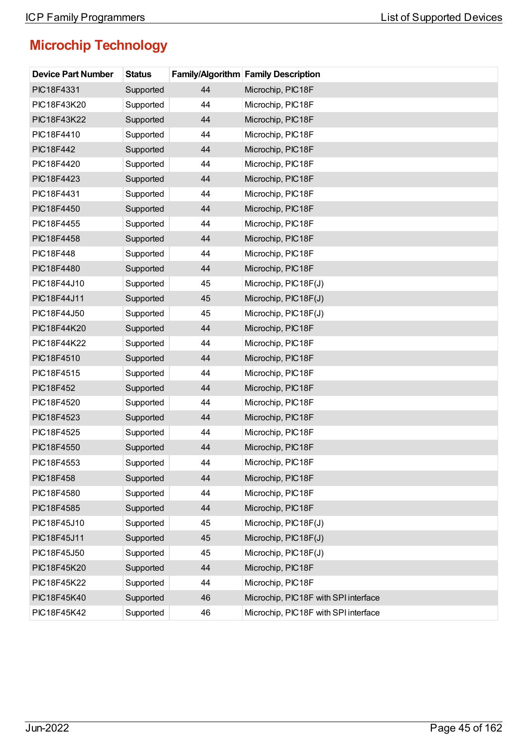| <b>Device Part Number</b> | <b>Status</b> |    | <b>Family/Algorithm Family Description</b> |
|---------------------------|---------------|----|--------------------------------------------|
| PIC18F4331                | Supported     | 44 | Microchip, PIC18F                          |
| PIC18F43K20               | Supported     | 44 | Microchip, PIC18F                          |
| PIC18F43K22               | Supported     | 44 | Microchip, PIC18F                          |
| PIC18F4410                | Supported     | 44 | Microchip, PIC18F                          |
| <b>PIC18F442</b>          | Supported     | 44 | Microchip, PIC18F                          |
| PIC18F4420                | Supported     | 44 | Microchip, PIC18F                          |
| PIC18F4423                | Supported     | 44 | Microchip, PIC18F                          |
| PIC18F4431                | Supported     | 44 | Microchip, PIC18F                          |
| PIC18F4450                | Supported     | 44 | Microchip, PIC18F                          |
| PIC18F4455                | Supported     | 44 | Microchip, PIC18F                          |
| PIC18F4458                | Supported     | 44 | Microchip, PIC18F                          |
| <b>PIC18F448</b>          | Supported     | 44 | Microchip, PIC18F                          |
| PIC18F4480                | Supported     | 44 | Microchip, PIC18F                          |
| PIC18F44J10               | Supported     | 45 | Microchip, PIC18F(J)                       |
| PIC18F44J11               | Supported     | 45 | Microchip, PIC18F(J)                       |
| PIC18F44J50               | Supported     | 45 | Microchip, PIC18F(J)                       |
| PIC18F44K20               | Supported     | 44 | Microchip, PIC18F                          |
| PIC18F44K22               | Supported     | 44 | Microchip, PIC18F                          |
| PIC18F4510                | Supported     | 44 | Microchip, PIC18F                          |
| PIC18F4515                | Supported     | 44 | Microchip, PIC18F                          |
| <b>PIC18F452</b>          | Supported     | 44 | Microchip, PIC18F                          |
| PIC18F4520                | Supported     | 44 | Microchip, PIC18F                          |
| PIC18F4523                | Supported     | 44 | Microchip, PIC18F                          |
| PIC18F4525                | Supported     | 44 | Microchip, PIC18F                          |
| PIC18F4550                | Supported     | 44 | Microchip, PIC18F                          |
| PIC18F4553                | Supported     | 44 | Microchip, PIC18F                          |
| <b>PIC18F458</b>          | Supported     | 44 | Microchip, PIC18F                          |
| PIC18F4580                | Supported     | 44 | Microchip, PIC18F                          |
| PIC18F4585                | Supported     | 44 | Microchip, PIC18F                          |
| PIC18F45J10               | Supported     | 45 | Microchip, PIC18F(J)                       |
| PIC18F45J11               | Supported     | 45 | Microchip, PIC18F(J)                       |
| PIC18F45J50               | Supported     | 45 | Microchip, PIC18F(J)                       |
| PIC18F45K20               | Supported     | 44 | Microchip, PIC18F                          |
| PIC18F45K22               | Supported     | 44 | Microchip, PIC18F                          |
| PIC18F45K40               | Supported     | 46 | Microchip, PIC18F with SPI interface       |
| PIC18F45K42               | Supported     | 46 | Microchip, PIC18F with SPI interface       |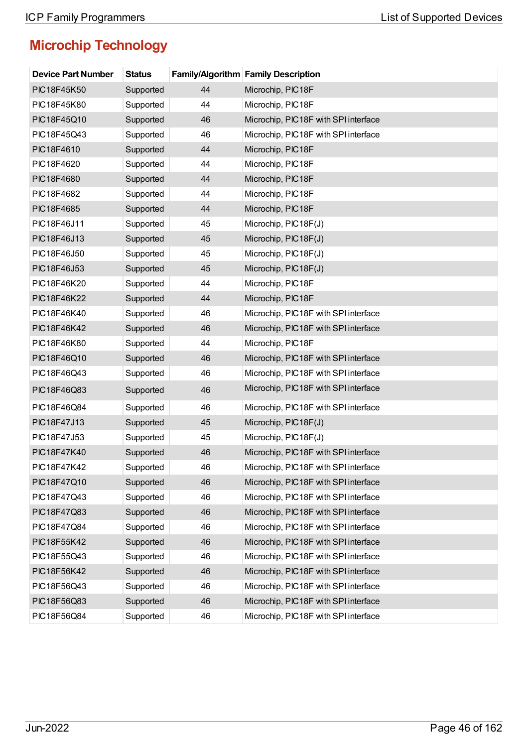| <b>Device Part Number</b> | <b>Status</b> |    | Family/Algorithm Family Description  |
|---------------------------|---------------|----|--------------------------------------|
| PIC18F45K50               | Supported     | 44 | Microchip, PIC18F                    |
| PIC18F45K80               | Supported     | 44 | Microchip, PIC18F                    |
| PIC18F45Q10               | Supported     | 46 | Microchip, PIC18F with SPI interface |
| PIC18F45Q43               | Supported     | 46 | Microchip, PIC18F with SPI interface |
| PIC18F4610                | Supported     | 44 | Microchip, PIC18F                    |
| PIC18F4620                | Supported     | 44 | Microchip, PIC18F                    |
| PIC18F4680                | Supported     | 44 | Microchip, PIC18F                    |
| PIC18F4682                | Supported     | 44 | Microchip, PIC18F                    |
| PIC18F4685                | Supported     | 44 | Microchip, PIC18F                    |
| PIC18F46J11               | Supported     | 45 | Microchip, PIC18F(J)                 |
| PIC18F46J13               | Supported     | 45 | Microchip, PIC18F(J)                 |
| PIC18F46J50               | Supported     | 45 | Microchip, PIC18F(J)                 |
| PIC18F46J53               | Supported     | 45 | Microchip, PIC18F(J)                 |
| PIC18F46K20               | Supported     | 44 | Microchip, PIC18F                    |
| PIC18F46K22               | Supported     | 44 | Microchip, PIC18F                    |
| PIC18F46K40               | Supported     | 46 | Microchip, PIC18F with SPI interface |
| PIC18F46K42               | Supported     | 46 | Microchip, PIC18F with SPI interface |
| PIC18F46K80               | Supported     | 44 | Microchip, PIC18F                    |
| PIC18F46Q10               | Supported     | 46 | Microchip, PIC18F with SPI interface |
| PIC18F46Q43               | Supported     | 46 | Microchip, PIC18F with SPI interface |
| PIC18F46Q83               | Supported     | 46 | Microchip, PIC18F with SPI interface |
| PIC18F46Q84               | Supported     | 46 | Microchip, PIC18F with SPI interface |
| PIC18F47J13               | Supported     | 45 | Microchip, PIC18F(J)                 |
| PIC18F47J53               | Supported     | 45 | Microchip, PIC18F(J)                 |
| PIC18F47K40               | Supported     | 46 | Microchip, PIC18F with SPI interface |
| PIC18F47K42               | Supported     | 46 | Microchip, PIC18F with SPI interface |
| PIC18F47Q10               | Supported     | 46 | Microchip, PIC18F with SPI interface |
| PIC18F47Q43               | Supported     | 46 | Microchip, PIC18F with SPI interface |
| PIC18F47Q83               | Supported     | 46 | Microchip, PIC18F with SPI interface |
| PIC18F47Q84               | Supported     | 46 | Microchip, PIC18F with SPI interface |
| PIC18F55K42               | Supported     | 46 | Microchip, PIC18F with SPI interface |
| PIC18F55Q43               | Supported     | 46 | Microchip, PIC18F with SPI interface |
| PIC18F56K42               | Supported     | 46 | Microchip, PIC18F with SPI interface |
| PIC18F56Q43               | Supported     | 46 | Microchip, PIC18F with SPI interface |
| PIC18F56Q83               | Supported     | 46 | Microchip, PIC18F with SPI interface |
| PIC18F56Q84               | Supported     | 46 | Microchip, PIC18F with SPI interface |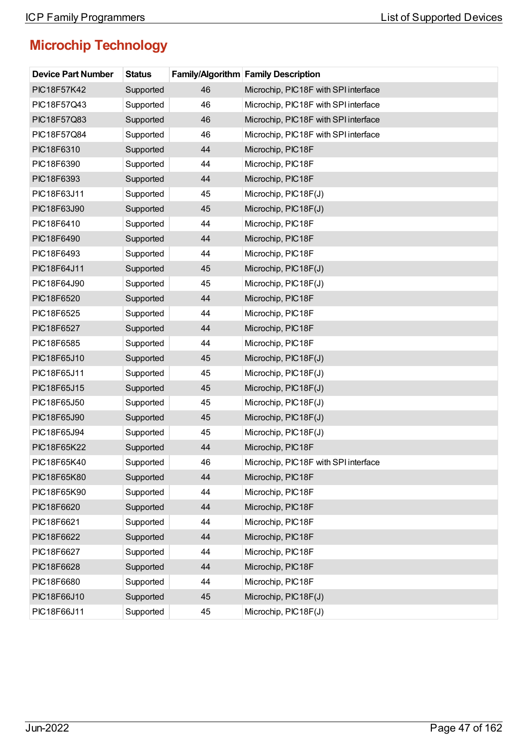| <b>Device Part Number</b> | <b>Status</b> |    | <b>Family/Algorithm Family Description</b> |
|---------------------------|---------------|----|--------------------------------------------|
| PIC18F57K42               | Supported     | 46 | Microchip, PIC18F with SPI interface       |
| PIC18F57Q43               | Supported     | 46 | Microchip, PIC18F with SPI interface       |
| PIC18F57Q83               | Supported     | 46 | Microchip, PIC18F with SPI interface       |
| PIC18F57Q84               | Supported     | 46 | Microchip, PIC18F with SPI interface       |
| PIC18F6310                | Supported     | 44 | Microchip, PIC18F                          |
| PIC18F6390                | Supported     | 44 | Microchip, PIC18F                          |
| PIC18F6393                | Supported     | 44 | Microchip, PIC18F                          |
| PIC18F63J11               | Supported     | 45 | Microchip, PIC18F(J)                       |
| PIC18F63J90               | Supported     | 45 | Microchip, PIC18F(J)                       |
| PIC18F6410                | Supported     | 44 | Microchip, PIC18F                          |
| PIC18F6490                | Supported     | 44 | Microchip, PIC18F                          |
| PIC18F6493                | Supported     | 44 | Microchip, PIC18F                          |
| PIC18F64J11               | Supported     | 45 | Microchip, PIC18F(J)                       |
| PIC18F64J90               | Supported     | 45 | Microchip, PIC18F(J)                       |
| PIC18F6520                | Supported     | 44 | Microchip, PIC18F                          |
| PIC18F6525                | Supported     | 44 | Microchip, PIC18F                          |
| PIC18F6527                | Supported     | 44 | Microchip, PIC18F                          |
| PIC18F6585                | Supported     | 44 | Microchip, PIC18F                          |
| PIC18F65J10               | Supported     | 45 | Microchip, PIC18F(J)                       |
| PIC18F65J11               | Supported     | 45 | Microchip, PIC18F(J)                       |
| PIC18F65J15               | Supported     | 45 | Microchip, PIC18F(J)                       |
| PIC18F65J50               | Supported     | 45 | Microchip, PIC18F(J)                       |
| PIC18F65J90               | Supported     | 45 | Microchip, PIC18F(J)                       |
| PIC18F65J94               | Supported     | 45 | Microchip, PIC18F(J)                       |
| PIC18F65K22               | Supported     | 44 | Microchip, PIC18F                          |
| PIC18F65K40               | Supported     | 46 | Microchip, PIC18F with SPI interface       |
| PIC18F65K80               | Supported     | 44 | Microchip, PIC18F                          |
| PIC18F65K90               | Supported     | 44 | Microchip, PIC18F                          |
| PIC18F6620                | Supported     | 44 | Microchip, PIC18F                          |
| PIC18F6621                | Supported     | 44 | Microchip, PIC18F                          |
| PIC18F6622                | Supported     | 44 | Microchip, PIC18F                          |
| PIC18F6627                | Supported     | 44 | Microchip, PIC18F                          |
| PIC18F6628                | Supported     | 44 | Microchip, PIC18F                          |
| PIC18F6680                | Supported     | 44 | Microchip, PIC18F                          |
| PIC18F66J10               | Supported     | 45 | Microchip, PIC18F(J)                       |
| PIC18F66J11               | Supported     | 45 | Microchip, PIC18F(J)                       |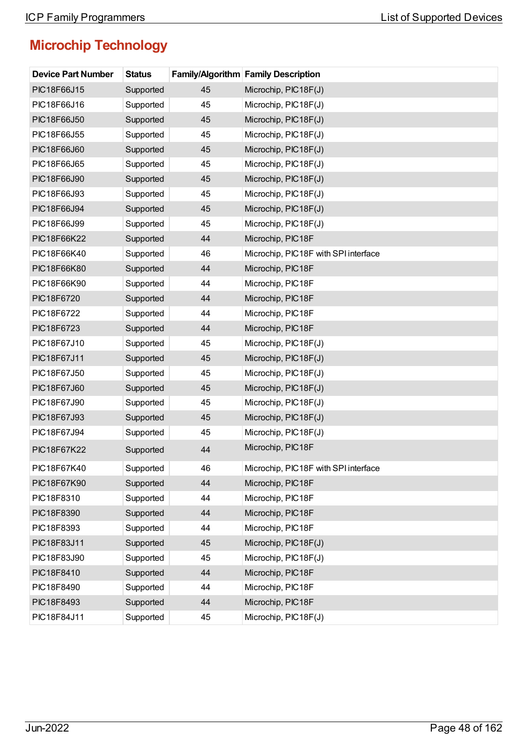| <b>Device Part Number</b> | <b>Status</b> |    | <b>Family/Algorithm Family Description</b> |
|---------------------------|---------------|----|--------------------------------------------|
| PIC18F66J15               | Supported     | 45 | Microchip, PIC18F(J)                       |
| PIC18F66J16               | Supported     | 45 | Microchip, PIC18F(J)                       |
| PIC18F66J50               | Supported     | 45 | Microchip, PIC18F(J)                       |
| PIC18F66J55               | Supported     | 45 | Microchip, PIC18F(J)                       |
| PIC18F66J60               | Supported     | 45 | Microchip, PIC18F(J)                       |
| PIC18F66J65               | Supported     | 45 | Microchip, PIC18F(J)                       |
| PIC18F66J90               | Supported     | 45 | Microchip, PIC18F(J)                       |
| PIC18F66J93               | Supported     | 45 | Microchip, PIC18F(J)                       |
| PIC18F66J94               | Supported     | 45 | Microchip, PIC18F(J)                       |
| PIC18F66J99               | Supported     | 45 | Microchip, PIC18F(J)                       |
| PIC18F66K22               | Supported     | 44 | Microchip, PIC18F                          |
| PIC18F66K40               | Supported     | 46 | Microchip, PIC18F with SPI interface       |
| PIC18F66K80               | Supported     | 44 | Microchip, PIC18F                          |
| PIC18F66K90               | Supported     | 44 | Microchip, PIC18F                          |
| PIC18F6720                | Supported     | 44 | Microchip, PIC18F                          |
| PIC18F6722                | Supported     | 44 | Microchip, PIC18F                          |
| PIC18F6723                | Supported     | 44 | Microchip, PIC18F                          |
| PIC18F67J10               | Supported     | 45 | Microchip, PIC18F(J)                       |
| PIC18F67J11               | Supported     | 45 | Microchip, PIC18F(J)                       |
| PIC18F67J50               | Supported     | 45 | Microchip, PIC18F(J)                       |
| PIC18F67J60               | Supported     | 45 | Microchip, PIC18F(J)                       |
| PIC18F67J90               | Supported     | 45 | Microchip, PIC18F(J)                       |
| PIC18F67J93               | Supported     | 45 | Microchip, PIC18F(J)                       |
| PIC18F67J94               | Supported     | 45 | Microchip, PIC18F(J)                       |
| PIC18F67K22               | Supported     | 44 | Microchip, PIC18F                          |
| PIC18F67K40               | Supported     | 46 | Microchip, PIC18F with SPI interface       |
| PIC18F67K90               | Supported     | 44 | Microchip, PIC18F                          |
| PIC18F8310                | Supported     | 44 | Microchip, PIC18F                          |
| PIC18F8390                | Supported     | 44 | Microchip, PIC18F                          |
| PIC18F8393                | Supported     | 44 | Microchip, PIC18F                          |
| PIC18F83J11               | Supported     | 45 | Microchip, PIC18F(J)                       |
| PIC18F83J90               | Supported     | 45 | Microchip, PIC18F(J)                       |
| PIC18F8410                | Supported     | 44 | Microchip, PIC18F                          |
| PIC18F8490                | Supported     | 44 | Microchip, PIC18F                          |
| PIC18F8493                | Supported     | 44 | Microchip, PIC18F                          |
| PIC18F84J11               | Supported     | 45 | Microchip, PIC18F(J)                       |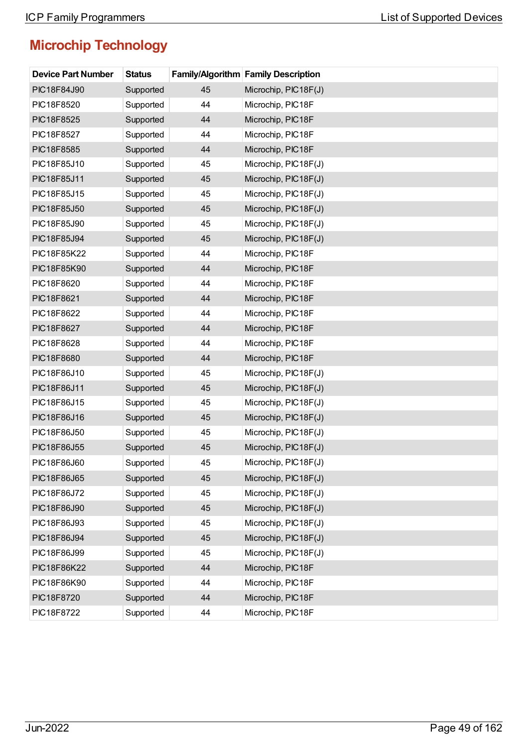| <b>Device Part Number</b> | <b>Status</b> |    | <b>Family/Algorithm Family Description</b> |
|---------------------------|---------------|----|--------------------------------------------|
| PIC18F84J90               | Supported     | 45 | Microchip, PIC18F(J)                       |
| PIC18F8520                | Supported     | 44 | Microchip, PIC18F                          |
| PIC18F8525                | Supported     | 44 | Microchip, PIC18F                          |
| PIC18F8527                | Supported     | 44 | Microchip, PIC18F                          |
| PIC18F8585                | Supported     | 44 | Microchip, PIC18F                          |
| PIC18F85J10               | Supported     | 45 | Microchip, PIC18F(J)                       |
| PIC18F85J11               | Supported     | 45 | Microchip, PIC18F(J)                       |
| PIC18F85J15               | Supported     | 45 | Microchip, PIC18F(J)                       |
| PIC18F85J50               | Supported     | 45 | Microchip, PIC18F(J)                       |
| PIC18F85J90               | Supported     | 45 | Microchip, PIC18F(J)                       |
| PIC18F85J94               | Supported     | 45 | Microchip, PIC18F(J)                       |
| PIC18F85K22               | Supported     | 44 | Microchip, PIC18F                          |
| PIC18F85K90               | Supported     | 44 | Microchip, PIC18F                          |
| PIC18F8620                | Supported     | 44 | Microchip, PIC18F                          |
| PIC18F8621                | Supported     | 44 | Microchip, PIC18F                          |
| PIC18F8622                | Supported     | 44 | Microchip, PIC18F                          |
| PIC18F8627                | Supported     | 44 | Microchip, PIC18F                          |
| PIC18F8628                | Supported     | 44 | Microchip, PIC18F                          |
| PIC18F8680                | Supported     | 44 | Microchip, PIC18F                          |
| PIC18F86J10               | Supported     | 45 | Microchip, PIC18F(J)                       |
| PIC18F86J11               | Supported     | 45 | Microchip, PIC18F(J)                       |
| PIC18F86J15               | Supported     | 45 | Microchip, PIC18F(J)                       |
| PIC18F86J16               | Supported     | 45 | Microchip, PIC18F(J)                       |
| PIC18F86J50               | Supported     | 45 | Microchip, PIC18F(J)                       |
| PIC18F86J55               | Supported     | 45 | Microchip, PIC18F(J)                       |
| PIC18F86J60               | Supported     | 45 | Microchip, PIC18F(J)                       |
| PIC18F86J65               | Supported     | 45 | Microchip, PIC18F(J)                       |
| PIC18F86J72               | Supported     | 45 | Microchip, PIC18F(J)                       |
| PIC18F86J90               | Supported     | 45 | Microchip, PIC18F(J)                       |
| PIC18F86J93               | Supported     | 45 | Microchip, PIC18F(J)                       |
| PIC18F86J94               | Supported     | 45 | Microchip, PIC18F(J)                       |
| PIC18F86J99               | Supported     | 45 | Microchip, PIC18F(J)                       |
| PIC18F86K22               | Supported     | 44 | Microchip, PIC18F                          |
| PIC18F86K90               | Supported     | 44 | Microchip, PIC18F                          |
| PIC18F8720                | Supported     | 44 | Microchip, PIC18F                          |
| PIC18F8722                | Supported     | 44 | Microchip, PIC18F                          |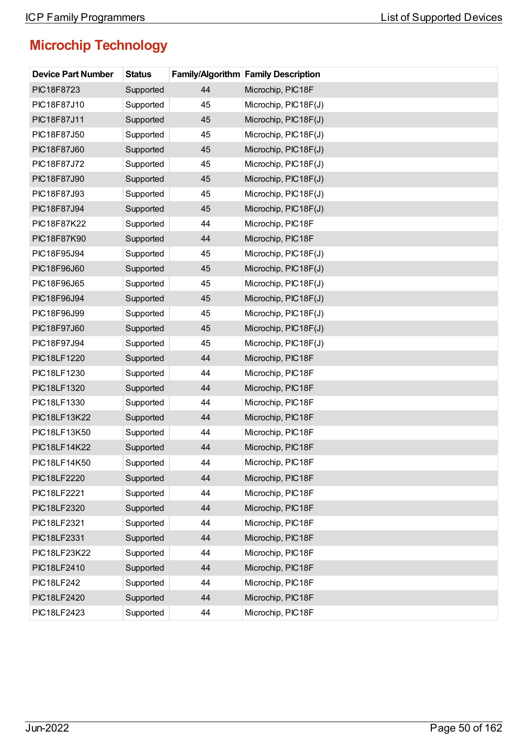| <b>Device Part Number</b> | <b>Status</b> |    | <b>Family/Algorithm Family Description</b> |
|---------------------------|---------------|----|--------------------------------------------|
| PIC18F8723                | Supported     | 44 | Microchip, PIC18F                          |
| PIC18F87J10               | Supported     | 45 | Microchip, PIC18F(J)                       |
| PIC18F87J11               | Supported     | 45 | Microchip, PIC18F(J)                       |
| PIC18F87J50               | Supported     | 45 | Microchip, PIC18F(J)                       |
| PIC18F87J60               | Supported     | 45 | Microchip, PIC18F(J)                       |
| PIC18F87J72               | Supported     | 45 | Microchip, PIC18F(J)                       |
| PIC18F87J90               | Supported     | 45 | Microchip, PIC18F(J)                       |
| PIC18F87J93               | Supported     | 45 | Microchip, PIC18F(J)                       |
| PIC18F87J94               | Supported     | 45 | Microchip, PIC18F(J)                       |
| PIC18F87K22               | Supported     | 44 | Microchip, PIC18F                          |
| PIC18F87K90               | Supported     | 44 | Microchip, PIC18F                          |
| PIC18F95J94               | Supported     | 45 | Microchip, PIC18F(J)                       |
| PIC18F96J60               | Supported     | 45 | Microchip, PIC18F(J)                       |
| PIC18F96J65               | Supported     | 45 | Microchip, PIC18F(J)                       |
| PIC18F96J94               | Supported     | 45 | Microchip, PIC18F(J)                       |
| PIC18F96J99               | Supported     | 45 | Microchip, PIC18F(J)                       |
| PIC18F97J60               | Supported     | 45 | Microchip, PIC18F(J)                       |
| PIC18F97J94               | Supported     | 45 | Microchip, PIC18F(J)                       |
| PIC18LF1220               | Supported     | 44 | Microchip, PIC18F                          |
| PIC18LF1230               | Supported     | 44 | Microchip, PIC18F                          |
| PIC18LF1320               | Supported     | 44 | Microchip, PIC18F                          |
| PIC18LF1330               | Supported     | 44 | Microchip, PIC18F                          |
| PIC18LF13K22              | Supported     | 44 | Microchip, PIC18F                          |
| PIC18LF13K50              | Supported     | 44 | Microchip, PIC18F                          |
| PIC18LF14K22              | Supported     | 44 | Microchip, PIC18F                          |
| PIC18LF14K50              | Supported     | 44 | Microchip, PIC18F                          |
| PIC18LF2220               | Supported     | 44 | Microchip, PIC18F                          |
| PIC18LF2221               | Supported     | 44 | Microchip, PIC18F                          |
| PIC18LF2320               | Supported     | 44 | Microchip, PIC18F                          |
| PIC18LF2321               | Supported     | 44 | Microchip, PIC18F                          |
| PIC18LF2331               | Supported     | 44 | Microchip, PIC18F                          |
| PIC18LF23K22              | Supported     | 44 | Microchip, PIC18F                          |
| PIC18LF2410               | Supported     | 44 | Microchip, PIC18F                          |
| <b>PIC18LF242</b>         | Supported     | 44 | Microchip, PIC18F                          |
| PIC18LF2420               | Supported     | 44 | Microchip, PIC18F                          |
| PIC18LF2423               | Supported     | 44 | Microchip, PIC18F                          |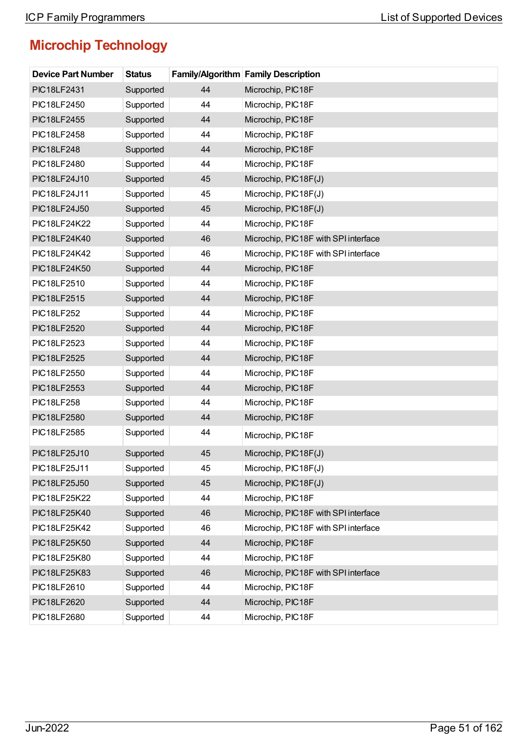| <b>Device Part Number</b> | <b>Status</b> |    | <b>Family/Algorithm Family Description</b> |
|---------------------------|---------------|----|--------------------------------------------|
| PIC18LF2431               | Supported     | 44 | Microchip, PIC18F                          |
| PIC18LF2450               | Supported     | 44 | Microchip, PIC18F                          |
| PIC18LF2455               | Supported     | 44 | Microchip, PIC18F                          |
| PIC18LF2458               | Supported     | 44 | Microchip, PIC18F                          |
| <b>PIC18LF248</b>         | Supported     | 44 | Microchip, PIC18F                          |
| PIC18LF2480               | Supported     | 44 | Microchip, PIC18F                          |
| PIC18LF24J10              | Supported     | 45 | Microchip, PIC18F(J)                       |
| PIC18LF24J11              | Supported     | 45 | Microchip, PIC18F(J)                       |
| PIC18LF24J50              | Supported     | 45 | Microchip, PIC18F(J)                       |
| PIC18LF24K22              | Supported     | 44 | Microchip, PIC18F                          |
| PIC18LF24K40              | Supported     | 46 | Microchip, PIC18F with SPI interface       |
| PIC18LF24K42              | Supported     | 46 | Microchip, PIC18F with SPI interface       |
| PIC18LF24K50              | Supported     | 44 | Microchip, PIC18F                          |
| PIC18LF2510               | Supported     | 44 | Microchip, PIC18F                          |
| PIC18LF2515               | Supported     | 44 | Microchip, PIC18F                          |
| <b>PIC18LF252</b>         | Supported     | 44 | Microchip, PIC18F                          |
| PIC18LF2520               | Supported     | 44 | Microchip, PIC18F                          |
| PIC18LF2523               | Supported     | 44 | Microchip, PIC18F                          |
| <b>PIC18LF2525</b>        | Supported     | 44 | Microchip, PIC18F                          |
| PIC18LF2550               | Supported     | 44 | Microchip, PIC18F                          |
| PIC18LF2553               | Supported     | 44 | Microchip, PIC18F                          |
| <b>PIC18LF258</b>         | Supported     | 44 | Microchip, PIC18F                          |
| PIC18LF2580               | Supported     | 44 | Microchip, PIC18F                          |
| PIC18LF2585               | Supported     | 44 | Microchip, PIC18F                          |
| PIC18LF25J10              | Supported     | 45 | Microchip, PIC18F(J)                       |
| PIC18LF25J11              | Supported     | 45 | Microchip, PIC18F(J)                       |
| PIC18LF25J50              | Supported     | 45 | Microchip, PIC18F(J)                       |
| PIC18LF25K22              | Supported     | 44 | Microchip, PIC18F                          |
| PIC18LF25K40              | Supported     | 46 | Microchip, PIC18F with SPI interface       |
| PIC18LF25K42              | Supported     | 46 | Microchip, PIC18F with SPI interface       |
| PIC18LF25K50              | Supported     | 44 | Microchip, PIC18F                          |
| PIC18LF25K80              | Supported     | 44 | Microchip, PIC18F                          |
| PIC18LF25K83              | Supported     | 46 | Microchip, PIC18F with SPI interface       |
| PIC18LF2610               | Supported     | 44 | Microchip, PIC18F                          |
| PIC18LF2620               | Supported     | 44 | Microchip, PIC18F                          |
| PIC18LF2680               | Supported     | 44 | Microchip, PIC18F                          |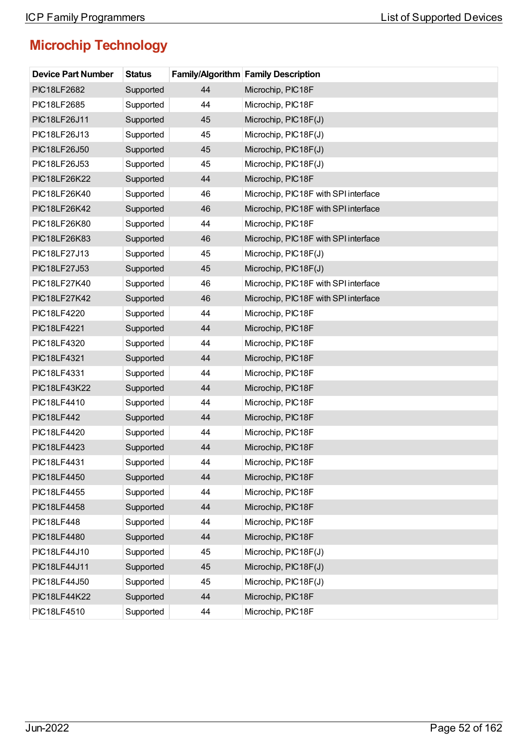| <b>Device Part Number</b> | <b>Status</b> |    | <b>Family/Algorithm Family Description</b> |
|---------------------------|---------------|----|--------------------------------------------|
| <b>PIC18LF2682</b>        | Supported     | 44 | Microchip, PIC18F                          |
| PIC18LF2685               | Supported     | 44 | Microchip, PIC18F                          |
| PIC18LF26J11              | Supported     | 45 | Microchip, PIC18F(J)                       |
| PIC18LF26J13              | Supported     | 45 | Microchip, PIC18F(J)                       |
| PIC18LF26J50              | Supported     | 45 | Microchip, PIC18F(J)                       |
| PIC18LF26J53              | Supported     | 45 | Microchip, PIC18F(J)                       |
| PIC18LF26K22              | Supported     | 44 | Microchip, PIC18F                          |
| PIC18LF26K40              | Supported     | 46 | Microchip, PIC18F with SPI interface       |
| PIC18LF26K42              | Supported     | 46 | Microchip, PIC18F with SPI interface       |
| PIC18LF26K80              | Supported     | 44 | Microchip, PIC18F                          |
| PIC18LF26K83              | Supported     | 46 | Microchip, PIC18F with SPI interface       |
| PIC18LF27J13              | Supported     | 45 | Microchip, PIC18F(J)                       |
| PIC18LF27J53              | Supported     | 45 | Microchip, PIC18F(J)                       |
| PIC18LF27K40              | Supported     | 46 | Microchip, PIC18F with SPI interface       |
| PIC18LF27K42              | Supported     | 46 | Microchip, PIC18F with SPI interface       |
| PIC18LF4220               | Supported     | 44 | Microchip, PIC18F                          |
| <b>PIC18LF4221</b>        | Supported     | 44 | Microchip, PIC18F                          |
| PIC18LF4320               | Supported     | 44 | Microchip, PIC18F                          |
| PIC18LF4321               | Supported     | 44 | Microchip, PIC18F                          |
| PIC18LF4331               | Supported     | 44 | Microchip, PIC18F                          |
| PIC18LF43K22              | Supported     | 44 | Microchip, PIC18F                          |
| PIC18LF4410               | Supported     | 44 | Microchip, PIC18F                          |
| <b>PIC18LF442</b>         | Supported     | 44 | Microchip, PIC18F                          |
| PIC18LF4420               | Supported     | 44 | Microchip, PIC18F                          |
| PIC18LF4423               | Supported     | 44 | Microchip, PIC18F                          |
| PIC18LF4431               | Supported     | 44 | Microchip, PIC18F                          |
| PIC18LF4450               | Supported     | 44 | Microchip, PIC18F                          |
| PIC18LF4455               | Supported     | 44 | Microchip, PIC18F                          |
| PIC18LF4458               | Supported     | 44 | Microchip, PIC18F                          |
| <b>PIC18LF448</b>         | Supported     | 44 | Microchip, PIC18F                          |
| <b>PIC18LF4480</b>        | Supported     | 44 | Microchip, PIC18F                          |
| PIC18LF44J10              | Supported     | 45 | Microchip, PIC18F(J)                       |
| PIC18LF44J11              | Supported     | 45 | Microchip, PIC18F(J)                       |
| PIC18LF44J50              | Supported     | 45 | Microchip, PIC18F(J)                       |
| PIC18LF44K22              | Supported     | 44 | Microchip, PIC18F                          |
| PIC18LF4510               | Supported     | 44 | Microchip, PIC18F                          |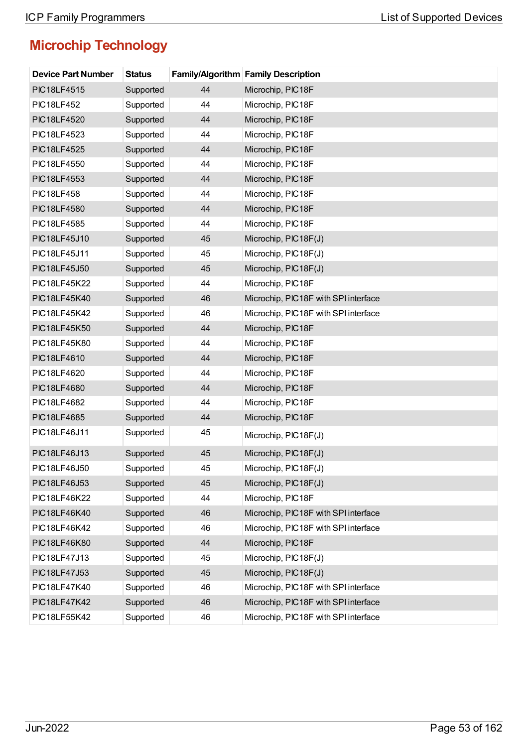| <b>Device Part Number</b> | <b>Status</b> |    | <b>Family/Algorithm Family Description</b> |
|---------------------------|---------------|----|--------------------------------------------|
| <b>PIC18LF4515</b>        | Supported     | 44 | Microchip, PIC18F                          |
| <b>PIC18LF452</b>         | Supported     | 44 | Microchip, PIC18F                          |
| <b>PIC18LF4520</b>        | Supported     | 44 | Microchip, PIC18F                          |
| PIC18LF4523               | Supported     | 44 | Microchip, PIC18F                          |
| <b>PIC18LF4525</b>        | Supported     | 44 | Microchip, PIC18F                          |
| PIC18LF4550               | Supported     | 44 | Microchip, PIC18F                          |
| PIC18LF4553               | Supported     | 44 | Microchip, PIC18F                          |
| <b>PIC18LF458</b>         | Supported     | 44 | Microchip, PIC18F                          |
| PIC18LF4580               | Supported     | 44 | Microchip, PIC18F                          |
| PIC18LF4585               | Supported     | 44 | Microchip, PIC18F                          |
| PIC18LF45J10              | Supported     | 45 | Microchip, PIC18F(J)                       |
| PIC18LF45J11              | Supported     | 45 | Microchip, PIC18F(J)                       |
| PIC18LF45J50              | Supported     | 45 | Microchip, PIC18F(J)                       |
| <b>PIC18LF45K22</b>       | Supported     | 44 | Microchip, PIC18F                          |
| PIC18LF45K40              | Supported     | 46 | Microchip, PIC18F with SPI interface       |
| PIC18LF45K42              | Supported     | 46 | Microchip, PIC18F with SPI interface       |
| PIC18LF45K50              | Supported     | 44 | Microchip, PIC18F                          |
| PIC18LF45K80              | Supported     | 44 | Microchip, PIC18F                          |
| PIC18LF4610               | Supported     | 44 | Microchip, PIC18F                          |
| PIC18LF4620               | Supported     | 44 | Microchip, PIC18F                          |
| <b>PIC18LF4680</b>        | Supported     | 44 | Microchip, PIC18F                          |
| PIC18LF4682               | Supported     | 44 | Microchip, PIC18F                          |
| PIC18LF4685               | Supported     | 44 | Microchip, PIC18F                          |
| PIC18LF46J11              | Supported     | 45 | Microchip, PIC18F(J)                       |
| PIC18LF46J13              | Supported     | 45 | Microchip, PIC18F(J)                       |
| PIC18LF46J50              | Supported     | 45 | Microchip, PIC18F(J)                       |
| PIC18LF46J53              | Supported     | 45 | Microchip, PIC18F(J)                       |
| PIC18LF46K22              | Supported     | 44 | Microchip, PIC18F                          |
| PIC18LF46K40              | Supported     | 46 | Microchip, PIC18F with SPI interface       |
| PIC18LF46K42              | Supported     | 46 | Microchip, PIC18F with SPI interface       |
| PIC18LF46K80              | Supported     | 44 | Microchip, PIC18F                          |
| PIC18LF47J13              | Supported     | 45 | Microchip, PIC18F(J)                       |
| PIC18LF47J53              | Supported     | 45 | Microchip, PIC18F(J)                       |
| PIC18LF47K40              | Supported     | 46 | Microchip, PIC18F with SPI interface       |
| <b>PIC18LF47K42</b>       | Supported     | 46 | Microchip, PIC18F with SPI interface       |
| PIC18LF55K42              | Supported     | 46 | Microchip, PIC18F with SPI interface       |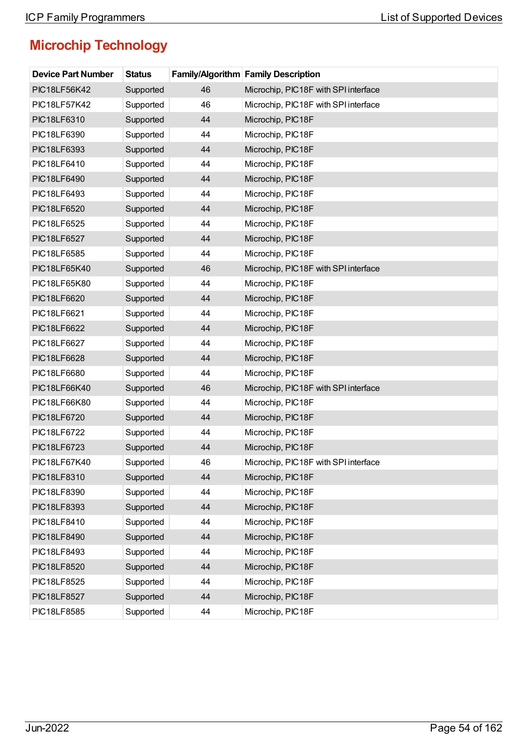| <b>Device Part Number</b> | <b>Status</b> |    | Family/Algorithm Family Description  |
|---------------------------|---------------|----|--------------------------------------|
| PIC18LF56K42              | Supported     | 46 | Microchip, PIC18F with SPI interface |
| PIC18LF57K42              | Supported     | 46 | Microchip, PIC18F with SPI interface |
| PIC18LF6310               | Supported     | 44 | Microchip, PIC18F                    |
| PIC18LF6390               | Supported     | 44 | Microchip, PIC18F                    |
| PIC18LF6393               | Supported     | 44 | Microchip, PIC18F                    |
| PIC18LF6410               | Supported     | 44 | Microchip, PIC18F                    |
| PIC18LF6490               | Supported     | 44 | Microchip, PIC18F                    |
| PIC18LF6493               | Supported     | 44 | Microchip, PIC18F                    |
| PIC18LF6520               | Supported     | 44 | Microchip, PIC18F                    |
| PIC18LF6525               | Supported     | 44 | Microchip, PIC18F                    |
| PIC18LF6527               | Supported     | 44 | Microchip, PIC18F                    |
| PIC18LF6585               | Supported     | 44 | Microchip, PIC18F                    |
| PIC18LF65K40              | Supported     | 46 | Microchip, PIC18F with SPI interface |
| PIC18LF65K80              | Supported     | 44 | Microchip, PIC18F                    |
| PIC18LF6620               | Supported     | 44 | Microchip, PIC18F                    |
| PIC18LF6621               | Supported     | 44 | Microchip, PIC18F                    |
| PIC18LF6622               | Supported     | 44 | Microchip, PIC18F                    |
| PIC18LF6627               | Supported     | 44 | Microchip, PIC18F                    |
| PIC18LF6628               | Supported     | 44 | Microchip, PIC18F                    |
| PIC18LF6680               | Supported     | 44 | Microchip, PIC18F                    |
| PIC18LF66K40              | Supported     | 46 | Microchip, PIC18F with SPI interface |
| PIC18LF66K80              | Supported     | 44 | Microchip, PIC18F                    |
| PIC18LF6720               | Supported     | 44 | Microchip, PIC18F                    |
| PIC18LF6722               | Supported     | 44 | Microchip, PIC18F                    |
| PIC18LF6723               | Supported     | 44 | Microchip, PIC18F                    |
| PIC18LF67K40              | Supported     | 46 | Microchip, PIC18F with SPI interface |
| PIC18LF8310               | Supported     | 44 | Microchip, PIC18F                    |
| PIC18LF8390               | Supported     | 44 | Microchip, PIC18F                    |
| PIC18LF8393               | Supported     | 44 | Microchip, PIC18F                    |
| PIC18LF8410               | Supported     | 44 | Microchip, PIC18F                    |
| PIC18LF8490               | Supported     | 44 | Microchip, PIC18F                    |
| PIC18LF8493               | Supported     | 44 | Microchip, PIC18F                    |
| PIC18LF8520               | Supported     | 44 | Microchip, PIC18F                    |
| PIC18LF8525               | Supported     | 44 | Microchip, PIC18F                    |
| <b>PIC18LF8527</b>        | Supported     | 44 | Microchip, PIC18F                    |
| PIC18LF8585               | Supported     | 44 | Microchip, PIC18F                    |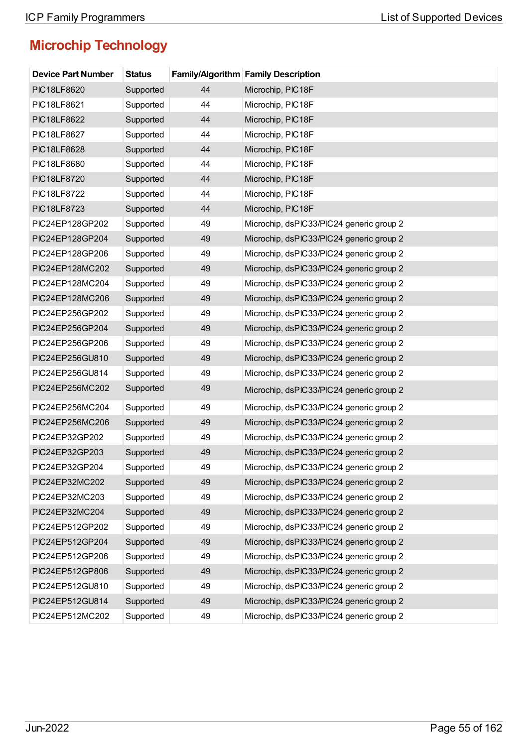| <b>Device Part Number</b> | <b>Status</b> |    | <b>Family/Algorithm Family Description</b> |
|---------------------------|---------------|----|--------------------------------------------|
| PIC18LF8620               | Supported     | 44 | Microchip, PIC18F                          |
| PIC18LF8621               | Supported     | 44 | Microchip, PIC18F                          |
| PIC18LF8622               | Supported     | 44 | Microchip, PIC18F                          |
| PIC18LF8627               | Supported     | 44 | Microchip, PIC18F                          |
| PIC18LF8628               | Supported     | 44 | Microchip, PIC18F                          |
| PIC18LF8680               | Supported     | 44 | Microchip, PIC18F                          |
| PIC18LF8720               | Supported     | 44 | Microchip, PIC18F                          |
| PIC18LF8722               | Supported     | 44 | Microchip, PIC18F                          |
| PIC18LF8723               | Supported     | 44 | Microchip, PIC18F                          |
| PIC24EP128GP202           | Supported     | 49 | Microchip, dsPIC33/PIC24 generic group 2   |
| PIC24EP128GP204           | Supported     | 49 | Microchip, dsPIC33/PIC24 generic group 2   |
| PIC24EP128GP206           | Supported     | 49 | Microchip, dsPIC33/PIC24 generic group 2   |
| PIC24EP128MC202           | Supported     | 49 | Microchip, dsPIC33/PIC24 generic group 2   |
| PIC24EP128MC204           | Supported     | 49 | Microchip, dsPIC33/PIC24 generic group 2   |
| PIC24EP128MC206           | Supported     | 49 | Microchip, dsPIC33/PIC24 generic group 2   |
| PIC24EP256GP202           | Supported     | 49 | Microchip, dsPIC33/PIC24 generic group 2   |
| PIC24EP256GP204           | Supported     | 49 | Microchip, dsPIC33/PIC24 generic group 2   |
| PIC24EP256GP206           | Supported     | 49 | Microchip, dsPIC33/PIC24 generic group 2   |
| PIC24EP256GU810           | Supported     | 49 | Microchip, dsPIC33/PIC24 generic group 2   |
| PIC24EP256GU814           | Supported     | 49 | Microchip, dsPIC33/PIC24 generic group 2   |
| PIC24EP256MC202           | Supported     | 49 | Microchip, dsPIC33/PIC24 generic group 2   |
| PIC24EP256MC204           | Supported     | 49 | Microchip, dsPIC33/PIC24 generic group 2   |
| PIC24EP256MC206           | Supported     | 49 | Microchip, dsPIC33/PIC24 generic group 2   |
| PIC24EP32GP202            | Supported     | 49 | Microchip, dsPIC33/PIC24 generic group 2   |
| PIC24EP32GP203            | Supported     | 49 | Microchip, dsPIC33/PIC24 generic group 2   |
| PIC24EP32GP204            | Supported     | 49 | Microchip, dsPIC33/PIC24 generic group 2   |
| PIC24EP32MC202            | Supported     | 49 | Microchip, dsPIC33/PIC24 generic group 2   |
| PIC24EP32MC203            | Supported     | 49 | Microchip, dsPIC33/PIC24 generic group 2   |
| PIC24EP32MC204            | Supported     | 49 | Microchip, dsPIC33/PIC24 generic group 2   |
| PIC24EP512GP202           | Supported     | 49 | Microchip, dsPIC33/PIC24 generic group 2   |
| PIC24EP512GP204           | Supported     | 49 | Microchip, dsPIC33/PIC24 generic group 2   |
| PIC24EP512GP206           | Supported     | 49 | Microchip, dsPIC33/PIC24 generic group 2   |
| PIC24EP512GP806           | Supported     | 49 | Microchip, dsPIC33/PIC24 generic group 2   |
| PIC24EP512GU810           | Supported     | 49 | Microchip, dsPIC33/PIC24 generic group 2   |
| PIC24EP512GU814           | Supported     | 49 | Microchip, dsPIC33/PIC24 generic group 2   |
| PIC24EP512MC202           | Supported     | 49 | Microchip, dsPIC33/PIC24 generic group 2   |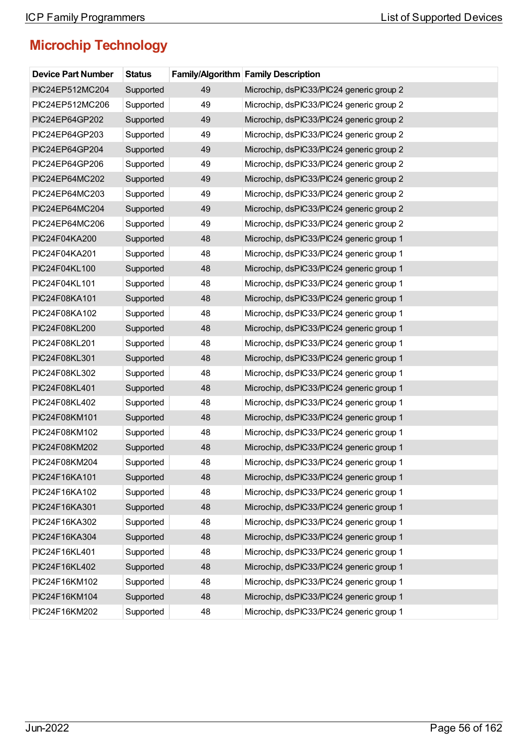| <b>Device Part Number</b> | <b>Status</b> |    | <b>Family/Algorithm Family Description</b> |
|---------------------------|---------------|----|--------------------------------------------|
| PIC24EP512MC204           | Supported     | 49 | Microchip, dsPIC33/PIC24 generic group 2   |
| PIC24EP512MC206           | Supported     | 49 | Microchip, dsPIC33/PIC24 generic group 2   |
| PIC24EP64GP202            | Supported     | 49 | Microchip, dsPIC33/PIC24 generic group 2   |
| PIC24EP64GP203            | Supported     | 49 | Microchip, dsPIC33/PIC24 generic group 2   |
| PIC24EP64GP204            | Supported     | 49 | Microchip, dsPIC33/PIC24 generic group 2   |
| PIC24EP64GP206            | Supported     | 49 | Microchip, dsPIC33/PIC24 generic group 2   |
| PIC24EP64MC202            | Supported     | 49 | Microchip, dsPIC33/PIC24 generic group 2   |
| PIC24EP64MC203            | Supported     | 49 | Microchip, dsPIC33/PIC24 generic group 2   |
| PIC24EP64MC204            | Supported     | 49 | Microchip, dsPIC33/PIC24 generic group 2   |
| PIC24EP64MC206            | Supported     | 49 | Microchip, dsPIC33/PIC24 generic group 2   |
| PIC24F04KA200             | Supported     | 48 | Microchip, dsPIC33/PIC24 generic group 1   |
| PIC24F04KA201             | Supported     | 48 | Microchip, dsPIC33/PIC24 generic group 1   |
| PIC24F04KL100             | Supported     | 48 | Microchip, dsPIC33/PIC24 generic group 1   |
| PIC24F04KL101             | Supported     | 48 | Microchip, dsPIC33/PIC24 generic group 1   |
| PIC24F08KA101             | Supported     | 48 | Microchip, dsPIC33/PIC24 generic group 1   |
| PIC24F08KA102             | Supported     | 48 | Microchip, dsPIC33/PIC24 generic group 1   |
| PIC24F08KL200             | Supported     | 48 | Microchip, dsPIC33/PIC24 generic group 1   |
| PIC24F08KL201             | Supported     | 48 | Microchip, dsPIC33/PIC24 generic group 1   |
| PIC24F08KL301             | Supported     | 48 | Microchip, dsPIC33/PIC24 generic group 1   |
| PIC24F08KL302             | Supported     | 48 | Microchip, dsPIC33/PIC24 generic group 1   |
| PIC24F08KL401             | Supported     | 48 | Microchip, dsPIC33/PIC24 generic group 1   |
| PIC24F08KL402             | Supported     | 48 | Microchip, dsPIC33/PIC24 generic group 1   |
| PIC24F08KM101             | Supported     | 48 | Microchip, dsPIC33/PIC24 generic group 1   |
| PIC24F08KM102             | Supported     | 48 | Microchip, dsPIC33/PIC24 generic group 1   |
| PIC24F08KM202             | Supported     | 48 | Microchip, dsPIC33/PIC24 generic group 1   |
| PIC24F08KM204             | Supported     | 48 | Microchip, dsPIC33/PIC24 generic group 1   |
| PIC24F16KA101             | Supported     | 48 | Microchip, dsPIC33/PIC24 generic group 1   |
| PIC24F16KA102             | Supported     | 48 | Microchip, dsPIC33/PIC24 generic group 1   |
| PIC24F16KA301             | Supported     | 48 | Microchip, dsPIC33/PIC24 generic group 1   |
| PIC24F16KA302             | Supported     | 48 | Microchip, dsPIC33/PIC24 generic group 1   |
| PIC24F16KA304             | Supported     | 48 | Microchip, dsPIC33/PIC24 generic group 1   |
| PIC24F16KL401             | Supported     | 48 | Microchip, dsPIC33/PIC24 generic group 1   |
| PIC24F16KL402             | Supported     | 48 | Microchip, dsPIC33/PIC24 generic group 1   |
| PIC24F16KM102             | Supported     | 48 | Microchip, dsPIC33/PIC24 generic group 1   |
| PIC24F16KM104             | Supported     | 48 | Microchip, dsPIC33/PIC24 generic group 1   |
| PIC24F16KM202             | Supported     | 48 | Microchip, dsPIC33/PIC24 generic group 1   |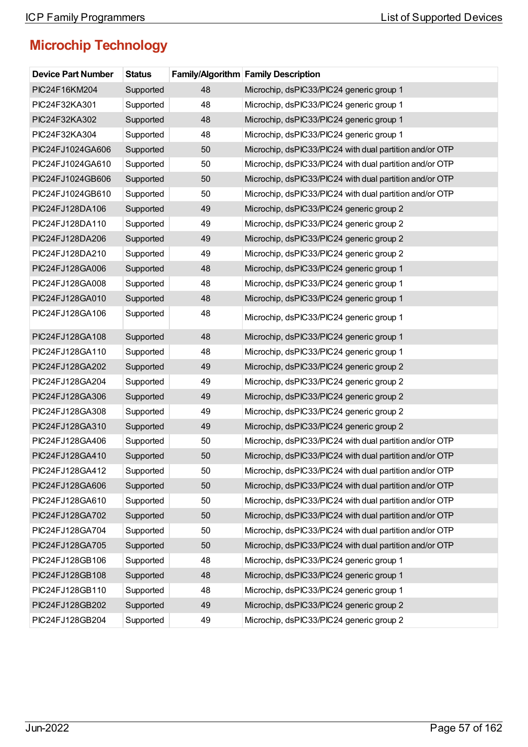| <b>Device Part Number</b> | <b>Status</b> |    | Family/Algorithm Family Description                     |
|---------------------------|---------------|----|---------------------------------------------------------|
| PIC24F16KM204             | Supported     | 48 | Microchip, dsPIC33/PIC24 generic group 1                |
| PIC24F32KA301             | Supported     | 48 | Microchip, dsPIC33/PIC24 generic group 1                |
| PIC24F32KA302             | Supported     | 48 | Microchip, dsPIC33/PIC24 generic group 1                |
| PIC24F32KA304             | Supported     | 48 | Microchip, dsPIC33/PIC24 generic group 1                |
| PIC24FJ1024GA606          | Supported     | 50 | Microchip, dsPIC33/PIC24 with dual partition and/or OTP |
| PIC24FJ1024GA610          | Supported     | 50 | Microchip, dsPIC33/PIC24 with dual partition and/or OTP |
| PIC24FJ1024GB606          | Supported     | 50 | Microchip, dsPIC33/PIC24 with dual partition and/or OTP |
| PIC24FJ1024GB610          | Supported     | 50 | Microchip, dsPIC33/PIC24 with dual partition and/or OTP |
| PIC24FJ128DA106           | Supported     | 49 | Microchip, dsPIC33/PIC24 generic group 2                |
| PIC24FJ128DA110           | Supported     | 49 | Microchip, dsPIC33/PIC24 generic group 2                |
| PIC24FJ128DA206           | Supported     | 49 | Microchip, dsPIC33/PIC24 generic group 2                |
| PIC24FJ128DA210           | Supported     | 49 | Microchip, dsPIC33/PIC24 generic group 2                |
| PIC24FJ128GA006           | Supported     | 48 | Microchip, dsPIC33/PIC24 generic group 1                |
| PIC24FJ128GA008           | Supported     | 48 | Microchip, dsPIC33/PIC24 generic group 1                |
| PIC24FJ128GA010           | Supported     | 48 | Microchip, dsPIC33/PIC24 generic group 1                |
| PIC24FJ128GA106           | Supported     | 48 | Microchip, dsPIC33/PIC24 generic group 1                |
| PIC24FJ128GA108           | Supported     | 48 | Microchip, dsPIC33/PIC24 generic group 1                |
| PIC24FJ128GA110           | Supported     | 48 | Microchip, dsPIC33/PIC24 generic group 1                |
| PIC24FJ128GA202           | Supported     | 49 | Microchip, dsPIC33/PIC24 generic group 2                |
| PIC24FJ128GA204           | Supported     | 49 | Microchip, dsPIC33/PIC24 generic group 2                |
| PIC24FJ128GA306           | Supported     | 49 | Microchip, dsPIC33/PIC24 generic group 2                |
| PIC24FJ128GA308           | Supported     | 49 | Microchip, dsPIC33/PIC24 generic group 2                |
| PIC24FJ128GA310           | Supported     | 49 | Microchip, dsPIC33/PIC24 generic group 2                |
| PIC24FJ128GA406           | Supported     | 50 | Microchip, dsPIC33/PIC24 with dual partition and/or OTP |
| PIC24FJ128GA410           | Supported     | 50 | Microchip, dsPIC33/PIC24 with dual partition and/or OTP |
| PIC24FJ128GA412           | Supported     | 50 | Microchip, dsPIC33/PIC24 with dual partition and/or OTP |
| PIC24FJ128GA606           | Supported     | 50 | Microchip, dsPIC33/PIC24 with dual partition and/or OTP |
| PIC24FJ128GA610           | Supported     | 50 | Microchip, dsPIC33/PIC24 with dual partition and/or OTP |
| PIC24FJ128GA702           | Supported     | 50 | Microchip, dsPIC33/PIC24 with dual partition and/or OTP |
| PIC24FJ128GA704           | Supported     | 50 | Microchip, dsPIC33/PIC24 with dual partition and/or OTP |
| PIC24FJ128GA705           | Supported     | 50 | Microchip, dsPIC33/PIC24 with dual partition and/or OTP |
| PIC24FJ128GB106           | Supported     | 48 | Microchip, dsPIC33/PIC24 generic group 1                |
| PIC24FJ128GB108           | Supported     | 48 | Microchip, dsPIC33/PIC24 generic group 1                |
| PIC24FJ128GB110           | Supported     | 48 | Microchip, dsPIC33/PIC24 generic group 1                |
| PIC24FJ128GB202           | Supported     | 49 | Microchip, dsPIC33/PIC24 generic group 2                |
| PIC24FJ128GB204           | Supported     | 49 | Microchip, dsPIC33/PIC24 generic group 2                |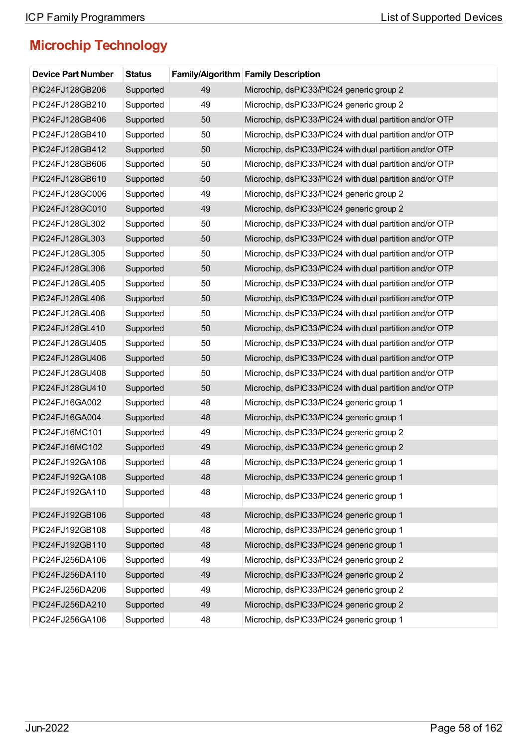| <b>Device Part Number</b> | <b>Status</b> |    | <b>Family/Algorithm Family Description</b>              |
|---------------------------|---------------|----|---------------------------------------------------------|
| PIC24FJ128GB206           | Supported     | 49 | Microchip, dsPIC33/PIC24 generic group 2                |
| PIC24FJ128GB210           | Supported     | 49 | Microchip, dsPIC33/PIC24 generic group 2                |
| PIC24FJ128GB406           | Supported     | 50 | Microchip, dsPIC33/PIC24 with dual partition and/or OTP |
| PIC24FJ128GB410           | Supported     | 50 | Microchip, dsPIC33/PIC24 with dual partition and/or OTP |
| PIC24FJ128GB412           | Supported     | 50 | Microchip, dsPIC33/PIC24 with dual partition and/or OTP |
| PIC24FJ128GB606           | Supported     | 50 | Microchip, dsPIC33/PIC24 with dual partition and/or OTP |
| PIC24FJ128GB610           | Supported     | 50 | Microchip, dsPIC33/PIC24 with dual partition and/or OTP |
| PIC24FJ128GC006           | Supported     | 49 | Microchip, dsPIC33/PIC24 generic group 2                |
| PIC24FJ128GC010           | Supported     | 49 | Microchip, dsPIC33/PIC24 generic group 2                |
| PIC24FJ128GL302           | Supported     | 50 | Microchip, dsPIC33/PIC24 with dual partition and/or OTP |
| PIC24FJ128GL303           | Supported     | 50 | Microchip, dsPIC33/PIC24 with dual partition and/or OTP |
| PIC24FJ128GL305           | Supported     | 50 | Microchip, dsPIC33/PIC24 with dual partition and/or OTP |
| PIC24FJ128GL306           | Supported     | 50 | Microchip, dsPIC33/PIC24 with dual partition and/or OTP |
| PIC24FJ128GL405           | Supported     | 50 | Microchip, dsPIC33/PIC24 with dual partition and/or OTP |
| PIC24FJ128GL406           | Supported     | 50 | Microchip, dsPIC33/PIC24 with dual partition and/or OTP |
| PIC24FJ128GL408           | Supported     | 50 | Microchip, dsPIC33/PIC24 with dual partition and/or OTP |
| PIC24FJ128GL410           | Supported     | 50 | Microchip, dsPIC33/PIC24 with dual partition and/or OTP |
| PIC24FJ128GU405           | Supported     | 50 | Microchip, dsPIC33/PIC24 with dual partition and/or OTP |
| PIC24FJ128GU406           | Supported     | 50 | Microchip, dsPIC33/PIC24 with dual partition and/or OTP |
| PIC24FJ128GU408           | Supported     | 50 | Microchip, dsPIC33/PIC24 with dual partition and/or OTP |
| PIC24FJ128GU410           | Supported     | 50 | Microchip, dsPIC33/PIC24 with dual partition and/or OTP |
| PIC24FJ16GA002            | Supported     | 48 | Microchip, dsPIC33/PIC24 generic group 1                |
| PIC24FJ16GA004            | Supported     | 48 | Microchip, dsPIC33/PIC24 generic group 1                |
| PIC24FJ16MC101            | Supported     | 49 | Microchip, dsPIC33/PIC24 generic group 2                |
| PIC24FJ16MC102            | Supported     | 49 | Microchip, dsPIC33/PIC24 generic group 2                |
| PIC24FJ192GA106           | Supported     | 48 | Microchip, dsPIC33/PIC24 generic group 1                |
| PIC24FJ192GA108           | Supported     | 48 | Microchip, dsPIC33/PIC24 generic group 1                |
| PIC24FJ192GA110           | Supported     | 48 | Microchip, dsPIC33/PIC24 generic group 1                |
| PIC24FJ192GB106           | Supported     | 48 | Microchip, dsPIC33/PIC24 generic group 1                |
| PIC24FJ192GB108           | Supported     | 48 | Microchip, dsPIC33/PIC24 generic group 1                |
| PIC24FJ192GB110           | Supported     | 48 | Microchip, dsPIC33/PIC24 generic group 1                |
| PIC24FJ256DA106           | Supported     | 49 | Microchip, dsPIC33/PIC24 generic group 2                |
| PIC24FJ256DA110           | Supported     | 49 | Microchip, dsPIC33/PIC24 generic group 2                |
| PIC24FJ256DA206           | Supported     | 49 | Microchip, dsPIC33/PIC24 generic group 2                |
| PIC24FJ256DA210           | Supported     | 49 | Microchip, dsPIC33/PIC24 generic group 2                |
| PIC24FJ256GA106           | Supported     | 48 | Microchip, dsPIC33/PIC24 generic group 1                |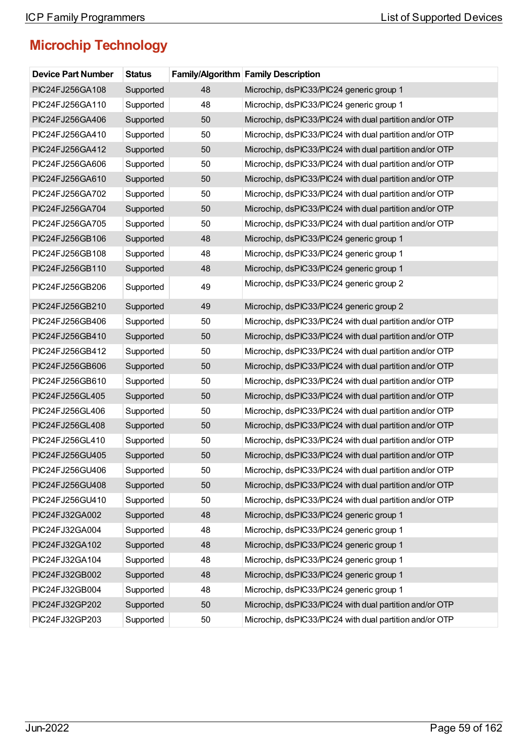| <b>Device Part Number</b> | <b>Status</b> |    | Family/Algorithm Family Description                     |
|---------------------------|---------------|----|---------------------------------------------------------|
| PIC24FJ256GA108           | Supported     | 48 | Microchip, dsPIC33/PIC24 generic group 1                |
| PIC24FJ256GA110           | Supported     | 48 | Microchip, dsPIC33/PIC24 generic group 1                |
| PIC24FJ256GA406           | Supported     | 50 | Microchip, dsPIC33/PIC24 with dual partition and/or OTP |
| PIC24FJ256GA410           | Supported     | 50 | Microchip, dsPIC33/PIC24 with dual partition and/or OTP |
| PIC24FJ256GA412           | Supported     | 50 | Microchip, dsPIC33/PIC24 with dual partition and/or OTP |
| PIC24FJ256GA606           | Supported     | 50 | Microchip, dsPIC33/PIC24 with dual partition and/or OTP |
| PIC24FJ256GA610           | Supported     | 50 | Microchip, dsPIC33/PIC24 with dual partition and/or OTP |
| PIC24FJ256GA702           | Supported     | 50 | Microchip, dsPIC33/PIC24 with dual partition and/or OTP |
| PIC24FJ256GA704           | Supported     | 50 | Microchip, dsPIC33/PIC24 with dual partition and/or OTP |
| PIC24FJ256GA705           | Supported     | 50 | Microchip, dsPIC33/PIC24 with dual partition and/or OTP |
| PIC24FJ256GB106           | Supported     | 48 | Microchip, dsPIC33/PIC24 generic group 1                |
| PIC24FJ256GB108           | Supported     | 48 | Microchip, dsPIC33/PIC24 generic group 1                |
| PIC24FJ256GB110           | Supported     | 48 | Microchip, dsPIC33/PIC24 generic group 1                |
| PIC24FJ256GB206           | Supported     | 49 | Microchip, dsPIC33/PIC24 generic group 2                |
| PIC24FJ256GB210           | Supported     | 49 | Microchip, dsPIC33/PIC24 generic group 2                |
| PIC24FJ256GB406           | Supported     | 50 | Microchip, dsPIC33/PIC24 with dual partition and/or OTP |
| PIC24FJ256GB410           | Supported     | 50 | Microchip, dsPIC33/PIC24 with dual partition and/or OTP |
| PIC24FJ256GB412           | Supported     | 50 | Microchip, dsPIC33/PIC24 with dual partition and/or OTP |
| PIC24FJ256GB606           | Supported     | 50 | Microchip, dsPIC33/PIC24 with dual partition and/or OTP |
| PIC24FJ256GB610           | Supported     | 50 | Microchip, dsPIC33/PIC24 with dual partition and/or OTP |
| PIC24FJ256GL405           | Supported     | 50 | Microchip, dsPIC33/PIC24 with dual partition and/or OTP |
| PIC24FJ256GL406           | Supported     | 50 | Microchip, dsPIC33/PIC24 with dual partition and/or OTP |
| PIC24FJ256GL408           | Supported     | 50 | Microchip, dsPIC33/PIC24 with dual partition and/or OTP |
| PIC24FJ256GL410           | Supported     | 50 | Microchip, dsPIC33/PIC24 with dual partition and/or OTP |
| PIC24FJ256GU405           | Supported     | 50 | Microchip, dsPIC33/PIC24 with dual partition and/or OTP |
| PIC24FJ256GU406           | Supported     | 50 | Microchip, dsPIC33/PIC24 with dual partition and/or OTP |
| PIC24FJ256GU408           | Supported     | 50 | Microchip, dsPIC33/PIC24 with dual partition and/or OTP |
| PIC24FJ256GU410           | Supported     | 50 | Microchip, dsPIC33/PIC24 with dual partition and/or OTP |
| PIC24FJ32GA002            | Supported     | 48 | Microchip, dsPIC33/PIC24 generic group 1                |
| PIC24FJ32GA004            | Supported     | 48 | Microchip, dsPIC33/PIC24 generic group 1                |
| PIC24FJ32GA102            | Supported     | 48 | Microchip, dsPIC33/PIC24 generic group 1                |
| PIC24FJ32GA104            | Supported     | 48 | Microchip, dsPIC33/PIC24 generic group 1                |
| PIC24FJ32GB002            | Supported     | 48 | Microchip, dsPIC33/PIC24 generic group 1                |
| PIC24FJ32GB004            | Supported     | 48 | Microchip, dsPIC33/PIC24 generic group 1                |
| PIC24FJ32GP202            | Supported     | 50 | Microchip, dsPIC33/PIC24 with dual partition and/or OTP |
| PIC24FJ32GP203            | Supported     | 50 | Microchip, dsPIC33/PIC24 with dual partition and/or OTP |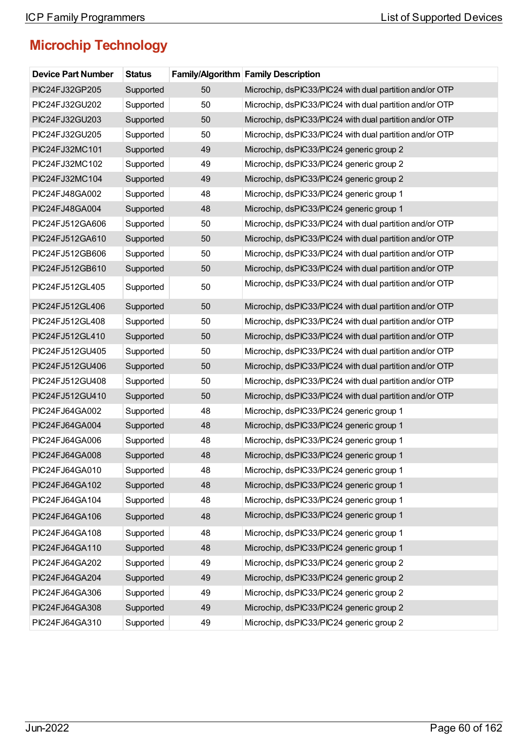| <b>Device Part Number</b> | <b>Status</b> |    | Family/Algorithm Family Description                     |
|---------------------------|---------------|----|---------------------------------------------------------|
| PIC24FJ32GP205            | Supported     | 50 | Microchip, dsPIC33/PIC24 with dual partition and/or OTP |
| PIC24FJ32GU202            | Supported     | 50 | Microchip, dsPIC33/PIC24 with dual partition and/or OTP |
| PIC24FJ32GU203            | Supported     | 50 | Microchip, dsPIC33/PIC24 with dual partition and/or OTP |
| PIC24FJ32GU205            | Supported     | 50 | Microchip, dsPIC33/PIC24 with dual partition and/or OTP |
| PIC24FJ32MC101            | Supported     | 49 | Microchip, dsPIC33/PIC24 generic group 2                |
| PIC24FJ32MC102            | Supported     | 49 | Microchip, dsPIC33/PIC24 generic group 2                |
| PIC24FJ32MC104            | Supported     | 49 | Microchip, dsPIC33/PIC24 generic group 2                |
| PIC24FJ48GA002            | Supported     | 48 | Microchip, dsPIC33/PIC24 generic group 1                |
| PIC24FJ48GA004            | Supported     | 48 | Microchip, dsPIC33/PIC24 generic group 1                |
| PIC24FJ512GA606           | Supported     | 50 | Microchip, dsPIC33/PIC24 with dual partition and/or OTP |
| PIC24FJ512GA610           | Supported     | 50 | Microchip, dsPIC33/PIC24 with dual partition and/or OTP |
| PIC24FJ512GB606           | Supported     | 50 | Microchip, dsPIC33/PIC24 with dual partition and/or OTP |
| PIC24FJ512GB610           | Supported     | 50 | Microchip, dsPIC33/PIC24 with dual partition and/or OTP |
| PIC24FJ512GL405           | Supported     | 50 | Microchip, dsPIC33/PIC24 with dual partition and/or OTP |
| PIC24FJ512GL406           | Supported     | 50 | Microchip, dsPIC33/PIC24 with dual partition and/or OTP |
| PIC24FJ512GL408           | Supported     | 50 | Microchip, dsPIC33/PIC24 with dual partition and/or OTP |
| PIC24FJ512GL410           | Supported     | 50 | Microchip, dsPIC33/PIC24 with dual partition and/or OTP |
| PIC24FJ512GU405           | Supported     | 50 | Microchip, dsPIC33/PIC24 with dual partition and/or OTP |
| PIC24FJ512GU406           | Supported     | 50 | Microchip, dsPIC33/PIC24 with dual partition and/or OTP |
| PIC24FJ512GU408           | Supported     | 50 | Microchip, dsPIC33/PIC24 with dual partition and/or OTP |
| PIC24FJ512GU410           | Supported     | 50 | Microchip, dsPIC33/PIC24 with dual partition and/or OTP |
| PIC24FJ64GA002            | Supported     | 48 | Microchip, dsPIC33/PIC24 generic group 1                |
| PIC24FJ64GA004            | Supported     | 48 | Microchip, dsPIC33/PIC24 generic group 1                |
| PIC24FJ64GA006            | Supported     | 48 | Microchip, dsPIC33/PIC24 generic group 1                |
| PIC24FJ64GA008            | Supported     | 48 | Microchip, dsPIC33/PIC24 generic group 1                |
| PIC24FJ64GA010            | Supported     | 48 | Microchip, dsPIC33/PIC24 generic group 1                |
| PIC24FJ64GA102            | Supported     | 48 | Microchip, dsPIC33/PIC24 generic group 1                |
| PIC24FJ64GA104            | Supported     | 48 | Microchip, dsPIC33/PIC24 generic group 1                |
| PIC24FJ64GA106            | Supported     | 48 | Microchip, dsPIC33/PIC24 generic group 1                |
| PIC24FJ64GA108            | Supported     | 48 | Microchip, dsPIC33/PIC24 generic group 1                |
| PIC24FJ64GA110            | Supported     | 48 | Microchip, dsPIC33/PIC24 generic group 1                |
| PIC24FJ64GA202            | Supported     | 49 | Microchip, dsPIC33/PIC24 generic group 2                |
| PIC24FJ64GA204            | Supported     | 49 | Microchip, dsPIC33/PIC24 generic group 2                |
| PIC24FJ64GA306            | Supported     | 49 | Microchip, dsPIC33/PIC24 generic group 2                |
| PIC24FJ64GA308            | Supported     | 49 | Microchip, dsPIC33/PIC24 generic group 2                |
| PIC24FJ64GA310            | Supported     | 49 | Microchip, dsPIC33/PIC24 generic group 2                |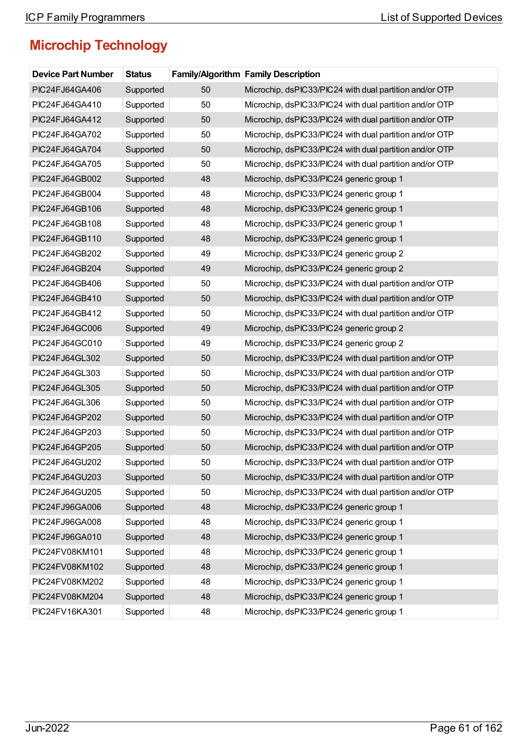| <b>Device Part Number</b> | <b>Status</b> |    | <b>Family/Algorithm Family Description</b>              |
|---------------------------|---------------|----|---------------------------------------------------------|
| PIC24FJ64GA406            | Supported     | 50 | Microchip, dsPIC33/PIC24 with dual partition and/or OTP |
| PIC24FJ64GA410            | Supported     | 50 | Microchip, dsPIC33/PIC24 with dual partition and/or OTP |
| PIC24FJ64GA412            | Supported     | 50 | Microchip, dsPIC33/PIC24 with dual partition and/or OTP |
| PIC24FJ64GA702            | Supported     | 50 | Microchip, dsPIC33/PIC24 with dual partition and/or OTP |
| PIC24FJ64GA704            | Supported     | 50 | Microchip, dsPIC33/PIC24 with dual partition and/or OTP |
| PIC24FJ64GA705            | Supported     | 50 | Microchip, dsPIC33/PIC24 with dual partition and/or OTP |
| PIC24FJ64GB002            | Supported     | 48 | Microchip, dsPIC33/PIC24 generic group 1                |
| PIC24FJ64GB004            | Supported     | 48 | Microchip, dsPIC33/PIC24 generic group 1                |
| PIC24FJ64GB106            | Supported     | 48 | Microchip, dsPIC33/PIC24 generic group 1                |
| PIC24FJ64GB108            | Supported     | 48 | Microchip, dsPIC33/PIC24 generic group 1                |
| PIC24FJ64GB110            | Supported     | 48 | Microchip, dsPIC33/PIC24 generic group 1                |
| PIC24FJ64GB202            | Supported     | 49 | Microchip, dsPIC33/PIC24 generic group 2                |
| PIC24FJ64GB204            | Supported     | 49 | Microchip, dsPIC33/PIC24 generic group 2                |
| PIC24FJ64GB406            | Supported     | 50 | Microchip, dsPIC33/PIC24 with dual partition and/or OTP |
| PIC24FJ64GB410            | Supported     | 50 | Microchip, dsPIC33/PIC24 with dual partition and/or OTP |
| PIC24FJ64GB412            | Supported     | 50 | Microchip, dsPIC33/PIC24 with dual partition and/or OTP |
| PIC24FJ64GC006            | Supported     | 49 | Microchip, dsPIC33/PIC24 generic group 2                |
| PIC24FJ64GC010            | Supported     | 49 | Microchip, dsPIC33/PIC24 generic group 2                |
| PIC24FJ64GL302            | Supported     | 50 | Microchip, dsPIC33/PIC24 with dual partition and/or OTP |
| PIC24FJ64GL303            | Supported     | 50 | Microchip, dsPIC33/PIC24 with dual partition and/or OTP |
| PIC24FJ64GL305            | Supported     | 50 | Microchip, dsPIC33/PIC24 with dual partition and/or OTP |
| PIC24FJ64GL306            | Supported     | 50 | Microchip, dsPIC33/PIC24 with dual partition and/or OTP |
| PIC24FJ64GP202            | Supported     | 50 | Microchip, dsPIC33/PIC24 with dual partition and/or OTP |
| PIC24FJ64GP203            | Supported     | 50 | Microchip, dsPIC33/PIC24 with dual partition and/or OTP |
| PIC24FJ64GP205            | Supported     | 50 | Microchip, dsPIC33/PIC24 with dual partition and/or OTP |
| PIC24FJ64GU202            | Supported     | 50 | Microchip, dsPIC33/PIC24 with dual partition and/or OTP |
| PIC24FJ64GU203            | Supported     | 50 | Microchip, dsPIC33/PIC24 with dual partition and/or OTP |
| PIC24FJ64GU205            | Supported     | 50 | Microchip, dsPIC33/PIC24 with dual partition and/or OTP |
| PIC24FJ96GA006            | Supported     | 48 | Microchip, dsPIC33/PIC24 generic group 1                |
| PIC24FJ96GA008            | Supported     | 48 | Microchip, dsPIC33/PIC24 generic group 1                |
| PIC24FJ96GA010            | Supported     | 48 | Microchip, dsPIC33/PIC24 generic group 1                |
| PIC24FV08KM101            | Supported     | 48 | Microchip, dsPIC33/PIC24 generic group 1                |
| PIC24FV08KM102            | Supported     | 48 | Microchip, dsPIC33/PIC24 generic group 1                |
| PIC24FV08KM202            | Supported     | 48 | Microchip, dsPIC33/PIC24 generic group 1                |
| PIC24FV08KM204            | Supported     | 48 | Microchip, dsPIC33/PIC24 generic group 1                |
| PIC24FV16KA301            | Supported     | 48 | Microchip, dsPIC33/PIC24 generic group 1                |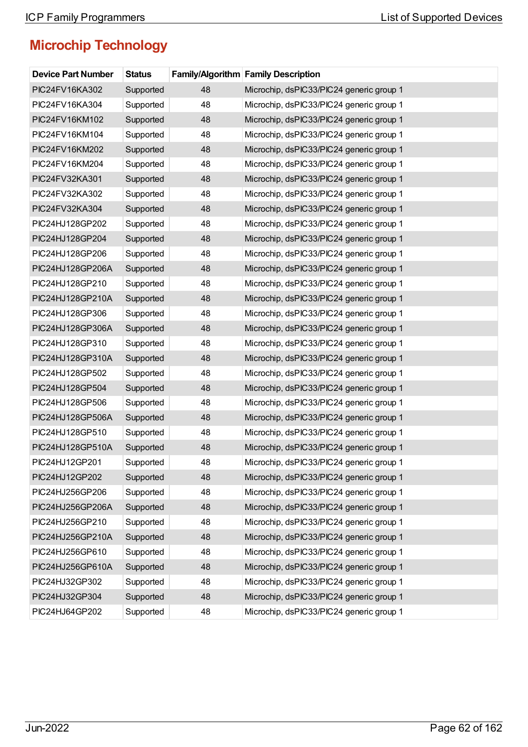| <b>Device Part Number</b> | <b>Status</b> |    | <b>Family/Algorithm Family Description</b> |
|---------------------------|---------------|----|--------------------------------------------|
| PIC24FV16KA302            | Supported     | 48 | Microchip, dsPIC33/PIC24 generic group 1   |
| PIC24FV16KA304            | Supported     | 48 | Microchip, dsPIC33/PIC24 generic group 1   |
| PIC24FV16KM102            | Supported     | 48 | Microchip, dsPIC33/PIC24 generic group 1   |
| PIC24FV16KM104            | Supported     | 48 | Microchip, dsPIC33/PIC24 generic group 1   |
| PIC24FV16KM202            | Supported     | 48 | Microchip, dsPIC33/PIC24 generic group 1   |
| PIC24FV16KM204            | Supported     | 48 | Microchip, dsPIC33/PIC24 generic group 1   |
| PIC24FV32KA301            | Supported     | 48 | Microchip, dsPIC33/PIC24 generic group 1   |
| PIC24FV32KA302            | Supported     | 48 | Microchip, dsPIC33/PIC24 generic group 1   |
| PIC24FV32KA304            | Supported     | 48 | Microchip, dsPIC33/PIC24 generic group 1   |
| PIC24HJ128GP202           | Supported     | 48 | Microchip, dsPIC33/PIC24 generic group 1   |
| PIC24HJ128GP204           | Supported     | 48 | Microchip, dsPIC33/PIC24 generic group 1   |
| PIC24HJ128GP206           | Supported     | 48 | Microchip, dsPIC33/PIC24 generic group 1   |
| PIC24HJ128GP206A          | Supported     | 48 | Microchip, dsPIC33/PIC24 generic group 1   |
| PIC24HJ128GP210           | Supported     | 48 | Microchip, dsPIC33/PIC24 generic group 1   |
| PIC24HJ128GP210A          | Supported     | 48 | Microchip, dsPIC33/PIC24 generic group 1   |
| PIC24HJ128GP306           | Supported     | 48 | Microchip, dsPIC33/PIC24 generic group 1   |
| PIC24HJ128GP306A          | Supported     | 48 | Microchip, dsPIC33/PIC24 generic group 1   |
| PIC24HJ128GP310           | Supported     | 48 | Microchip, dsPIC33/PIC24 generic group 1   |
| PIC24HJ128GP310A          | Supported     | 48 | Microchip, dsPIC33/PIC24 generic group 1   |
| PIC24HJ128GP502           | Supported     | 48 | Microchip, dsPIC33/PIC24 generic group 1   |
| PIC24HJ128GP504           | Supported     | 48 | Microchip, dsPIC33/PIC24 generic group 1   |
| PIC24HJ128GP506           | Supported     | 48 | Microchip, dsPIC33/PIC24 generic group 1   |
| PIC24HJ128GP506A          | Supported     | 48 | Microchip, dsPIC33/PIC24 generic group 1   |
| PIC24HJ128GP510           | Supported     | 48 | Microchip, dsPIC33/PIC24 generic group 1   |
| PIC24HJ128GP510A          | Supported     | 48 | Microchip, dsPIC33/PIC24 generic group 1   |
| PIC24HJ12GP201            | Supported     | 48 | Microchip, dsPIC33/PIC24 generic group 1   |
| PIC24HJ12GP202            | Supported     | 48 | Microchip, dsPIC33/PIC24 generic group 1   |
| PIC24HJ256GP206           | Supported     | 48 | Microchip, dsPIC33/PIC24 generic group 1   |
| PIC24HJ256GP206A          | Supported     | 48 | Microchip, dsPIC33/PIC24 generic group 1   |
| PIC24HJ256GP210           | Supported     | 48 | Microchip, dsPIC33/PIC24 generic group 1   |
| PIC24HJ256GP210A          | Supported     | 48 | Microchip, dsPIC33/PIC24 generic group 1   |
| PIC24HJ256GP610           | Supported     | 48 | Microchip, dsPIC33/PIC24 generic group 1   |
| PIC24HJ256GP610A          | Supported     | 48 | Microchip, dsPIC33/PIC24 generic group 1   |
| PIC24HJ32GP302            | Supported     | 48 | Microchip, dsPIC33/PIC24 generic group 1   |
| PIC24HJ32GP304            | Supported     | 48 | Microchip, dsPIC33/PIC24 generic group 1   |
| PIC24HJ64GP202            | Supported     | 48 | Microchip, dsPIC33/PIC24 generic group 1   |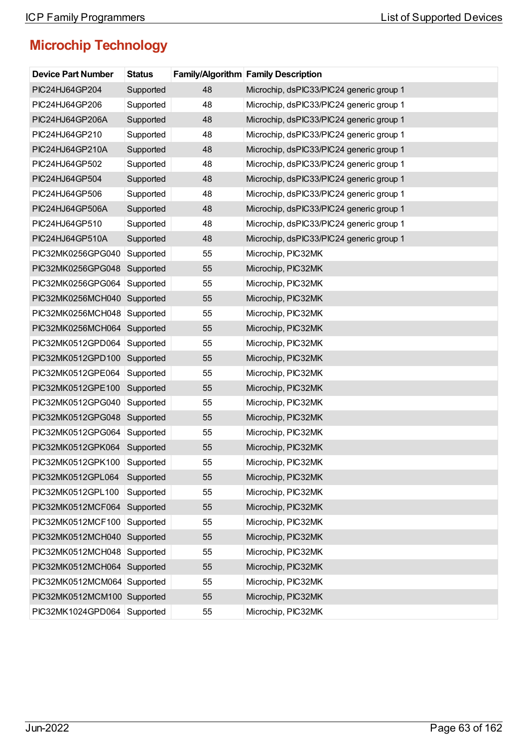| <b>Device Part Number</b>   | <b>Status</b> |    | <b>Family/Algorithm Family Description</b> |
|-----------------------------|---------------|----|--------------------------------------------|
| PIC24HJ64GP204              | Supported     | 48 | Microchip, dsPIC33/PIC24 generic group 1   |
| PIC24HJ64GP206              | Supported     | 48 | Microchip, dsPIC33/PIC24 generic group 1   |
| PIC24HJ64GP206A             | Supported     | 48 | Microchip, dsPIC33/PIC24 generic group 1   |
| PIC24HJ64GP210              | Supported     | 48 | Microchip, dsPIC33/PIC24 generic group 1   |
| PIC24HJ64GP210A             | Supported     | 48 | Microchip, dsPIC33/PIC24 generic group 1   |
| PIC24HJ64GP502              | Supported     | 48 | Microchip, dsPIC33/PIC24 generic group 1   |
| PIC24HJ64GP504              | Supported     | 48 | Microchip, dsPIC33/PIC24 generic group 1   |
| PIC24HJ64GP506              | Supported     | 48 | Microchip, dsPIC33/PIC24 generic group 1   |
| PIC24HJ64GP506A             | Supported     | 48 | Microchip, dsPIC33/PIC24 generic group 1   |
| PIC24HJ64GP510              | Supported     | 48 | Microchip, dsPIC33/PIC24 generic group 1   |
| PIC24HJ64GP510A             | Supported     | 48 | Microchip, dsPIC33/PIC24 generic group 1   |
| PIC32MK0256GPG040           | Supported     | 55 | Microchip, PIC32MK                         |
| PIC32MK0256GPG048           | Supported     | 55 | Microchip, PIC32MK                         |
| PIC32MK0256GPG064           | Supported     | 55 | Microchip, PIC32MK                         |
| PIC32MK0256MCH040           | Supported     | 55 | Microchip, PIC32MK                         |
| PIC32MK0256MCH048           | Supported     | 55 | Microchip, PIC32MK                         |
| PIC32MK0256MCH064 Supported |               | 55 | Microchip, PIC32MK                         |
| PIC32MK0512GPD064           | Supported     | 55 | Microchip, PIC32MK                         |
| PIC32MK0512GPD100           | Supported     | 55 | Microchip, PIC32MK                         |
| PIC32MK0512GPE064           | Supported     | 55 | Microchip, PIC32MK                         |
| PIC32MK0512GPE100           | Supported     | 55 | Microchip, PIC32MK                         |
| PIC32MK0512GPG040           | Supported     | 55 | Microchip, PIC32MK                         |
| PIC32MK0512GPG048           | Supported     | 55 | Microchip, PIC32MK                         |
| PIC32MK0512GPG064           | Supported     | 55 | Microchip, PIC32MK                         |
| PIC32MK0512GPK064           | Supported     | 55 | Microchip, PIC32MK                         |
| PIC32MK0512GPK100           | Supported     | 55 | Microchip, PIC32MK                         |
| PIC32MK0512GPL064           | Supported     | 55 | Microchip, PIC32MK                         |
| PIC32MK0512GPL100           | Supported     | 55 | Microchip, PIC32MK                         |
| PIC32MK0512MCF064           | Supported     | 55 | Microchip, PIC32MK                         |
| PIC32MK0512MCF100           | Supported     | 55 | Microchip, PIC32MK                         |
| PIC32MK0512MCH040           | Supported     | 55 | Microchip, PIC32MK                         |
| PIC32MK0512MCH048           | Supported     | 55 | Microchip, PIC32MK                         |
| PIC32MK0512MCH064 Supported |               | 55 | Microchip, PIC32MK                         |
| PIC32MK0512MCM064           | Supported     | 55 | Microchip, PIC32MK                         |
| PIC32MK0512MCM100 Supported |               | 55 | Microchip, PIC32MK                         |
| PIC32MK1024GPD064           | Supported     | 55 | Microchip, PIC32MK                         |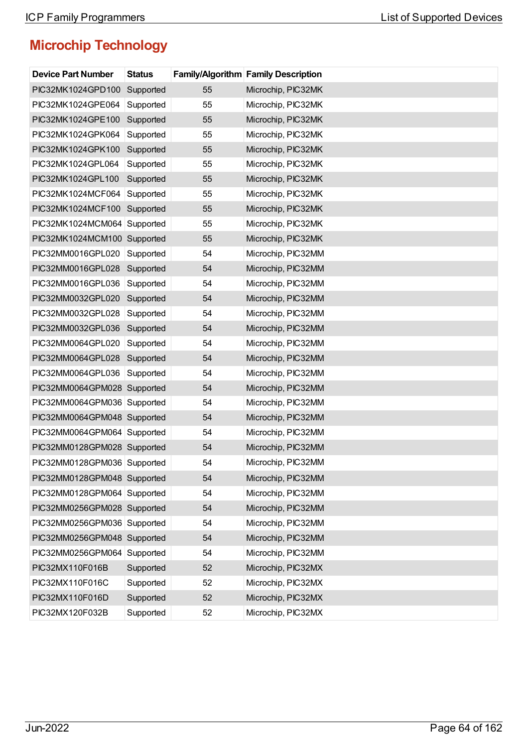| <b>Device Part Number</b>   | <b>Status</b> |    | <b>Family/Algorithm Family Description</b> |
|-----------------------------|---------------|----|--------------------------------------------|
| PIC32MK1024GPD100           | Supported     | 55 | Microchip, PIC32MK                         |
| PIC32MK1024GPE064           | Supported     | 55 | Microchip, PIC32MK                         |
| PIC32MK1024GPE100           | Supported     | 55 | Microchip, PIC32MK                         |
| PIC32MK1024GPK064           | Supported     | 55 | Microchip, PIC32MK                         |
| PIC32MK1024GPK100           | Supported     | 55 | Microchip, PIC32MK                         |
| PIC32MK1024GPL064           | Supported     | 55 | Microchip, PIC32MK                         |
| PIC32MK1024GPL100           | Supported     | 55 | Microchip, PIC32MK                         |
| PIC32MK1024MCF064           | Supported     | 55 | Microchip, PIC32MK                         |
| PIC32MK1024MCF100 Supported |               | 55 | Microchip, PIC32MK                         |
| PIC32MK1024MCM064           | Supported     | 55 | Microchip, PIC32MK                         |
| PIC32MK1024MCM100 Supported |               | 55 | Microchip, PIC32MK                         |
| PIC32MM0016GPL020           | Supported     | 54 | Microchip, PIC32MM                         |
| PIC32MM0016GPL028           | Supported     | 54 | Microchip, PIC32MM                         |
| PIC32MM0016GPL036           | Supported     | 54 | Microchip, PIC32MM                         |
| PIC32MM0032GPL020           | Supported     | 54 | Microchip, PIC32MM                         |
| PIC32MM0032GPL028           | Supported     | 54 | Microchip, PIC32MM                         |
| PIC32MM0032GPL036           | Supported     | 54 | Microchip, PIC32MM                         |
| PIC32MM0064GPL020           | Supported     | 54 | Microchip, PIC32MM                         |
| PIC32MM0064GPL028           | Supported     | 54 | Microchip, PIC32MM                         |
| PIC32MM0064GPL036           | Supported     | 54 | Microchip, PIC32MM                         |
| PIC32MM0064GPM028 Supported |               | 54 | Microchip, PIC32MM                         |
| PIC32MM0064GPM036 Supported |               | 54 | Microchip, PIC32MM                         |
| PIC32MM0064GPM048 Supported |               | 54 | Microchip, PIC32MM                         |
| PIC32MM0064GPM064 Supported |               | 54 | Microchip, PIC32MM                         |
| PIC32MM0128GPM028 Supported |               | 54 | Microchip, PIC32MM                         |
| PIC32MM0128GPM036 Supported |               | 54 | Microchip, PIC32MM                         |
| PIC32MM0128GPM048 Supported |               | 54 | Microchip, PIC32MM                         |
| PIC32MM0128GPM064 Supported |               | 54 | Microchip, PIC32MM                         |
| PIC32MM0256GPM028 Supported |               | 54 | Microchip, PIC32MM                         |
| PIC32MM0256GPM036 Supported |               | 54 | Microchip, PIC32MM                         |
| PIC32MM0256GPM048 Supported |               | 54 | Microchip, PIC32MM                         |
| PIC32MM0256GPM064           | Supported     | 54 | Microchip, PIC32MM                         |
| PIC32MX110F016B             | Supported     | 52 | Microchip, PIC32MX                         |
| PIC32MX110F016C             | Supported     | 52 | Microchip, PIC32MX                         |
| PIC32MX110F016D             | Supported     | 52 | Microchip, PIC32MX                         |
| PIC32MX120F032B             | Supported     | 52 | Microchip, PIC32MX                         |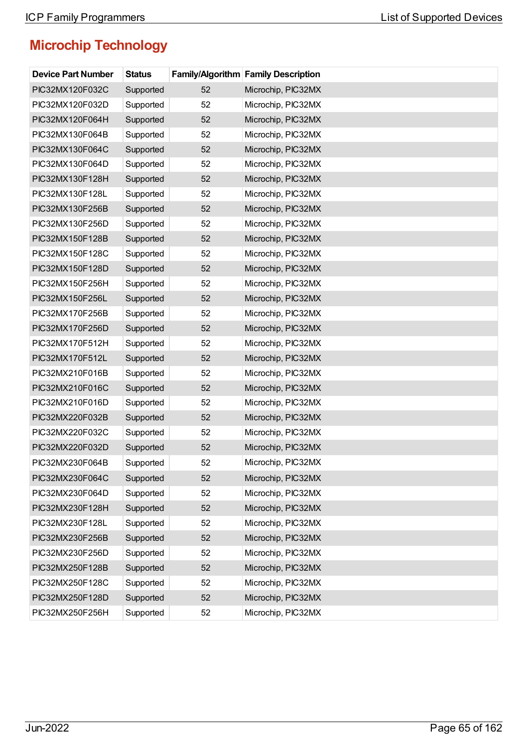| <b>Device Part Number</b> | <b>Status</b> |    | <b>Family/Algorithm Family Description</b> |
|---------------------------|---------------|----|--------------------------------------------|
| PIC32MX120F032C           | Supported     | 52 | Microchip, PIC32MX                         |
| PIC32MX120F032D           | Supported     | 52 | Microchip, PIC32MX                         |
| PIC32MX120F064H           | Supported     | 52 | Microchip, PIC32MX                         |
| PIC32MX130F064B           | Supported     | 52 | Microchip, PIC32MX                         |
| PIC32MX130F064C           | Supported     | 52 | Microchip, PIC32MX                         |
| PIC32MX130F064D           | Supported     | 52 | Microchip, PIC32MX                         |
| PIC32MX130F128H           | Supported     | 52 | Microchip, PIC32MX                         |
| PIC32MX130F128L           | Supported     | 52 | Microchip, PIC32MX                         |
| PIC32MX130F256B           | Supported     | 52 | Microchip, PIC32MX                         |
| PIC32MX130F256D           | Supported     | 52 | Microchip, PIC32MX                         |
| PIC32MX150F128B           | Supported     | 52 | Microchip, PIC32MX                         |
| PIC32MX150F128C           | Supported     | 52 | Microchip, PIC32MX                         |
| PIC32MX150F128D           | Supported     | 52 | Microchip, PIC32MX                         |
| PIC32MX150F256H           | Supported     | 52 | Microchip, PIC32MX                         |
| PIC32MX150F256L           | Supported     | 52 | Microchip, PIC32MX                         |
| PIC32MX170F256B           | Supported     | 52 | Microchip, PIC32MX                         |
| PIC32MX170F256D           | Supported     | 52 | Microchip, PIC32MX                         |
| PIC32MX170F512H           | Supported     | 52 | Microchip, PIC32MX                         |
| PIC32MX170F512L           | Supported     | 52 | Microchip, PIC32MX                         |
| PIC32MX210F016B           | Supported     | 52 | Microchip, PIC32MX                         |
| PIC32MX210F016C           | Supported     | 52 | Microchip, PIC32MX                         |
| PIC32MX210F016D           | Supported     | 52 | Microchip, PIC32MX                         |
| PIC32MX220F032B           | Supported     | 52 | Microchip, PIC32MX                         |
| PIC32MX220F032C           | Supported     | 52 | Microchip, PIC32MX                         |
| PIC32MX220F032D           | Supported     | 52 | Microchip, PIC32MX                         |
| PIC32MX230F064B           | Supported     | 52 | Microchip, PIC32MX                         |
| PIC32MX230F064C           | Supported     | 52 | Microchip, PIC32MX                         |
| PIC32MX230F064D           | Supported     | 52 | Microchip, PIC32MX                         |
| PIC32MX230F128H           | Supported     | 52 | Microchip, PIC32MX                         |
| PIC32MX230F128L           | Supported     | 52 | Microchip, PIC32MX                         |
| PIC32MX230F256B           | Supported     | 52 | Microchip, PIC32MX                         |
| PIC32MX230F256D           | Supported     | 52 | Microchip, PIC32MX                         |
| PIC32MX250F128B           | Supported     | 52 | Microchip, PIC32MX                         |
| PIC32MX250F128C           | Supported     | 52 | Microchip, PIC32MX                         |
| PIC32MX250F128D           | Supported     | 52 | Microchip, PIC32MX                         |
| PIC32MX250F256H           | Supported     | 52 | Microchip, PIC32MX                         |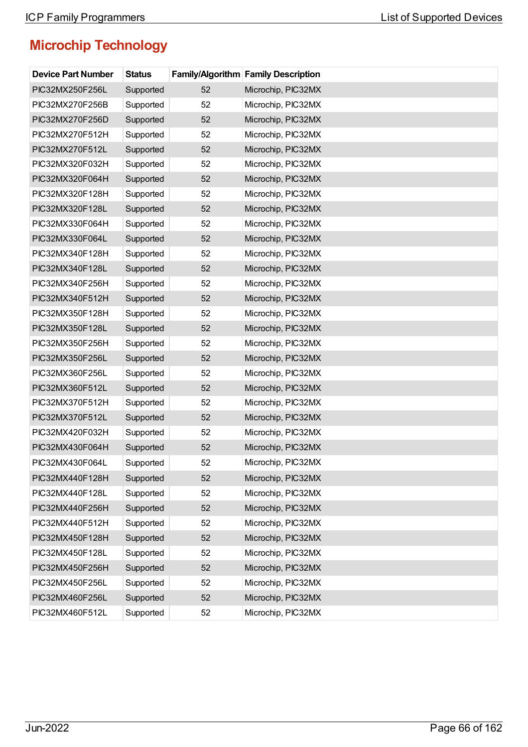| <b>Device Part Number</b> | <b>Status</b> |    | Family/Algorithm Family Description |
|---------------------------|---------------|----|-------------------------------------|
| PIC32MX250F256L           | Supported     | 52 | Microchip, PIC32MX                  |
| PIC32MX270F256B           | Supported     | 52 | Microchip, PIC32MX                  |
| PIC32MX270F256D           | Supported     | 52 | Microchip, PIC32MX                  |
| PIC32MX270F512H           | Supported     | 52 | Microchip, PIC32MX                  |
| PIC32MX270F512L           | Supported     | 52 | Microchip, PIC32MX                  |
| PIC32MX320F032H           | Supported     | 52 | Microchip, PIC32MX                  |
| PIC32MX320F064H           | Supported     | 52 | Microchip, PIC32MX                  |
| PIC32MX320F128H           | Supported     | 52 | Microchip, PIC32MX                  |
| PIC32MX320F128L           | Supported     | 52 | Microchip, PIC32MX                  |
| PIC32MX330F064H           | Supported     | 52 | Microchip, PIC32MX                  |
| PIC32MX330F064L           | Supported     | 52 | Microchip, PIC32MX                  |
| PIC32MX340F128H           | Supported     | 52 | Microchip, PIC32MX                  |
| PIC32MX340F128L           | Supported     | 52 | Microchip, PIC32MX                  |
| PIC32MX340F256H           | Supported     | 52 | Microchip, PIC32MX                  |
| PIC32MX340F512H           | Supported     | 52 | Microchip, PIC32MX                  |
| PIC32MX350F128H           | Supported     | 52 | Microchip, PIC32MX                  |
| PIC32MX350F128L           | Supported     | 52 | Microchip, PIC32MX                  |
| PIC32MX350F256H           | Supported     | 52 | Microchip, PIC32MX                  |
| PIC32MX350F256L           | Supported     | 52 | Microchip, PIC32MX                  |
| PIC32MX360F256L           | Supported     | 52 | Microchip, PIC32MX                  |
| PIC32MX360F512L           | Supported     | 52 | Microchip, PIC32MX                  |
| PIC32MX370F512H           | Supported     | 52 | Microchip, PIC32MX                  |
| PIC32MX370F512L           | Supported     | 52 | Microchip, PIC32MX                  |
| PIC32MX420F032H           | Supported     | 52 | Microchip, PIC32MX                  |
| PIC32MX430F064H           | Supported     | 52 | Microchip, PIC32MX                  |
| PIC32MX430F064L           | Supported     | 52 | Microchip, PIC32MX                  |
| PIC32MX440F128H           | Supported     | 52 | Microchip, PIC32MX                  |
| PIC32MX440F128L           | Supported     | 52 | Microchip, PIC32MX                  |
| PIC32MX440F256H           | Supported     | 52 | Microchip, PIC32MX                  |
| PIC32MX440F512H           | Supported     | 52 | Microchip, PIC32MX                  |
| PIC32MX450F128H           | Supported     | 52 | Microchip, PIC32MX                  |
| PIC32MX450F128L           | Supported     | 52 | Microchip, PIC32MX                  |
| PIC32MX450F256H           | Supported     | 52 | Microchip, PIC32MX                  |
| PIC32MX450F256L           | Supported     | 52 | Microchip, PIC32MX                  |
| PIC32MX460F256L           | Supported     | 52 | Microchip, PIC32MX                  |
| PIC32MX460F512L           | Supported     | 52 | Microchip, PIC32MX                  |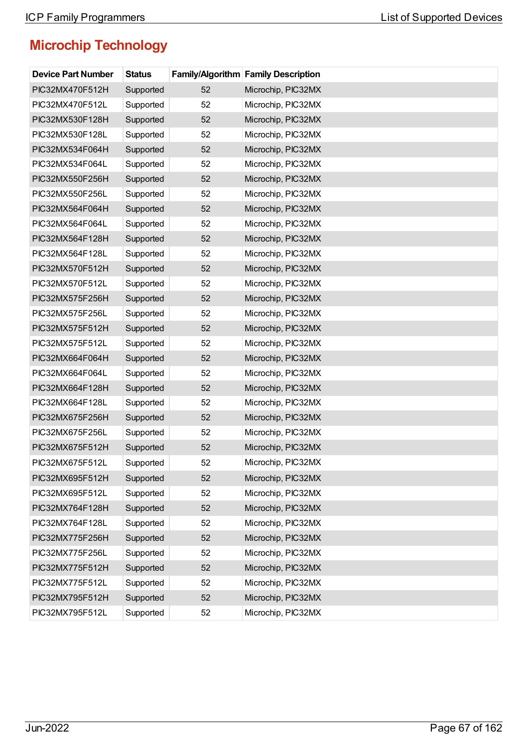| <b>Device Part Number</b> | <b>Status</b> |    | <b>Family/Algorithm Family Description</b> |
|---------------------------|---------------|----|--------------------------------------------|
| PIC32MX470F512H           | Supported     | 52 | Microchip, PIC32MX                         |
| PIC32MX470F512L           | Supported     | 52 | Microchip, PIC32MX                         |
| PIC32MX530F128H           | Supported     | 52 | Microchip, PIC32MX                         |
| PIC32MX530F128L           | Supported     | 52 | Microchip, PIC32MX                         |
| PIC32MX534F064H           | Supported     | 52 | Microchip, PIC32MX                         |
| PIC32MX534F064L           | Supported     | 52 | Microchip, PIC32MX                         |
| PIC32MX550F256H           | Supported     | 52 | Microchip, PIC32MX                         |
| PIC32MX550F256L           | Supported     | 52 | Microchip, PIC32MX                         |
| PIC32MX564F064H           | Supported     | 52 | Microchip, PIC32MX                         |
| PIC32MX564F064L           | Supported     | 52 | Microchip, PIC32MX                         |
| PIC32MX564F128H           | Supported     | 52 | Microchip, PIC32MX                         |
| PIC32MX564F128L           | Supported     | 52 | Microchip, PIC32MX                         |
| PIC32MX570F512H           | Supported     | 52 | Microchip, PIC32MX                         |
| PIC32MX570F512L           | Supported     | 52 | Microchip, PIC32MX                         |
| PIC32MX575F256H           | Supported     | 52 | Microchip, PIC32MX                         |
| PIC32MX575F256L           | Supported     | 52 | Microchip, PIC32MX                         |
| PIC32MX575F512H           | Supported     | 52 | Microchip, PIC32MX                         |
| PIC32MX575F512L           | Supported     | 52 | Microchip, PIC32MX                         |
| PIC32MX664F064H           | Supported     | 52 | Microchip, PIC32MX                         |
| PIC32MX664F064L           | Supported     | 52 | Microchip, PIC32MX                         |
| PIC32MX664F128H           | Supported     | 52 | Microchip, PIC32MX                         |
| PIC32MX664F128L           | Supported     | 52 | Microchip, PIC32MX                         |
| PIC32MX675F256H           | Supported     | 52 | Microchip, PIC32MX                         |
| PIC32MX675F256L           | Supported     | 52 | Microchip, PIC32MX                         |
| PIC32MX675F512H           | Supported     | 52 | Microchip, PIC32MX                         |
| PIC32MX675F512L           | Supported     | 52 | Microchip, PIC32MX                         |
| PIC32MX695F512H           | Supported     | 52 | Microchip, PIC32MX                         |
| PIC32MX695F512L           | Supported     | 52 | Microchip, PIC32MX                         |
| PIC32MX764F128H           | Supported     | 52 | Microchip, PIC32MX                         |
| PIC32MX764F128L           | Supported     | 52 | Microchip, PIC32MX                         |
| PIC32MX775F256H           | Supported     | 52 | Microchip, PIC32MX                         |
| PIC32MX775F256L           | Supported     | 52 | Microchip, PIC32MX                         |
| PIC32MX775F512H           | Supported     | 52 | Microchip, PIC32MX                         |
| PIC32MX775F512L           | Supported     | 52 | Microchip, PIC32MX                         |
| PIC32MX795F512H           | Supported     | 52 | Microchip, PIC32MX                         |
| PIC32MX795F512L           | Supported     | 52 | Microchip, PIC32MX                         |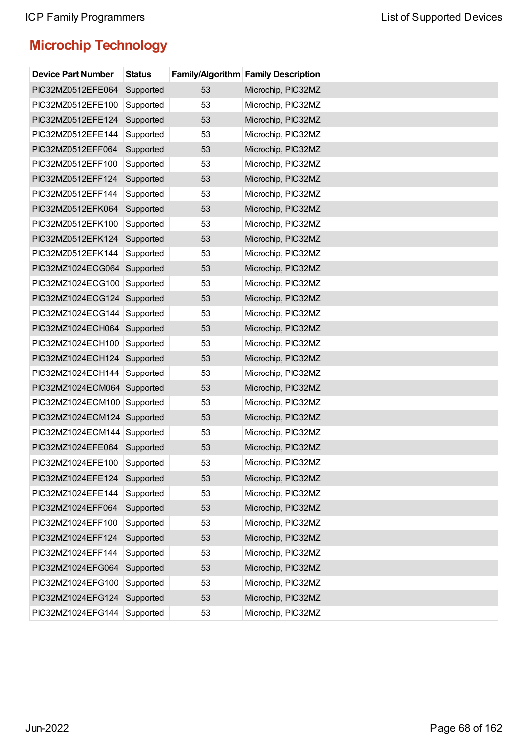| <b>Device Part Number</b>   | <b>Status</b> |    | <b>Family/Algorithm Family Description</b> |
|-----------------------------|---------------|----|--------------------------------------------|
| PIC32MZ0512EFE064           | Supported     | 53 | Microchip, PIC32MZ                         |
| PIC32MZ0512EFE100           | Supported     | 53 | Microchip, PIC32MZ                         |
| PIC32MZ0512EFE124           | Supported     | 53 | Microchip, PIC32MZ                         |
| PIC32MZ0512EFE144           | Supported     | 53 | Microchip, PIC32MZ                         |
| PIC32MZ0512EFF064           | Supported     | 53 | Microchip, PIC32MZ                         |
| PIC32MZ0512EFF100           | Supported     | 53 | Microchip, PIC32MZ                         |
| PIC32MZ0512EFF124           | Supported     | 53 | Microchip, PIC32MZ                         |
| PIC32MZ0512EFF144           | Supported     | 53 | Microchip, PIC32MZ                         |
| PIC32MZ0512EFK064           | Supported     | 53 | Microchip, PIC32MZ                         |
| PIC32MZ0512EFK100           | Supported     | 53 | Microchip, PIC32MZ                         |
| PIC32MZ0512EFK124           | Supported     | 53 | Microchip, PIC32MZ                         |
| PIC32MZ0512EFK144           | Supported     | 53 | Microchip, PIC32MZ                         |
| PIC32MZ1024ECG064           | Supported     | 53 | Microchip, PIC32MZ                         |
| PIC32MZ1024ECG100           | Supported     | 53 | Microchip, PIC32MZ                         |
| PIC32MZ1024ECG124           | Supported     | 53 | Microchip, PIC32MZ                         |
| PIC32MZ1024ECG144           | Supported     | 53 | Microchip, PIC32MZ                         |
| PIC32MZ1024ECH064 Supported |               | 53 | Microchip, PIC32MZ                         |
| PIC32MZ1024ECH100           | Supported     | 53 | Microchip, PIC32MZ                         |
| PIC32MZ1024ECH124 Supported |               | 53 | Microchip, PIC32MZ                         |
| PIC32MZ1024ECH144           | Supported     | 53 | Microchip, PIC32MZ                         |
| PIC32MZ1024ECM064 Supported |               | 53 | Microchip, PIC32MZ                         |
| PIC32MZ1024ECM100 Supported |               | 53 | Microchip, PIC32MZ                         |
| PIC32MZ1024ECM124 Supported |               | 53 | Microchip, PIC32MZ                         |
| PIC32MZ1024ECM144 Supported |               | 53 | Microchip, PIC32MZ                         |
| PIC32MZ1024EFE064 Supported |               | 53 | Microchip, PIC32MZ                         |
| PIC32MZ1024EFE100           | Supported     | 53 | Microchip, PIC32MZ                         |
| PIC32MZ1024EFE124           | Supported     | 53 | Microchip, PIC32MZ                         |
| PIC32MZ1024EFE144           | Supported     | 53 | Microchip, PIC32MZ                         |
| PIC32MZ1024EFF064           | Supported     | 53 | Microchip, PIC32MZ                         |
| PIC32MZ1024EFF100           | Supported     | 53 | Microchip, PIC32MZ                         |
| PIC32MZ1024EFF124           | Supported     | 53 | Microchip, PIC32MZ                         |
| PIC32MZ1024EFF144           | Supported     | 53 | Microchip, PIC32MZ                         |
| PIC32MZ1024EFG064           | Supported     | 53 | Microchip, PIC32MZ                         |
| PIC32MZ1024EFG100           | Supported     | 53 | Microchip, PIC32MZ                         |
| PIC32MZ1024EFG124           | Supported     | 53 | Microchip, PIC32MZ                         |
| PIC32MZ1024EFG144           | Supported     | 53 | Microchip, PIC32MZ                         |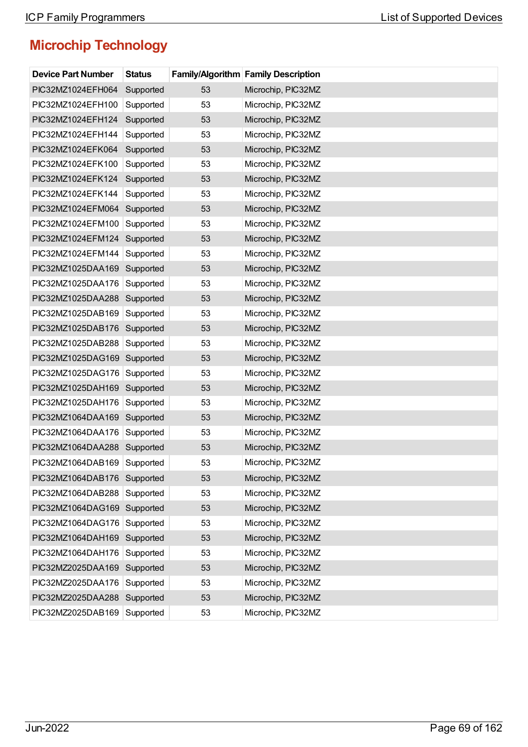| <b>Device Part Number</b>   | <b>Status</b> |    | <b>Family/Algorithm Family Description</b> |
|-----------------------------|---------------|----|--------------------------------------------|
| PIC32MZ1024EFH064           | Supported     | 53 | Microchip, PIC32MZ                         |
| PIC32MZ1024EFH100           | Supported     | 53 | Microchip, PIC32MZ                         |
| PIC32MZ1024EFH124           | Supported     | 53 | Microchip, PIC32MZ                         |
| PIC32MZ1024EFH144           | Supported     | 53 | Microchip, PIC32MZ                         |
| PIC32MZ1024EFK064           | Supported     | 53 | Microchip, PIC32MZ                         |
| PIC32MZ1024EFK100           | Supported     | 53 | Microchip, PIC32MZ                         |
| PIC32MZ1024EFK124           | Supported     | 53 | Microchip, PIC32MZ                         |
| PIC32MZ1024EFK144           | Supported     | 53 | Microchip, PIC32MZ                         |
| PIC32MZ1024EFM064           | Supported     | 53 | Microchip, PIC32MZ                         |
| PIC32MZ1024EFM100           | Supported     | 53 | Microchip, PIC32MZ                         |
| PIC32MZ1024EFM124           | Supported     | 53 | Microchip, PIC32MZ                         |
| PIC32MZ1024EFM144           | Supported     | 53 | Microchip, PIC32MZ                         |
| PIC32MZ1025DAA169           | Supported     | 53 | Microchip, PIC32MZ                         |
| PIC32MZ1025DAA176           | Supported     | 53 | Microchip, PIC32MZ                         |
| PIC32MZ1025DAA288           | Supported     | 53 | Microchip, PIC32MZ                         |
| PIC32MZ1025DAB169           | Supported     | 53 | Microchip, PIC32MZ                         |
| PIC32MZ1025DAB176           | Supported     | 53 | Microchip, PIC32MZ                         |
| PIC32MZ1025DAB288           | Supported     | 53 | Microchip, PIC32MZ                         |
| PIC32MZ1025DAG169 Supported |               | 53 | Microchip, PIC32MZ                         |
| PIC32MZ1025DAG176           | Supported     | 53 | Microchip, PIC32MZ                         |
| PIC32MZ1025DAH169           | Supported     | 53 | Microchip, PIC32MZ                         |
| PIC32MZ1025DAH176           | Supported     | 53 | Microchip, PIC32MZ                         |
| PIC32MZ1064DAA169           | Supported     | 53 | Microchip, PIC32MZ                         |
| PIC32MZ1064DAA176           | Supported     | 53 | Microchip, PIC32MZ                         |
| PIC32MZ1064DAA288 Supported |               | 53 | Microchip, PIC32MZ                         |
| PIC32MZ1064DAB169 Supported |               | 53 | Microchip, PIC32MZ                         |
| PIC32MZ1064DAB176 Supported |               | 53 | Microchip, PIC32MZ                         |
| PIC32MZ1064DAB288           | Supported     | 53 | Microchip, PIC32MZ                         |
| PIC32MZ1064DAG169 Supported |               | 53 | Microchip, PIC32MZ                         |
| PIC32MZ1064DAG176           | Supported     | 53 | Microchip, PIC32MZ                         |
| PIC32MZ1064DAH169           | Supported     | 53 | Microchip, PIC32MZ                         |
| PIC32MZ1064DAH176           | Supported     | 53 | Microchip, PIC32MZ                         |
| PIC32MZ2025DAA169           | Supported     | 53 | Microchip, PIC32MZ                         |
| PIC32MZ2025DAA176           | Supported     | 53 | Microchip, PIC32MZ                         |
| PIC32MZ2025DAA288 Supported |               | 53 | Microchip, PIC32MZ                         |
| PIC32MZ2025DAB169           | Supported     | 53 | Microchip, PIC32MZ                         |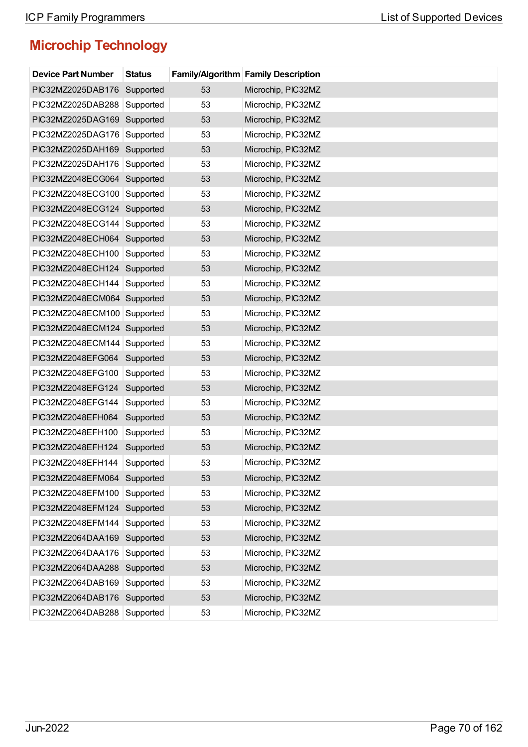| <b>Device Part Number</b>   | <b>Status</b> |    | <b>Family/Algorithm Family Description</b> |
|-----------------------------|---------------|----|--------------------------------------------|
| PIC32MZ2025DAB176           | Supported     | 53 | Microchip, PIC32MZ                         |
| PIC32MZ2025DAB288           | Supported     | 53 | Microchip, PIC32MZ                         |
| PIC32MZ2025DAG169           | Supported     | 53 | Microchip, PIC32MZ                         |
| PIC32MZ2025DAG176           | Supported     | 53 | Microchip, PIC32MZ                         |
| PIC32MZ2025DAH169           | Supported     | 53 | Microchip, PIC32MZ                         |
| PIC32MZ2025DAH176           | Supported     | 53 | Microchip, PIC32MZ                         |
| PIC32MZ2048ECG064 Supported |               | 53 | Microchip, PIC32MZ                         |
| PIC32MZ2048ECG100           | Supported     | 53 | Microchip, PIC32MZ                         |
| PIC32MZ2048ECG124 Supported |               | 53 | Microchip, PIC32MZ                         |
| PIC32MZ2048ECG144           | Supported     | 53 | Microchip, PIC32MZ                         |
| PIC32MZ2048ECH064           | Supported     | 53 | Microchip, PIC32MZ                         |
| PIC32MZ2048ECH100           | Supported     | 53 | Microchip, PIC32MZ                         |
| PIC32MZ2048ECH124 Supported |               | 53 | Microchip, PIC32MZ                         |
| PIC32MZ2048ECH144           | Supported     | 53 | Microchip, PIC32MZ                         |
| PIC32MZ2048ECM064 Supported |               | 53 | Microchip, PIC32MZ                         |
| PIC32MZ2048ECM100           | Supported     | 53 | Microchip, PIC32MZ                         |
| PIC32MZ2048ECM124 Supported |               | 53 | Microchip, PIC32MZ                         |
| PIC32MZ2048ECM144           | Supported     | 53 | Microchip, PIC32MZ                         |
| PIC32MZ2048EFG064           | Supported     | 53 | Microchip, PIC32MZ                         |
| PIC32MZ2048EFG100           | Supported     | 53 | Microchip, PIC32MZ                         |
| PIC32MZ2048EFG124           | Supported     | 53 | Microchip, PIC32MZ                         |
| PIC32MZ2048EFG144           | Supported     | 53 | Microchip, PIC32MZ                         |
| PIC32MZ2048EFH064           | Supported     | 53 | Microchip, PIC32MZ                         |
| PIC32MZ2048EFH100           | Supported     | 53 | Microchip, PIC32MZ                         |
| PIC32MZ2048EFH124           | Supported     | 53 | Microchip, PIC32MZ                         |
| PIC32MZ2048EFH144           | Supported     | 53 | Microchip, PIC32MZ                         |
| PIC32MZ2048EFM064           | Supported     | 53 | Microchip, PIC32MZ                         |
| PIC32MZ2048EFM100           | Supported     | 53 | Microchip, PIC32MZ                         |
| PIC32MZ2048EFM124           | Supported     | 53 | Microchip, PIC32MZ                         |
| PIC32MZ2048EFM144           | Supported     | 53 | Microchip, PIC32MZ                         |
| PIC32MZ2064DAA169           | Supported     | 53 | Microchip, PIC32MZ                         |
| PIC32MZ2064DAA176           | Supported     | 53 | Microchip, PIC32MZ                         |
| PIC32MZ2064DAA288           | Supported     | 53 | Microchip, PIC32MZ                         |
| PIC32MZ2064DAB169           | Supported     | 53 | Microchip, PIC32MZ                         |
| PIC32MZ2064DAB176 Supported |               | 53 | Microchip, PIC32MZ                         |
| PIC32MZ2064DAB288           | Supported     | 53 | Microchip, PIC32MZ                         |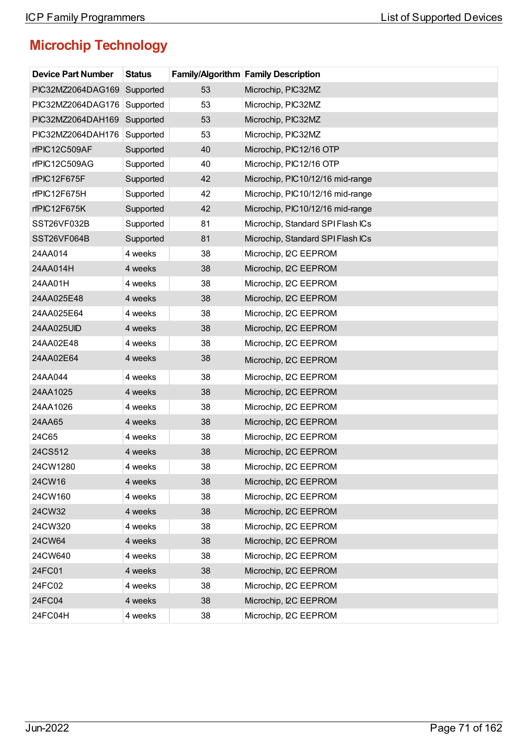| <b>Device Part Number</b> | <b>Status</b> |    | <b>Family/Algorithm Family Description</b> |
|---------------------------|---------------|----|--------------------------------------------|
| PIC32MZ2064DAG169         | Supported     | 53 | Microchip, PIC32MZ                         |
| PIC32MZ2064DAG176         | Supported     | 53 | Microchip, PIC32MZ                         |
| PIC32MZ2064DAH169         | Supported     | 53 | Microchip, PIC32MZ                         |
| PIC32MZ2064DAH176         | Supported     | 53 | Microchip, PIC32MZ                         |
| rfPIC12C509AF             | Supported     | 40 | Microchip, PIC12/16 OTP                    |
| rfPIC12C509AG             | Supported     | 40 | Microchip, PIC12/16 OTP                    |
| rfPIC12F675F              | Supported     | 42 | Microchip, PIC10/12/16 mid-range           |
| rfPIC12F675H              | Supported     | 42 | Microchip, PIC10/12/16 mid-range           |
| rfPIC12F675K              | Supported     | 42 | Microchip, PIC10/12/16 mid-range           |
| SST26VF032B               | Supported     | 81 | Microchip, Standard SPI Flash ICs          |
| SST26VF064B               | Supported     | 81 | Microchip, Standard SPI Flash ICs          |
| 24AA014                   | 4 weeks       | 38 | Microchip, I2C EEPROM                      |
| 24AA014H                  | 4 weeks       | 38 | Microchip, I2C EEPROM                      |
| 24AA01H                   | 4 weeks       | 38 | Microchip, I2C EEPROM                      |
| 24AA025E48                | 4 weeks       | 38 | Microchip, I2C EEPROM                      |
| 24AA025E64                | 4 weeks       | 38 | Microchip, I2C EEPROM                      |
| 24AA025UID                | 4 weeks       | 38 | Microchip, I2C EEPROM                      |
| 24AA02E48                 | 4 weeks       | 38 | Microchip, I2C EEPROM                      |
| 24AA02E64                 | 4 weeks       | 38 | Microchip, I2C EEPROM                      |
| 24AA044                   | 4 weeks       | 38 | Microchip, I2C EEPROM                      |
| 24AA1025                  | 4 weeks       | 38 | Microchip, I2C EEPROM                      |
| 24AA1026                  | 4 weeks       | 38 | Microchip, I2C EEPROM                      |
| 24AA65                    | 4 weeks       | 38 | Microchip, I2C EEPROM                      |
| 24C65                     | 4 weeks       | 38 | Microchip, I2C EEPROM                      |
| 24CS512                   | 4 weeks       | 38 | Microchip, I2C EEPROM                      |
| 24CW1280                  | 4 weeks       | 38 | Microchip, I2C EEPROM                      |
| 24CW16                    | 4 weeks       | 38 | Microchip, I2C EEPROM                      |
| 24CW160                   | 4 weeks       | 38 | Microchip, I2C EEPROM                      |
| 24CW32                    | 4 weeks       | 38 | Microchip, I2C EEPROM                      |
| 24CW320                   | 4 weeks       | 38 | Microchip, I2C EEPROM                      |
| 24CW64                    | 4 weeks       | 38 | Microchip, I2C EEPROM                      |
| 24CW640                   | 4 weeks       | 38 | Microchip, I2C EEPROM                      |
| 24FC01                    | 4 weeks       | 38 | Microchip, I2C EEPROM                      |
| 24FC02                    | 4 weeks       | 38 | Microchip, I2C EEPROM                      |
| 24FC04                    | 4 weeks       | 38 | Microchip, I2C EEPROM                      |
| 24FC04H                   | 4 weeks       | 38 | Microchip, I2C EEPROM                      |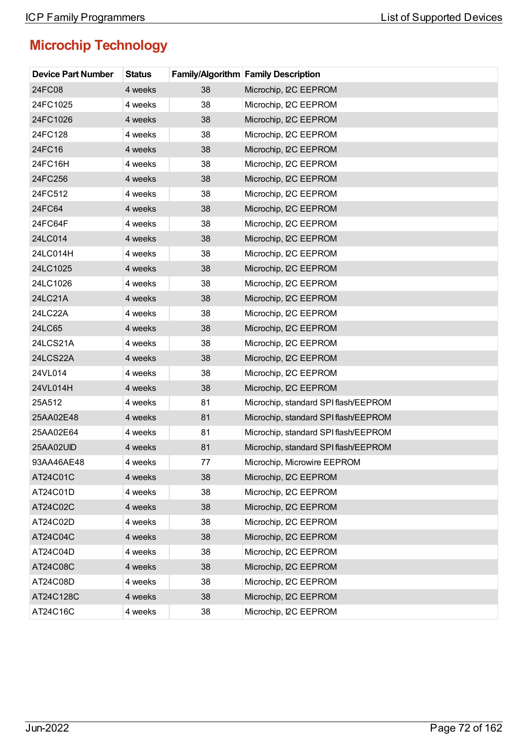| <b>Device Part Number</b> | <b>Status</b> |    | <b>Family/Algorithm Family Description</b> |
|---------------------------|---------------|----|--------------------------------------------|
| 24FC08                    | 4 weeks       | 38 | Microchip, I2C EEPROM                      |
| 24FC1025                  | 4 weeks       | 38 | Microchip, I2C EEPROM                      |
| 24FC1026                  | 4 weeks       | 38 | Microchip, I2C EEPROM                      |
| 24FC128                   | 4 weeks       | 38 | Microchip, I2C EEPROM                      |
| 24FC16                    | 4 weeks       | 38 | Microchip, I2C EEPROM                      |
| 24FC16H                   | 4 weeks       | 38 | Microchip, I2C EEPROM                      |
| 24FC256                   | 4 weeks       | 38 | Microchip, I2C EEPROM                      |
| 24FC512                   | 4 weeks       | 38 | Microchip, I2C EEPROM                      |
| 24FC64                    | 4 weeks       | 38 | Microchip, I2C EEPROM                      |
| 24FC64F                   | 4 weeks       | 38 | Microchip, I2C EEPROM                      |
| 24LC014                   | 4 weeks       | 38 | Microchip, I2C EEPROM                      |
| 24LC014H                  | 4 weeks       | 38 | Microchip, I2C EEPROM                      |
| 24LC1025                  | 4 weeks       | 38 | Microchip, I2C EEPROM                      |
| 24LC1026                  | 4 weeks       | 38 | Microchip, I2C EEPROM                      |
| 24LC21A                   | 4 weeks       | 38 | Microchip, I2C EEPROM                      |
| 24LC22A                   | 4 weeks       | 38 | Microchip, I2C EEPROM                      |
| 24LC65                    | 4 weeks       | 38 | Microchip, I2C EEPROM                      |
| 24LCS21A                  | 4 weeks       | 38 | Microchip, I2C EEPROM                      |
| 24LCS22A                  | 4 weeks       | 38 | Microchip, I2C EEPROM                      |
| 24VL014                   | 4 weeks       | 38 | Microchip, I2C EEPROM                      |
| 24VL014H                  | 4 weeks       | 38 | Microchip, I2C EEPROM                      |
| 25A512                    | 4 weeks       | 81 | Microchip, standard SPI flash/EEPROM       |
| 25AA02E48                 | 4 weeks       | 81 | Microchip, standard SPI flash/EEPROM       |
| 25AA02E64                 | 4 weeks       | 81 | Microchip, standard SPI flash/EEPROM       |
| 25AA02UID                 | 4 weeks       | 81 | Microchip, standard SPI flash/EEPROM       |
| 93AA46AE48                | 4 weeks       | 77 | Microchip, Microwire EEPROM                |
| AT24C01C                  | 4 weeks       | 38 | Microchip, I2C EEPROM                      |
| AT24C01D                  | 4 weeks       | 38 | Microchip, I2C EEPROM                      |
| AT24C02C                  | 4 weeks       | 38 | Microchip, I2C EEPROM                      |
| AT24C02D                  | 4 weeks       | 38 | Microchip, I2C EEPROM                      |
| AT24C04C                  | 4 weeks       | 38 | Microchip, I2C EEPROM                      |
| AT24C04D                  | 4 weeks       | 38 | Microchip, I2C EEPROM                      |
| AT24C08C                  | 4 weeks       | 38 | Microchip, I2C EEPROM                      |
| AT24C08D                  | 4 weeks       | 38 | Microchip, I2C EEPROM                      |
| AT24C128C                 | 4 weeks       | 38 | Microchip, I2C EEPROM                      |
| AT24C16C                  | 4 weeks       | 38 | Microchip, I2C EEPROM                      |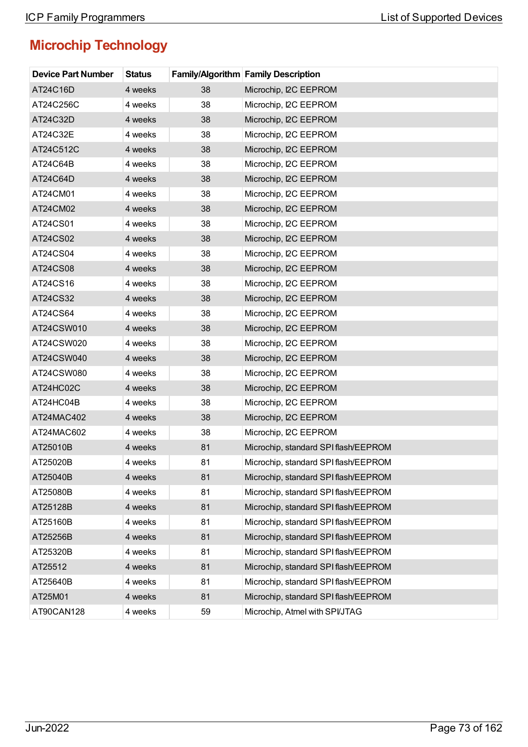| <b>Device Part Number</b> | <b>Status</b> |    | <b>Family/Algorithm Family Description</b> |
|---------------------------|---------------|----|--------------------------------------------|
| AT24C16D                  | 4 weeks       | 38 | Microchip, I2C EEPROM                      |
| AT24C256C                 | 4 weeks       | 38 | Microchip, I2C EEPROM                      |
| AT24C32D                  | 4 weeks       | 38 | Microchip, I2C EEPROM                      |
| AT24C32E                  | 4 weeks       | 38 | Microchip, I2C EEPROM                      |
| AT24C512C                 | 4 weeks       | 38 | Microchip, I2C EEPROM                      |
| AT24C64B                  | 4 weeks       | 38 | Microchip, I2C EEPROM                      |
| AT24C64D                  | 4 weeks       | 38 | Microchip, I2C EEPROM                      |
| AT24CM01                  | 4 weeks       | 38 | Microchip, I2C EEPROM                      |
| AT24CM02                  | 4 weeks       | 38 | Microchip, I2C EEPROM                      |
| AT24CS01                  | 4 weeks       | 38 | Microchip, I2C EEPROM                      |
| AT24CS02                  | 4 weeks       | 38 | Microchip, I2C EEPROM                      |
| AT24CS04                  | 4 weeks       | 38 | Microchip, I2C EEPROM                      |
| AT24CS08                  | 4 weeks       | 38 | Microchip, I2C EEPROM                      |
| AT24CS16                  | 4 weeks       | 38 | Microchip, I2C EEPROM                      |
| AT24CS32                  | 4 weeks       | 38 | Microchip, I2C EEPROM                      |
| AT24CS64                  | 4 weeks       | 38 | Microchip, I2C EEPROM                      |
| AT24CSW010                | 4 weeks       | 38 | Microchip, I2C EEPROM                      |
| AT24CSW020                | 4 weeks       | 38 | Microchip, I2C EEPROM                      |
| AT24CSW040                | 4 weeks       | 38 | Microchip, I2C EEPROM                      |
| AT24CSW080                | 4 weeks       | 38 | Microchip, I2C EEPROM                      |
| AT24HC02C                 | 4 weeks       | 38 | Microchip, I2C EEPROM                      |
| AT24HC04B                 | 4 weeks       | 38 | Microchip, I2C EEPROM                      |
| AT24MAC402                | 4 weeks       | 38 | Microchip, I2C EEPROM                      |
| AT24MAC602                | 4 weeks       | 38 | Microchip, I2C EEPROM                      |
| AT25010B                  | 4 weeks       | 81 | Microchip, standard SPI flash/EEPROM       |
| AT25020B                  | 4 weeks       | 81 | Microchip, standard SPI flash/EEPROM       |
| AT25040B                  | 4 weeks       | 81 | Microchip, standard SPI flash/EEPROM       |
| AT25080B                  | 4 weeks       | 81 | Microchip, standard SPI flash/EEPROM       |
| AT25128B                  | 4 weeks       | 81 | Microchip, standard SPI flash/EEPROM       |
| AT25160B                  | 4 weeks       | 81 | Microchip, standard SPI flash/EEPROM       |
| AT25256B                  | 4 weeks       | 81 | Microchip, standard SPI flash/EEPROM       |
| AT25320B                  | 4 weeks       | 81 | Microchip, standard SPI flash/EEPROM       |
| AT25512                   | 4 weeks       | 81 | Microchip, standard SPI flash/EEPROM       |
| AT25640B                  | 4 weeks       | 81 | Microchip, standard SPI flash/EEPROM       |
| AT25M01                   | 4 weeks       | 81 | Microchip, standard SPI flash/EEPROM       |
| AT90CAN128                | 4 weeks       | 59 | Microchip, Atmel with SPI/JTAG             |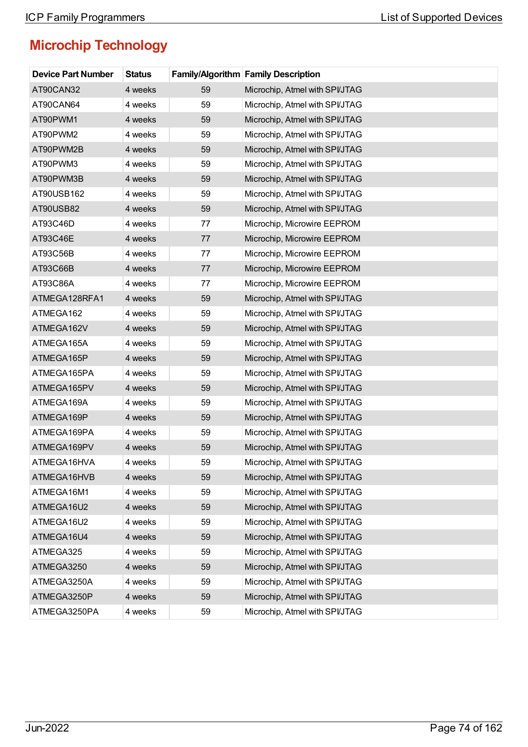| <b>Device Part Number</b> | <b>Status</b> |    | <b>Family/Algorithm Family Description</b> |
|---------------------------|---------------|----|--------------------------------------------|
| AT90CAN32                 | 4 weeks       | 59 | Microchip, Atmel with SPI/JTAG             |
| AT90CAN64                 | 4 weeks       | 59 | Microchip, Atmel with SPI/JTAG             |
| AT90PWM1                  | 4 weeks       | 59 | Microchip, Atmel with SPI/JTAG             |
| AT90PWM2                  | 4 weeks       | 59 | Microchip, Atmel with SPI/JTAG             |
| AT90PWM2B                 | 4 weeks       | 59 | Microchip, Atmel with SPI/JTAG             |
| AT90PWM3                  | 4 weeks       | 59 | Microchip, Atmel with SPI/JTAG             |
| AT90PWM3B                 | 4 weeks       | 59 | Microchip, Atmel with SPI/JTAG             |
| AT90USB162                | 4 weeks       | 59 | Microchip, Atmel with SPI/JTAG             |
| AT90USB82                 | 4 weeks       | 59 | Microchip, Atmel with SPI/JTAG             |
| AT93C46D                  | 4 weeks       | 77 | Microchip, Microwire EEPROM                |
| AT93C46E                  | 4 weeks       | 77 | Microchip, Microwire EEPROM                |
| AT93C56B                  | 4 weeks       | 77 | Microchip, Microwire EEPROM                |
| AT93C66B                  | 4 weeks       | 77 | Microchip, Microwire EEPROM                |
| AT93C86A                  | 4 weeks       | 77 | Microchip, Microwire EEPROM                |
| ATMEGA128RFA1             | 4 weeks       | 59 | Microchip, Atmel with SPI/JTAG             |
| ATMEGA162                 | 4 weeks       | 59 | Microchip, Atmel with SPI/JTAG             |
| ATMEGA162V                | 4 weeks       | 59 | Microchip, Atmel with SPI/JTAG             |
| ATMEGA165A                | 4 weeks       | 59 | Microchip, Atmel with SPI/JTAG             |
| ATMEGA165P                | 4 weeks       | 59 | Microchip, Atmel with SPI/JTAG             |
| ATMEGA165PA               | 4 weeks       | 59 | Microchip, Atmel with SPI/JTAG             |
| ATMEGA165PV               | 4 weeks       | 59 | Microchip, Atmel with SPI/JTAG             |
| ATMEGA169A                | 4 weeks       | 59 | Microchip, Atmel with SPI/JTAG             |
| ATMEGA169P                | 4 weeks       | 59 | Microchip, Atmel with SPI/JTAG             |
| ATMEGA169PA               | 4 weeks       | 59 | Microchip, Atmel with SPI/JTAG             |
| ATMEGA169PV               | 4 weeks       | 59 | Microchip, Atmel with SPI/JTAG             |
| ATMEGA16HVA               | 4 weeks       | 59 | Microchip, Atmel with SPI/JTAG             |
| ATMEGA16HVB               | 4 weeks       | 59 | Microchip, Atmel with SPI/JTAG             |
| ATMEGA16M1                | 4 weeks       | 59 | Microchip, Atmel with SPI/JTAG             |
| ATMEGA16U2                | 4 weeks       | 59 | Microchip, Atmel with SPI/JTAG             |
| ATMEGA16U2                | 4 weeks       | 59 | Microchip, Atmel with SPI/JTAG             |
| ATMEGA16U4                | 4 weeks       | 59 | Microchip, Atmel with SPI/JTAG             |
| ATMEGA325                 | 4 weeks       | 59 | Microchip, Atmel with SPI/JTAG             |
| ATMEGA3250                | 4 weeks       | 59 | Microchip, Atmel with SPI/JTAG             |
| ATMEGA3250A               | 4 weeks       | 59 | Microchip, Atmel with SPI/JTAG             |
| ATMEGA3250P               | 4 weeks       | 59 | Microchip, Atmel with SPI/JTAG             |
| ATMEGA3250PA              | 4 weeks       | 59 | Microchip, Atmel with SPI/JTAG             |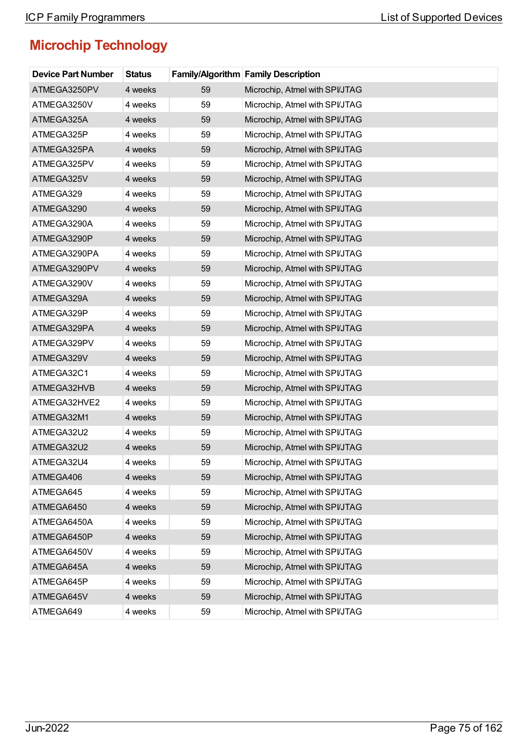| <b>Device Part Number</b> | <b>Status</b> |    | <b>Family/Algorithm Family Description</b> |
|---------------------------|---------------|----|--------------------------------------------|
| ATMEGA3250PV              | 4 weeks       | 59 | Microchip, Atmel with SPI/JTAG             |
| ATMEGA3250V               | 4 weeks       | 59 | Microchip, Atmel with SPI/JTAG             |
| ATMEGA325A                | 4 weeks       | 59 | Microchip, Atmel with SPI/JTAG             |
| ATMEGA325P                | 4 weeks       | 59 | Microchip, Atmel with SPI/JTAG             |
| ATMEGA325PA               | 4 weeks       | 59 | Microchip, Atmel with SPI/JTAG             |
| ATMEGA325PV               | 4 weeks       | 59 | Microchip, Atmel with SPI/JTAG             |
| ATMEGA325V                | 4 weeks       | 59 | Microchip, Atmel with SPI/JTAG             |
| ATMEGA329                 | 4 weeks       | 59 | Microchip, Atmel with SPI/JTAG             |
| ATMEGA3290                | 4 weeks       | 59 | Microchip, Atmel with SPI/JTAG             |
| ATMEGA3290A               | 4 weeks       | 59 | Microchip, Atmel with SPI/JTAG             |
| ATMEGA3290P               | 4 weeks       | 59 | Microchip, Atmel with SPI/JTAG             |
| ATMEGA3290PA              | 4 weeks       | 59 | Microchip, Atmel with SPI/JTAG             |
| ATMEGA3290PV              | 4 weeks       | 59 | Microchip, Atmel with SPI/JTAG             |
| ATMEGA3290V               | 4 weeks       | 59 | Microchip, Atmel with SPI/JTAG             |
| ATMEGA329A                | 4 weeks       | 59 | Microchip, Atmel with SPI/JTAG             |
| ATMEGA329P                | 4 weeks       | 59 | Microchip, Atmel with SPI/JTAG             |
| ATMEGA329PA               | 4 weeks       | 59 | Microchip, Atmel with SPI/JTAG             |
| ATMEGA329PV               | 4 weeks       | 59 | Microchip, Atmel with SPI/JTAG             |
| ATMEGA329V                | 4 weeks       | 59 | Microchip, Atmel with SPI/JTAG             |
| ATMEGA32C1                | 4 weeks       | 59 | Microchip, Atmel with SPI/JTAG             |
| ATMEGA32HVB               | 4 weeks       | 59 | Microchip, Atmel with SPI/JTAG             |
| ATMEGA32HVE2              | 4 weeks       | 59 | Microchip, Atmel with SPI/JTAG             |
| ATMEGA32M1                | 4 weeks       | 59 | Microchip, Atmel with SPI/JTAG             |
| ATMEGA32U2                | 4 weeks       | 59 | Microchip, Atmel with SPI/JTAG             |
| ATMEGA32U2                | 4 weeks       | 59 | Microchip, Atmel with SPI/JTAG             |
| ATMEGA32U4                | 4 weeks       | 59 | Microchip, Atmel with SPI/JTAG             |
| ATMEGA406                 | 4 weeks       | 59 | Microchip, Atmel with SPI/JTAG             |
| ATMEGA645                 | 4 weeks       | 59 | Microchip, Atmel with SPI/JTAG             |
| ATMEGA6450                | 4 weeks       | 59 | Microchip, Atmel with SPI/JTAG             |
| ATMEGA6450A               | 4 weeks       | 59 | Microchip, Atmel with SPI/JTAG             |
| ATMEGA6450P               | 4 weeks       | 59 | Microchip, Atmel with SPI/JTAG             |
| ATMEGA6450V               | 4 weeks       | 59 | Microchip, Atmel with SPI/JTAG             |
| ATMEGA645A                | 4 weeks       | 59 | Microchip, Atmel with SPI/JTAG             |
| ATMEGA645P                | 4 weeks       | 59 | Microchip, Atmel with SPI/JTAG             |
| ATMEGA645V                | 4 weeks       | 59 | Microchip, Atmel with SPI/JTAG             |
| ATMEGA649                 | 4 weeks       | 59 | Microchip, Atmel with SPI/JTAG             |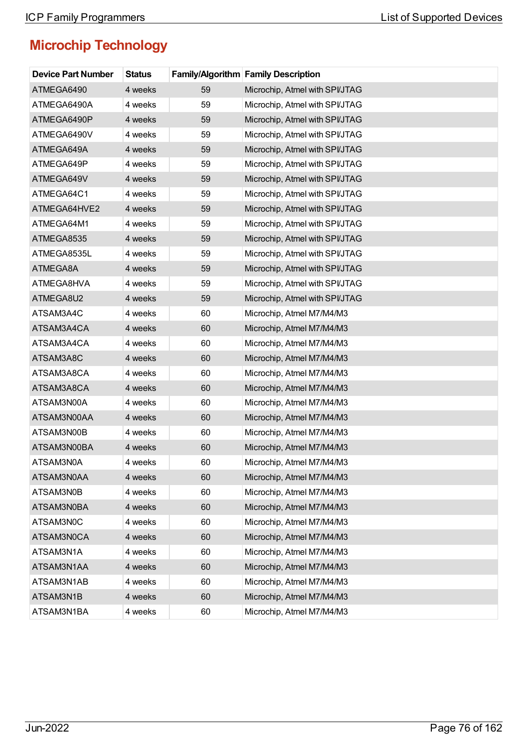| <b>Device Part Number</b> | <b>Status</b> |    | <b>Family/Algorithm Family Description</b> |
|---------------------------|---------------|----|--------------------------------------------|
| ATMEGA6490                | 4 weeks       | 59 | Microchip, Atmel with SPI/JTAG             |
| ATMEGA6490A               | 4 weeks       | 59 | Microchip, Atmel with SPI/JTAG             |
| ATMEGA6490P               | 4 weeks       | 59 | Microchip, Atmel with SPI/JTAG             |
| ATMEGA6490V               | 4 weeks       | 59 | Microchip, Atmel with SPI/JTAG             |
| ATMEGA649A                | 4 weeks       | 59 | Microchip, Atmel with SPI/JTAG             |
| ATMEGA649P                | 4 weeks       | 59 | Microchip, Atmel with SPI/JTAG             |
| ATMEGA649V                | 4 weeks       | 59 | Microchip, Atmel with SPI/JTAG             |
| ATMEGA64C1                | 4 weeks       | 59 | Microchip, Atmel with SPI/JTAG             |
| ATMEGA64HVE2              | 4 weeks       | 59 | Microchip, Atmel with SPI/JTAG             |
| ATMEGA64M1                | 4 weeks       | 59 | Microchip, Atmel with SPI/JTAG             |
| ATMEGA8535                | 4 weeks       | 59 | Microchip, Atmel with SPI/JTAG             |
| ATMEGA8535L               | 4 weeks       | 59 | Microchip, Atmel with SPI/JTAG             |
| ATMEGA8A                  | 4 weeks       | 59 | Microchip, Atmel with SPI/JTAG             |
| ATMEGA8HVA                | 4 weeks       | 59 | Microchip, Atmel with SPI/JTAG             |
| ATMEGA8U2                 | 4 weeks       | 59 | Microchip, Atmel with SPI/JTAG             |
| ATSAM3A4C                 | 4 weeks       | 60 | Microchip, Atmel M7/M4/M3                  |
| ATSAM3A4CA                | 4 weeks       | 60 | Microchip, Atmel M7/M4/M3                  |
| ATSAM3A4CA                | 4 weeks       | 60 | Microchip, Atmel M7/M4/M3                  |
| ATSAM3A8C                 | 4 weeks       | 60 | Microchip, Atmel M7/M4/M3                  |
| ATSAM3A8CA                | 4 weeks       | 60 | Microchip, Atmel M7/M4/M3                  |
| ATSAM3A8CA                | 4 weeks       | 60 | Microchip, Atmel M7/M4/M3                  |
| ATSAM3N00A                | 4 weeks       | 60 | Microchip, Atmel M7/M4/M3                  |
| ATSAM3N00AA               | 4 weeks       | 60 | Microchip, Atmel M7/M4/M3                  |
| ATSAM3N00B                | 4 weeks       | 60 | Microchip, Atmel M7/M4/M3                  |
| ATSAM3N00BA               | 4 weeks       | 60 | Microchip, Atmel M7/M4/M3                  |
| ATSAM3N0A                 | 4 weeks       | 60 | Microchip, Atmel M7/M4/M3                  |
| ATSAM3N0AA                | 4 weeks       | 60 | Microchip, Atmel M7/M4/M3                  |
| ATSAM3N0B                 | 4 weeks       | 60 | Microchip, Atmel M7/M4/M3                  |
| ATSAM3N0BA                | 4 weeks       | 60 | Microchip, Atmel M7/M4/M3                  |
| ATSAM3N0C                 | 4 weeks       | 60 | Microchip, Atmel M7/M4/M3                  |
| ATSAM3N0CA                | 4 weeks       | 60 | Microchip, Atmel M7/M4/M3                  |
| ATSAM3N1A                 | 4 weeks       | 60 | Microchip, Atmel M7/M4/M3                  |
| ATSAM3N1AA                | 4 weeks       | 60 | Microchip, Atmel M7/M4/M3                  |
| ATSAM3N1AB                | 4 weeks       | 60 | Microchip, Atmel M7/M4/M3                  |
| ATSAM3N1B                 | 4 weeks       | 60 | Microchip, Atmel M7/M4/M3                  |
| ATSAM3N1BA                | 4 weeks       | 60 | Microchip, Atmel M7/M4/M3                  |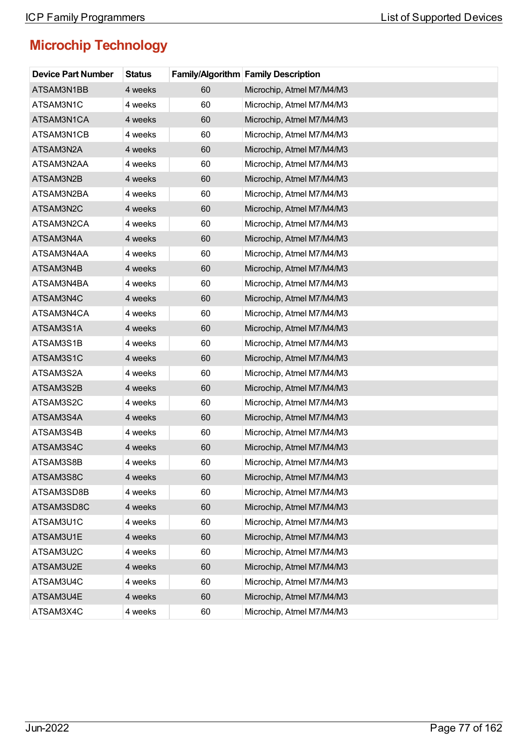| <b>Device Part Number</b> | <b>Status</b> |    | <b>Family/Algorithm Family Description</b> |
|---------------------------|---------------|----|--------------------------------------------|
| ATSAM3N1BB                | 4 weeks       | 60 | Microchip, Atmel M7/M4/M3                  |
| ATSAM3N1C                 | 4 weeks       | 60 | Microchip, Atmel M7/M4/M3                  |
| ATSAM3N1CA                | 4 weeks       | 60 | Microchip, Atmel M7/M4/M3                  |
| ATSAM3N1CB                | 4 weeks       | 60 | Microchip, Atmel M7/M4/M3                  |
| ATSAM3N2A                 | 4 weeks       | 60 | Microchip, Atmel M7/M4/M3                  |
| ATSAM3N2AA                | 4 weeks       | 60 | Microchip, Atmel M7/M4/M3                  |
| ATSAM3N2B                 | 4 weeks       | 60 | Microchip, Atmel M7/M4/M3                  |
| ATSAM3N2BA                | 4 weeks       | 60 | Microchip, Atmel M7/M4/M3                  |
| ATSAM3N2C                 | 4 weeks       | 60 | Microchip, Atmel M7/M4/M3                  |
| ATSAM3N2CA                | 4 weeks       | 60 | Microchip, Atmel M7/M4/M3                  |
| ATSAM3N4A                 | 4 weeks       | 60 | Microchip, Atmel M7/M4/M3                  |
| ATSAM3N4AA                | 4 weeks       | 60 | Microchip, Atmel M7/M4/M3                  |
| ATSAM3N4B                 | 4 weeks       | 60 | Microchip, Atmel M7/M4/M3                  |
| ATSAM3N4BA                | 4 weeks       | 60 | Microchip, Atmel M7/M4/M3                  |
| ATSAM3N4C                 | 4 weeks       | 60 | Microchip, Atmel M7/M4/M3                  |
| ATSAM3N4CA                | 4 weeks       | 60 | Microchip, Atmel M7/M4/M3                  |
| ATSAM3S1A                 | 4 weeks       | 60 | Microchip, Atmel M7/M4/M3                  |
| ATSAM3S1B                 | 4 weeks       | 60 | Microchip, Atmel M7/M4/M3                  |
| ATSAM3S1C                 | 4 weeks       | 60 | Microchip, Atmel M7/M4/M3                  |
| ATSAM3S2A                 | 4 weeks       | 60 | Microchip, Atmel M7/M4/M3                  |
| ATSAM3S2B                 | 4 weeks       | 60 | Microchip, Atmel M7/M4/M3                  |
| ATSAM3S2C                 | 4 weeks       | 60 | Microchip, Atmel M7/M4/M3                  |
| ATSAM3S4A                 | 4 weeks       | 60 | Microchip, Atmel M7/M4/M3                  |
| ATSAM3S4B                 | 4 weeks       | 60 | Microchip, Atmel M7/M4/M3                  |
| ATSAM3S4C                 | 4 weeks       | 60 | Microchip, Atmel M7/M4/M3                  |
| ATSAM3S8B                 | 4 weeks       | 60 | Microchip, Atmel M7/M4/M3                  |
| ATSAM3S8C                 | 4 weeks       | 60 | Microchip, Atmel M7/M4/M3                  |
| ATSAM3SD8B                | 4 weeks       | 60 | Microchip, Atmel M7/M4/M3                  |
| ATSAM3SD8C                | 4 weeks       | 60 | Microchip, Atmel M7/M4/M3                  |
| ATSAM3U1C                 | 4 weeks       | 60 | Microchip, Atmel M7/M4/M3                  |
| ATSAM3U1E                 | 4 weeks       | 60 | Microchip, Atmel M7/M4/M3                  |
| ATSAM3U2C                 | 4 weeks       | 60 | Microchip, Atmel M7/M4/M3                  |
| ATSAM3U2E                 | 4 weeks       | 60 | Microchip, Atmel M7/M4/M3                  |
| ATSAM3U4C                 | 4 weeks       | 60 | Microchip, Atmel M7/M4/M3                  |
| ATSAM3U4E                 | 4 weeks       | 60 | Microchip, Atmel M7/M4/M3                  |
| ATSAM3X4C                 | 4 weeks       | 60 | Microchip, Atmel M7/M4/M3                  |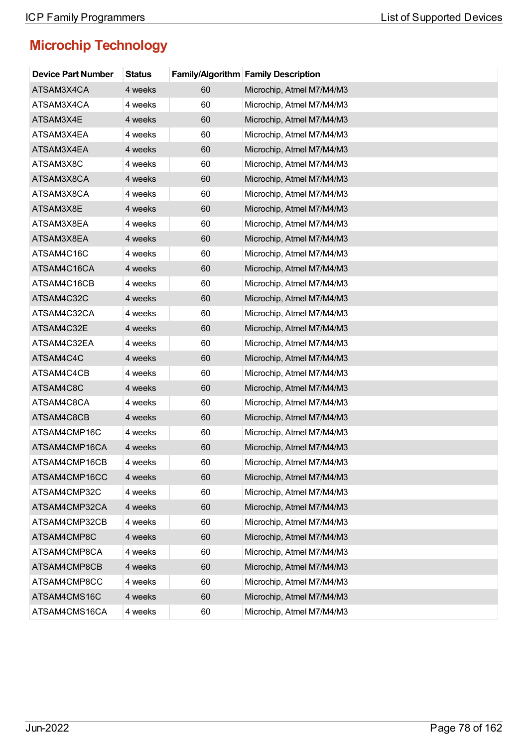| <b>Device Part Number</b> | <b>Status</b> |    | Family/Algorithm Family Description |
|---------------------------|---------------|----|-------------------------------------|
| ATSAM3X4CA                | 4 weeks       | 60 | Microchip, Atmel M7/M4/M3           |
| ATSAM3X4CA                | 4 weeks       | 60 | Microchip, Atmel M7/M4/M3           |
| ATSAM3X4E                 | 4 weeks       | 60 | Microchip, Atmel M7/M4/M3           |
| ATSAM3X4EA                | 4 weeks       | 60 | Microchip, Atmel M7/M4/M3           |
| ATSAM3X4EA                | 4 weeks       | 60 | Microchip, Atmel M7/M4/M3           |
| ATSAM3X8C                 | 4 weeks       | 60 | Microchip, Atmel M7/M4/M3           |
| ATSAM3X8CA                | 4 weeks       | 60 | Microchip, Atmel M7/M4/M3           |
| ATSAM3X8CA                | 4 weeks       | 60 | Microchip, Atmel M7/M4/M3           |
| ATSAM3X8E                 | 4 weeks       | 60 | Microchip, Atmel M7/M4/M3           |
| ATSAM3X8EA                | 4 weeks       | 60 | Microchip, Atmel M7/M4/M3           |
| ATSAM3X8EA                | 4 weeks       | 60 | Microchip, Atmel M7/M4/M3           |
| ATSAM4C16C                | 4 weeks       | 60 | Microchip, Atmel M7/M4/M3           |
| ATSAM4C16CA               | 4 weeks       | 60 | Microchip, Atmel M7/M4/M3           |
| ATSAM4C16CB               | 4 weeks       | 60 | Microchip, Atmel M7/M4/M3           |
| ATSAM4C32C                | 4 weeks       | 60 | Microchip, Atmel M7/M4/M3           |
| ATSAM4C32CA               | 4 weeks       | 60 | Microchip, Atmel M7/M4/M3           |
| ATSAM4C32E                | 4 weeks       | 60 | Microchip, Atmel M7/M4/M3           |
| ATSAM4C32EA               | 4 weeks       | 60 | Microchip, Atmel M7/M4/M3           |
| ATSAM4C4C                 | 4 weeks       | 60 | Microchip, Atmel M7/M4/M3           |
| ATSAM4C4CB                | 4 weeks       | 60 | Microchip, Atmel M7/M4/M3           |
| ATSAM4C8C                 | 4 weeks       | 60 | Microchip, Atmel M7/M4/M3           |
| ATSAM4C8CA                | 4 weeks       | 60 | Microchip, Atmel M7/M4/M3           |
| ATSAM4C8CB                | 4 weeks       | 60 | Microchip, Atmel M7/M4/M3           |
| ATSAM4CMP16C              | 4 weeks       | 60 | Microchip, Atmel M7/M4/M3           |
| ATSAM4CMP16CA             | 4 weeks       | 60 | Microchip, Atmel M7/M4/M3           |
| ATSAM4CMP16CB             | 4 weeks       | 60 | Microchip, Atmel M7/M4/M3           |
| ATSAM4CMP16CC             | 4 weeks       | 60 | Microchip, Atmel M7/M4/M3           |
| ATSAM4CMP32C              | 4 weeks       | 60 | Microchip, Atmel M7/M4/M3           |
| ATSAM4CMP32CA             | 4 weeks       | 60 | Microchip, Atmel M7/M4/M3           |
| ATSAM4CMP32CB             | 4 weeks       | 60 | Microchip, Atmel M7/M4/M3           |
| ATSAM4CMP8C               | 4 weeks       | 60 | Microchip, Atmel M7/M4/M3           |
| ATSAM4CMP8CA              | 4 weeks       | 60 | Microchip, Atmel M7/M4/M3           |
| ATSAM4CMP8CB              | 4 weeks       | 60 | Microchip, Atmel M7/M4/M3           |
| ATSAM4CMP8CC              | 4 weeks       | 60 | Microchip, Atmel M7/M4/M3           |
| ATSAM4CMS16C              | 4 weeks       | 60 | Microchip, Atmel M7/M4/M3           |
| ATSAM4CMS16CA             | 4 weeks       | 60 | Microchip, Atmel M7/M4/M3           |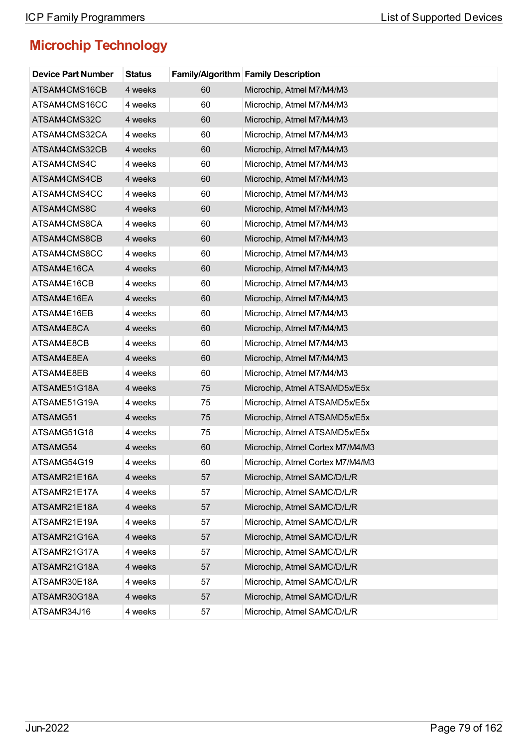| <b>Device Part Number</b> | <b>Status</b> |    | Family/Algorithm Family Description |
|---------------------------|---------------|----|-------------------------------------|
| ATSAM4CMS16CB             | 4 weeks       | 60 | Microchip, Atmel M7/M4/M3           |
| ATSAM4CMS16CC             | 4 weeks       | 60 | Microchip, Atmel M7/M4/M3           |
| ATSAM4CMS32C              | 4 weeks       | 60 | Microchip, Atmel M7/M4/M3           |
| ATSAM4CMS32CA             | 4 weeks       | 60 | Microchip, Atmel M7/M4/M3           |
| ATSAM4CMS32CB             | 4 weeks       | 60 | Microchip, Atmel M7/M4/M3           |
| ATSAM4CMS4C               | 4 weeks       | 60 | Microchip, Atmel M7/M4/M3           |
| ATSAM4CMS4CB              | 4 weeks       | 60 | Microchip, Atmel M7/M4/M3           |
| ATSAM4CMS4CC              | 4 weeks       | 60 | Microchip, Atmel M7/M4/M3           |
| ATSAM4CMS8C               | 4 weeks       | 60 | Microchip, Atmel M7/M4/M3           |
| ATSAM4CMS8CA              | 4 weeks       | 60 | Microchip, Atmel M7/M4/M3           |
| ATSAM4CMS8CB              | 4 weeks       | 60 | Microchip, Atmel M7/M4/M3           |
| ATSAM4CMS8CC              | 4 weeks       | 60 | Microchip, Atmel M7/M4/M3           |
| ATSAM4E16CA               | 4 weeks       | 60 | Microchip, Atmel M7/M4/M3           |
| ATSAM4E16CB               | 4 weeks       | 60 | Microchip, Atmel M7/M4/M3           |
| ATSAM4E16EA               | 4 weeks       | 60 | Microchip, Atmel M7/M4/M3           |
| ATSAM4E16EB               | 4 weeks       | 60 | Microchip, Atmel M7/M4/M3           |
| ATSAM4E8CA                | 4 weeks       | 60 | Microchip, Atmel M7/M4/M3           |
| ATSAM4E8CB                | 4 weeks       | 60 | Microchip, Atmel M7/M4/M3           |
| ATSAM4E8EA                | 4 weeks       | 60 | Microchip, Atmel M7/M4/M3           |
| ATSAM4E8EB                | 4 weeks       | 60 | Microchip, Atmel M7/M4/M3           |
| ATSAME51G18A              | 4 weeks       | 75 | Microchip, Atmel ATSAMD5x/E5x       |
| ATSAME51G19A              | 4 weeks       | 75 | Microchip, Atmel ATSAMD5x/E5x       |
| ATSAMG51                  | 4 weeks       | 75 | Microchip, Atmel ATSAMD5x/E5x       |
| ATSAMG51G18               | 4 weeks       | 75 | Microchip, Atmel ATSAMD5x/E5x       |
| ATSAMG54                  | 4 weeks       | 60 | Microchip, Atmel Cortex M7/M4/M3    |
| ATSAMG54G19               | 4 weeks       | 60 | Microchip, Atmel Cortex M7/M4/M3    |
| ATSAMR21E16A              | 4 weeks       | 57 | Microchip, Atmel SAMC/D/L/R         |
| ATSAMR21E17A              | 4 weeks       | 57 | Microchip, Atmel SAMC/D/L/R         |
| ATSAMR21E18A              | 4 weeks       | 57 | Microchip, Atmel SAMC/D/L/R         |
| ATSAMR21E19A              | 4 weeks       | 57 | Microchip, Atmel SAMC/D/L/R         |
| ATSAMR21G16A              | 4 weeks       | 57 | Microchip, Atmel SAMC/D/L/R         |
| ATSAMR21G17A              | 4 weeks       | 57 | Microchip, Atmel SAMC/D/L/R         |
| ATSAMR21G18A              | 4 weeks       | 57 | Microchip, Atmel SAMC/D/L/R         |
| ATSAMR30E18A              | 4 weeks       | 57 | Microchip, Atmel SAMC/D/L/R         |
| ATSAMR30G18A              | 4 weeks       | 57 | Microchip, Atmel SAMC/D/L/R         |
| ATSAMR34J16               | 4 weeks       | 57 | Microchip, Atmel SAMC/D/L/R         |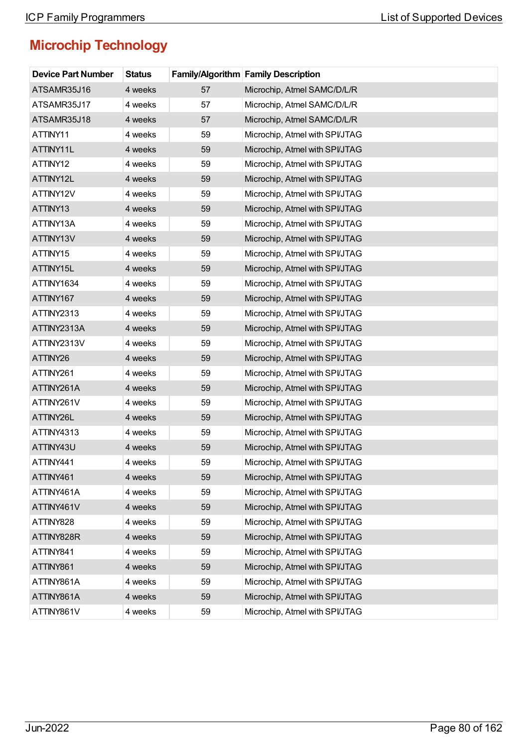| <b>Device Part Number</b> | <b>Status</b> |    | <b>Family/Algorithm Family Description</b> |
|---------------------------|---------------|----|--------------------------------------------|
| ATSAMR35J16               | 4 weeks       | 57 | Microchip, Atmel SAMC/D/L/R                |
| ATSAMR35J17               | 4 weeks       | 57 | Microchip, Atmel SAMC/D/L/R                |
| ATSAMR35J18               | 4 weeks       | 57 | Microchip, Atmel SAMC/D/L/R                |
| ATTINY11                  | 4 weeks       | 59 | Microchip, Atmel with SPI/JTAG             |
| ATTINY11L                 | 4 weeks       | 59 | Microchip, Atmel with SPI/JTAG             |
| ATTINY12                  | 4 weeks       | 59 | Microchip, Atmel with SPI/JTAG             |
| ATTINY12L                 | 4 weeks       | 59 | Microchip, Atmel with SPI/JTAG             |
| ATTINY12V                 | 4 weeks       | 59 | Microchip, Atmel with SPI/JTAG             |
| ATTINY13                  | 4 weeks       | 59 | Microchip, Atmel with SPI/JTAG             |
| ATTINY13A                 | 4 weeks       | 59 | Microchip, Atmel with SPI/JTAG             |
| ATTINY13V                 | 4 weeks       | 59 | Microchip, Atmel with SPI/JTAG             |
| ATTINY15                  | 4 weeks       | 59 | Microchip, Atmel with SPI/JTAG             |
| ATTINY15L                 | 4 weeks       | 59 | Microchip, Atmel with SPI/JTAG             |
| ATTINY1634                | 4 weeks       | 59 | Microchip, Atmel with SPI/JTAG             |
| ATTINY167                 | 4 weeks       | 59 | Microchip, Atmel with SPI/JTAG             |
| ATTINY2313                | 4 weeks       | 59 | Microchip, Atmel with SPI/JTAG             |
| ATTINY2313A               | 4 weeks       | 59 | Microchip, Atmel with SPI/JTAG             |
| ATTINY2313V               | 4 weeks       | 59 | Microchip, Atmel with SPI/JTAG             |
| ATTINY26                  | 4 weeks       | 59 | Microchip, Atmel with SPI/JTAG             |
| ATTINY261                 | 4 weeks       | 59 | Microchip, Atmel with SPI/JTAG             |
| ATTINY261A                | 4 weeks       | 59 | Microchip, Atmel with SPI/JTAG             |
| ATTINY261V                | 4 weeks       | 59 | Microchip, Atmel with SPI/JTAG             |
| ATTINY26L                 | 4 weeks       | 59 | Microchip, Atmel with SPI/JTAG             |
| ATTINY4313                | 4 weeks       | 59 | Microchip, Atmel with SPI/JTAG             |
| ATTINY43U                 | 4 weeks       | 59 | Microchip, Atmel with SPI/JTAG             |
| ATTINY441                 | 4 weeks       | 59 | Microchip, Atmel with SPI/JTAG             |
| ATTINY461                 | 4 weeks       | 59 | Microchip, Atmel with SPI/JTAG             |
| ATTINY461A                | 4 weeks       | 59 | Microchip, Atmel with SPI/JTAG             |
| ATTINY461V                | 4 weeks       | 59 | Microchip, Atmel with SPI/JTAG             |
| ATTINY828                 | 4 weeks       | 59 | Microchip, Atmel with SPI/JTAG             |
| ATTINY828R                | 4 weeks       | 59 | Microchip, Atmel with SPI/JTAG             |
| ATTINY841                 | 4 weeks       | 59 | Microchip, Atmel with SPI/JTAG             |
| ATTINY861                 | 4 weeks       | 59 | Microchip, Atmel with SPI/JTAG             |
| ATTINY861A                | 4 weeks       | 59 | Microchip, Atmel with SPI/JTAG             |
| ATTINY861A                | 4 weeks       | 59 | Microchip, Atmel with SPI/JTAG             |
| ATTINY861V                | 4 weeks       | 59 | Microchip, Atmel with SPI/JTAG             |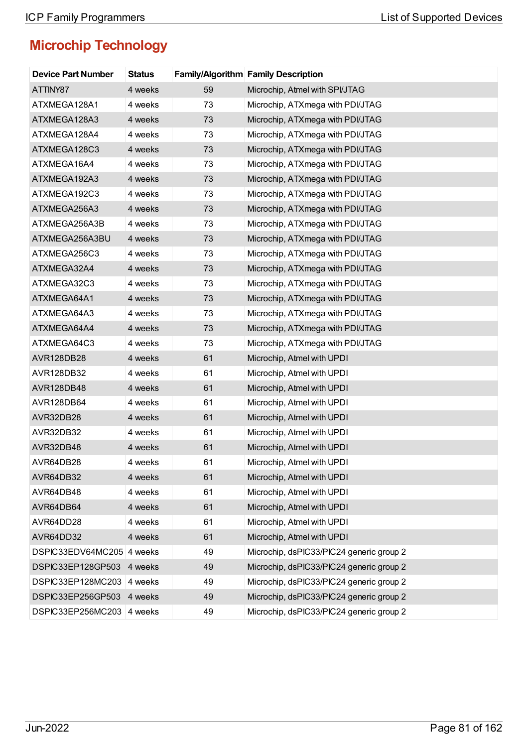| <b>Device Part Number</b> | <b>Status</b> |    | Family/Algorithm Family Description      |
|---------------------------|---------------|----|------------------------------------------|
| ATTINY87                  | 4 weeks       | 59 | Microchip, Atmel with SPI/JTAG           |
| ATXMEGA128A1              | 4 weeks       | 73 | Microchip, ATXmega with PDI/JTAG         |
| ATXMEGA128A3              | 4 weeks       | 73 | Microchip, ATXmega with PDI/JTAG         |
| ATXMEGA128A4              | 4 weeks       | 73 | Microchip, ATXmega with PDI/JTAG         |
| ATXMEGA128C3              | 4 weeks       | 73 | Microchip, ATXmega with PDI/JTAG         |
| ATXMEGA16A4               | 4 weeks       | 73 | Microchip, ATXmega with PDI/JTAG         |
| ATXMEGA192A3              | 4 weeks       | 73 | Microchip, ATXmega with PDI/JTAG         |
| ATXMEGA192C3              | 4 weeks       | 73 | Microchip, ATXmega with PDI/JTAG         |
| ATXMEGA256A3              | 4 weeks       | 73 | Microchip, ATXmega with PDI/JTAG         |
| ATXMEGA256A3B             | 4 weeks       | 73 | Microchip, ATXmega with PDI/JTAG         |
| ATXMEGA256A3BU            | 4 weeks       | 73 | Microchip, ATXmega with PDI/JTAG         |
| ATXMEGA256C3              | 4 weeks       | 73 | Microchip, ATXmega with PDI/JTAG         |
| ATXMEGA32A4               | 4 weeks       | 73 | Microchip, ATXmega with PDI/JTAG         |
| ATXMEGA32C3               | 4 weeks       | 73 | Microchip, ATXmega with PDI/JTAG         |
| ATXMEGA64A1               | 4 weeks       | 73 | Microchip, ATXmega with PDI/JTAG         |
| ATXMEGA64A3               | 4 weeks       | 73 | Microchip, ATXmega with PDI/JTAG         |
| ATXMEGA64A4               | 4 weeks       | 73 | Microchip, ATXmega with PDI/JTAG         |
| ATXMEGA64C3               | 4 weeks       | 73 | Microchip, ATXmega with PDI/JTAG         |
| AVR128DB28                | 4 weeks       | 61 | Microchip, Atmel with UPDI               |
| AVR128DB32                | 4 weeks       | 61 | Microchip, Atmel with UPDI               |
| AVR128DB48                | 4 weeks       | 61 | Microchip, Atmel with UPDI               |
| AVR128DB64                | 4 weeks       | 61 | Microchip, Atmel with UPDI               |
| AVR32DB28                 | 4 weeks       | 61 | Microchip, Atmel with UPDI               |
| AVR32DB32                 | 4 weeks       | 61 | Microchip, Atmel with UPDI               |
| AVR32DB48                 | 4 weeks       | 61 | Microchip, Atmel with UPDI               |
| AVR64DB28                 | 4 weeks       | 61 | Microchip, Atmel with UPDI               |
| AVR64DB32                 | 4 weeks       | 61 | Microchip, Atmel with UPDI               |
| AVR64DB48                 | 4 weeks       | 61 | Microchip, Atmel with UPDI               |
| AVR64DB64                 | 4 weeks       | 61 | Microchip, Atmel with UPDI               |
| AVR64DD28                 | 4 weeks       | 61 | Microchip, Atmel with UPDI               |
| AVR64DD32                 | 4 weeks       | 61 | Microchip, Atmel with UPDI               |
| DSPIC33EDV64MC205 4 weeks |               | 49 | Microchip, dsPIC33/PIC24 generic group 2 |
| DSPIC33EP128GP503         | 4 weeks       | 49 | Microchip, dsPIC33/PIC24 generic group 2 |
| DSPIC33EP128MC203         | 4 weeks       | 49 | Microchip, dsPIC33/PIC24 generic group 2 |
| DSPIC33EP256GP503         | 4 weeks       | 49 | Microchip, dsPIC33/PIC24 generic group 2 |
| DSPIC33EP256MC203 4 weeks |               | 49 | Microchip, dsPIC33/PIC24 generic group 2 |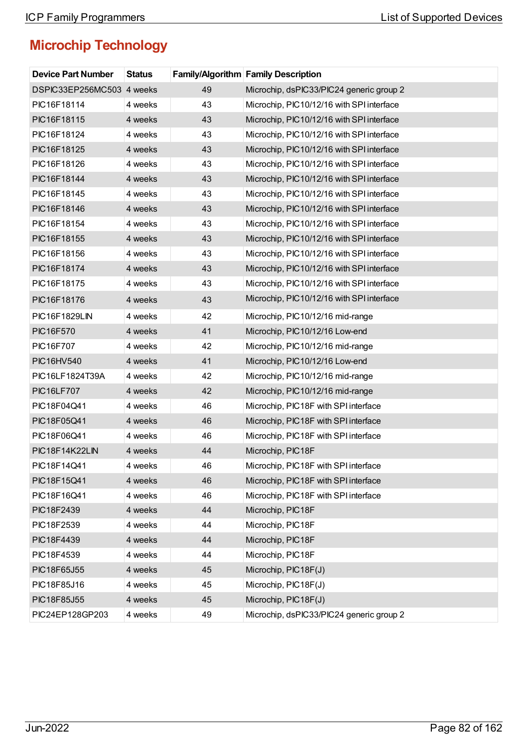| <b>Device Part Number</b> | <b>Status</b> |    | <b>Family/Algorithm Family Description</b> |
|---------------------------|---------------|----|--------------------------------------------|
| DSPIC33EP256MC503 4 weeks |               | 49 | Microchip, dsPIC33/PIC24 generic group 2   |
| PIC16F18114               | 4 weeks       | 43 | Microchip, PIC10/12/16 with SPI interface  |
| PIC16F18115               | 4 weeks       | 43 | Microchip, PIC10/12/16 with SPI interface  |
| PIC16F18124               | 4 weeks       | 43 | Microchip, PIC10/12/16 with SPI interface  |
| PIC16F18125               | 4 weeks       | 43 | Microchip, PIC10/12/16 with SPI interface  |
| PIC16F18126               | 4 weeks       | 43 | Microchip, PIC10/12/16 with SPI interface  |
| PIC16F18144               | 4 weeks       | 43 | Microchip, PIC10/12/16 with SPI interface  |
| PIC16F18145               | 4 weeks       | 43 | Microchip, PIC10/12/16 with SPI interface  |
| PIC16F18146               | 4 weeks       | 43 | Microchip, PIC10/12/16 with SPI interface  |
| PIC16F18154               | 4 weeks       | 43 | Microchip, PIC10/12/16 with SPI interface  |
| PIC16F18155               | 4 weeks       | 43 | Microchip, PIC10/12/16 with SPI interface  |
| PIC16F18156               | 4 weeks       | 43 | Microchip, PIC10/12/16 with SPI interface  |
| PIC16F18174               | 4 weeks       | 43 | Microchip, PIC10/12/16 with SPI interface  |
| PIC16F18175               | 4 weeks       | 43 | Microchip, PIC10/12/16 with SPI interface  |
| PIC16F18176               | 4 weeks       | 43 | Microchip, PIC10/12/16 with SPI interface  |
| <b>PIC16F1829LIN</b>      | 4 weeks       | 42 | Microchip, PIC10/12/16 mid-range           |
| PIC16F570                 | 4 weeks       | 41 | Microchip, PIC10/12/16 Low-end             |
| PIC16F707                 | 4 weeks       | 42 | Microchip, PIC10/12/16 mid-range           |
| PIC16HV540                | 4 weeks       | 41 | Microchip, PIC10/12/16 Low-end             |
| PIC16LF1824T39A           | 4 weeks       | 42 | Microchip, PIC10/12/16 mid-range           |
| <b>PIC16LF707</b>         | 4 weeks       | 42 | Microchip, PIC10/12/16 mid-range           |
| PIC18F04Q41               | 4 weeks       | 46 | Microchip, PIC18F with SPI interface       |
| PIC18F05Q41               | 4 weeks       | 46 | Microchip, PIC18F with SPI interface       |
| PIC18F06Q41               | 4 weeks       | 46 | Microchip, PIC18F with SPI interface       |
| PIC18F14K22LIN            | 4 weeks       | 44 | Microchip, PIC18F                          |
| PIC18F14Q41               | 4 weeks       | 46 | Microchip, PIC18F with SPI interface       |
| PIC18F15Q41               | 4 weeks       | 46 | Microchip, PIC18F with SPI interface       |
| PIC18F16Q41               | 4 weeks       | 46 | Microchip, PIC18F with SPI interface       |
| PIC18F2439                | 4 weeks       | 44 | Microchip, PIC18F                          |
| PIC18F2539                | 4 weeks       | 44 | Microchip, PIC18F                          |
| PIC18F4439                | 4 weeks       | 44 | Microchip, PIC18F                          |
| PIC18F4539                | 4 weeks       | 44 | Microchip, PIC18F                          |
| PIC18F65J55               | 4 weeks       | 45 | Microchip, PIC18F(J)                       |
| PIC18F85J16               | 4 weeks       | 45 | Microchip, PIC18F(J)                       |
| PIC18F85J55               | 4 weeks       | 45 | Microchip, PIC18F(J)                       |
| PIC24EP128GP203           | 4 weeks       | 49 | Microchip, dsPIC33/PIC24 generic group 2   |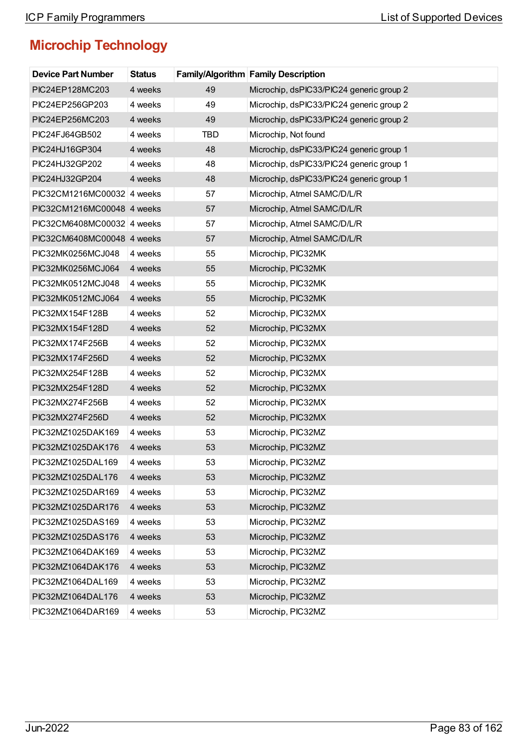| <b>Device Part Number</b>  | <b>Status</b> |            | <b>Family/Algorithm Family Description</b> |
|----------------------------|---------------|------------|--------------------------------------------|
| PIC24EP128MC203            | 4 weeks       | 49         | Microchip, dsPIC33/PIC24 generic group 2   |
| PIC24EP256GP203            | 4 weeks       | 49         | Microchip, dsPIC33/PIC24 generic group 2   |
| PIC24EP256MC203            | 4 weeks       | 49         | Microchip, dsPIC33/PIC24 generic group 2   |
| PIC24FJ64GB502             | 4 weeks       | <b>TBD</b> | Microchip, Not found                       |
| PIC24HJ16GP304             | 4 weeks       | 48         | Microchip, dsPIC33/PIC24 generic group 1   |
| PIC24HJ32GP202             | 4 weeks       | 48         | Microchip, dsPIC33/PIC24 generic group 1   |
| PIC24HJ32GP204             | 4 weeks       | 48         | Microchip, dsPIC33/PIC24 generic group 1   |
| PIC32CM1216MC00032 4 weeks |               | 57         | Microchip, Atmel SAMC/D/L/R                |
| PIC32CM1216MC00048 4 weeks |               | 57         | Microchip, Atmel SAMC/D/L/R                |
| PIC32CM6408MC00032 4 weeks |               | 57         | Microchip, Atmel SAMC/D/L/R                |
| PIC32CM6408MC00048 4 weeks |               | 57         | Microchip, Atmel SAMC/D/L/R                |
| PIC32MK0256MCJ048          | 4 weeks       | 55         | Microchip, PIC32MK                         |
| PIC32MK0256MCJ064          | 4 weeks       | 55         | Microchip, PIC32MK                         |
| PIC32MK0512MCJ048          | 4 weeks       | 55         | Microchip, PIC32MK                         |
| PIC32MK0512MCJ064          | 4 weeks       | 55         | Microchip, PIC32MK                         |
| PIC32MX154F128B            | 4 weeks       | 52         | Microchip, PIC32MX                         |
| PIC32MX154F128D            | 4 weeks       | 52         | Microchip, PIC32MX                         |
| PIC32MX174F256B            | 4 weeks       | 52         | Microchip, PIC32MX                         |
| PIC32MX174F256D            | 4 weeks       | 52         | Microchip, PIC32MX                         |
| PIC32MX254F128B            | 4 weeks       | 52         | Microchip, PIC32MX                         |
| PIC32MX254F128D            | 4 weeks       | 52         | Microchip, PIC32MX                         |
| PIC32MX274F256B            | 4 weeks       | 52         | Microchip, PIC32MX                         |
| PIC32MX274F256D            | 4 weeks       | 52         | Microchip, PIC32MX                         |
| PIC32MZ1025DAK169          | 4 weeks       | 53         | Microchip, PIC32MZ                         |
| PIC32MZ1025DAK176          | 4 weeks       | 53         | Microchip, PIC32MZ                         |
| PIC32MZ1025DAL169          | 4 weeks       | 53         | Microchip, PIC32MZ                         |
| PIC32MZ1025DAL176          | 4 weeks       | 53         | Microchip, PIC32MZ                         |
| PIC32MZ1025DAR169          | 4 weeks       | 53         | Microchip, PIC32MZ                         |
| PIC32MZ1025DAR176          | 4 weeks       | 53         | Microchip, PIC32MZ                         |
| PIC32MZ1025DAS169          | 4 weeks       | 53         | Microchip, PIC32MZ                         |
| PIC32MZ1025DAS176          | 4 weeks       | 53         | Microchip, PIC32MZ                         |
| PIC32MZ1064DAK169          | 4 weeks       | 53         | Microchip, PIC32MZ                         |
| PIC32MZ1064DAK176          | 4 weeks       | 53         | Microchip, PIC32MZ                         |
| PIC32MZ1064DAL169          | 4 weeks       | 53         | Microchip, PIC32MZ                         |
| PIC32MZ1064DAL176          | 4 weeks       | 53         | Microchip, PIC32MZ                         |
| PIC32MZ1064DAR169          | 4 weeks       | 53         | Microchip, PIC32MZ                         |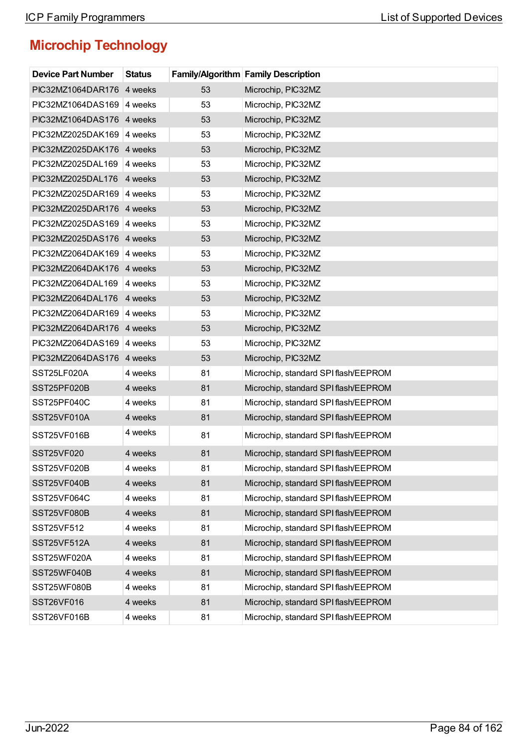| <b>Device Part Number</b> | <b>Status</b> |    | Family/Algorithm Family Description  |
|---------------------------|---------------|----|--------------------------------------|
| PIC32MZ1064DAR176 4 weeks |               | 53 | Microchip, PIC32MZ                   |
| PIC32MZ1064DAS169 4 weeks |               | 53 | Microchip, PIC32MZ                   |
| PIC32MZ1064DAS176 4 weeks |               | 53 | Microchip, PIC32MZ                   |
| PIC32MZ2025DAK169         | 4 weeks       | 53 | Microchip, PIC32MZ                   |
| PIC32MZ2025DAK176 4 weeks |               | 53 | Microchip, PIC32MZ                   |
| PIC32MZ2025DAL169         | 4 weeks       | 53 | Microchip, PIC32MZ                   |
| PIC32MZ2025DAL176 4 weeks |               | 53 | Microchip, PIC32MZ                   |
| PIC32MZ2025DAR169         | 4 weeks       | 53 | Microchip, PIC32MZ                   |
| PIC32MZ2025DAR176 4 weeks |               | 53 | Microchip, PIC32MZ                   |
| PIC32MZ2025DAS169         | 4 weeks       | 53 | Microchip, PIC32MZ                   |
| PIC32MZ2025DAS176 4 weeks |               | 53 | Microchip, PIC32MZ                   |
| PIC32MZ2064DAK169 4 weeks |               | 53 | Microchip, PIC32MZ                   |
| PIC32MZ2064DAK176 4 weeks |               | 53 | Microchip, PIC32MZ                   |
| PIC32MZ2064DAL169         | 4 weeks       | 53 | Microchip, PIC32MZ                   |
| PIC32MZ2064DAL176         | 4 weeks       | 53 | Microchip, PIC32MZ                   |
| PIC32MZ2064DAR169         | 4 weeks       | 53 | Microchip, PIC32MZ                   |
| PIC32MZ2064DAR176 4 weeks |               | 53 | Microchip, PIC32MZ                   |
| PIC32MZ2064DAS169         | 4 weeks       | 53 | Microchip, PIC32MZ                   |
| PIC32MZ2064DAS176 4 weeks |               | 53 | Microchip, PIC32MZ                   |
| SST25LF020A               | 4 weeks       | 81 | Microchip, standard SPI flash/EEPROM |
| SST25PF020B               | 4 weeks       | 81 | Microchip, standard SPI flash/EEPROM |
| SST25PF040C               | 4 weeks       | 81 | Microchip, standard SPI flash/EEPROM |
| SST25VF010A               | 4 weeks       | 81 | Microchip, standard SPI flash/EEPROM |
| SST25VF016B               | 4 weeks       | 81 | Microchip, standard SPI flash/EEPROM |
| <b>SST25VF020</b>         | 4 weeks       | 81 | Microchip, standard SPI flash/EEPROM |
| SST25VF020B               | 4 weeks       | 81 | Microchip, standard SPI flash/EEPROM |
| SST25VF040B               | 4 weeks       | 81 | Microchip, standard SPI flash/EEPROM |
| SST25VF064C               | 4 weeks       | 81 | Microchip, standard SPI flash/EEPROM |
| SST25VF080B               | 4 weeks       | 81 | Microchip, standard SPI flash/EEPROM |
| SST25VF512                | 4 weeks       | 81 | Microchip, standard SPI flash/EEPROM |
| SST25VF512A               | 4 weeks       | 81 | Microchip, standard SPI flash/EEPROM |
| SST25WF020A               | 4 weeks       | 81 | Microchip, standard SPI flash/EEPROM |
| SST25WF040B               | 4 weeks       | 81 | Microchip, standard SPI flash/EEPROM |
| SST25WF080B               | 4 weeks       | 81 | Microchip, standard SPI flash/EEPROM |
| SST26VF016                | 4 weeks       | 81 | Microchip, standard SPI flash/EEPROM |
| SST26VF016B               | 4 weeks       | 81 | Microchip, standard SPI flash/EEPROM |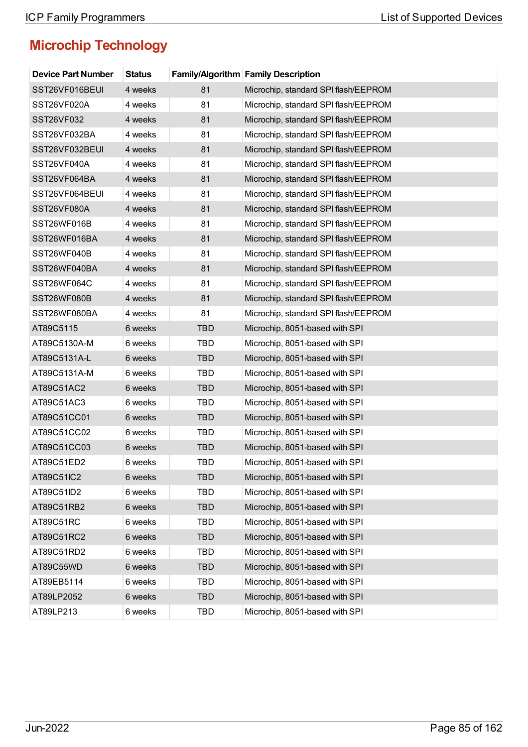| <b>Device Part Number</b> | <b>Status</b> |            | <b>Family/Algorithm Family Description</b> |
|---------------------------|---------------|------------|--------------------------------------------|
| SST26VF016BEUI            | 4 weeks       | 81         | Microchip, standard SPI flash/EEPROM       |
| SST26VF020A               | 4 weeks       | 81         | Microchip, standard SPI flash/EEPROM       |
| SST26VF032                | 4 weeks       | 81         | Microchip, standard SPI flash/EEPROM       |
| SST26VF032BA              | 4 weeks       | 81         | Microchip, standard SPI flash/EEPROM       |
| SST26VF032BEUI            | 4 weeks       | 81         | Microchip, standard SPI flash/EEPROM       |
| SST26VF040A               | 4 weeks       | 81         | Microchip, standard SPI flash/EEPROM       |
| SST26VF064BA              | 4 weeks       | 81         | Microchip, standard SPI flash/EEPROM       |
| SST26VF064BEUI            | 4 weeks       | 81         | Microchip, standard SPI flash/EEPROM       |
| SST26VF080A               | 4 weeks       | 81         | Microchip, standard SPI flash/EEPROM       |
| SST26WF016B               | 4 weeks       | 81         | Microchip, standard SPI flash/EEPROM       |
| SST26WF016BA              | 4 weeks       | 81         | Microchip, standard SPI flash/EEPROM       |
| SST26WF040B               | 4 weeks       | 81         | Microchip, standard SPI flash/EEPROM       |
| SST26WF040BA              | 4 weeks       | 81         | Microchip, standard SPI flash/EEPROM       |
| SST26WF064C               | 4 weeks       | 81         | Microchip, standard SPI flash/EEPROM       |
| SST26WF080B               | 4 weeks       | 81         | Microchip, standard SPI flash/EEPROM       |
| SST26WF080BA              | 4 weeks       | 81         | Microchip, standard SPI flash/EEPROM       |
| AT89C5115                 | 6 weeks       | <b>TBD</b> | Microchip, 8051-based with SPI             |
| AT89C5130A-M              | 6 weeks       | <b>TBD</b> | Microchip, 8051-based with SPI             |
| AT89C5131A-L              | 6 weeks       | <b>TBD</b> | Microchip, 8051-based with SPI             |
| AT89C5131A-M              | 6 weeks       | <b>TBD</b> | Microchip, 8051-based with SPI             |
| AT89C51AC2                | 6 weeks       | <b>TBD</b> | Microchip, 8051-based with SPI             |
| AT89C51AC3                | 6 weeks       | <b>TBD</b> | Microchip, 8051-based with SPI             |
| AT89C51CC01               | 6 weeks       | <b>TBD</b> | Microchip, 8051-based with SPI             |
| AT89C51CC02               | 6 weeks       | TBD        | Microchip, 8051-based with SPI             |
| AT89C51CC03               | 6 weeks       | <b>TBD</b> | Microchip, 8051-based with SPI             |
| AT89C51ED2                | 6 weeks       | TBD        | Microchip, 8051-based with SPI             |
| AT89C51IC2                | 6 weeks       | <b>TBD</b> | Microchip, 8051-based with SPI             |
| AT89C51ID2                | 6 weeks       | TBD        | Microchip, 8051-based with SPI             |
| AT89C51RB2                | 6 weeks       | <b>TBD</b> | Microchip, 8051-based with SPI             |
| AT89C51RC                 | 6 weeks       | TBD        | Microchip, 8051-based with SPI             |
| AT89C51RC2                | 6 weeks       | <b>TBD</b> | Microchip, 8051-based with SPI             |
| AT89C51RD2                | 6 weeks       | TBD        | Microchip, 8051-based with SPI             |
| AT89C55WD                 | 6 weeks       | <b>TBD</b> | Microchip, 8051-based with SPI             |
| AT89EB5114                | 6 weeks       | TBD        | Microchip, 8051-based with SPI             |
| AT89LP2052                | 6 weeks       | <b>TBD</b> | Microchip, 8051-based with SPI             |
| AT89LP213                 | 6 weeks       | TBD        | Microchip, 8051-based with SPI             |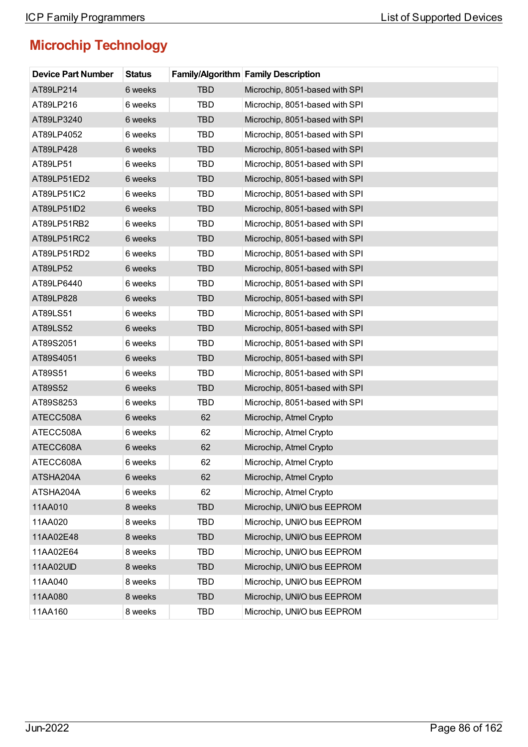| <b>Device Part Number</b> | <b>Status</b> |            | <b>Family/Algorithm Family Description</b> |
|---------------------------|---------------|------------|--------------------------------------------|
| AT89LP214                 | 6 weeks       | <b>TBD</b> | Microchip, 8051-based with SPI             |
| AT89LP216                 | 6 weeks       | <b>TBD</b> | Microchip, 8051-based with SPI             |
| AT89LP3240                | 6 weeks       | <b>TBD</b> | Microchip, 8051-based with SPI             |
| AT89LP4052                | 6 weeks       | <b>TBD</b> | Microchip, 8051-based with SPI             |
| AT89LP428                 | 6 weeks       | <b>TBD</b> | Microchip, 8051-based with SPI             |
| AT89LP51                  | 6 weeks       | <b>TBD</b> | Microchip, 8051-based with SPI             |
| AT89LP51ED2               | 6 weeks       | <b>TBD</b> | Microchip, 8051-based with SPI             |
| AT89LP51IC2               | 6 weeks       | <b>TBD</b> | Microchip, 8051-based with SPI             |
| AT89LP51ID2               | 6 weeks       | <b>TBD</b> | Microchip, 8051-based with SPI             |
| AT89LP51RB2               | 6 weeks       | <b>TBD</b> | Microchip, 8051-based with SPI             |
| AT89LP51RC2               | 6 weeks       | <b>TBD</b> | Microchip, 8051-based with SPI             |
| AT89LP51RD2               | 6 weeks       | <b>TBD</b> | Microchip, 8051-based with SPI             |
| AT89LP52                  | 6 weeks       | <b>TBD</b> | Microchip, 8051-based with SPI             |
| AT89LP6440                | 6 weeks       | <b>TBD</b> | Microchip, 8051-based with SPI             |
| AT89LP828                 | 6 weeks       | <b>TBD</b> | Microchip, 8051-based with SPI             |
| AT89LS51                  | 6 weeks       | <b>TBD</b> | Microchip, 8051-based with SPI             |
| AT89LS52                  | 6 weeks       | <b>TBD</b> | Microchip, 8051-based with SPI             |
| AT89S2051                 | 6 weeks       | <b>TBD</b> | Microchip, 8051-based with SPI             |
| AT89S4051                 | 6 weeks       | <b>TBD</b> | Microchip, 8051-based with SPI             |
| AT89S51                   | 6 weeks       | <b>TBD</b> | Microchip, 8051-based with SPI             |
| AT89S52                   | 6 weeks       | <b>TBD</b> | Microchip, 8051-based with SPI             |
| AT89S8253                 | 6 weeks       | <b>TBD</b> | Microchip, 8051-based with SPI             |
| ATECC508A                 | 6 weeks       | 62         | Microchip, Atmel Crypto                    |
| ATECC508A                 | 6 weeks       | 62         | Microchip, Atmel Crypto                    |
| ATECC608A                 | 6 weeks       | 62         | Microchip, Atmel Crypto                    |
| ATECC608A                 | 6 weeks       | 62         | Microchip, Atmel Crypto                    |
| ATSHA204A                 | 6 weeks       | 62         | Microchip, Atmel Crypto                    |
| ATSHA204A                 | 6 weeks       | 62         | Microchip, Atmel Crypto                    |
| 11AA010                   | 8 weeks       | <b>TBD</b> | Microchip, UNI/O bus EEPROM                |
| 11AA020                   | 8 weeks       | <b>TBD</b> | Microchip, UNI/O bus EEPROM                |
| 11AA02E48                 | 8 weeks       | <b>TBD</b> | Microchip, UNI/O bus EEPROM                |
| 11AA02E64                 | 8 weeks       | <b>TBD</b> | Microchip, UNI/O bus EEPROM                |
| 11AA02UID                 | 8 weeks       | <b>TBD</b> | Microchip, UNI/O bus EEPROM                |
| 11AA040                   | 8 weeks       | <b>TBD</b> | Microchip, UNI/O bus EEPROM                |
| 11AA080                   | 8 weeks       | <b>TBD</b> | Microchip, UNI/O bus EEPROM                |
| 11AA160                   | 8 weeks       | <b>TBD</b> | Microchip, UNI/O bus EEPROM                |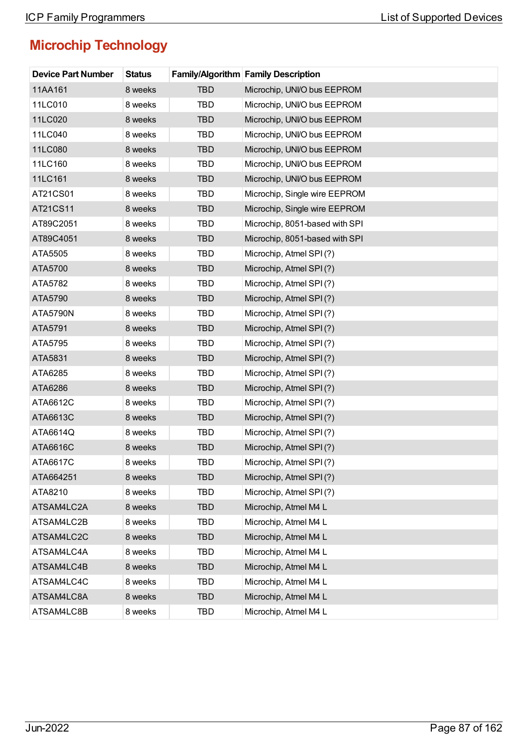| <b>Device Part Number</b> | <b>Status</b> |            | Family/Algorithm Family Description |
|---------------------------|---------------|------------|-------------------------------------|
| 11AA161                   | 8 weeks       | <b>TBD</b> | Microchip, UNI/O bus EEPROM         |
| 11LC010                   | 8 weeks       | <b>TBD</b> | Microchip, UNI/O bus EEPROM         |
| 11LC020                   | 8 weeks       | <b>TBD</b> | Microchip, UNI/O bus EEPROM         |
| 11LC040                   | 8 weeks       | <b>TBD</b> | Microchip, UNI/O bus EEPROM         |
| 11LC080                   | 8 weeks       | <b>TBD</b> | Microchip, UNI/O bus EEPROM         |
| 11LC160                   | 8 weeks       | <b>TBD</b> | Microchip, UNI/O bus EEPROM         |
| 11LC161                   | 8 weeks       | <b>TBD</b> | Microchip, UNI/O bus EEPROM         |
| AT21CS01                  | 8 weeks       | <b>TBD</b> | Microchip, Single wire EEPROM       |
| AT21CS11                  | 8 weeks       | <b>TBD</b> | Microchip, Single wire EEPROM       |
| AT89C2051                 | 8 weeks       | <b>TBD</b> | Microchip, 8051-based with SPI      |
| AT89C4051                 | 8 weeks       | <b>TBD</b> | Microchip, 8051-based with SPI      |
| ATA5505                   | 8 weeks       | <b>TBD</b> | Microchip, Atmel SPI(?)             |
| ATA5700                   | 8 weeks       | <b>TBD</b> | Microchip, Atmel SPI(?)             |
| ATA5782                   | 8 weeks       | <b>TBD</b> | Microchip, Atmel SPI(?)             |
| ATA5790                   | 8 weeks       | <b>TBD</b> | Microchip, Atmel SPI(?)             |
| <b>ATA5790N</b>           | 8 weeks       | <b>TBD</b> | Microchip, Atmel SPI(?)             |
| ATA5791                   | 8 weeks       | <b>TBD</b> | Microchip, Atmel SPI(?)             |
| ATA5795                   | 8 weeks       | <b>TBD</b> | Microchip, Atmel SPI(?)             |
| ATA5831                   | 8 weeks       | <b>TBD</b> | Microchip, Atmel SPI(?)             |
| ATA6285                   | 8 weeks       | <b>TBD</b> | Microchip, Atmel SPI(?)             |
| ATA6286                   | 8 weeks       | <b>TBD</b> | Microchip, Atmel SPI(?)             |
| ATA6612C                  | 8 weeks       | <b>TBD</b> | Microchip, Atmel SPI(?)             |
| ATA6613C                  | 8 weeks       | <b>TBD</b> | Microchip, Atmel SPI(?)             |
| ATA6614Q                  | 8 weeks       | <b>TBD</b> | Microchip, Atmel SPI(?)             |
| ATA6616C                  | 8 weeks       | <b>TBD</b> | Microchip, Atmel SPI(?)             |
| ATA6617C                  | 8 weeks       | TBD        | Microchip, Atmel SPI(?)             |
| ATA664251                 | 8 weeks       | <b>TBD</b> | Microchip, Atmel SPI(?)             |
| ATA8210                   | 8 weeks       | <b>TBD</b> | Microchip, Atmel SPI(?)             |
| ATSAM4LC2A                | 8 weeks       | <b>TBD</b> | Microchip, Atmel M4 L               |
| ATSAM4LC2B                | 8 weeks       | <b>TBD</b> | Microchip, Atmel M4 L               |
| ATSAM4LC2C                | 8 weeks       | <b>TBD</b> | Microchip, Atmel M4 L               |
| ATSAM4LC4A                | 8 weeks       | <b>TBD</b> | Microchip, Atmel M4 L               |
| ATSAM4LC4B                | 8 weeks       | <b>TBD</b> | Microchip, Atmel M4 L               |
| ATSAM4LC4C                | 8 weeks       | <b>TBD</b> | Microchip, Atmel M4 L               |
| ATSAM4LC8A                | 8 weeks       | <b>TBD</b> | Microchip, Atmel M4 L               |
| ATSAM4LC8B                | 8 weeks       | TBD        | Microchip, Atmel M4 L               |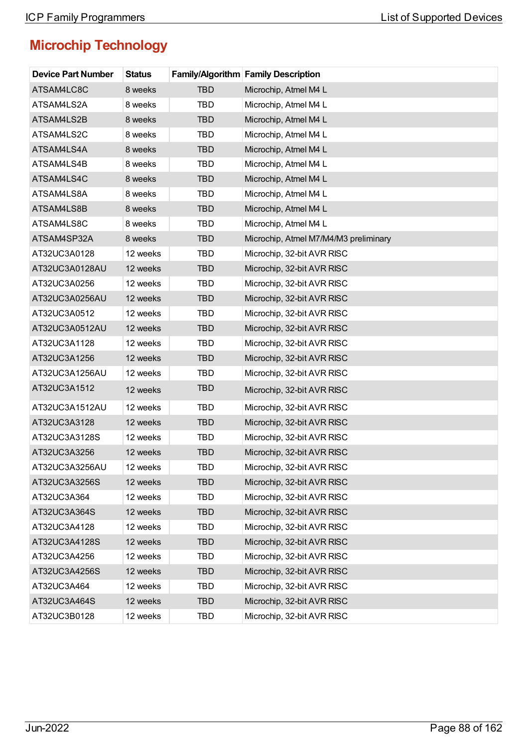| <b>Device Part Number</b> | <b>Status</b> |            | <b>Family/Algorithm Family Description</b> |
|---------------------------|---------------|------------|--------------------------------------------|
| ATSAM4LC8C                | 8 weeks       | <b>TBD</b> | Microchip, Atmel M4 L                      |
| ATSAM4LS2A                | 8 weeks       | <b>TBD</b> | Microchip, Atmel M4 L                      |
| ATSAM4LS2B                | 8 weeks       | <b>TBD</b> | Microchip, Atmel M4 L                      |
| ATSAM4LS2C                | 8 weeks       | <b>TBD</b> | Microchip, Atmel M4 L                      |
| ATSAM4LS4A                | 8 weeks       | <b>TBD</b> | Microchip, Atmel M4 L                      |
| ATSAM4LS4B                | 8 weeks       | <b>TBD</b> | Microchip, Atmel M4 L                      |
| ATSAM4LS4C                | 8 weeks       | <b>TBD</b> | Microchip, Atmel M4 L                      |
| ATSAM4LS8A                | 8 weeks       | TBD        | Microchip, Atmel M4 L                      |
| ATSAM4LS8B                | 8 weeks       | <b>TBD</b> | Microchip, Atmel M4 L                      |
| ATSAM4LS8C                | 8 weeks       | <b>TBD</b> | Microchip, Atmel M4 L                      |
| ATSAM4SP32A               | 8 weeks       | <b>TBD</b> | Microchip, Atmel M7/M4/M3 preliminary      |
| AT32UC3A0128              | 12 weeks      | <b>TBD</b> | Microchip, 32-bit AVR RISC                 |
| AT32UC3A0128AU            | 12 weeks      | <b>TBD</b> | Microchip, 32-bit AVR RISC                 |
| AT32UC3A0256              | 12 weeks      | <b>TBD</b> | Microchip, 32-bit AVR RISC                 |
| AT32UC3A0256AU            | 12 weeks      | <b>TBD</b> | Microchip, 32-bit AVR RISC                 |
| AT32UC3A0512              | 12 weeks      | <b>TBD</b> | Microchip, 32-bit AVR RISC                 |
| AT32UC3A0512AU            | 12 weeks      | <b>TBD</b> | Microchip, 32-bit AVR RISC                 |
| AT32UC3A1128              | 12 weeks      | <b>TBD</b> | Microchip, 32-bit AVR RISC                 |
| AT32UC3A1256              | 12 weeks      | <b>TBD</b> | Microchip, 32-bit AVR RISC                 |
| AT32UC3A1256AU            | 12 weeks      | <b>TBD</b> | Microchip, 32-bit AVR RISC                 |
| AT32UC3A1512              | 12 weeks      | <b>TBD</b> | Microchip, 32-bit AVR RISC                 |
| AT32UC3A1512AU            | 12 weeks      | <b>TBD</b> | Microchip, 32-bit AVR RISC                 |
| AT32UC3A3128              | 12 weeks      | <b>TBD</b> | Microchip, 32-bit AVR RISC                 |
| AT32UC3A3128S             | 12 weeks      | <b>TBD</b> | Microchip, 32-bit AVR RISC                 |
| AT32UC3A3256              | 12 weeks      | <b>TBD</b> | Microchip, 32-bit AVR RISC                 |
| AT32UC3A3256AU            | 12 weeks      | TBD        | Microchip, 32-bit AVR RISC                 |
| AT32UC3A3256S             | 12 weeks      | <b>TBD</b> | Microchip, 32-bit AVR RISC                 |
| AT32UC3A364               | 12 weeks      | <b>TBD</b> | Microchip, 32-bit AVR RISC                 |
| AT32UC3A364S              | 12 weeks      | <b>TBD</b> | Microchip, 32-bit AVR RISC                 |
| AT32UC3A4128              | 12 weeks      | <b>TBD</b> | Microchip, 32-bit AVR RISC                 |
| AT32UC3A4128S             | 12 weeks      | <b>TBD</b> | Microchip, 32-bit AVR RISC                 |
| AT32UC3A4256              | 12 weeks      | <b>TBD</b> | Microchip, 32-bit AVR RISC                 |
| AT32UC3A4256S             | 12 weeks      | <b>TBD</b> | Microchip, 32-bit AVR RISC                 |
| AT32UC3A464               | 12 weeks      | <b>TBD</b> | Microchip, 32-bit AVR RISC                 |
| AT32UC3A464S              | 12 weeks      | <b>TBD</b> | Microchip, 32-bit AVR RISC                 |
| AT32UC3B0128              | 12 weeks      | TBD        | Microchip, 32-bit AVR RISC                 |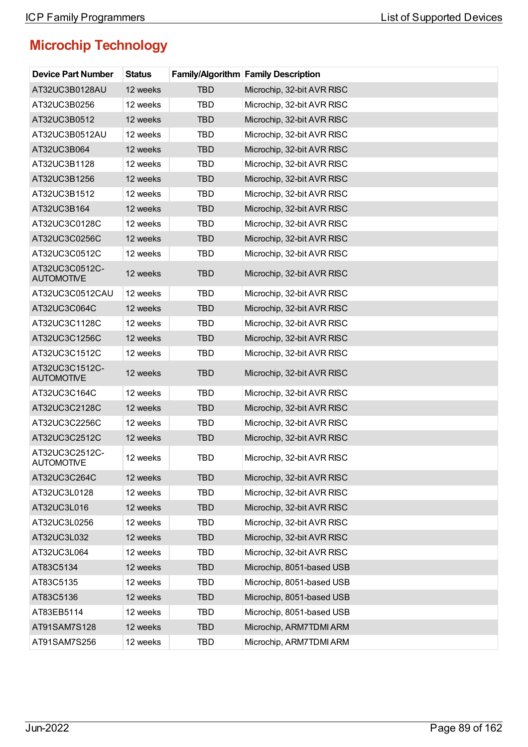| <b>Device Part Number</b>           | <b>Status</b> |            | <b>Family/Algorithm Family Description</b> |
|-------------------------------------|---------------|------------|--------------------------------------------|
| AT32UC3B0128AU                      | 12 weeks      | <b>TBD</b> | Microchip, 32-bit AVR RISC                 |
| AT32UC3B0256                        | 12 weeks      | <b>TBD</b> | Microchip, 32-bit AVR RISC                 |
| AT32UC3B0512                        | 12 weeks      | <b>TBD</b> | Microchip, 32-bit AVR RISC                 |
| AT32UC3B0512AU                      | 12 weeks      | <b>TBD</b> | Microchip, 32-bit AVR RISC                 |
| AT32UC3B064                         | 12 weeks      | <b>TBD</b> | Microchip, 32-bit AVR RISC                 |
| AT32UC3B1128                        | 12 weeks      | <b>TBD</b> | Microchip, 32-bit AVR RISC                 |
| AT32UC3B1256                        | 12 weeks      | <b>TBD</b> | Microchip, 32-bit AVR RISC                 |
| AT32UC3B1512                        | 12 weeks      | <b>TBD</b> | Microchip, 32-bit AVR RISC                 |
| AT32UC3B164                         | 12 weeks      | <b>TBD</b> | Microchip, 32-bit AVR RISC                 |
| AT32UC3C0128C                       | 12 weeks      | <b>TBD</b> | Microchip, 32-bit AVR RISC                 |
| AT32UC3C0256C                       | 12 weeks      | <b>TBD</b> | Microchip, 32-bit AVR RISC                 |
| AT32UC3C0512C                       | 12 weeks      | <b>TBD</b> | Microchip, 32-bit AVR RISC                 |
| AT32UC3C0512C-<br><b>AUTOMOTIVE</b> | 12 weeks      | <b>TBD</b> | Microchip, 32-bit AVR RISC                 |
| AT32UC3C0512CAU                     | 12 weeks      | <b>TBD</b> | Microchip, 32-bit AVR RISC                 |
| AT32UC3C064C                        | 12 weeks      | <b>TBD</b> | Microchip, 32-bit AVR RISC                 |
| AT32UC3C1128C                       | 12 weeks      | <b>TBD</b> | Microchip, 32-bit AVR RISC                 |
| AT32UC3C1256C                       | 12 weeks      | <b>TBD</b> | Microchip, 32-bit AVR RISC                 |
| AT32UC3C1512C                       | 12 weeks      | <b>TBD</b> | Microchip, 32-bit AVR RISC                 |
| AT32UC3C1512C-<br><b>AUTOMOTIVE</b> | 12 weeks      | <b>TBD</b> | Microchip, 32-bit AVR RISC                 |
| AT32UC3C164C                        | 12 weeks      | TBD        | Microchip, 32-bit AVR RISC                 |
| AT32UC3C2128C                       | 12 weeks      | <b>TBD</b> | Microchip, 32-bit AVR RISC                 |
| AT32UC3C2256C                       | 12 weeks      | <b>TBD</b> | Microchip, 32-bit AVR RISC                 |
| AT32UC3C2512C                       | 12 weeks      | <b>TBD</b> | Microchip, 32-bit AVR RISC                 |
| AT32UC3C2512C-<br>AUTOMOTIVE        | 12 weeks      | <b>TBD</b> | Microchip, 32-bit AVR RISC                 |
| AT32UC3C264C                        | 12 weeks      | <b>TBD</b> | Microchip, 32-bit AVR RISC                 |
| AT32UC3L0128                        | 12 weeks      | <b>TBD</b> | Microchip, 32-bit AVR RISC                 |
| AT32UC3L016                         | 12 weeks      | <b>TBD</b> | Microchip, 32-bit AVR RISC                 |
| AT32UC3L0256                        | 12 weeks      | <b>TBD</b> | Microchip, 32-bit AVR RISC                 |
| AT32UC3L032                         | 12 weeks      | <b>TBD</b> | Microchip, 32-bit AVR RISC                 |
| AT32UC3L064                         | 12 weeks      | <b>TBD</b> | Microchip, 32-bit AVR RISC                 |
| AT83C5134                           | 12 weeks      | <b>TBD</b> | Microchip, 8051-based USB                  |
| AT83C5135                           | 12 weeks      | <b>TBD</b> | Microchip, 8051-based USB                  |
| AT83C5136                           | 12 weeks      | <b>TBD</b> | Microchip, 8051-based USB                  |
| AT83EB5114                          | 12 weeks      | <b>TBD</b> | Microchip, 8051-based USB                  |
| AT91SAM7S128                        | 12 weeks      | <b>TBD</b> | Microchip, ARM7TDMI ARM                    |
| AT91SAM7S256                        | 12 weeks      | TBD        | Microchip, ARM7TDMI ARM                    |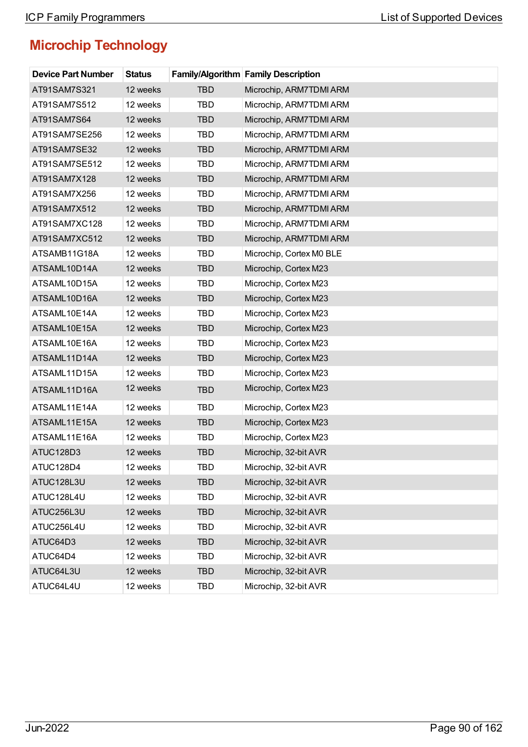| <b>Device Part Number</b> | <b>Status</b> |            | <b>Family/Algorithm Family Description</b> |
|---------------------------|---------------|------------|--------------------------------------------|
| AT91SAM7S321              | 12 weeks      | <b>TBD</b> | Microchip, ARM7TDMI ARM                    |
| AT91SAM7S512              | 12 weeks      | TBD        | Microchip, ARM7TDMI ARM                    |
| AT91SAM7S64               | 12 weeks      | <b>TBD</b> | Microchip, ARM7TDMI ARM                    |
| AT91SAM7SE256             | 12 weeks      | <b>TBD</b> | Microchip, ARM7TDMI ARM                    |
| AT91SAM7SE32              | 12 weeks      | <b>TBD</b> | Microchip, ARM7TDMI ARM                    |
| AT91SAM7SE512             | 12 weeks      | <b>TBD</b> | Microchip, ARM7TDMI ARM                    |
| AT91SAM7X128              | 12 weeks      | <b>TBD</b> | Microchip, ARM7TDMI ARM                    |
| AT91SAM7X256              | 12 weeks      | <b>TBD</b> | Microchip, ARM7TDMI ARM                    |
| AT91SAM7X512              | 12 weeks      | <b>TBD</b> | Microchip, ARM7TDMI ARM                    |
| AT91SAM7XC128             | 12 weeks      | <b>TBD</b> | Microchip, ARM7TDMI ARM                    |
| AT91SAM7XC512             | 12 weeks      | <b>TBD</b> | Microchip, ARM7TDMI ARM                    |
| ATSAMB11G18A              | 12 weeks      | <b>TBD</b> | Microchip, Cortex M0 BLE                   |
| ATSAML10D14A              | 12 weeks      | <b>TBD</b> | Microchip, Cortex M23                      |
| ATSAML10D15A              | 12 weeks      | <b>TBD</b> | Microchip, Cortex M23                      |
| ATSAML10D16A              | 12 weeks      | <b>TBD</b> | Microchip, Cortex M23                      |
| ATSAML10E14A              | 12 weeks      | <b>TBD</b> | Microchip, Cortex M23                      |
| ATSAML10E15A              | 12 weeks      | <b>TBD</b> | Microchip, Cortex M23                      |
| ATSAML10E16A              | 12 weeks      | <b>TBD</b> | Microchip, Cortex M23                      |
| ATSAML11D14A              | 12 weeks      | <b>TBD</b> | Microchip, Cortex M23                      |
| ATSAML11D15A              | 12 weeks      | <b>TBD</b> | Microchip, Cortex M23                      |
| ATSAML11D16A              | 12 weeks      | <b>TBD</b> | Microchip, Cortex M23                      |
| ATSAML11E14A              | 12 weeks      | <b>TBD</b> | Microchip, Cortex M23                      |
| ATSAML11E15A              | 12 weeks      | <b>TBD</b> | Microchip, Cortex M23                      |
| ATSAML11E16A              | 12 weeks      | <b>TBD</b> | Microchip, Cortex M23                      |
| ATUC128D3                 | 12 weeks      | <b>TBD</b> | Microchip, 32-bit AVR                      |
| ATUC128D4                 | 12 weeks      | TBD        | Microchip, 32-bit AVR                      |
| ATUC128L3U                | 12 weeks      | <b>TBD</b> | Microchip, 32-bit AVR                      |
| ATUC128L4U                | 12 weeks      | <b>TBD</b> | Microchip, 32-bit AVR                      |
| ATUC256L3U                | 12 weeks      | <b>TBD</b> | Microchip, 32-bit AVR                      |
| ATUC256L4U                | 12 weeks      | TBD        | Microchip, 32-bit AVR                      |
| ATUC64D3                  | 12 weeks      | <b>TBD</b> | Microchip, 32-bit AVR                      |
| ATUC64D4                  | 12 weeks      | TBD        | Microchip, 32-bit AVR                      |
| ATUC64L3U                 | 12 weeks      | <b>TBD</b> | Microchip, 32-bit AVR                      |
| ATUC64L4U                 | 12 weeks      | TBD        | Microchip, 32-bit AVR                      |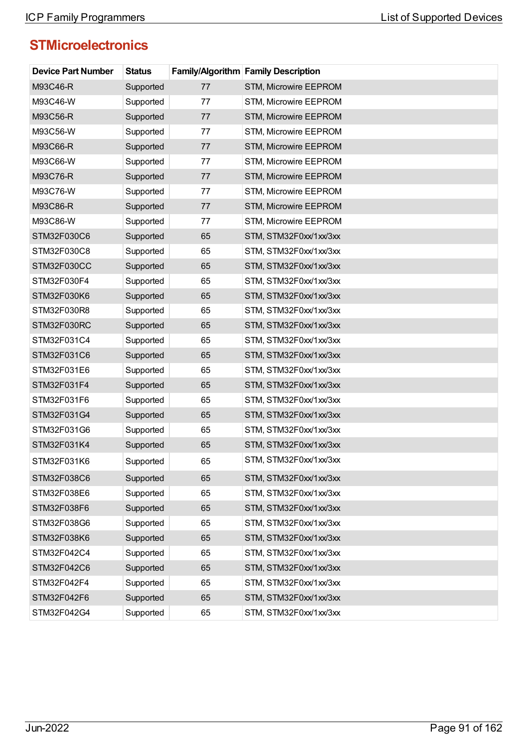| <b>Device Part Number</b> | <b>Status</b> |    | Family/Algorithm Family Description |
|---------------------------|---------------|----|-------------------------------------|
| M93C46-R                  | Supported     | 77 | STM, Microwire EEPROM               |
| M93C46-W                  | Supported     | 77 | STM, Microwire EEPROM               |
| M93C56-R                  | Supported     | 77 | STM, Microwire EEPROM               |
| M93C56-W                  | Supported     | 77 | STM, Microwire EEPROM               |
| M93C66-R                  | Supported     | 77 | STM, Microwire EEPROM               |
| M93C66-W                  | Supported     | 77 | STM, Microwire EEPROM               |
| M93C76-R                  | Supported     | 77 | STM, Microwire EEPROM               |
| M93C76-W                  | Supported     | 77 | STM, Microwire EEPROM               |
| M93C86-R                  | Supported     | 77 | STM, Microwire EEPROM               |
| M93C86-W                  | Supported     | 77 | STM, Microwire EEPROM               |
| STM32F030C6               | Supported     | 65 | STM, STM32F0xx/1xx/3xx              |
| STM32F030C8               | Supported     | 65 | STM, STM32F0xx/1xx/3xx              |
| STM32F030CC               | Supported     | 65 | STM, STM32F0xx/1xx/3xx              |
| STM32F030F4               | Supported     | 65 | STM, STM32F0xx/1xx/3xx              |
| STM32F030K6               | Supported     | 65 | STM, STM32F0xx/1xx/3xx              |
| STM32F030R8               | Supported     | 65 | STM, STM32F0xx/1xx/3xx              |
| STM32F030RC               | Supported     | 65 | STM, STM32F0xx/1xx/3xx              |
| STM32F031C4               | Supported     | 65 | STM, STM32F0xx/1xx/3xx              |
| STM32F031C6               | Supported     | 65 | STM, STM32F0xx/1xx/3xx              |
| STM32F031E6               | Supported     | 65 | STM, STM32F0xx/1xx/3xx              |
| STM32F031F4               | Supported     | 65 | STM, STM32F0xx/1xx/3xx              |
| STM32F031F6               | Supported     | 65 | STM, STM32F0xx/1xx/3xx              |
| STM32F031G4               | Supported     | 65 | STM, STM32F0xx/1xx/3xx              |
| STM32F031G6               | Supported     | 65 | STM, STM32F0xx/1xx/3xx              |
| STM32F031K4               | Supported     | 65 | STM, STM32F0xx/1xx/3xx              |
| STM32F031K6               | Supported     | 65 | STM, STM32F0xx/1xx/3xx              |
| STM32F038C6               | Supported     | 65 | STM, STM32F0xx/1xx/3xx              |
| STM32F038E6               | Supported     | 65 | STM, STM32F0xx/1xx/3xx              |
| STM32F038F6               | Supported     | 65 | STM, STM32F0xx/1xx/3xx              |
| STM32F038G6               | Supported     | 65 | STM, STM32F0xx/1xx/3xx              |
| STM32F038K6               | Supported     | 65 | STM, STM32F0xx/1xx/3xx              |
| STM32F042C4               | Supported     | 65 | STM, STM32F0xx/1xx/3xx              |
| STM32F042C6               | Supported     | 65 | STM, STM32F0xx/1xx/3xx              |
| STM32F042F4               | Supported     | 65 | STM, STM32F0xx/1xx/3xx              |
| STM32F042F6               | Supported     | 65 | STM, STM32F0xx/1xx/3xx              |
| STM32F042G4               | Supported     | 65 | STM, STM32F0xx/1xx/3xx              |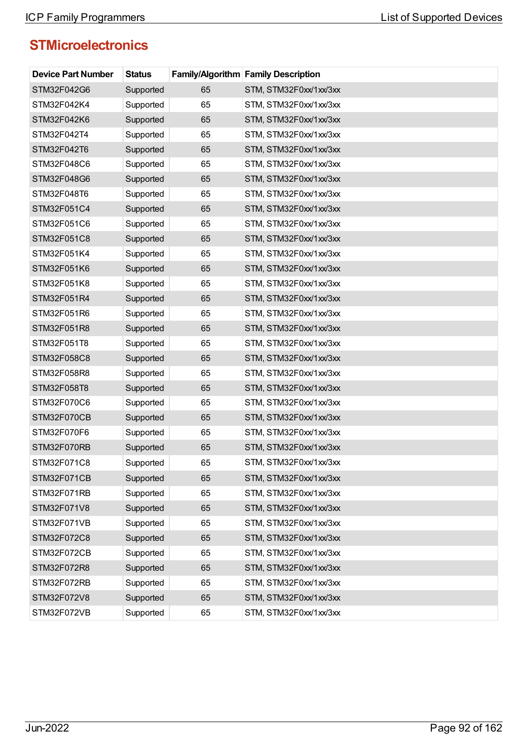| <b>Device Part Number</b> | <b>Status</b> |    | <b>Family/Algorithm Family Description</b> |
|---------------------------|---------------|----|--------------------------------------------|
| STM32F042G6               | Supported     | 65 | STM, STM32F0xx/1xx/3xx                     |
| STM32F042K4               | Supported     | 65 | STM, STM32F0xx/1xx/3xx                     |
| STM32F042K6               | Supported     | 65 | STM, STM32F0xx/1xx/3xx                     |
| STM32F042T4               | Supported     | 65 | STM, STM32F0xx/1xx/3xx                     |
| STM32F042T6               | Supported     | 65 | STM, STM32F0xx/1xx/3xx                     |
| STM32F048C6               | Supported     | 65 | STM, STM32F0xx/1xx/3xx                     |
| STM32F048G6               | Supported     | 65 | STM, STM32F0xx/1xx/3xx                     |
| STM32F048T6               | Supported     | 65 | STM, STM32F0xx/1xx/3xx                     |
| STM32F051C4               | Supported     | 65 | STM, STM32F0xx/1xx/3xx                     |
| STM32F051C6               | Supported     | 65 | STM, STM32F0xx/1xx/3xx                     |
| STM32F051C8               | Supported     | 65 | STM, STM32F0xx/1xx/3xx                     |
| STM32F051K4               | Supported     | 65 | STM, STM32F0xx/1xx/3xx                     |
| STM32F051K6               | Supported     | 65 | STM, STM32F0xx/1xx/3xx                     |
| STM32F051K8               | Supported     | 65 | STM, STM32F0xx/1xx/3xx                     |
| STM32F051R4               | Supported     | 65 | STM, STM32F0xx/1xx/3xx                     |
| STM32F051R6               | Supported     | 65 | STM, STM32F0xx/1xx/3xx                     |
| STM32F051R8               | Supported     | 65 | STM, STM32F0xx/1xx/3xx                     |
| STM32F051T8               | Supported     | 65 | STM, STM32F0xx/1xx/3xx                     |
| STM32F058C8               | Supported     | 65 | STM, STM32F0xx/1xx/3xx                     |
| STM32F058R8               | Supported     | 65 | STM, STM32F0xx/1xx/3xx                     |
| STM32F058T8               | Supported     | 65 | STM, STM32F0xx/1xx/3xx                     |
| STM32F070C6               | Supported     | 65 | STM, STM32F0xx/1xx/3xx                     |
| STM32F070CB               | Supported     | 65 | STM, STM32F0xx/1xx/3xx                     |
| STM32F070F6               | Supported     | 65 | STM, STM32F0xx/1xx/3xx                     |
| STM32F070RB               | Supported     | 65 | STM, STM32F0xx/1xx/3xx                     |
| STM32F071C8               | Supported     | 65 | STM, STM32F0xx/1xx/3xx                     |
| STM32F071CB               | Supported     | 65 | STM, STM32F0xx/1xx/3xx                     |
| STM32F071RB               | Supported     | 65 | STM, STM32F0xx/1xx/3xx                     |
| STM32F071V8               | Supported     | 65 | STM, STM32F0xx/1xx/3xx                     |
| STM32F071VB               | Supported     | 65 | STM, STM32F0xx/1xx/3xx                     |
| STM32F072C8               | Supported     | 65 | STM, STM32F0xx/1xx/3xx                     |
| STM32F072CB               | Supported     | 65 | STM, STM32F0xx/1xx/3xx                     |
| STM32F072R8               | Supported     | 65 | STM, STM32F0xx/1xx/3xx                     |
| STM32F072RB               | Supported     | 65 | STM, STM32F0xx/1xx/3xx                     |
| STM32F072V8               | Supported     | 65 | STM, STM32F0xx/1xx/3xx                     |
| STM32F072VB               | Supported     | 65 | STM, STM32F0xx/1xx/3xx                     |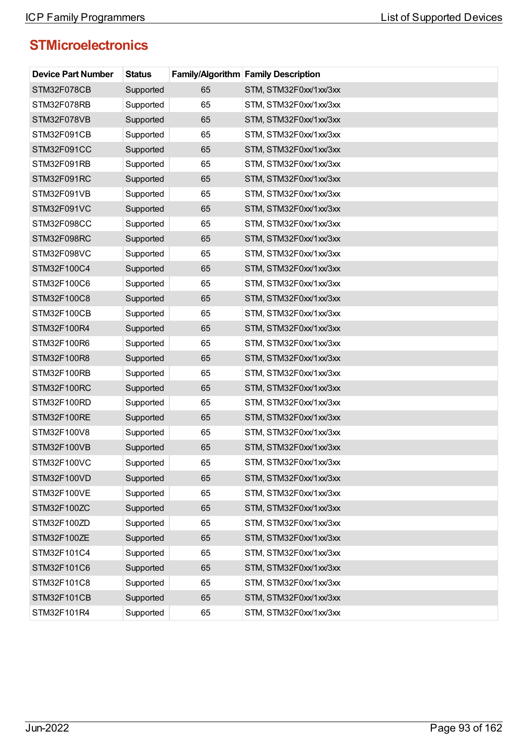| <b>Device Part Number</b> | <b>Status</b> |    | <b>Family/Algorithm Family Description</b> |
|---------------------------|---------------|----|--------------------------------------------|
| STM32F078CB               | Supported     | 65 | STM, STM32F0xx/1xx/3xx                     |
| STM32F078RB               | Supported     | 65 | STM, STM32F0xx/1xx/3xx                     |
| STM32F078VB               | Supported     | 65 | STM, STM32F0xx/1xx/3xx                     |
| STM32F091CB               | Supported     | 65 | STM, STM32F0xx/1xx/3xx                     |
| STM32F091CC               | Supported     | 65 | STM, STM32F0xx/1xx/3xx                     |
| STM32F091RB               | Supported     | 65 | STM, STM32F0xx/1xx/3xx                     |
| STM32F091RC               | Supported     | 65 | STM, STM32F0xx/1xx/3xx                     |
| STM32F091VB               | Supported     | 65 | STM, STM32F0xx/1xx/3xx                     |
| STM32F091VC               | Supported     | 65 | STM, STM32F0xx/1xx/3xx                     |
| STM32F098CC               | Supported     | 65 | STM, STM32F0xx/1xx/3xx                     |
| STM32F098RC               | Supported     | 65 | STM, STM32F0xx/1xx/3xx                     |
| STM32F098VC               | Supported     | 65 | STM, STM32F0xx/1xx/3xx                     |
| STM32F100C4               | Supported     | 65 | STM, STM32F0xx/1xx/3xx                     |
| STM32F100C6               | Supported     | 65 | STM, STM32F0xx/1xx/3xx                     |
| STM32F100C8               | Supported     | 65 | STM, STM32F0xx/1xx/3xx                     |
| STM32F100CB               | Supported     | 65 | STM, STM32F0xx/1xx/3xx                     |
| STM32F100R4               | Supported     | 65 | STM, STM32F0xx/1xx/3xx                     |
| STM32F100R6               | Supported     | 65 | STM, STM32F0xx/1xx/3xx                     |
| STM32F100R8               | Supported     | 65 | STM, STM32F0xx/1xx/3xx                     |
| STM32F100RB               | Supported     | 65 | STM, STM32F0xx/1xx/3xx                     |
| STM32F100RC               | Supported     | 65 | STM, STM32F0xx/1xx/3xx                     |
| STM32F100RD               | Supported     | 65 | STM, STM32F0xx/1xx/3xx                     |
| STM32F100RE               | Supported     | 65 | STM, STM32F0xx/1xx/3xx                     |
| STM32F100V8               | Supported     | 65 | STM, STM32F0xx/1xx/3xx                     |
| STM32F100VB               | Supported     | 65 | STM, STM32F0xx/1xx/3xx                     |
| STM32F100VC               | Supported     | 65 | STM, STM32F0xx/1xx/3xx                     |
| STM32F100VD               | Supported     | 65 | STM, STM32F0xx/1xx/3xx                     |
| STM32F100VE               | Supported     | 65 | STM, STM32F0xx/1xx/3xx                     |
| STM32F100ZC               | Supported     | 65 | STM, STM32F0xx/1xx/3xx                     |
| STM32F100ZD               | Supported     | 65 | STM, STM32F0xx/1xx/3xx                     |
| STM32F100ZE               | Supported     | 65 | STM, STM32F0xx/1xx/3xx                     |
| STM32F101C4               | Supported     | 65 | STM, STM32F0xx/1xx/3xx                     |
| STM32F101C6               | Supported     | 65 | STM, STM32F0xx/1xx/3xx                     |
| STM32F101C8               | Supported     | 65 | STM, STM32F0xx/1xx/3xx                     |
| STM32F101CB               | Supported     | 65 | STM, STM32F0xx/1xx/3xx                     |
| STM32F101R4               | Supported     | 65 | STM, STM32F0xx/1xx/3xx                     |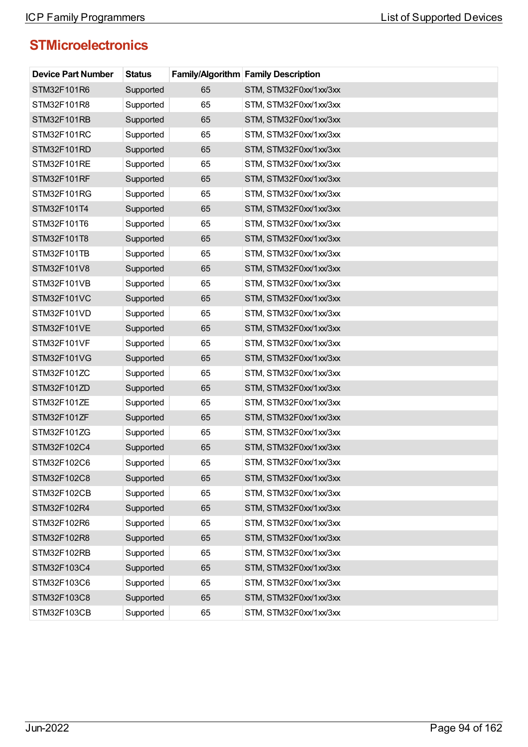| <b>Device Part Number</b> | <b>Status</b> |    | Family/Algorithm Family Description |
|---------------------------|---------------|----|-------------------------------------|
| STM32F101R6               | Supported     | 65 | STM, STM32F0xx/1xx/3xx              |
| STM32F101R8               | Supported     | 65 | STM, STM32F0xx/1xx/3xx              |
| STM32F101RB               | Supported     | 65 | STM, STM32F0xx/1xx/3xx              |
| STM32F101RC               | Supported     | 65 | STM, STM32F0xx/1xx/3xx              |
| STM32F101RD               | Supported     | 65 | STM, STM32F0xx/1xx/3xx              |
| STM32F101RE               | Supported     | 65 | STM, STM32F0xx/1xx/3xx              |
| STM32F101RF               | Supported     | 65 | STM, STM32F0xx/1xx/3xx              |
| STM32F101RG               | Supported     | 65 | STM, STM32F0xx/1xx/3xx              |
| STM32F101T4               | Supported     | 65 | STM, STM32F0xx/1xx/3xx              |
| STM32F101T6               | Supported     | 65 | STM, STM32F0xx/1xx/3xx              |
| STM32F101T8               | Supported     | 65 | STM, STM32F0xx/1xx/3xx              |
| STM32F101TB               | Supported     | 65 | STM, STM32F0xx/1xx/3xx              |
| STM32F101V8               | Supported     | 65 | STM, STM32F0xx/1xx/3xx              |
| STM32F101VB               | Supported     | 65 | STM, STM32F0xx/1xx/3xx              |
| STM32F101VC               | Supported     | 65 | STM, STM32F0xx/1xx/3xx              |
| STM32F101VD               | Supported     | 65 | STM, STM32F0xx/1xx/3xx              |
| STM32F101VE               | Supported     | 65 | STM, STM32F0xx/1xx/3xx              |
| STM32F101VF               | Supported     | 65 | STM, STM32F0xx/1xx/3xx              |
| STM32F101VG               | Supported     | 65 | STM, STM32F0xx/1xx/3xx              |
| STM32F101ZC               | Supported     | 65 | STM, STM32F0xx/1xx/3xx              |
| STM32F101ZD               | Supported     | 65 | STM, STM32F0xx/1xx/3xx              |
| STM32F101ZE               | Supported     | 65 | STM, STM32F0xx/1xx/3xx              |
| STM32F101ZF               | Supported     | 65 | STM, STM32F0xx/1xx/3xx              |
| STM32F101ZG               | Supported     | 65 | STM, STM32F0xx/1xx/3xx              |
| STM32F102C4               | Supported     | 65 | STM, STM32F0xx/1xx/3xx              |
| STM32F102C6               | Supported     | 65 | STM. STM32F0xx/1xx/3xx              |
| STM32F102C8               | Supported     | 65 | STM, STM32F0xx/1xx/3xx              |
| STM32F102CB               | Supported     | 65 | STM, STM32F0xx/1xx/3xx              |
| STM32F102R4               | Supported     | 65 | STM, STM32F0xx/1xx/3xx              |
| STM32F102R6               | Supported     | 65 | STM, STM32F0xx/1xx/3xx              |
| STM32F102R8               | Supported     | 65 | STM, STM32F0xx/1xx/3xx              |
| STM32F102RB               | Supported     | 65 | STM, STM32F0xx/1xx/3xx              |
| STM32F103C4               | Supported     | 65 | STM, STM32F0xx/1xx/3xx              |
| STM32F103C6               | Supported     | 65 | STM, STM32F0xx/1xx/3xx              |
| STM32F103C8               | Supported     | 65 | STM, STM32F0xx/1xx/3xx              |
| STM32F103CB               | Supported     | 65 | STM, STM32F0xx/1xx/3xx              |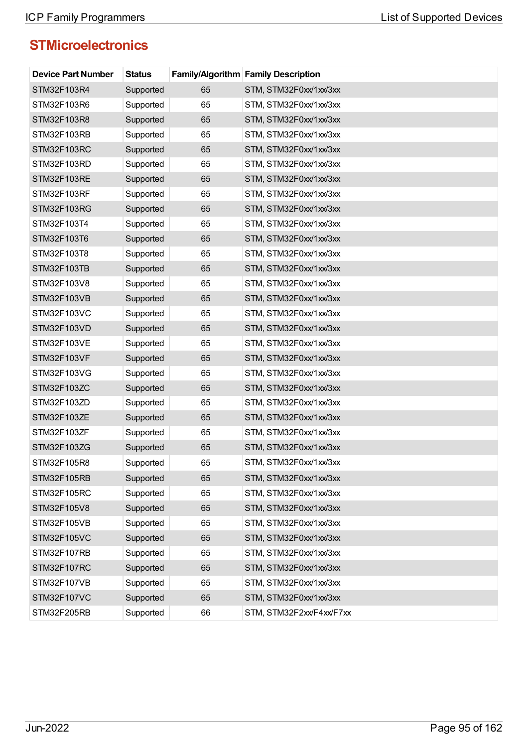| <b>Device Part Number</b> | <b>Status</b> |    | <b>Family/Algorithm Family Description</b> |
|---------------------------|---------------|----|--------------------------------------------|
| STM32F103R4               | Supported     | 65 | STM, STM32F0xx/1xx/3xx                     |
| STM32F103R6               | Supported     | 65 | STM, STM32F0xx/1xx/3xx                     |
| STM32F103R8               | Supported     | 65 | STM, STM32F0xx/1xx/3xx                     |
| STM32F103RB               | Supported     | 65 | STM, STM32F0xx/1xx/3xx                     |
| STM32F103RC               | Supported     | 65 | STM, STM32F0xx/1xx/3xx                     |
| STM32F103RD               | Supported     | 65 | STM, STM32F0xx/1xx/3xx                     |
| STM32F103RE               | Supported     | 65 | STM, STM32F0xx/1xx/3xx                     |
| STM32F103RF               | Supported     | 65 | STM, STM32F0xx/1xx/3xx                     |
| STM32F103RG               | Supported     | 65 | STM, STM32F0xx/1xx/3xx                     |
| STM32F103T4               | Supported     | 65 | STM, STM32F0xx/1xx/3xx                     |
| STM32F103T6               | Supported     | 65 | STM, STM32F0xx/1xx/3xx                     |
| STM32F103T8               | Supported     | 65 | STM, STM32F0xx/1xx/3xx                     |
| STM32F103TB               | Supported     | 65 | STM, STM32F0xx/1xx/3xx                     |
| STM32F103V8               | Supported     | 65 | STM, STM32F0xx/1xx/3xx                     |
| STM32F103VB               | Supported     | 65 | STM, STM32F0xx/1xx/3xx                     |
| STM32F103VC               | Supported     | 65 | STM, STM32F0xx/1xx/3xx                     |
| STM32F103VD               | Supported     | 65 | STM, STM32F0xx/1xx/3xx                     |
| STM32F103VE               | Supported     | 65 | STM, STM32F0xx/1xx/3xx                     |
| STM32F103VF               | Supported     | 65 | STM, STM32F0xx/1xx/3xx                     |
| STM32F103VG               | Supported     | 65 | STM, STM32F0xx/1xx/3xx                     |
| STM32F103ZC               | Supported     | 65 | STM, STM32F0xx/1xx/3xx                     |
| STM32F103ZD               | Supported     | 65 | STM, STM32F0xx/1xx/3xx                     |
| STM32F103ZE               | Supported     | 65 | STM, STM32F0xx/1xx/3xx                     |
| STM32F103ZF               | Supported     | 65 | STM, STM32F0xx/1xx/3xx                     |
| STM32F103ZG               | Supported     | 65 | STM, STM32F0xx/1xx/3xx                     |
| STM32F105R8               | Supported     | 65 | STM, STM32F0xx/1xx/3xx                     |
| STM32F105RB               | Supported     | 65 | STM, STM32F0xx/1xx/3xx                     |
| STM32F105RC               | Supported     | 65 | STM, STM32F0xx/1xx/3xx                     |
| STM32F105V8               | Supported     | 65 | STM, STM32F0xx/1xx/3xx                     |
| STM32F105VB               | Supported     | 65 | STM, STM32F0xx/1xx/3xx                     |
| STM32F105VC               | Supported     | 65 | STM, STM32F0xx/1xx/3xx                     |
| STM32F107RB               | Supported     | 65 | STM, STM32F0xx/1xx/3xx                     |
| STM32F107RC               | Supported     | 65 | STM, STM32F0xx/1xx/3xx                     |
| STM32F107VB               | Supported     | 65 | STM, STM32F0xx/1xx/3xx                     |
| STM32F107VC               | Supported     | 65 | STM, STM32F0xx/1xx/3xx                     |
| STM32F205RB               | Supported     | 66 | STM, STM32F2xx/F4xx/F7xx                   |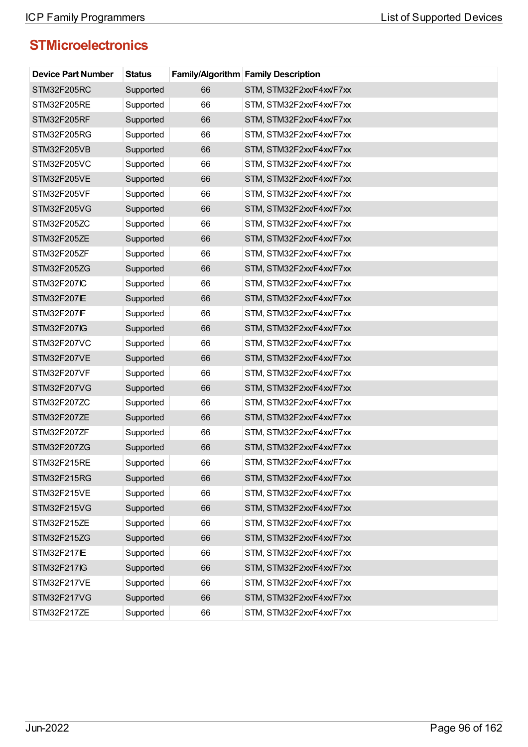| <b>Device Part Number</b> | <b>Status</b> |    | <b>Family/Algorithm Family Description</b> |
|---------------------------|---------------|----|--------------------------------------------|
| STM32F205RC               | Supported     | 66 | STM, STM32F2xx/F4xx/F7xx                   |
| STM32F205RE               | Supported     | 66 | STM, STM32F2xx/F4xx/F7xx                   |
| STM32F205RF               | Supported     | 66 | STM, STM32F2xx/F4xx/F7xx                   |
| STM32F205RG               | Supported     | 66 | STM, STM32F2xx/F4xx/F7xx                   |
| STM32F205VB               | Supported     | 66 | STM, STM32F2xx/F4xx/F7xx                   |
| STM32F205VC               | Supported     | 66 | STM, STM32F2xx/F4xx/F7xx                   |
| STM32F205VE               | Supported     | 66 | STM, STM32F2xx/F4xx/F7xx                   |
| STM32F205VF               | Supported     | 66 | STM, STM32F2xx/F4xx/F7xx                   |
| STM32F205VG               | Supported     | 66 | STM, STM32F2xx/F4xx/F7xx                   |
| STM32F205ZC               | Supported     | 66 | STM, STM32F2xx/F4xx/F7xx                   |
| STM32F205ZE               | Supported     | 66 | STM, STM32F2xx/F4xx/F7xx                   |
| STM32F205ZF               | Supported     | 66 | STM, STM32F2xx/F4xx/F7xx                   |
| STM32F205ZG               | Supported     | 66 | STM, STM32F2xx/F4xx/F7xx                   |
| <b>STM32F207IC</b>        | Supported     | 66 | STM, STM32F2xx/F4xx/F7xx                   |
| <b>STM32F207IE</b>        | Supported     | 66 | STM, STM32F2xx/F4xx/F7xx                   |
| <b>STM32F207IF</b>        | Supported     | 66 | STM, STM32F2xx/F4xx/F7xx                   |
| STM32F207IG               | Supported     | 66 | STM, STM32F2xx/F4xx/F7xx                   |
| STM32F207VC               | Supported     | 66 | STM, STM32F2xx/F4xx/F7xx                   |
| STM32F207VE               | Supported     | 66 | STM, STM32F2xx/F4xx/F7xx                   |
| STM32F207VF               | Supported     | 66 | STM, STM32F2xx/F4xx/F7xx                   |
| STM32F207VG               | Supported     | 66 | STM, STM32F2xx/F4xx/F7xx                   |
| STM32F207ZC               | Supported     | 66 | STM, STM32F2xx/F4xx/F7xx                   |
| STM32F207ZE               | Supported     | 66 | STM, STM32F2xx/F4xx/F7xx                   |
| STM32F207ZF               | Supported     | 66 | STM, STM32F2xx/F4xx/F7xx                   |
| STM32F207ZG               | Supported     | 66 | STM, STM32F2xx/F4xx/F7xx                   |
| STM32F215RE               | Supported     | 66 | STM, STM32F2xx/F4xx/F7xx                   |
| STM32F215RG               | Supported     | 66 | STM, STM32F2xx/F4xx/F7xx                   |
| STM32F215VE               | Supported     | 66 | STM, STM32F2xx/F4xx/F7xx                   |
| STM32F215VG               | Supported     | 66 | STM, STM32F2xx/F4xx/F7xx                   |
| STM32F215ZE               | Supported     | 66 | STM, STM32F2xx/F4xx/F7xx                   |
| STM32F215ZG               | Supported     | 66 | STM, STM32F2xx/F4xx/F7xx                   |
| <b>STM32F217IE</b>        | Supported     | 66 | STM, STM32F2xx/F4xx/F7xx                   |
| <b>STM32F217IG</b>        | Supported     | 66 | STM, STM32F2xx/F4xx/F7xx                   |
| STM32F217VE               | Supported     | 66 | STM, STM32F2xx/F4xx/F7xx                   |
| STM32F217VG               | Supported     | 66 | STM, STM32F2xx/F4xx/F7xx                   |
| STM32F217ZE               | Supported     | 66 | STM, STM32F2xx/F4xx/F7xx                   |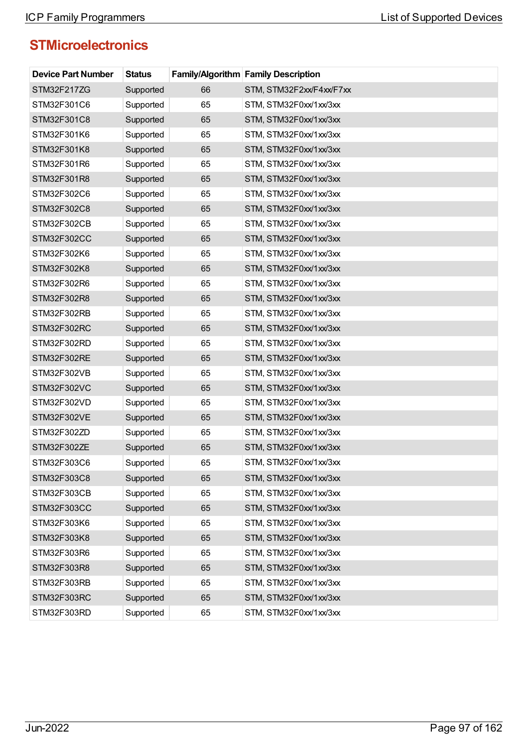| <b>Device Part Number</b> | <b>Status</b> |    | <b>Family/Algorithm Family Description</b> |
|---------------------------|---------------|----|--------------------------------------------|
| STM32F217ZG               | Supported     | 66 | STM, STM32F2xx/F4xx/F7xx                   |
| STM32F301C6               | Supported     | 65 | STM, STM32F0xx/1xx/3xx                     |
| STM32F301C8               | Supported     | 65 | STM, STM32F0xx/1xx/3xx                     |
| STM32F301K6               | Supported     | 65 | STM, STM32F0xx/1xx/3xx                     |
| STM32F301K8               | Supported     | 65 | STM, STM32F0xx/1xx/3xx                     |
| STM32F301R6               | Supported     | 65 | STM, STM32F0xx/1xx/3xx                     |
| STM32F301R8               | Supported     | 65 | STM, STM32F0xx/1xx/3xx                     |
| STM32F302C6               | Supported     | 65 | STM, STM32F0xx/1xx/3xx                     |
| STM32F302C8               | Supported     | 65 | STM, STM32F0xx/1xx/3xx                     |
| STM32F302CB               | Supported     | 65 | STM, STM32F0xx/1xx/3xx                     |
| STM32F302CC               | Supported     | 65 | STM, STM32F0xx/1xx/3xx                     |
| STM32F302K6               | Supported     | 65 | STM, STM32F0xx/1xx/3xx                     |
| STM32F302K8               | Supported     | 65 | STM, STM32F0xx/1xx/3xx                     |
| STM32F302R6               | Supported     | 65 | STM, STM32F0xx/1xx/3xx                     |
| STM32F302R8               | Supported     | 65 | STM, STM32F0xx/1xx/3xx                     |
| STM32F302RB               | Supported     | 65 | STM, STM32F0xx/1xx/3xx                     |
| STM32F302RC               | Supported     | 65 | STM, STM32F0xx/1xx/3xx                     |
| STM32F302RD               | Supported     | 65 | STM, STM32F0xx/1xx/3xx                     |
| STM32F302RE               | Supported     | 65 | STM, STM32F0xx/1xx/3xx                     |
| STM32F302VB               | Supported     | 65 | STM, STM32F0xx/1xx/3xx                     |
| STM32F302VC               | Supported     | 65 | STM, STM32F0xx/1xx/3xx                     |
| STM32F302VD               | Supported     | 65 | STM, STM32F0xx/1xx/3xx                     |
| STM32F302VE               | Supported     | 65 | STM, STM32F0xx/1xx/3xx                     |
| STM32F302ZD               | Supported     | 65 | STM, STM32F0xx/1xx/3xx                     |
| STM32F302ZE               | Supported     | 65 | STM, STM32F0xx/1xx/3xx                     |
| STM32F303C6               | Supported     | 65 | STM. STM32F0xx/1xx/3xx                     |
| STM32F303C8               | Supported     | 65 | STM, STM32F0xx/1xx/3xx                     |
| STM32F303CB               | Supported     | 65 | STM, STM32F0xx/1xx/3xx                     |
| STM32F303CC               | Supported     | 65 | STM, STM32F0xx/1xx/3xx                     |
| STM32F303K6               | Supported     | 65 | STM, STM32F0xx/1xx/3xx                     |
| STM32F303K8               | Supported     | 65 | STM, STM32F0xx/1xx/3xx                     |
| STM32F303R6               | Supported     | 65 | STM, STM32F0xx/1xx/3xx                     |
| STM32F303R8               | Supported     | 65 | STM, STM32F0xx/1xx/3xx                     |
| STM32F303RB               | Supported     | 65 | STM, STM32F0xx/1xx/3xx                     |
| STM32F303RC               | Supported     | 65 | STM, STM32F0xx/1xx/3xx                     |
| STM32F303RD               | Supported     | 65 | STM, STM32F0xx/1xx/3xx                     |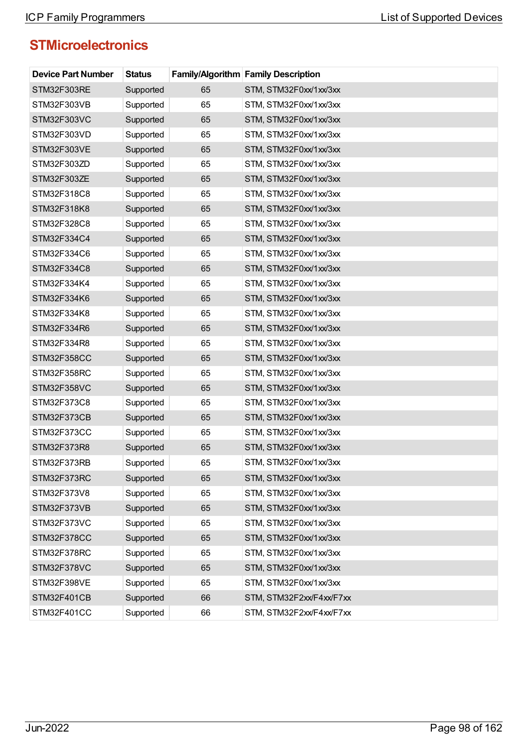| <b>Device Part Number</b> | <b>Status</b> |    | <b>Family/Algorithm Family Description</b> |
|---------------------------|---------------|----|--------------------------------------------|
| STM32F303RE               | Supported     | 65 | STM, STM32F0xx/1xx/3xx                     |
| STM32F303VB               | Supported     | 65 | STM, STM32F0xx/1xx/3xx                     |
| STM32F303VC               | Supported     | 65 | STM, STM32F0xx/1xx/3xx                     |
| STM32F303VD               | Supported     | 65 | STM, STM32F0xx/1xx/3xx                     |
| STM32F303VE               | Supported     | 65 | STM, STM32F0xx/1xx/3xx                     |
| STM32F303ZD               | Supported     | 65 | STM, STM32F0xx/1xx/3xx                     |
| STM32F303ZE               | Supported     | 65 | STM, STM32F0xx/1xx/3xx                     |
| STM32F318C8               | Supported     | 65 | STM, STM32F0xx/1xx/3xx                     |
| STM32F318K8               | Supported     | 65 | STM, STM32F0xx/1xx/3xx                     |
| STM32F328C8               | Supported     | 65 | STM, STM32F0xx/1xx/3xx                     |
| STM32F334C4               | Supported     | 65 | STM, STM32F0xx/1xx/3xx                     |
| STM32F334C6               | Supported     | 65 | STM, STM32F0xx/1xx/3xx                     |
| STM32F334C8               | Supported     | 65 | STM, STM32F0xx/1xx/3xx                     |
| STM32F334K4               | Supported     | 65 | STM, STM32F0xx/1xx/3xx                     |
| STM32F334K6               | Supported     | 65 | STM, STM32F0xx/1xx/3xx                     |
| STM32F334K8               | Supported     | 65 | STM, STM32F0xx/1xx/3xx                     |
| STM32F334R6               | Supported     | 65 | STM, STM32F0xx/1xx/3xx                     |
| STM32F334R8               | Supported     | 65 | STM, STM32F0xx/1xx/3xx                     |
| STM32F358CC               | Supported     | 65 | STM, STM32F0xx/1xx/3xx                     |
| STM32F358RC               | Supported     | 65 | STM, STM32F0xx/1xx/3xx                     |
| STM32F358VC               | Supported     | 65 | STM, STM32F0xx/1xx/3xx                     |
| STM32F373C8               | Supported     | 65 | STM, STM32F0xx/1xx/3xx                     |
| STM32F373CB               | Supported     | 65 | STM, STM32F0xx/1xx/3xx                     |
| STM32F373CC               | Supported     | 65 | STM, STM32F0xx/1xx/3xx                     |
| STM32F373R8               | Supported     | 65 | STM, STM32F0xx/1xx/3xx                     |
| STM32F373RB               | Supported     | 65 | STM, STM32F0xx/1xx/3xx                     |
| STM32F373RC               | Supported     | 65 | STM, STM32F0xx/1xx/3xx                     |
| STM32F373V8               | Supported     | 65 | STM, STM32F0xx/1xx/3xx                     |
| STM32F373VB               | Supported     | 65 | STM, STM32F0xx/1xx/3xx                     |
| STM32F373VC               | Supported     | 65 | STM, STM32F0xx/1xx/3xx                     |
| STM32F378CC               | Supported     | 65 | STM, STM32F0xx/1xx/3xx                     |
| STM32F378RC               | Supported     | 65 | STM, STM32F0xx/1xx/3xx                     |
| STM32F378VC               | Supported     | 65 | STM, STM32F0xx/1xx/3xx                     |
| STM32F398VE               | Supported     | 65 | STM, STM32F0xx/1xx/3xx                     |
| STM32F401CB               | Supported     | 66 | STM, STM32F2xx/F4xx/F7xx                   |
| STM32F401CC               | Supported     | 66 | STM, STM32F2xx/F4xx/F7xx                   |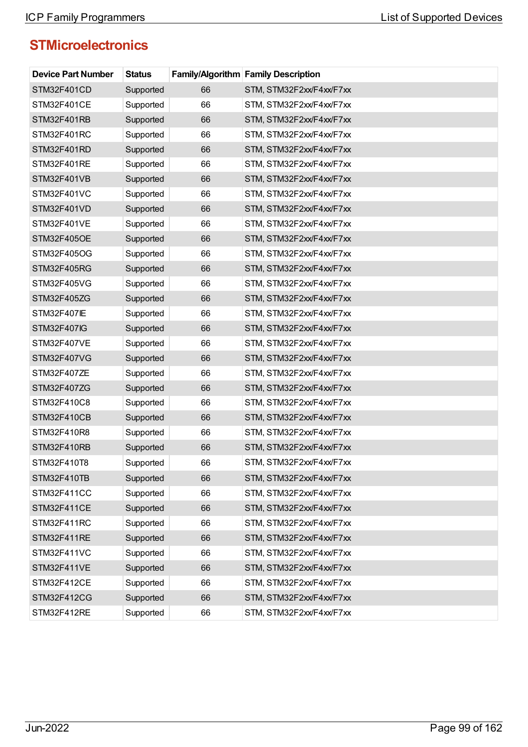| <b>Device Part Number</b> | <b>Status</b> |    | <b>Family/Algorithm Family Description</b> |
|---------------------------|---------------|----|--------------------------------------------|
| STM32F401CD               | Supported     | 66 | STM, STM32F2xx/F4xx/F7xx                   |
| STM32F401CE               | Supported     | 66 | STM, STM32F2xx/F4xx/F7xx                   |
| STM32F401RB               | Supported     | 66 | STM, STM32F2xx/F4xx/F7xx                   |
| STM32F401RC               | Supported     | 66 | STM, STM32F2xx/F4xx/F7xx                   |
| STM32F401RD               | Supported     | 66 | STM, STM32F2xx/F4xx/F7xx                   |
| STM32F401RE               | Supported     | 66 | STM, STM32F2xx/F4xx/F7xx                   |
| STM32F401VB               | Supported     | 66 | STM, STM32F2xx/F4xx/F7xx                   |
| STM32F401VC               | Supported     | 66 | STM, STM32F2xx/F4xx/F7xx                   |
| STM32F401VD               | Supported     | 66 | STM, STM32F2xx/F4xx/F7xx                   |
| STM32F401VE               | Supported     | 66 | STM, STM32F2xx/F4xx/F7xx                   |
| STM32F405OE               | Supported     | 66 | STM, STM32F2xx/F4xx/F7xx                   |
| STM32F405OG               | Supported     | 66 | STM, STM32F2xx/F4xx/F7xx                   |
| STM32F405RG               | Supported     | 66 | STM, STM32F2xx/F4xx/F7xx                   |
| STM32F405VG               | Supported     | 66 | STM, STM32F2xx/F4xx/F7xx                   |
| STM32F405ZG               | Supported     | 66 | STM, STM32F2xx/F4xx/F7xx                   |
| <b>STM32F407IE</b>        | Supported     | 66 | STM, STM32F2xx/F4xx/F7xx                   |
| STM32F407IG               | Supported     | 66 | STM, STM32F2xx/F4xx/F7xx                   |
| STM32F407VE               | Supported     | 66 | STM, STM32F2xx/F4xx/F7xx                   |
| STM32F407VG               | Supported     | 66 | STM, STM32F2xx/F4xx/F7xx                   |
| STM32F407ZE               | Supported     | 66 | STM, STM32F2xx/F4xx/F7xx                   |
| STM32F407ZG               | Supported     | 66 | STM, STM32F2xx/F4xx/F7xx                   |
| STM32F410C8               | Supported     | 66 | STM, STM32F2xx/F4xx/F7xx                   |
| STM32F410CB               | Supported     | 66 | STM, STM32F2xx/F4xx/F7xx                   |
| STM32F410R8               | Supported     | 66 | STM, STM32F2xx/F4xx/F7xx                   |
| STM32F410RB               | Supported     | 66 | STM, STM32F2xx/F4xx/F7xx                   |
| STM32F410T8               | Supported     | 66 | STM, STM32F2xx/F4xx/F7xx                   |
| STM32F410TB               | Supported     | 66 | STM, STM32F2xx/F4xx/F7xx                   |
| STM32F411CC               | Supported     | 66 | STM, STM32F2xx/F4xx/F7xx                   |
| STM32F411CE               | Supported     | 66 | STM, STM32F2xx/F4xx/F7xx                   |
| STM32F411RC               | Supported     | 66 | STM, STM32F2xx/F4xx/F7xx                   |
| STM32F411RE               | Supported     | 66 | STM, STM32F2xx/F4xx/F7xx                   |
| STM32F411VC               | Supported     | 66 | STM, STM32F2xx/F4xx/F7xx                   |
| STM32F411VE               | Supported     | 66 | STM, STM32F2xx/F4xx/F7xx                   |
| STM32F412CE               | Supported     | 66 | STM, STM32F2xx/F4xx/F7xx                   |
| STM32F412CG               | Supported     | 66 | STM, STM32F2xx/F4xx/F7xx                   |
| STM32F412RE               | Supported     | 66 | STM, STM32F2xx/F4xx/F7xx                   |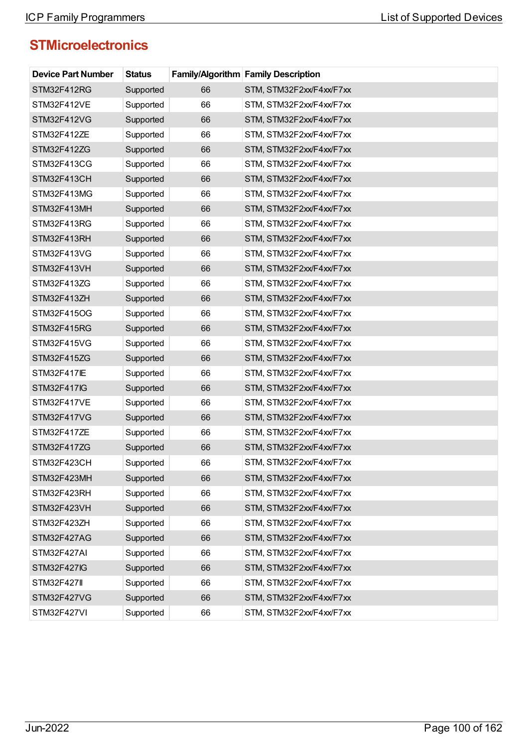| <b>Device Part Number</b> | <b>Status</b> |    | <b>Family/Algorithm Family Description</b> |
|---------------------------|---------------|----|--------------------------------------------|
| STM32F412RG               | Supported     | 66 | STM, STM32F2xx/F4xx/F7xx                   |
| STM32F412VE               | Supported     | 66 | STM, STM32F2xx/F4xx/F7xx                   |
| STM32F412VG               | Supported     | 66 | STM, STM32F2xx/F4xx/F7xx                   |
| STM32F412ZE               | Supported     | 66 | STM, STM32F2xx/F4xx/F7xx                   |
| STM32F412ZG               | Supported     | 66 | STM, STM32F2xx/F4xx/F7xx                   |
| STM32F413CG               | Supported     | 66 | STM, STM32F2xx/F4xx/F7xx                   |
| STM32F413CH               | Supported     | 66 | STM, STM32F2xx/F4xx/F7xx                   |
| STM32F413MG               | Supported     | 66 | STM, STM32F2xx/F4xx/F7xx                   |
| STM32F413MH               | Supported     | 66 | STM, STM32F2xx/F4xx/F7xx                   |
| STM32F413RG               | Supported     | 66 | STM, STM32F2xx/F4xx/F7xx                   |
| STM32F413RH               | Supported     | 66 | STM, STM32F2xx/F4xx/F7xx                   |
| STM32F413VG               | Supported     | 66 | STM, STM32F2xx/F4xx/F7xx                   |
| STM32F413VH               | Supported     | 66 | STM, STM32F2xx/F4xx/F7xx                   |
| STM32F413ZG               | Supported     | 66 | STM, STM32F2xx/F4xx/F7xx                   |
| STM32F413ZH               | Supported     | 66 | STM, STM32F2xx/F4xx/F7xx                   |
| STM32F415OG               | Supported     | 66 | STM, STM32F2xx/F4xx/F7xx                   |
| STM32F415RG               | Supported     | 66 | STM, STM32F2xx/F4xx/F7xx                   |
| STM32F415VG               | Supported     | 66 | STM, STM32F2xx/F4xx/F7xx                   |
| STM32F415ZG               | Supported     | 66 | STM, STM32F2xx/F4xx/F7xx                   |
| <b>STM32F417IE</b>        | Supported     | 66 | STM, STM32F2xx/F4xx/F7xx                   |
| <b>STM32F417IG</b>        | Supported     | 66 | STM, STM32F2xx/F4xx/F7xx                   |
| STM32F417VE               | Supported     | 66 | STM, STM32F2xx/F4xx/F7xx                   |
| STM32F417VG               | Supported     | 66 | STM, STM32F2xx/F4xx/F7xx                   |
| STM32F417ZE               | Supported     | 66 | STM, STM32F2xx/F4xx/F7xx                   |
| STM32F417ZG               | Supported     | 66 | STM, STM32F2xx/F4xx/F7xx                   |
| STM32F423CH               | Supported     | 66 | STM, STM32F2xx/F4xx/F7xx                   |
| STM32F423MH               | Supported     | 66 | STM, STM32F2xx/F4xx/F7xx                   |
| STM32F423RH               | Supported     | 66 | STM, STM32F2xx/F4xx/F7xx                   |
| STM32F423VH               | Supported     | 66 | STM, STM32F2xx/F4xx/F7xx                   |
| STM32F423ZH               | Supported     | 66 | STM, STM32F2xx/F4xx/F7xx                   |
| STM32F427AG               | Supported     | 66 | STM, STM32F2xx/F4xx/F7xx                   |
| STM32F427AI               | Supported     | 66 | STM, STM32F2xx/F4xx/F7xx                   |
| STM32F427IG               | Supported     | 66 | STM, STM32F2xx/F4xx/F7xx                   |
| <b>STM32F427II</b>        | Supported     | 66 | STM, STM32F2xx/F4xx/F7xx                   |
| STM32F427VG               | Supported     | 66 | STM, STM32F2xx/F4xx/F7xx                   |
| STM32F427VI               | Supported     | 66 | STM, STM32F2xx/F4xx/F7xx                   |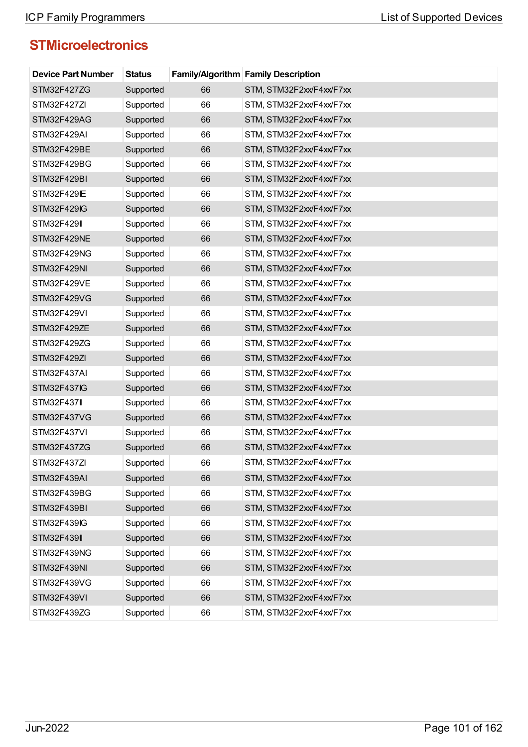| <b>Device Part Number</b> | <b>Status</b> |    | <b>Family/Algorithm Family Description</b> |
|---------------------------|---------------|----|--------------------------------------------|
| STM32F427ZG               | Supported     | 66 | STM, STM32F2xx/F4xx/F7xx                   |
| STM32F427ZI               | Supported     | 66 | STM, STM32F2xx/F4xx/F7xx                   |
| STM32F429AG               | Supported     | 66 | STM, STM32F2xx/F4xx/F7xx                   |
| STM32F429AI               | Supported     | 66 | STM, STM32F2xx/F4xx/F7xx                   |
| STM32F429BE               | Supported     | 66 | STM, STM32F2xx/F4xx/F7xx                   |
| STM32F429BG               | Supported     | 66 | STM, STM32F2xx/F4xx/F7xx                   |
| STM32F429BI               | Supported     | 66 | STM, STM32F2xx/F4xx/F7xx                   |
| STM32F429IE               | Supported     | 66 | STM, STM32F2xx/F4xx/F7xx                   |
| STM32F429IG               | Supported     | 66 | STM, STM32F2xx/F4xx/F7xx                   |
| <b>STM32F429II</b>        | Supported     | 66 | STM, STM32F2xx/F4xx/F7xx                   |
| STM32F429NE               | Supported     | 66 | STM, STM32F2xx/F4xx/F7xx                   |
| STM32F429NG               | Supported     | 66 | STM, STM32F2xx/F4xx/F7xx                   |
| STM32F429NI               | Supported     | 66 | STM, STM32F2xx/F4xx/F7xx                   |
| STM32F429VE               | Supported     | 66 | STM, STM32F2xx/F4xx/F7xx                   |
| STM32F429VG               | Supported     | 66 | STM, STM32F2xx/F4xx/F7xx                   |
| STM32F429VI               | Supported     | 66 | STM, STM32F2xx/F4xx/F7xx                   |
| STM32F429ZE               | Supported     | 66 | STM, STM32F2xx/F4xx/F7xx                   |
| STM32F429ZG               | Supported     | 66 | STM, STM32F2xx/F4xx/F7xx                   |
| STM32F429ZI               | Supported     | 66 | STM, STM32F2xx/F4xx/F7xx                   |
| STM32F437AI               | Supported     | 66 | STM, STM32F2xx/F4xx/F7xx                   |
| <b>STM32F437IG</b>        | Supported     | 66 | STM, STM32F2xx/F4xx/F7xx                   |
| <b>STM32F437II</b>        | Supported     | 66 | STM, STM32F2xx/F4xx/F7xx                   |
| STM32F437VG               | Supported     | 66 | STM, STM32F2xx/F4xx/F7xx                   |
| STM32F437VI               | Supported     | 66 | STM, STM32F2xx/F4xx/F7xx                   |
| STM32F437ZG               | Supported     | 66 | STM, STM32F2xx/F4xx/F7xx                   |
| STM32F437ZI               | Supported     | 66 | STM, STM32F2xx/F4xx/F7xx                   |
| STM32F439AI               | Supported     | 66 | STM, STM32F2xx/F4xx/F7xx                   |
| STM32F439BG               | Supported     | 66 | STM, STM32F2xx/F4xx/F7xx                   |
| STM32F439BI               | Supported     | 66 | STM, STM32F2xx/F4xx/F7xx                   |
| STM32F439IG               | Supported     | 66 | STM, STM32F2xx/F4xx/F7xx                   |
| <b>STM32F439II</b>        | Supported     | 66 | STM, STM32F2xx/F4xx/F7xx                   |
| STM32F439NG               | Supported     | 66 | STM, STM32F2xx/F4xx/F7xx                   |
| STM32F439NI               | Supported     | 66 | STM, STM32F2xx/F4xx/F7xx                   |
| STM32F439VG               | Supported     | 66 | STM, STM32F2xx/F4xx/F7xx                   |
| STM32F439VI               | Supported     | 66 | STM, STM32F2xx/F4xx/F7xx                   |
| STM32F439ZG               | Supported     | 66 | STM, STM32F2xx/F4xx/F7xx                   |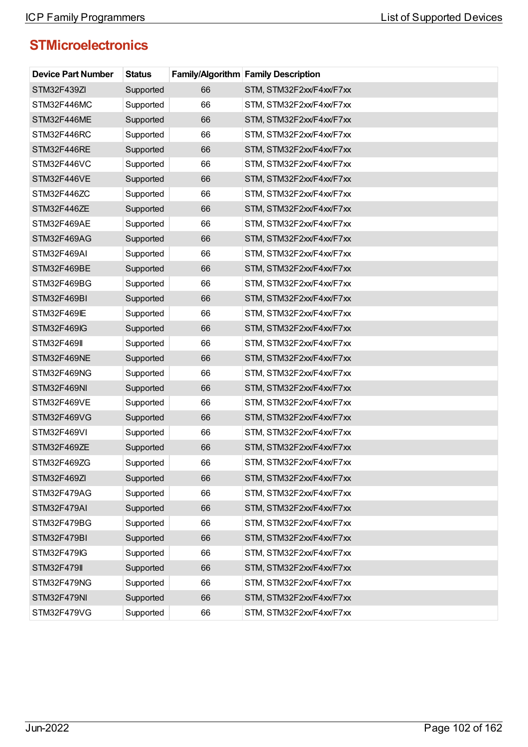| <b>Device Part Number</b> | <b>Status</b> |    | <b>Family/Algorithm Family Description</b> |
|---------------------------|---------------|----|--------------------------------------------|
| STM32F439ZI               | Supported     | 66 | STM, STM32F2xx/F4xx/F7xx                   |
| STM32F446MC               | Supported     | 66 | STM, STM32F2xx/F4xx/F7xx                   |
| STM32F446ME               | Supported     | 66 | STM, STM32F2xx/F4xx/F7xx                   |
| STM32F446RC               | Supported     | 66 | STM, STM32F2xx/F4xx/F7xx                   |
| STM32F446RE               | Supported     | 66 | STM, STM32F2xx/F4xx/F7xx                   |
| STM32F446VC               | Supported     | 66 | STM, STM32F2xx/F4xx/F7xx                   |
| STM32F446VE               | Supported     | 66 | STM, STM32F2xx/F4xx/F7xx                   |
| STM32F446ZC               | Supported     | 66 | STM, STM32F2xx/F4xx/F7xx                   |
| STM32F446ZE               | Supported     | 66 | STM, STM32F2xx/F4xx/F7xx                   |
| STM32F469AE               | Supported     | 66 | STM, STM32F2xx/F4xx/F7xx                   |
| STM32F469AG               | Supported     | 66 | STM, STM32F2xx/F4xx/F7xx                   |
| STM32F469AI               | Supported     | 66 | STM, STM32F2xx/F4xx/F7xx                   |
| STM32F469BE               | Supported     | 66 | STM, STM32F2xx/F4xx/F7xx                   |
| STM32F469BG               | Supported     | 66 | STM, STM32F2xx/F4xx/F7xx                   |
| STM32F469BI               | Supported     | 66 | STM, STM32F2xx/F4xx/F7xx                   |
| STM32F469IE               | Supported     | 66 | STM, STM32F2xx/F4xx/F7xx                   |
| <b>STM32F469IG</b>        | Supported     | 66 | STM, STM32F2xx/F4xx/F7xx                   |
| <b>STM32F469II</b>        | Supported     | 66 | STM, STM32F2xx/F4xx/F7xx                   |
| STM32F469NE               | Supported     | 66 | STM, STM32F2xx/F4xx/F7xx                   |
| STM32F469NG               | Supported     | 66 | STM, STM32F2xx/F4xx/F7xx                   |
| STM32F469NI               | Supported     | 66 | STM, STM32F2xx/F4xx/F7xx                   |
| STM32F469VE               | Supported     | 66 | STM, STM32F2xx/F4xx/F7xx                   |
| STM32F469VG               | Supported     | 66 | STM, STM32F2xx/F4xx/F7xx                   |
| STM32F469VI               | Supported     | 66 | STM, STM32F2xx/F4xx/F7xx                   |
| STM32F469ZE               | Supported     | 66 | STM, STM32F2xx/F4xx/F7xx                   |
| STM32F469ZG               | Supported     | 66 | STM, STM32F2xx/F4xx/F7xx                   |
| STM32F469ZI               | Supported     | 66 | STM, STM32F2xx/F4xx/F7xx                   |
| STM32F479AG               | Supported     | 66 | STM, STM32F2xx/F4xx/F7xx                   |
| STM32F479AI               | Supported     | 66 | STM, STM32F2xx/F4xx/F7xx                   |
| STM32F479BG               | Supported     | 66 | STM, STM32F2xx/F4xx/F7xx                   |
| STM32F479BI               | Supported     | 66 | STM, STM32F2xx/F4xx/F7xx                   |
| STM32F479IG               | Supported     | 66 | STM, STM32F2xx/F4xx/F7xx                   |
| <b>STM32F479II</b>        | Supported     | 66 | STM, STM32F2xx/F4xx/F7xx                   |
| STM32F479NG               | Supported     | 66 | STM, STM32F2xx/F4xx/F7xx                   |
| STM32F479NI               | Supported     | 66 | STM, STM32F2xx/F4xx/F7xx                   |
| STM32F479VG               | Supported     | 66 | STM, STM32F2xx/F4xx/F7xx                   |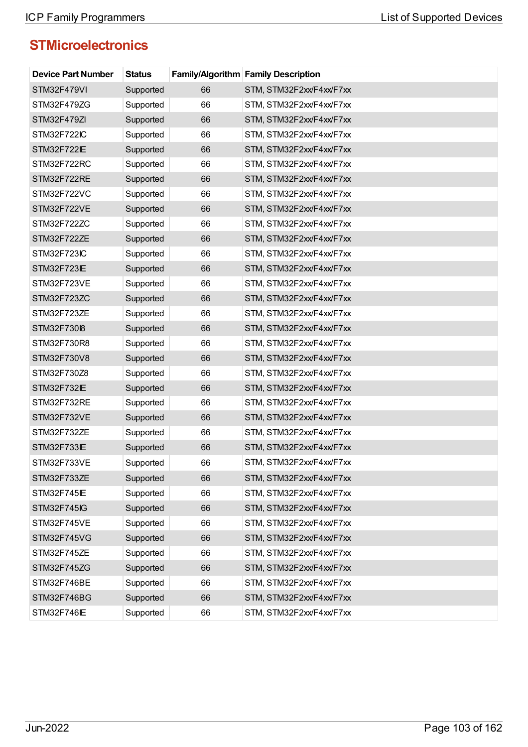| <b>Device Part Number</b> | <b>Status</b> |    | <b>Family/Algorithm Family Description</b> |
|---------------------------|---------------|----|--------------------------------------------|
| STM32F479VI               | Supported     | 66 | STM, STM32F2xx/F4xx/F7xx                   |
| STM32F479ZG               | Supported     | 66 | STM, STM32F2xx/F4xx/F7xx                   |
| STM32F479ZI               | Supported     | 66 | STM, STM32F2xx/F4xx/F7xx                   |
| STM32F722IC               | Supported     | 66 | STM, STM32F2xx/F4xx/F7xx                   |
| <b>STM32F722IE</b>        | Supported     | 66 | STM, STM32F2xx/F4xx/F7xx                   |
| STM32F722RC               | Supported     | 66 | STM, STM32F2xx/F4xx/F7xx                   |
| STM32F722RE               | Supported     | 66 | STM, STM32F2xx/F4xx/F7xx                   |
| STM32F722VC               | Supported     | 66 | STM, STM32F2xx/F4xx/F7xx                   |
| STM32F722VE               | Supported     | 66 | STM, STM32F2xx/F4xx/F7xx                   |
| STM32F722ZC               | Supported     | 66 | STM, STM32F2xx/F4xx/F7xx                   |
| STM32F722ZE               | Supported     | 66 | STM, STM32F2xx/F4xx/F7xx                   |
| STM32F723IC               | Supported     | 66 | STM, STM32F2xx/F4xx/F7xx                   |
| STM32F723IE               | Supported     | 66 | STM, STM32F2xx/F4xx/F7xx                   |
| STM32F723VE               | Supported     | 66 | STM, STM32F2xx/F4xx/F7xx                   |
| STM32F723ZC               | Supported     | 66 | STM, STM32F2xx/F4xx/F7xx                   |
| STM32F723ZE               | Supported     | 66 | STM, STM32F2xx/F4xx/F7xx                   |
| STM32F730I8               | Supported     | 66 | STM, STM32F2xx/F4xx/F7xx                   |
| STM32F730R8               | Supported     | 66 | STM, STM32F2xx/F4xx/F7xx                   |
| STM32F730V8               | Supported     | 66 | STM, STM32F2xx/F4xx/F7xx                   |
| STM32F730Z8               | Supported     | 66 | STM, STM32F2xx/F4xx/F7xx                   |
| STM32F732IE               | Supported     | 66 | STM, STM32F2xx/F4xx/F7xx                   |
| STM32F732RE               | Supported     | 66 | STM, STM32F2xx/F4xx/F7xx                   |
| STM32F732VE               | Supported     | 66 | STM, STM32F2xx/F4xx/F7xx                   |
| STM32F732ZE               | Supported     | 66 | STM, STM32F2xx/F4xx/F7xx                   |
| STM32F733IE               | Supported     | 66 | STM, STM32F2xx/F4xx/F7xx                   |
| STM32F733VE               | Supported     | 66 | STM, STM32F2xx/F4xx/F7xx                   |
| STM32F733ZE               | Supported     | 66 | STM, STM32F2xx/F4xx/F7xx                   |
| STM32F745IE               | Supported     | 66 | STM, STM32F2xx/F4xx/F7xx                   |
| STM32F745IG               | Supported     | 66 | STM, STM32F2xx/F4xx/F7xx                   |
| STM32F745VE               | Supported     | 66 | STM, STM32F2xx/F4xx/F7xx                   |
| STM32F745VG               | Supported     | 66 | STM, STM32F2xx/F4xx/F7xx                   |
| STM32F745ZE               | Supported     | 66 | STM, STM32F2xx/F4xx/F7xx                   |
| STM32F745ZG               | Supported     | 66 | STM, STM32F2xx/F4xx/F7xx                   |
| STM32F746BE               | Supported     | 66 | STM, STM32F2xx/F4xx/F7xx                   |
| STM32F746BG               | Supported     | 66 | STM, STM32F2xx/F4xx/F7xx                   |
| STM32F746IE               | Supported     | 66 | STM, STM32F2xx/F4xx/F7xx                   |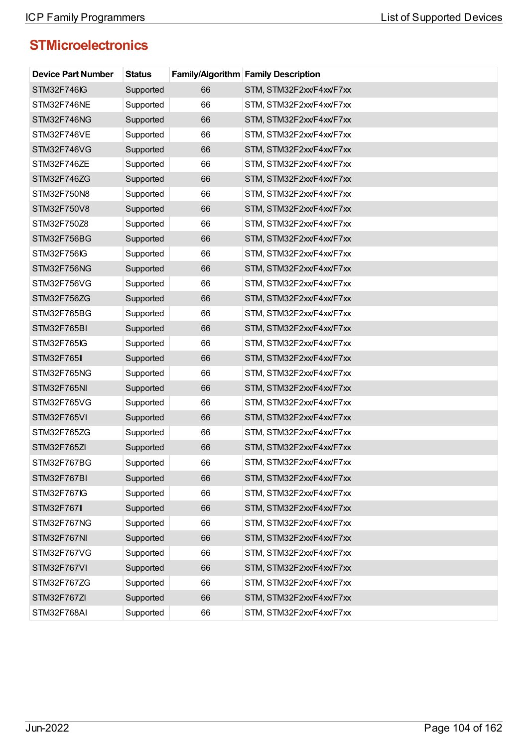| <b>Device Part Number</b> | <b>Status</b> |    | <b>Family/Algorithm Family Description</b> |
|---------------------------|---------------|----|--------------------------------------------|
| <b>STM32F746IG</b>        | Supported     | 66 | STM, STM32F2xx/F4xx/F7xx                   |
| STM32F746NE               | Supported     | 66 | STM, STM32F2xx/F4xx/F7xx                   |
| STM32F746NG               | Supported     | 66 | STM, STM32F2xx/F4xx/F7xx                   |
| STM32F746VE               | Supported     | 66 | STM, STM32F2xx/F4xx/F7xx                   |
| STM32F746VG               | Supported     | 66 | STM, STM32F2xx/F4xx/F7xx                   |
| STM32F746ZE               | Supported     | 66 | STM, STM32F2xx/F4xx/F7xx                   |
| STM32F746ZG               | Supported     | 66 | STM, STM32F2xx/F4xx/F7xx                   |
| STM32F750N8               | Supported     | 66 | STM, STM32F2xx/F4xx/F7xx                   |
| STM32F750V8               | Supported     | 66 | STM, STM32F2xx/F4xx/F7xx                   |
| STM32F750Z8               | Supported     | 66 | STM, STM32F2xx/F4xx/F7xx                   |
| STM32F756BG               | Supported     | 66 | STM, STM32F2xx/F4xx/F7xx                   |
| STM32F756IG               | Supported     | 66 | STM, STM32F2xx/F4xx/F7xx                   |
| STM32F756NG               | Supported     | 66 | STM, STM32F2xx/F4xx/F7xx                   |
| STM32F756VG               | Supported     | 66 | STM, STM32F2xx/F4xx/F7xx                   |
| STM32F756ZG               | Supported     | 66 | STM, STM32F2xx/F4xx/F7xx                   |
| STM32F765BG               | Supported     | 66 | STM, STM32F2xx/F4xx/F7xx                   |
| STM32F765BI               | Supported     | 66 | STM, STM32F2xx/F4xx/F7xx                   |
| STM32F765IG               | Supported     | 66 | STM, STM32F2xx/F4xx/F7xx                   |
| <b>STM32F765II</b>        | Supported     | 66 | STM, STM32F2xx/F4xx/F7xx                   |
| STM32F765NG               | Supported     | 66 | STM, STM32F2xx/F4xx/F7xx                   |
| STM32F765NI               | Supported     | 66 | STM, STM32F2xx/F4xx/F7xx                   |
| STM32F765VG               | Supported     | 66 | STM, STM32F2xx/F4xx/F7xx                   |
| STM32F765VI               | Supported     | 66 | STM, STM32F2xx/F4xx/F7xx                   |
| STM32F765ZG               | Supported     | 66 | STM, STM32F2xx/F4xx/F7xx                   |
| STM32F765ZI               | Supported     | 66 | STM, STM32F2xx/F4xx/F7xx                   |
| STM32F767BG               | Supported     | 66 | STM, STM32F2xx/F4xx/F7xx                   |
| STM32F767BI               | Supported     | 66 | STM, STM32F2xx/F4xx/F7xx                   |
| STM32F767IG               | Supported     | 66 | STM, STM32F2xx/F4xx/F7xx                   |
| <b>STM32F767II</b>        | Supported     | 66 | STM, STM32F2xx/F4xx/F7xx                   |
| STM32F767NG               | Supported     | 66 | STM, STM32F2xx/F4xx/F7xx                   |
| STM32F767NI               | Supported     | 66 | STM, STM32F2xx/F4xx/F7xx                   |
| STM32F767VG               | Supported     | 66 | STM, STM32F2xx/F4xx/F7xx                   |
| STM32F767VI               | Supported     | 66 | STM, STM32F2xx/F4xx/F7xx                   |
| STM32F767ZG               | Supported     | 66 | STM, STM32F2xx/F4xx/F7xx                   |
| STM32F767ZI               | Supported     | 66 | STM, STM32F2xx/F4xx/F7xx                   |
| STM32F768AI               | Supported     | 66 | STM, STM32F2xx/F4xx/F7xx                   |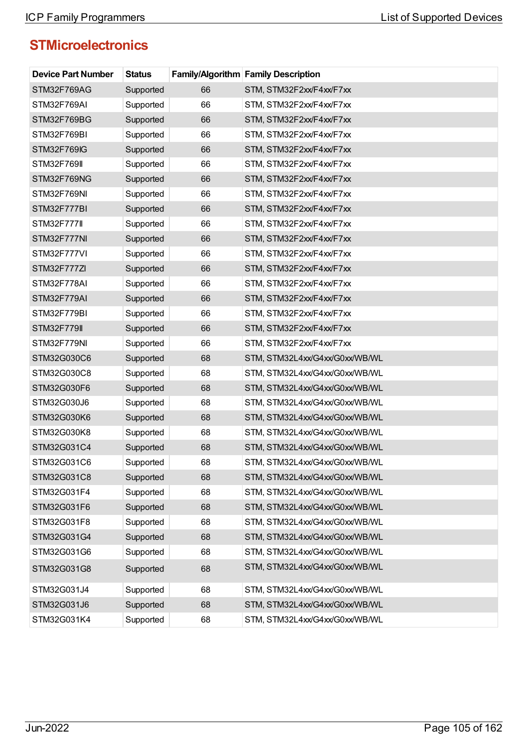| <b>Device Part Number</b> | <b>Status</b> |    | <b>Family/Algorithm Family Description</b> |
|---------------------------|---------------|----|--------------------------------------------|
| STM32F769AG               | Supported     | 66 | STM, STM32F2xx/F4xx/F7xx                   |
| STM32F769AI               | Supported     | 66 | STM, STM32F2xx/F4xx/F7xx                   |
| STM32F769BG               | Supported     | 66 | STM, STM32F2xx/F4xx/F7xx                   |
| STM32F769BI               | Supported     | 66 | STM, STM32F2xx/F4xx/F7xx                   |
| STM32F769IG               | Supported     | 66 | STM, STM32F2xx/F4xx/F7xx                   |
| <b>STM32F769II</b>        | Supported     | 66 | STM, STM32F2xx/F4xx/F7xx                   |
| STM32F769NG               | Supported     | 66 | STM, STM32F2xx/F4xx/F7xx                   |
| STM32F769NI               | Supported     | 66 | STM, STM32F2xx/F4xx/F7xx                   |
| STM32F777BI               | Supported     | 66 | STM, STM32F2xx/F4xx/F7xx                   |
| <b>STM32F777II</b>        | Supported     | 66 | STM, STM32F2xx/F4xx/F7xx                   |
| STM32F777NI               | Supported     | 66 | STM, STM32F2xx/F4xx/F7xx                   |
| STM32F777VI               | Supported     | 66 | STM, STM32F2xx/F4xx/F7xx                   |
| STM32F777ZI               | Supported     | 66 | STM, STM32F2xx/F4xx/F7xx                   |
| STM32F778AI               | Supported     | 66 | STM, STM32F2xx/F4xx/F7xx                   |
| STM32F779AI               | Supported     | 66 | STM, STM32F2xx/F4xx/F7xx                   |
| STM32F779BI               | Supported     | 66 | STM, STM32F2xx/F4xx/F7xx                   |
| <b>STM32F779II</b>        | Supported     | 66 | STM, STM32F2xx/F4xx/F7xx                   |
| STM32F779NI               | Supported     | 66 | STM, STM32F2xx/F4xx/F7xx                   |
| STM32G030C6               | Supported     | 68 | STM, STM32L4xx/G4xx/G0xx/WB/WL             |
| STM32G030C8               | Supported     | 68 | STM, STM32L4xx/G4xx/G0xx/WB/WL             |
| STM32G030F6               | Supported     | 68 | STM, STM32L4xx/G4xx/G0xx/WB/WL             |
| STM32G030J6               | Supported     | 68 | STM, STM32L4xx/G4xx/G0xx/WB/WL             |
| STM32G030K6               | Supported     | 68 | STM, STM32L4xx/G4xx/G0xx/WB/WL             |
| STM32G030K8               | Supported     | 68 | STM, STM32L4xx/G4xx/G0xx/WB/WL             |
| STM32G031C4               | Supported     | 68 | STM, STM32L4xx/G4xx/G0xx/WB/WL             |
| STM32G031C6               | Supported     | 68 | STM, STM32L4xx/G4xx/G0xx/WB/WL             |
| STM32G031C8               | Supported     | 68 | STM, STM32L4xx/G4xx/G0xx/WB/WL             |
| STM32G031F4               | Supported     | 68 | STM, STM32L4xx/G4xx/G0xx/WB/WL             |
| STM32G031F6               | Supported     | 68 | STM, STM32L4xx/G4xx/G0xx/WB/WL             |
| STM32G031F8               | Supported     | 68 | STM, STM32L4xx/G4xx/G0xx/WB/WL             |
| STM32G031G4               | Supported     | 68 | STM, STM32L4xx/G4xx/G0xx/WB/WL             |
| STM32G031G6               | Supported     | 68 | STM, STM32L4xx/G4xx/G0xx/WB/WL             |
| STM32G031G8               | Supported     | 68 | STM, STM32L4xx/G4xx/G0xx/WB/WL             |
| STM32G031J4               | Supported     | 68 | STM, STM32L4xx/G4xx/G0xx/WB/WL             |
| STM32G031J6               | Supported     | 68 | STM, STM32L4xx/G4xx/G0xx/WB/WL             |
| STM32G031K4               | Supported     | 68 | STM, STM32L4xx/G4xx/G0xx/WB/WL             |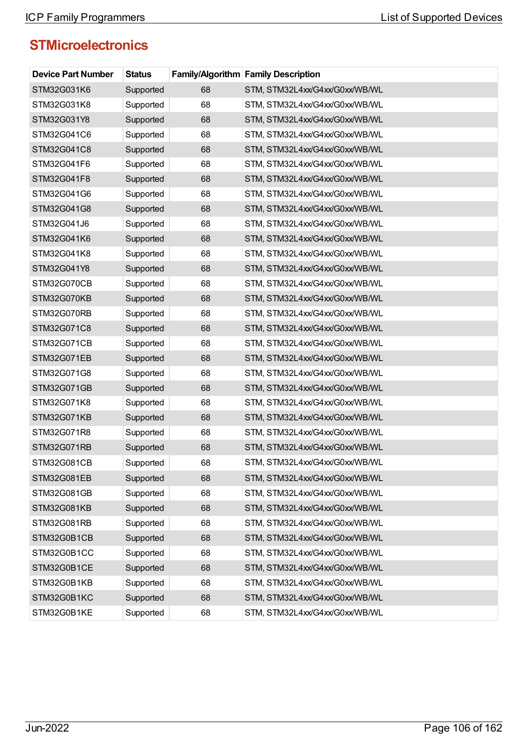| <b>Device Part Number</b> | <b>Status</b> |    | Family/Algorithm Family Description |
|---------------------------|---------------|----|-------------------------------------|
| STM32G031K6               | Supported     | 68 | STM, STM32L4xx/G4xx/G0xx/WB/WL      |
| STM32G031K8               | Supported     | 68 | STM, STM32L4xx/G4xx/G0xx/WB/WL      |
| STM32G031Y8               | Supported     | 68 | STM, STM32L4xx/G4xx/G0xx/WB/WL      |
| STM32G041C6               | Supported     | 68 | STM, STM32L4xx/G4xx/G0xx/WB/WL      |
| STM32G041C8               | Supported     | 68 | STM, STM32L4xx/G4xx/G0xx/WB/WL      |
| STM32G041F6               | Supported     | 68 | STM, STM32L4xx/G4xx/G0xx/WB/WL      |
| STM32G041F8               | Supported     | 68 | STM, STM32L4xx/G4xx/G0xx/WB/WL      |
| STM32G041G6               | Supported     | 68 | STM, STM32L4xx/G4xx/G0xx/WB/WL      |
| STM32G041G8               | Supported     | 68 | STM, STM32L4xx/G4xx/G0xx/WB/WL      |
| STM32G041J6               | Supported     | 68 | STM, STM32L4xx/G4xx/G0xx/WB/WL      |
| STM32G041K6               | Supported     | 68 | STM, STM32L4xx/G4xx/G0xx/WB/WL      |
| STM32G041K8               | Supported     | 68 | STM, STM32L4xx/G4xx/G0xx/WB/WL      |
| STM32G041Y8               | Supported     | 68 | STM, STM32L4xx/G4xx/G0xx/WB/WL      |
| STM32G070CB               | Supported     | 68 | STM, STM32L4xx/G4xx/G0xx/WB/WL      |
| STM32G070KB               | Supported     | 68 | STM, STM32L4xx/G4xx/G0xx/WB/WL      |
| STM32G070RB               | Supported     | 68 | STM, STM32L4xx/G4xx/G0xx/WB/WL      |
| STM32G071C8               | Supported     | 68 | STM, STM32L4xx/G4xx/G0xx/WB/WL      |
| STM32G071CB               | Supported     | 68 | STM, STM32L4xx/G4xx/G0xx/WB/WL      |
| STM32G071EB               | Supported     | 68 | STM, STM32L4xx/G4xx/G0xx/WB/WL      |
| STM32G071G8               | Supported     | 68 | STM, STM32L4xx/G4xx/G0xx/WB/WL      |
| STM32G071GB               | Supported     | 68 | STM, STM32L4xx/G4xx/G0xx/WB/WL      |
| STM32G071K8               | Supported     | 68 | STM, STM32L4xx/G4xx/G0xx/WB/WL      |
| STM32G071KB               | Supported     | 68 | STM, STM32L4xx/G4xx/G0xx/WB/WL      |
| STM32G071R8               | Supported     | 68 | STM, STM32L4xx/G4xx/G0xx/WB/WL      |
| <b>STM32G071RB</b>        | Supported     | 68 | STM, STM32L4xx/G4xx/G0xx/WB/WL      |
| STM32G081CB               | Supported     | 68 | STM, STM32L4xx/G4xx/G0xx/WB/WL      |
| STM32G081EB               | Supported     | 68 | STM, STM32L4xx/G4xx/G0xx/WB/WL      |
| STM32G081GB               | Supported     | 68 | STM, STM32L4xx/G4xx/G0xx/WB/WL      |
| STM32G081KB               | Supported     | 68 | STM, STM32L4xx/G4xx/G0xx/WB/WL      |
| STM32G081RB               | Supported     | 68 | STM, STM32L4xx/G4xx/G0xx/WB/WL      |
| STM32G0B1CB               | Supported     | 68 | STM, STM32L4xx/G4xx/G0xx/WB/WL      |
| STM32G0B1CC               | Supported     | 68 | STM, STM32L4xx/G4xx/G0xx/WB/WL      |
| STM32G0B1CE               | Supported     | 68 | STM, STM32L4xx/G4xx/G0xx/WB/WL      |
| STM32G0B1KB               | Supported     | 68 | STM, STM32L4xx/G4xx/G0xx/WB/WL      |
| STM32G0B1KC               | Supported     | 68 | STM, STM32L4xx/G4xx/G0xx/WB/WL      |
| STM32G0B1KE               | Supported     | 68 | STM, STM32L4xx/G4xx/G0xx/WB/WL      |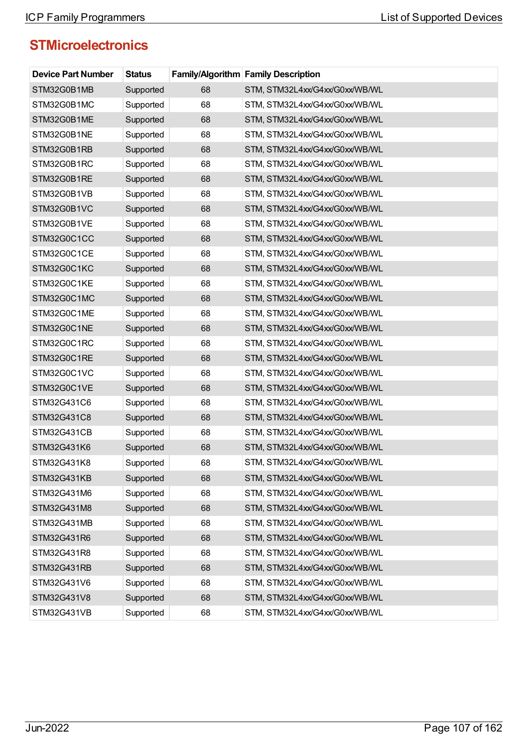| <b>Device Part Number</b> | <b>Status</b> |    | <b>Family/Algorithm Family Description</b> |
|---------------------------|---------------|----|--------------------------------------------|
| STM32G0B1MB               | Supported     | 68 | STM, STM32L4xx/G4xx/G0xx/WB/WL             |
| STM32G0B1MC               | Supported     | 68 | STM, STM32L4xx/G4xx/G0xx/WB/WL             |
| STM32G0B1ME               | Supported     | 68 | STM, STM32L4xx/G4xx/G0xx/WB/WL             |
| STM32G0B1NE               | Supported     | 68 | STM, STM32L4xx/G4xx/G0xx/WB/WL             |
| STM32G0B1RB               | Supported     | 68 | STM, STM32L4xx/G4xx/G0xx/WB/WL             |
| STM32G0B1RC               | Supported     | 68 | STM, STM32L4xx/G4xx/G0xx/WB/WL             |
| STM32G0B1RE               | Supported     | 68 | STM, STM32L4xx/G4xx/G0xx/WB/WL             |
| STM32G0B1VB               | Supported     | 68 | STM, STM32L4xx/G4xx/G0xx/WB/WL             |
| STM32G0B1VC               | Supported     | 68 | STM, STM32L4xx/G4xx/G0xx/WB/WL             |
| STM32G0B1VE               | Supported     | 68 | STM, STM32L4xx/G4xx/G0xx/WB/WL             |
| STM32G0C1CC               | Supported     | 68 | STM, STM32L4xx/G4xx/G0xx/WB/WL             |
| STM32G0C1CE               | Supported     | 68 | STM, STM32L4xx/G4xx/G0xx/WB/WL             |
| STM32G0C1KC               | Supported     | 68 | STM, STM32L4xx/G4xx/G0xx/WB/WL             |
| STM32G0C1KE               | Supported     | 68 | STM, STM32L4xx/G4xx/G0xx/WB/WL             |
| STM32G0C1MC               | Supported     | 68 | STM, STM32L4xx/G4xx/G0xx/WB/WL             |
| STM32G0C1ME               | Supported     | 68 | STM, STM32L4xx/G4xx/G0xx/WB/WL             |
| STM32G0C1NE               | Supported     | 68 | STM, STM32L4xx/G4xx/G0xx/WB/WL             |
| STM32G0C1RC               | Supported     | 68 | STM, STM32L4xx/G4xx/G0xx/WB/WL             |
| STM32G0C1RE               | Supported     | 68 | STM, STM32L4xx/G4xx/G0xx/WB/WL             |
| STM32G0C1VC               | Supported     | 68 | STM, STM32L4xx/G4xx/G0xx/WB/WL             |
| STM32G0C1VE               | Supported     | 68 | STM, STM32L4xx/G4xx/G0xx/WB/WL             |
| STM32G431C6               | Supported     | 68 | STM, STM32L4xx/G4xx/G0xx/WB/WL             |
| STM32G431C8               | Supported     | 68 | STM, STM32L4xx/G4xx/G0xx/WB/WL             |
| STM32G431CB               | Supported     | 68 | STM, STM32L4xx/G4xx/G0xx/WB/WL             |
| STM32G431K6               | Supported     | 68 | STM, STM32L4xx/G4xx/G0xx/WB/WL             |
| STM32G431K8               | Supported     | 68 | STM, STM32L4xx/G4xx/G0xx/WB/WL             |
| STM32G431KB               | Supported     | 68 | STM, STM32L4xx/G4xx/G0xx/WB/WL             |
| STM32G431M6               | Supported     | 68 | STM, STM32L4xx/G4xx/G0xx/WB/WL             |
| STM32G431M8               | Supported     | 68 | STM, STM32L4xx/G4xx/G0xx/WB/WL             |
| STM32G431MB               | Supported     | 68 | STM, STM32L4xx/G4xx/G0xx/WB/WL             |
| STM32G431R6               | Supported     | 68 | STM, STM32L4xx/G4xx/G0xx/WB/WL             |
| STM32G431R8               | Supported     | 68 | STM, STM32L4xx/G4xx/G0xx/WB/WL             |
| STM32G431RB               | Supported     | 68 | STM, STM32L4xx/G4xx/G0xx/WB/WL             |
| STM32G431V6               | Supported     | 68 | STM, STM32L4xx/G4xx/G0xx/WB/WL             |
| STM32G431V8               | Supported     | 68 | STM, STM32L4xx/G4xx/G0xx/WB/WL             |
| STM32G431VB               | Supported     | 68 | STM, STM32L4xx/G4xx/G0xx/WB/WL             |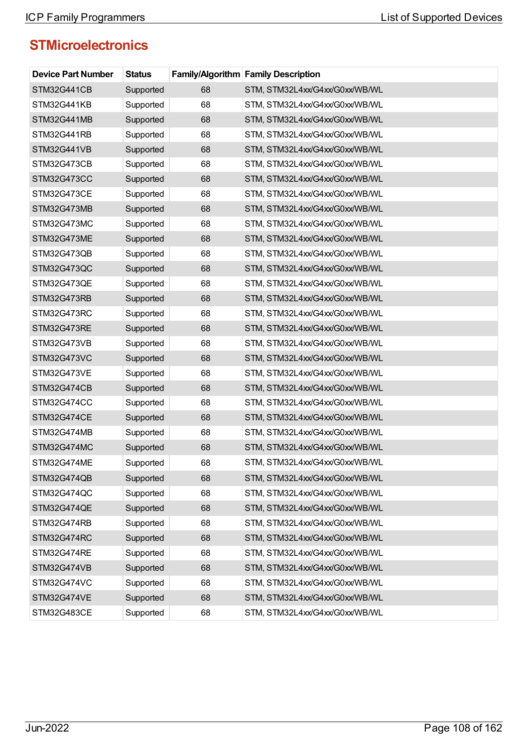| <b>Device Part Number</b> | <b>Status</b> |    | <b>Family/Algorithm Family Description</b> |
|---------------------------|---------------|----|--------------------------------------------|
| STM32G441CB               | Supported     | 68 | STM, STM32L4xx/G4xx/G0xx/WB/WL             |
| STM32G441KB               | Supported     | 68 | STM, STM32L4xx/G4xx/G0xx/WB/WL             |
| STM32G441MB               | Supported     | 68 | STM, STM32L4xx/G4xx/G0xx/WB/WL             |
| STM32G441RB               | Supported     | 68 | STM, STM32L4xx/G4xx/G0xx/WB/WL             |
| STM32G441VB               | Supported     | 68 | STM, STM32L4xx/G4xx/G0xx/WB/WL             |
| STM32G473CB               | Supported     | 68 | STM, STM32L4xx/G4xx/G0xx/WB/WL             |
| STM32G473CC               | Supported     | 68 | STM, STM32L4xx/G4xx/G0xx/WB/WL             |
| STM32G473CE               | Supported     | 68 | STM, STM32L4xx/G4xx/G0xx/WB/WL             |
| STM32G473MB               | Supported     | 68 | STM, STM32L4xx/G4xx/G0xx/WB/WL             |
| STM32G473MC               | Supported     | 68 | STM, STM32L4xx/G4xx/G0xx/WB/WL             |
| STM32G473ME               | Supported     | 68 | STM, STM32L4xx/G4xx/G0xx/WB/WL             |
| STM32G473QB               | Supported     | 68 | STM, STM32L4xx/G4xx/G0xx/WB/WL             |
| STM32G473QC               | Supported     | 68 | STM, STM32L4xx/G4xx/G0xx/WB/WL             |
| STM32G473QE               | Supported     | 68 | STM, STM32L4xx/G4xx/G0xx/WB/WL             |
| STM32G473RB               | Supported     | 68 | STM, STM32L4xx/G4xx/G0xx/WB/WL             |
| STM32G473RC               | Supported     | 68 | STM, STM32L4xx/G4xx/G0xx/WB/WL             |
| STM32G473RE               | Supported     | 68 | STM, STM32L4xx/G4xx/G0xx/WB/WL             |
| STM32G473VB               | Supported     | 68 | STM, STM32L4xx/G4xx/G0xx/WB/WL             |
| STM32G473VC               | Supported     | 68 | STM, STM32L4xx/G4xx/G0xx/WB/WL             |
| STM32G473VE               | Supported     | 68 | STM, STM32L4xx/G4xx/G0xx/WB/WL             |
| STM32G474CB               | Supported     | 68 | STM, STM32L4xx/G4xx/G0xx/WB/WL             |
| STM32G474CC               | Supported     | 68 | STM, STM32L4xx/G4xx/G0xx/WB/WL             |
| STM32G474CE               | Supported     | 68 | STM, STM32L4xx/G4xx/G0xx/WB/WL             |
| STM32G474MB               | Supported     | 68 | STM, STM32L4xx/G4xx/G0xx/WB/WL             |
| STM32G474MC               | Supported     | 68 | STM, STM32L4xx/G4xx/G0xx/WB/WL             |
| STM32G474ME               | Supported     | 68 | STM, STM32L4xx/G4xx/G0xx/WB/WL             |
| STM32G474QB               | Supported     | 68 | STM, STM32L4xx/G4xx/G0xx/WB/WL             |
| STM32G474QC               | Supported     | 68 | STM, STM32L4xx/G4xx/G0xx/WB/WL             |
| STM32G474QE               | Supported     | 68 | STM, STM32L4xx/G4xx/G0xx/WB/WL             |
| STM32G474RB               | Supported     | 68 | STM, STM32L4xx/G4xx/G0xx/WB/WL             |
| STM32G474RC               | Supported     | 68 | STM, STM32L4xx/G4xx/G0xx/WB/WL             |
| STM32G474RE               | Supported     | 68 | STM, STM32L4xx/G4xx/G0xx/WB/WL             |
| STM32G474VB               | Supported     | 68 | STM, STM32L4xx/G4xx/G0xx/WB/WL             |
| STM32G474VC               | Supported     | 68 | STM, STM32L4xx/G4xx/G0xx/WB/WL             |
| STM32G474VE               | Supported     | 68 | STM, STM32L4xx/G4xx/G0xx/WB/WL             |
| STM32G483CE               | Supported     | 68 | STM, STM32L4xx/G4xx/G0xx/WB/WL             |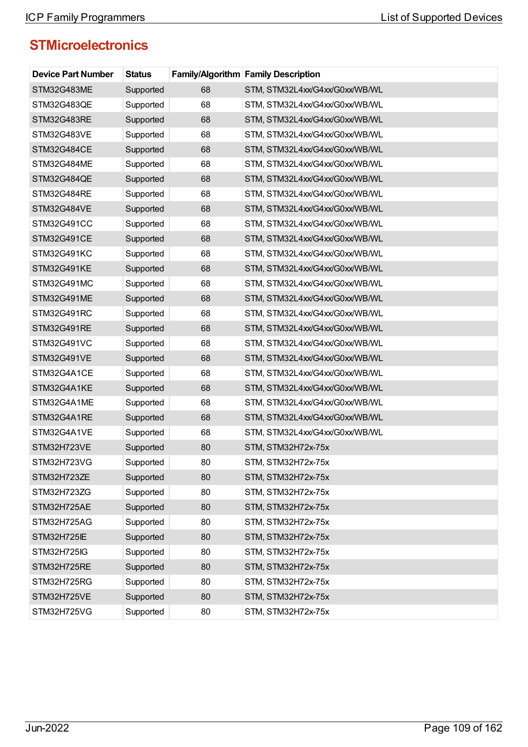| <b>Device Part Number</b> | <b>Status</b> |    | Family/Algorithm Family Description |
|---------------------------|---------------|----|-------------------------------------|
| STM32G483ME               | Supported     | 68 | STM, STM32L4xx/G4xx/G0xx/WB/WL      |
| STM32G483QE               | Supported     | 68 | STM, STM32L4xx/G4xx/G0xx/WB/WL      |
| STM32G483RE               | Supported     | 68 | STM, STM32L4xx/G4xx/G0xx/WB/WL      |
| STM32G483VE               | Supported     | 68 | STM, STM32L4xx/G4xx/G0xx/WB/WL      |
| STM32G484CE               | Supported     | 68 | STM, STM32L4xx/G4xx/G0xx/WB/WL      |
| STM32G484ME               | Supported     | 68 | STM, STM32L4xx/G4xx/G0xx/WB/WL      |
| STM32G484QE               | Supported     | 68 | STM, STM32L4xx/G4xx/G0xx/WB/WL      |
| STM32G484RE               | Supported     | 68 | STM, STM32L4xx/G4xx/G0xx/WB/WL      |
| STM32G484VE               | Supported     | 68 | STM, STM32L4xx/G4xx/G0xx/WB/WL      |
| STM32G491CC               | Supported     | 68 | STM, STM32L4xx/G4xx/G0xx/WB/WL      |
| STM32G491CE               | Supported     | 68 | STM, STM32L4xx/G4xx/G0xx/WB/WL      |
| STM32G491KC               | Supported     | 68 | STM, STM32L4xx/G4xx/G0xx/WB/WL      |
| STM32G491KE               | Supported     | 68 | STM, STM32L4xx/G4xx/G0xx/WB/WL      |
| STM32G491MC               | Supported     | 68 | STM, STM32L4xx/G4xx/G0xx/WB/WL      |
| STM32G491ME               | Supported     | 68 | STM, STM32L4xx/G4xx/G0xx/WB/WL      |
| STM32G491RC               | Supported     | 68 | STM, STM32L4xx/G4xx/G0xx/WB/WL      |
| STM32G491RE               | Supported     | 68 | STM, STM32L4xx/G4xx/G0xx/WB/WL      |
| STM32G491VC               | Supported     | 68 | STM, STM32L4xx/G4xx/G0xx/WB/WL      |
| STM32G491VE               | Supported     | 68 | STM, STM32L4xx/G4xx/G0xx/WB/WL      |
| STM32G4A1CE               | Supported     | 68 | STM, STM32L4xx/G4xx/G0xx/WB/WL      |
| STM32G4A1KE               | Supported     | 68 | STM, STM32L4xx/G4xx/G0xx/WB/WL      |
| STM32G4A1ME               | Supported     | 68 | STM, STM32L4xx/G4xx/G0xx/WB/WL      |
| STM32G4A1RE               | Supported     | 68 | STM, STM32L4xx/G4xx/G0xx/WB/WL      |
| STM32G4A1VE               | Supported     | 68 | STM, STM32L4xx/G4xx/G0xx/WB/WL      |
| STM32H723VE               | Supported     | 80 | STM, STM32H72x-75x                  |
| STM32H723VG               | Supported     | 80 | STM, STM32H72x-75x                  |
| STM32H723ZE               | Supported     | 80 | STM, STM32H72x-75x                  |
| STM32H723ZG               | Supported     | 80 | STM, STM32H72x-75x                  |
| STM32H725AE               | Supported     | 80 | STM, STM32H72x-75x                  |
| STM32H725AG               | Supported     | 80 | STM, STM32H72x-75x                  |
| STM32H725IE               | Supported     | 80 | STM, STM32H72x-75x                  |
| STM32H725IG               | Supported     | 80 | STM, STM32H72x-75x                  |
| STM32H725RE               | Supported     | 80 | STM, STM32H72x-75x                  |
| STM32H725RG               | Supported     | 80 | STM, STM32H72x-75x                  |
| STM32H725VE               | Supported     | 80 | STM, STM32H72x-75x                  |
| STM32H725VG               | Supported     | 80 | STM, STM32H72x-75x                  |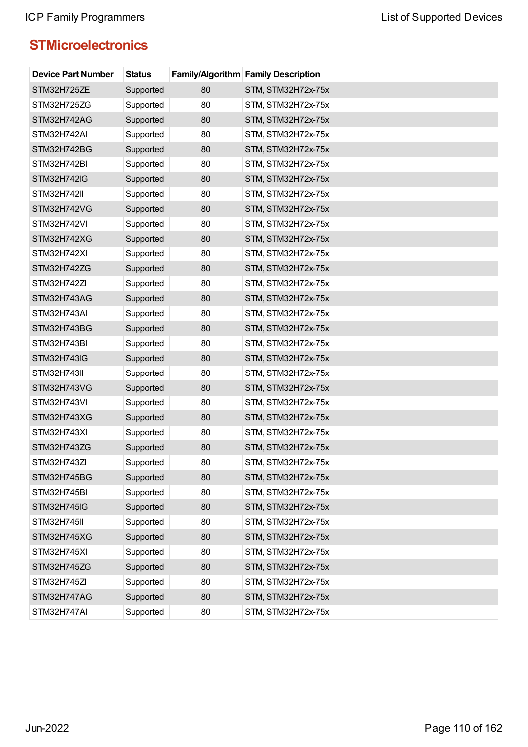| <b>Device Part Number</b> | <b>Status</b> |    | Family/Algorithm Family Description |
|---------------------------|---------------|----|-------------------------------------|
| STM32H725ZE               | Supported     | 80 | STM, STM32H72x-75x                  |
| STM32H725ZG               | Supported     | 80 | STM, STM32H72x-75x                  |
| STM32H742AG               | Supported     | 80 | STM, STM32H72x-75x                  |
| STM32H742AI               | Supported     | 80 | STM, STM32H72x-75x                  |
| STM32H742BG               | Supported     | 80 | STM, STM32H72x-75x                  |
| STM32H742BI               | Supported     | 80 | STM, STM32H72x-75x                  |
| STM32H742IG               | Supported     | 80 | STM, STM32H72x-75x                  |
| <b>STM32H742II</b>        | Supported     | 80 | STM, STM32H72x-75x                  |
| STM32H742VG               | Supported     | 80 | STM, STM32H72x-75x                  |
| STM32H742VI               | Supported     | 80 | STM, STM32H72x-75x                  |
| STM32H742XG               | Supported     | 80 | STM, STM32H72x-75x                  |
| STM32H742XI               | Supported     | 80 | STM, STM32H72x-75x                  |
| STM32H742ZG               | Supported     | 80 | STM, STM32H72x-75x                  |
| STM32H742ZI               | Supported     | 80 | STM, STM32H72x-75x                  |
| STM32H743AG               | Supported     | 80 | STM, STM32H72x-75x                  |
| STM32H743AI               | Supported     | 80 | STM, STM32H72x-75x                  |
| STM32H743BG               | Supported     | 80 | STM, STM32H72x-75x                  |
| STM32H743BI               | Supported     | 80 | STM, STM32H72x-75x                  |
| STM32H743IG               | Supported     | 80 | STM, STM32H72x-75x                  |
| <b>STM32H743II</b>        | Supported     | 80 | STM, STM32H72x-75x                  |
| STM32H743VG               | Supported     | 80 | STM, STM32H72x-75x                  |
| STM32H743VI               | Supported     | 80 | STM, STM32H72x-75x                  |
| STM32H743XG               | Supported     | 80 | STM, STM32H72x-75x                  |
| STM32H743XI               | Supported     | 80 | STM, STM32H72x-75x                  |
| STM32H743ZG               | Supported     | 80 | STM, STM32H72x-75x                  |
| STM32H743ZI               | Supported     | 80 | STM, STM32H72x-75x                  |
| STM32H745BG               | Supported     | 80 | STM, STM32H72x-75x                  |
| STM32H745BI               | Supported     | 80 | STM, STM32H72x-75x                  |
| STM32H745IG               | Supported     | 80 | STM, STM32H72x-75x                  |
| <b>STM32H745II</b>        | Supported     | 80 | STM, STM32H72x-75x                  |
| STM32H745XG               | Supported     | 80 | STM, STM32H72x-75x                  |
| STM32H745XI               | Supported     | 80 | STM, STM32H72x-75x                  |
| STM32H745ZG               | Supported     | 80 | STM, STM32H72x-75x                  |
| STM32H745ZI               | Supported     | 80 | STM, STM32H72x-75x                  |
| STM32H747AG               | Supported     | 80 | STM, STM32H72x-75x                  |
| STM32H747AI               | Supported     | 80 | STM, STM32H72x-75x                  |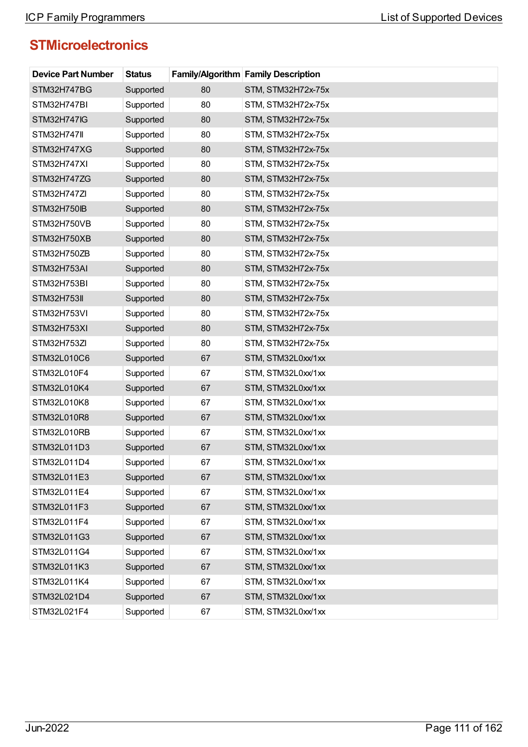| <b>Device Part Number</b> | <b>Status</b> |    | <b>Family/Algorithm Family Description</b> |
|---------------------------|---------------|----|--------------------------------------------|
| STM32H747BG               | Supported     | 80 | STM, STM32H72x-75x                         |
| STM32H747BI               | Supported     | 80 | STM, STM32H72x-75x                         |
| STM32H747IG               | Supported     | 80 | STM, STM32H72x-75x                         |
| <b>STM32H747II</b>        | Supported     | 80 | STM, STM32H72x-75x                         |
| STM32H747XG               | Supported     | 80 | STM, STM32H72x-75x                         |
| STM32H747XI               | Supported     | 80 | STM, STM32H72x-75x                         |
| STM32H747ZG               | Supported     | 80 | STM, STM32H72x-75x                         |
| STM32H747ZI               | Supported     | 80 | STM, STM32H72x-75x                         |
| STM32H750IB               | Supported     | 80 | STM, STM32H72x-75x                         |
| STM32H750VB               | Supported     | 80 | STM, STM32H72x-75x                         |
| STM32H750XB               | Supported     | 80 | STM, STM32H72x-75x                         |
| STM32H750ZB               | Supported     | 80 | STM, STM32H72x-75x                         |
| STM32H753AI               | Supported     | 80 | STM, STM32H72x-75x                         |
| STM32H753BI               | Supported     | 80 | STM, STM32H72x-75x                         |
| <b>STM32H753II</b>        | Supported     | 80 | STM, STM32H72x-75x                         |
| STM32H753VI               | Supported     | 80 | STM, STM32H72x-75x                         |
| STM32H753XI               | Supported     | 80 | STM, STM32H72x-75x                         |
| STM32H753ZI               | Supported     | 80 | STM, STM32H72x-75x                         |
| STM32L010C6               | Supported     | 67 | STM, STM32L0xx/1xx                         |
| STM32L010F4               | Supported     | 67 | STM, STM32L0xx/1xx                         |
| STM32L010K4               | Supported     | 67 | STM, STM32L0xx/1xx                         |
| STM32L010K8               | Supported     | 67 | STM, STM32L0xx/1xx                         |
| STM32L010R8               | Supported     | 67 | STM, STM32L0xx/1xx                         |
| STM32L010RB               | Supported     | 67 | STM, STM32L0xx/1xx                         |
| STM32L011D3               | Supported     | 67 | STM, STM32L0xx/1xx                         |
| STM32L011D4               | Supported     | 67 | STM, STM32L0xx/1xx                         |
| STM32L011E3               | Supported     | 67 | STM, STM32L0xx/1xx                         |
| STM32L011E4               | Supported     | 67 | STM, STM32L0xx/1xx                         |
| STM32L011F3               | Supported     | 67 | STM, STM32L0xx/1xx                         |
| STM32L011F4               | Supported     | 67 | STM, STM32L0xx/1xx                         |
| STM32L011G3               | Supported     | 67 | STM, STM32L0xx/1xx                         |
| STM32L011G4               | Supported     | 67 | STM, STM32L0xx/1xx                         |
| STM32L011K3               | Supported     | 67 | STM, STM32L0xx/1xx                         |
| STM32L011K4               | Supported     | 67 | STM, STM32L0xx/1xx                         |
| STM32L021D4               | Supported     | 67 | STM, STM32L0xx/1xx                         |
| STM32L021F4               | Supported     | 67 | STM, STM32L0xx/1xx                         |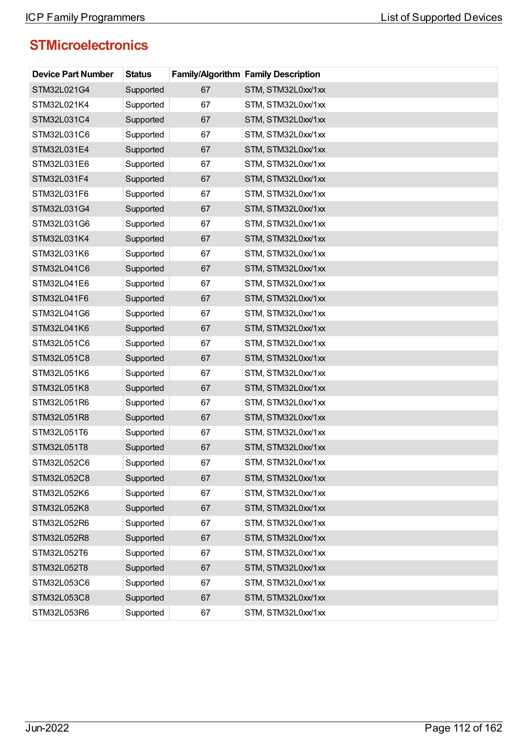| <b>Device Part Number</b> | <b>Status</b> |    | <b>Family/Algorithm Family Description</b> |
|---------------------------|---------------|----|--------------------------------------------|
| STM32L021G4               | Supported     | 67 | STM, STM32L0xx/1xx                         |
| STM32L021K4               | Supported     | 67 | STM, STM32L0xx/1xx                         |
| STM32L031C4               | Supported     | 67 | STM, STM32L0xx/1xx                         |
| STM32L031C6               | Supported     | 67 | STM, STM32L0xx/1xx                         |
| STM32L031E4               | Supported     | 67 | STM, STM32L0xx/1xx                         |
| STM32L031E6               | Supported     | 67 | STM, STM32L0xx/1xx                         |
| STM32L031F4               | Supported     | 67 | STM, STM32L0xx/1xx                         |
| STM32L031F6               | Supported     | 67 | STM, STM32L0xx/1xx                         |
| STM32L031G4               | Supported     | 67 | STM, STM32L0xx/1xx                         |
| STM32L031G6               | Supported     | 67 | STM, STM32L0xx/1xx                         |
| STM32L031K4               | Supported     | 67 | STM, STM32L0xx/1xx                         |
| STM32L031K6               | Supported     | 67 | STM, STM32L0xx/1xx                         |
| STM32L041C6               | Supported     | 67 | STM, STM32L0xx/1xx                         |
| STM32L041E6               | Supported     | 67 | STM, STM32L0xx/1xx                         |
| STM32L041F6               | Supported     | 67 | STM, STM32L0xx/1xx                         |
| STM32L041G6               | Supported     | 67 | STM, STM32L0xx/1xx                         |
| STM32L041K6               | Supported     | 67 | STM, STM32L0xx/1xx                         |
| STM32L051C6               | Supported     | 67 | STM, STM32L0xx/1xx                         |
| STM32L051C8               | Supported     | 67 | STM, STM32L0xx/1xx                         |
| STM32L051K6               | Supported     | 67 | STM, STM32L0xx/1xx                         |
| STM32L051K8               | Supported     | 67 | STM, STM32L0xx/1xx                         |
| STM32L051R6               | Supported     | 67 | STM, STM32L0xx/1xx                         |
| STM32L051R8               | Supported     | 67 | STM, STM32L0xx/1xx                         |
| STM32L051T6               | Supported     | 67 | STM, STM32L0xx/1xx                         |
| STM32L051T8               | Supported     | 67 | STM, STM32L0xx/1xx                         |
| STM32L052C6               | Supported     | 67 | STM, STM32L0xx/1xx                         |
| STM32L052C8               | Supported     | 67 | STM, STM32L0xx/1xx                         |
| STM32L052K6               | Supported     | 67 | STM, STM32L0xx/1xx                         |
| STM32L052K8               | Supported     | 67 | STM, STM32L0xx/1xx                         |
| STM32L052R6               | Supported     | 67 | STM, STM32L0xx/1xx                         |
| STM32L052R8               | Supported     | 67 | STM, STM32L0xx/1xx                         |
| STM32L052T6               | Supported     | 67 | STM, STM32L0xx/1xx                         |
| STM32L052T8               | Supported     | 67 | STM, STM32L0xx/1xx                         |
| STM32L053C6               | Supported     | 67 | STM, STM32L0xx/1xx                         |
| STM32L053C8               | Supported     | 67 | STM, STM32L0xx/1xx                         |
| STM32L053R6               | Supported     | 67 | STM, STM32L0xx/1xx                         |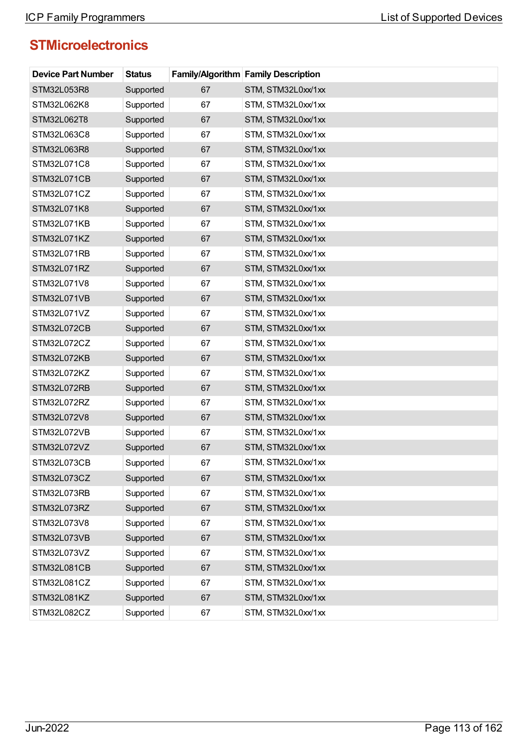| <b>Device Part Number</b> | <b>Status</b> |    | <b>Family/Algorithm Family Description</b> |
|---------------------------|---------------|----|--------------------------------------------|
| STM32L053R8               | Supported     | 67 | STM, STM32L0xx/1xx                         |
| STM32L062K8               | Supported     | 67 | STM, STM32L0xx/1xx                         |
| STM32L062T8               | Supported     | 67 | STM, STM32L0xx/1xx                         |
| STM32L063C8               | Supported     | 67 | STM, STM32L0xx/1xx                         |
| STM32L063R8               | Supported     | 67 | STM, STM32L0xx/1xx                         |
| STM32L071C8               | Supported     | 67 | STM, STM32L0xx/1xx                         |
| STM32L071CB               | Supported     | 67 | STM, STM32L0xx/1xx                         |
| STM32L071CZ               | Supported     | 67 | STM, STM32L0xx/1xx                         |
| STM32L071K8               | Supported     | 67 | STM, STM32L0xx/1xx                         |
| STM32L071KB               | Supported     | 67 | STM, STM32L0xx/1xx                         |
| STM32L071KZ               | Supported     | 67 | STM, STM32L0xx/1xx                         |
| STM32L071RB               | Supported     | 67 | STM, STM32L0xx/1xx                         |
| STM32L071RZ               | Supported     | 67 | STM, STM32L0xx/1xx                         |
| STM32L071V8               | Supported     | 67 | STM, STM32L0xx/1xx                         |
| STM32L071VB               | Supported     | 67 | STM, STM32L0xx/1xx                         |
| STM32L071VZ               | Supported     | 67 | STM, STM32L0xx/1xx                         |
| STM32L072CB               | Supported     | 67 | STM, STM32L0xx/1xx                         |
| STM32L072CZ               | Supported     | 67 | STM, STM32L0xx/1xx                         |
| STM32L072KB               | Supported     | 67 | STM, STM32L0xx/1xx                         |
| STM32L072KZ               | Supported     | 67 | STM, STM32L0xx/1xx                         |
| STM32L072RB               | Supported     | 67 | STM, STM32L0xx/1xx                         |
| STM32L072RZ               | Supported     | 67 | STM, STM32L0xx/1xx                         |
| STM32L072V8               | Supported     | 67 | STM, STM32L0xx/1xx                         |
| STM32L072VB               | Supported     | 67 | STM, STM32L0xx/1xx                         |
| STM32L072VZ               | Supported     | 67 | STM, STM32L0xx/1xx                         |
| STM32L073CB               | Supported     | 67 | STM, STM32L0xx/1xx                         |
| STM32L073CZ               | Supported     | 67 | STM, STM32L0xx/1xx                         |
| STM32L073RB               | Supported     | 67 | STM, STM32L0xx/1xx                         |
| STM32L073RZ               | Supported     | 67 | STM, STM32L0xx/1xx                         |
| STM32L073V8               | Supported     | 67 | STM, STM32L0xx/1xx                         |
| STM32L073VB               | Supported     | 67 | STM, STM32L0xx/1xx                         |
| STM32L073VZ               | Supported     | 67 | STM, STM32L0xx/1xx                         |
| STM32L081CB               | Supported     | 67 | STM, STM32L0xx/1xx                         |
| STM32L081CZ               | Supported     | 67 | STM, STM32L0xx/1xx                         |
| STM32L081KZ               | Supported     | 67 | STM, STM32L0xx/1xx                         |
| STM32L082CZ               | Supported     | 67 | STM, STM32L0xx/1xx                         |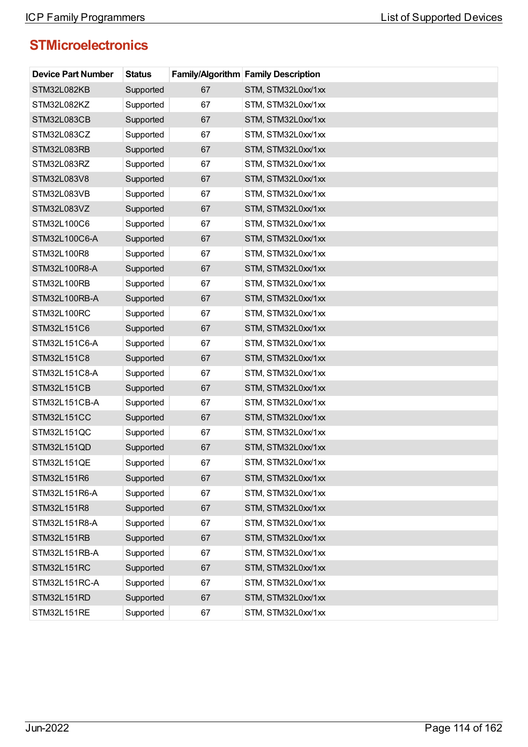| <b>Device Part Number</b> | <b>Status</b> |    | Family/Algorithm Family Description |
|---------------------------|---------------|----|-------------------------------------|
| STM32L082KB               | Supported     | 67 | STM, STM32L0xx/1xx                  |
| STM32L082KZ               | Supported     | 67 | STM, STM32L0xx/1xx                  |
| STM32L083CB               | Supported     | 67 | STM, STM32L0xx/1xx                  |
| STM32L083CZ               | Supported     | 67 | STM, STM32L0xx/1xx                  |
| STM32L083RB               | Supported     | 67 | STM, STM32L0xx/1xx                  |
| STM32L083RZ               | Supported     | 67 | STM, STM32L0xx/1xx                  |
| STM32L083V8               | Supported     | 67 | STM, STM32L0xx/1xx                  |
| STM32L083VB               | Supported     | 67 | STM, STM32L0xx/1xx                  |
| STM32L083VZ               | Supported     | 67 | STM, STM32L0xx/1xx                  |
| STM32L100C6               | Supported     | 67 | STM, STM32L0xx/1xx                  |
| STM32L100C6-A             | Supported     | 67 | STM, STM32L0xx/1xx                  |
| STM32L100R8               | Supported     | 67 | STM, STM32L0xx/1xx                  |
| STM32L100R8-A             | Supported     | 67 | STM, STM32L0xx/1xx                  |
| STM32L100RB               | Supported     | 67 | STM, STM32L0xx/1xx                  |
| STM32L100RB-A             | Supported     | 67 | STM, STM32L0xx/1xx                  |
| STM32L100RC               | Supported     | 67 | STM, STM32L0xx/1xx                  |
| STM32L151C6               | Supported     | 67 | STM, STM32L0xx/1xx                  |
| STM32L151C6-A             | Supported     | 67 | STM, STM32L0xx/1xx                  |
| STM32L151C8               | Supported     | 67 | STM, STM32L0xx/1xx                  |
| STM32L151C8-A             | Supported     | 67 | STM, STM32L0xx/1xx                  |
| <b>STM32L151CB</b>        | Supported     | 67 | STM, STM32L0xx/1xx                  |
| STM32L151CB-A             | Supported     | 67 | STM, STM32L0xx/1xx                  |
| STM32L151CC               | Supported     | 67 | STM, STM32L0xx/1xx                  |
| STM32L151QC               | Supported     | 67 | STM, STM32L0xx/1xx                  |
| STM32L151QD               | Supported     | 67 | STM, STM32L0xx/1xx                  |
| STM32L151QE               | Supported     | 67 | STM, STM32L0xx/1xx                  |
| STM32L151R6               | Supported     | 67 | STM, STM32L0xx/1xx                  |
| STM32L151R6-A             | Supported     | 67 | STM, STM32L0xx/1xx                  |
| STM32L151R8               | Supported     | 67 | STM, STM32L0xx/1xx                  |
| STM32L151R8-A             | Supported     | 67 | STM, STM32L0xx/1xx                  |
| STM32L151RB               | Supported     | 67 | STM, STM32L0xx/1xx                  |
| STM32L151RB-A             | Supported     | 67 | STM, STM32L0xx/1xx                  |
| STM32L151RC               | Supported     | 67 | STM, STM32L0xx/1xx                  |
| STM32L151RC-A             | Supported     | 67 | STM, STM32L0xx/1xx                  |
| STM32L151RD               | Supported     | 67 | STM, STM32L0xx/1xx                  |
| STM32L151RE               | Supported     | 67 | STM, STM32L0xx/1xx                  |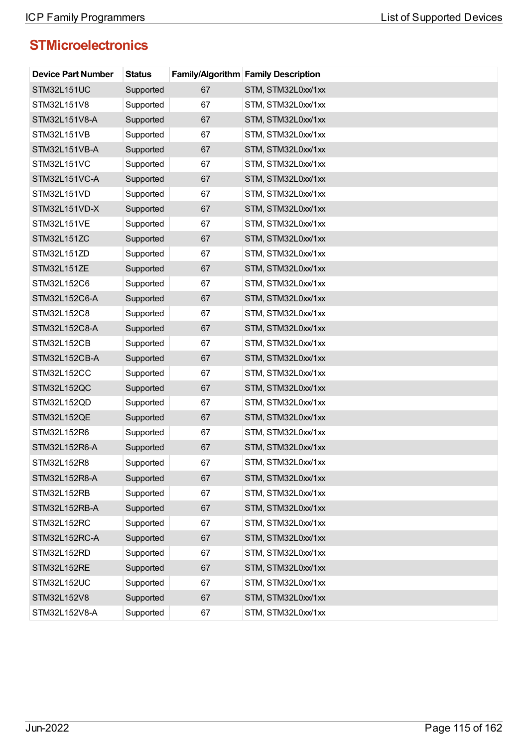| <b>Device Part Number</b> | <b>Status</b> |    | <b>Family/Algorithm Family Description</b> |
|---------------------------|---------------|----|--------------------------------------------|
| <b>STM32L151UC</b>        | Supported     | 67 | STM, STM32L0xx/1xx                         |
| STM32L151V8               | Supported     | 67 | STM, STM32L0xx/1xx                         |
| STM32L151V8-A             | Supported     | 67 | STM, STM32L0xx/1xx                         |
| STM32L151VB               | Supported     | 67 | STM, STM32L0xx/1xx                         |
| STM32L151VB-A             | Supported     | 67 | STM, STM32L0xx/1xx                         |
| STM32L151VC               | Supported     | 67 | STM, STM32L0xx/1xx                         |
| STM32L151VC-A             | Supported     | 67 | STM, STM32L0xx/1xx                         |
| STM32L151VD               | Supported     | 67 | STM, STM32L0xx/1xx                         |
| STM32L151VD-X             | Supported     | 67 | STM, STM32L0xx/1xx                         |
| STM32L151VE               | Supported     | 67 | STM, STM32L0xx/1xx                         |
| STM32L151ZC               | Supported     | 67 | STM, STM32L0xx/1xx                         |
| STM32L151ZD               | Supported     | 67 | STM, STM32L0xx/1xx                         |
| STM32L151ZE               | Supported     | 67 | STM, STM32L0xx/1xx                         |
| STM32L152C6               | Supported     | 67 | STM, STM32L0xx/1xx                         |
| STM32L152C6-A             | Supported     | 67 | STM, STM32L0xx/1xx                         |
| STM32L152C8               | Supported     | 67 | STM, STM32L0xx/1xx                         |
| STM32L152C8-A             | Supported     | 67 | STM, STM32L0xx/1xx                         |
| STM32L152CB               | Supported     | 67 | STM, STM32L0xx/1xx                         |
| STM32L152CB-A             | Supported     | 67 | STM, STM32L0xx/1xx                         |
| STM32L152CC               | Supported     | 67 | STM, STM32L0xx/1xx                         |
| STM32L152QC               | Supported     | 67 | STM, STM32L0xx/1xx                         |
| STM32L152QD               | Supported     | 67 | STM, STM32L0xx/1xx                         |
| STM32L152QE               | Supported     | 67 | STM, STM32L0xx/1xx                         |
| STM32L152R6               | Supported     | 67 | STM, STM32L0xx/1xx                         |
| STM32L152R6-A             | Supported     | 67 | STM, STM32L0xx/1xx                         |
| STM32L152R8               | Supported     | 67 | STM, STM32L0xx/1xx                         |
| STM32L152R8-A             | Supported     | 67 | STM, STM32L0xx/1xx                         |
| STM32L152RB               | Supported     | 67 | STM, STM32L0xx/1xx                         |
| STM32L152RB-A             | Supported     | 67 | STM, STM32L0xx/1xx                         |
| STM32L152RC               | Supported     | 67 | STM, STM32L0xx/1xx                         |
| STM32L152RC-A             | Supported     | 67 | STM, STM32L0xx/1xx                         |
| STM32L152RD               | Supported     | 67 | STM, STM32L0xx/1xx                         |
| STM32L152RE               | Supported     | 67 | STM, STM32L0xx/1xx                         |
| STM32L152UC               | Supported     | 67 | STM, STM32L0xx/1xx                         |
| STM32L152V8               | Supported     | 67 | STM, STM32L0xx/1xx                         |
| STM32L152V8-A             | Supported     | 67 | STM, STM32L0xx/1xx                         |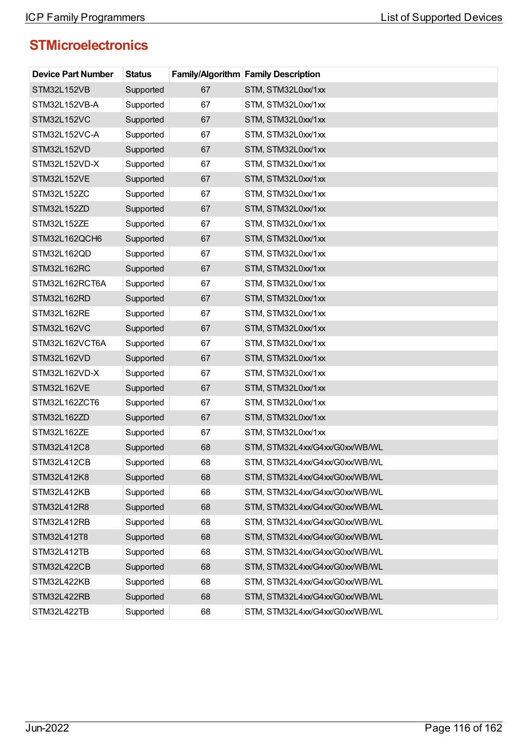| <b>Device Part Number</b> | <b>Status</b> |    | <b>Family/Algorithm Family Description</b> |
|---------------------------|---------------|----|--------------------------------------------|
| STM32L152VB               | Supported     | 67 | STM, STM32L0xx/1xx                         |
| STM32L152VB-A             | Supported     | 67 | STM, STM32L0xx/1xx                         |
| STM32L152VC               | Supported     | 67 | STM, STM32L0xx/1xx                         |
| STM32L152VC-A             | Supported     | 67 | STM, STM32L0xx/1xx                         |
| STM32L152VD               | Supported     | 67 | STM, STM32L0xx/1xx                         |
| STM32L152VD-X             | Supported     | 67 | STM, STM32L0xx/1xx                         |
| STM32L152VE               | Supported     | 67 | STM, STM32L0xx/1xx                         |
| STM32L152ZC               | Supported     | 67 | STM, STM32L0xx/1xx                         |
| STM32L152ZD               | Supported     | 67 | STM, STM32L0xx/1xx                         |
| STM32L152ZE               | Supported     | 67 | STM, STM32L0xx/1xx                         |
| STM32L162QCH6             | Supported     | 67 | STM, STM32L0xx/1xx                         |
| STM32L162QD               | Supported     | 67 | STM, STM32L0xx/1xx                         |
| STM32L162RC               | Supported     | 67 | STM, STM32L0xx/1xx                         |
| STM32L162RCT6A            | Supported     | 67 | STM, STM32L0xx/1xx                         |
| STM32L162RD               | Supported     | 67 | STM, STM32L0xx/1xx                         |
| STM32L162RE               | Supported     | 67 | STM, STM32L0xx/1xx                         |
| STM32L162VC               | Supported     | 67 | STM, STM32L0xx/1xx                         |
| STM32L162VCT6A            | Supported     | 67 | STM, STM32L0xx/1xx                         |
| STM32L162VD               | Supported     | 67 | STM, STM32L0xx/1xx                         |
| STM32L162VD-X             | Supported     | 67 | STM, STM32L0xx/1xx                         |
| STM32L162VE               | Supported     | 67 | STM, STM32L0xx/1xx                         |
| STM32L162ZCT6             | Supported     | 67 | STM, STM32L0xx/1xx                         |
| STM32L162ZD               | Supported     | 67 | STM, STM32L0xx/1xx                         |
| STM32L162ZE               | Supported     | 67 | STM, STM32L0xx/1xx                         |
| STM32L412C8               | Supported     | 68 | STM, STM32L4xx/G4xx/G0xx/WB/WL             |
| STM32L412CB               | Supported     | 68 | STM, STM32L4xx/G4xx/G0xx/WB/WL             |
| STM32L412K8               | Supported     | 68 | STM, STM32L4xx/G4xx/G0xx/WB/WL             |
| STM32L412KB               | Supported     | 68 | STM, STM32L4xx/G4xx/G0xx/WB/WL             |
| STM32L412R8               | Supported     | 68 | STM, STM32L4xx/G4xx/G0xx/WB/WL             |
| STM32L412RB               | Supported     | 68 | STM, STM32L4xx/G4xx/G0xx/WB/WL             |
| STM32L412T8               | Supported     | 68 | STM, STM32L4xx/G4xx/G0xx/WB/WL             |
| STM32L412TB               | Supported     | 68 | STM, STM32L4xx/G4xx/G0xx/WB/WL             |
| <b>STM32L422CB</b>        | Supported     | 68 | STM, STM32L4xx/G4xx/G0xx/WB/WL             |
| STM32L422KB               | Supported     | 68 | STM, STM32L4xx/G4xx/G0xx/WB/WL             |
| STM32L422RB               | Supported     | 68 | STM, STM32L4xx/G4xx/G0xx/WB/WL             |
| STM32L422TB               | Supported     | 68 | STM, STM32L4xx/G4xx/G0xx/WB/WL             |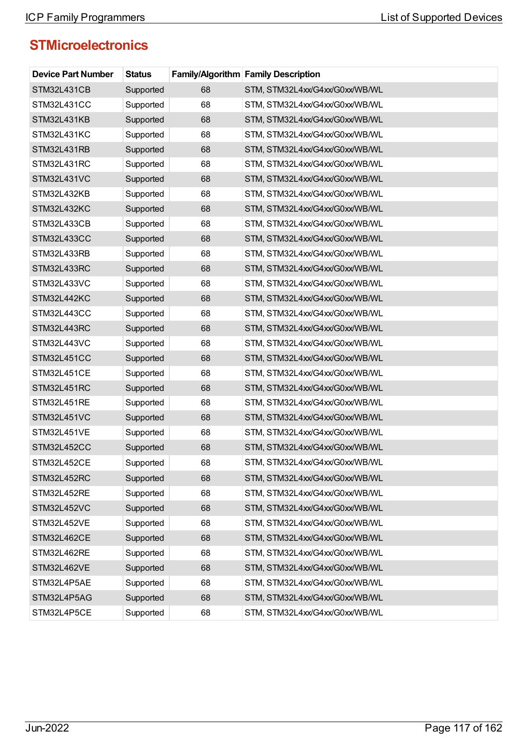| <b>Device Part Number</b> | <b>Status</b> |    | <b>Family/Algorithm Family Description</b> |
|---------------------------|---------------|----|--------------------------------------------|
| <b>STM32L431CB</b>        | Supported     | 68 | STM, STM32L4xx/G4xx/G0xx/WB/WL             |
| STM32L431CC               | Supported     | 68 | STM, STM32L4xx/G4xx/G0xx/WB/WL             |
| STM32L431KB               | Supported     | 68 | STM, STM32L4xx/G4xx/G0xx/WB/WL             |
| STM32L431KC               | Supported     | 68 | STM, STM32L4xx/G4xx/G0xx/WB/WL             |
| STM32L431RB               | Supported     | 68 | STM, STM32L4xx/G4xx/G0xx/WB/WL             |
| STM32L431RC               | Supported     | 68 | STM, STM32L4xx/G4xx/G0xx/WB/WL             |
| STM32L431VC               | Supported     | 68 | STM, STM32L4xx/G4xx/G0xx/WB/WL             |
| STM32L432KB               | Supported     | 68 | STM, STM32L4xx/G4xx/G0xx/WB/WL             |
| STM32L432KC               | Supported     | 68 | STM, STM32L4xx/G4xx/G0xx/WB/WL             |
| STM32L433CB               | Supported     | 68 | STM, STM32L4xx/G4xx/G0xx/WB/WL             |
| STM32L433CC               | Supported     | 68 | STM, STM32L4xx/G4xx/G0xx/WB/WL             |
| STM32L433RB               | Supported     | 68 | STM, STM32L4xx/G4xx/G0xx/WB/WL             |
| STM32L433RC               | Supported     | 68 | STM, STM32L4xx/G4xx/G0xx/WB/WL             |
| STM32L433VC               | Supported     | 68 | STM, STM32L4xx/G4xx/G0xx/WB/WL             |
| STM32L442KC               | Supported     | 68 | STM, STM32L4xx/G4xx/G0xx/WB/WL             |
| STM32L443CC               | Supported     | 68 | STM, STM32L4xx/G4xx/G0xx/WB/WL             |
| STM32L443RC               | Supported     | 68 | STM, STM32L4xx/G4xx/G0xx/WB/WL             |
| STM32L443VC               | Supported     | 68 | STM, STM32L4xx/G4xx/G0xx/WB/WL             |
| <b>STM32L451CC</b>        | Supported     | 68 | STM, STM32L4xx/G4xx/G0xx/WB/WL             |
| STM32L451CE               | Supported     | 68 | STM, STM32L4xx/G4xx/G0xx/WB/WL             |
| STM32L451RC               | Supported     | 68 | STM, STM32L4xx/G4xx/G0xx/WB/WL             |
| STM32L451RE               | Supported     | 68 | STM, STM32L4xx/G4xx/G0xx/WB/WL             |
| STM32L451VC               | Supported     | 68 | STM, STM32L4xx/G4xx/G0xx/WB/WL             |
| STM32L451VE               | Supported     | 68 | STM, STM32L4xx/G4xx/G0xx/WB/WL             |
| STM32L452CC               | Supported     | 68 | STM, STM32L4xx/G4xx/G0xx/WB/WL             |
| STM32L452CE               | Supported     | 68 | STM, STM32L4xx/G4xx/G0xx/WB/WL             |
| STM32L452RC               | Supported     | 68 | STM, STM32L4xx/G4xx/G0xx/WB/WL             |
| STM32L452RE               | Supported     | 68 | STM, STM32L4xx/G4xx/G0xx/WB/WL             |
| STM32L452VC               | Supported     | 68 | STM, STM32L4xx/G4xx/G0xx/WB/WL             |
| STM32L452VE               | Supported     | 68 | STM, STM32L4xx/G4xx/G0xx/WB/WL             |
| STM32L462CE               | Supported     | 68 | STM, STM32L4xx/G4xx/G0xx/WB/WL             |
| STM32L462RE               | Supported     | 68 | STM, STM32L4xx/G4xx/G0xx/WB/WL             |
| STM32L462VE               | Supported     | 68 | STM, STM32L4xx/G4xx/G0xx/WB/WL             |
| STM32L4P5AE               | Supported     | 68 | STM, STM32L4xx/G4xx/G0xx/WB/WL             |
| STM32L4P5AG               | Supported     | 68 | STM, STM32L4xx/G4xx/G0xx/WB/WL             |
| STM32L4P5CE               | Supported     | 68 | STM, STM32L4xx/G4xx/G0xx/WB/WL             |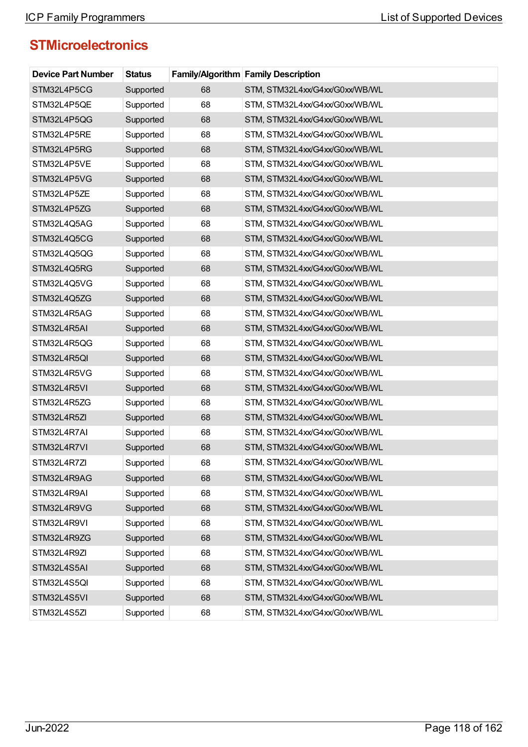| <b>Device Part Number</b> | <b>Status</b> |    | <b>Family/Algorithm Family Description</b> |
|---------------------------|---------------|----|--------------------------------------------|
| STM32L4P5CG               | Supported     | 68 | STM, STM32L4xx/G4xx/G0xx/WB/WL             |
| STM32L4P5QE               | Supported     | 68 | STM, STM32L4xx/G4xx/G0xx/WB/WL             |
| STM32L4P5QG               | Supported     | 68 | STM, STM32L4xx/G4xx/G0xx/WB/WL             |
| STM32L4P5RE               | Supported     | 68 | STM, STM32L4xx/G4xx/G0xx/WB/WL             |
| STM32L4P5RG               | Supported     | 68 | STM, STM32L4xx/G4xx/G0xx/WB/WL             |
| STM32L4P5VE               | Supported     | 68 | STM, STM32L4xx/G4xx/G0xx/WB/WL             |
| STM32L4P5VG               | Supported     | 68 | STM, STM32L4xx/G4xx/G0xx/WB/WL             |
| STM32L4P5ZE               | Supported     | 68 | STM, STM32L4xx/G4xx/G0xx/WB/WL             |
| STM32L4P5ZG               | Supported     | 68 | STM, STM32L4xx/G4xx/G0xx/WB/WL             |
| STM32L4Q5AG               | Supported     | 68 | STM, STM32L4xx/G4xx/G0xx/WB/WL             |
| STM32L4Q5CG               | Supported     | 68 | STM, STM32L4xx/G4xx/G0xx/WB/WL             |
| STM32L4Q5QG               | Supported     | 68 | STM, STM32L4xx/G4xx/G0xx/WB/WL             |
| STM32L4Q5RG               | Supported     | 68 | STM, STM32L4xx/G4xx/G0xx/WB/WL             |
| STM32L4Q5VG               | Supported     | 68 | STM, STM32L4xx/G4xx/G0xx/WB/WL             |
| STM32L4Q5ZG               | Supported     | 68 | STM, STM32L4xx/G4xx/G0xx/WB/WL             |
| STM32L4R5AG               | Supported     | 68 | STM, STM32L4xx/G4xx/G0xx/WB/WL             |
| STM32L4R5AI               | Supported     | 68 | STM, STM32L4xx/G4xx/G0xx/WB/WL             |
| STM32L4R5QG               | Supported     | 68 | STM, STM32L4xx/G4xx/G0xx/WB/WL             |
| STM32L4R5QI               | Supported     | 68 | STM, STM32L4xx/G4xx/G0xx/WB/WL             |
| STM32L4R5VG               | Supported     | 68 | STM, STM32L4xx/G4xx/G0xx/WB/WL             |
| STM32L4R5VI               | Supported     | 68 | STM, STM32L4xx/G4xx/G0xx/WB/WL             |
| STM32L4R5ZG               | Supported     | 68 | STM, STM32L4xx/G4xx/G0xx/WB/WL             |
| STM32L4R5ZI               | Supported     | 68 | STM, STM32L4xx/G4xx/G0xx/WB/WL             |
| STM32L4R7AI               | Supported     | 68 | STM, STM32L4xx/G4xx/G0xx/WB/WL             |
| STM32L4R7VI               | Supported     | 68 | STM, STM32L4xx/G4xx/G0xx/WB/WL             |
| STM32L4R7ZI               | Supported     | 68 | STM, STM32L4xx/G4xx/G0xx/WB/WL             |
| STM32L4R9AG               | Supported     | 68 | STM, STM32L4xx/G4xx/G0xx/WB/WL             |
| STM32L4R9AI               | Supported     | 68 | STM, STM32L4xx/G4xx/G0xx/WB/WL             |
| STM32L4R9VG               | Supported     | 68 | STM, STM32L4xx/G4xx/G0xx/WB/WL             |
| STM32L4R9VI               | Supported     | 68 | STM, STM32L4xx/G4xx/G0xx/WB/WL             |
| STM32L4R9ZG               | Supported     | 68 | STM, STM32L4xx/G4xx/G0xx/WB/WL             |
| STM32L4R9ZI               | Supported     | 68 | STM, STM32L4xx/G4xx/G0xx/WB/WL             |
| STM32L4S5AI               | Supported     | 68 | STM, STM32L4xx/G4xx/G0xx/WB/WL             |
| STM32L4S5QI               | Supported     | 68 | STM, STM32L4xx/G4xx/G0xx/WB/WL             |
| STM32L4S5VI               | Supported     | 68 | STM, STM32L4xx/G4xx/G0xx/WB/WL             |
| STM32L4S5ZI               | Supported     | 68 | STM, STM32L4xx/G4xx/G0xx/WB/WL             |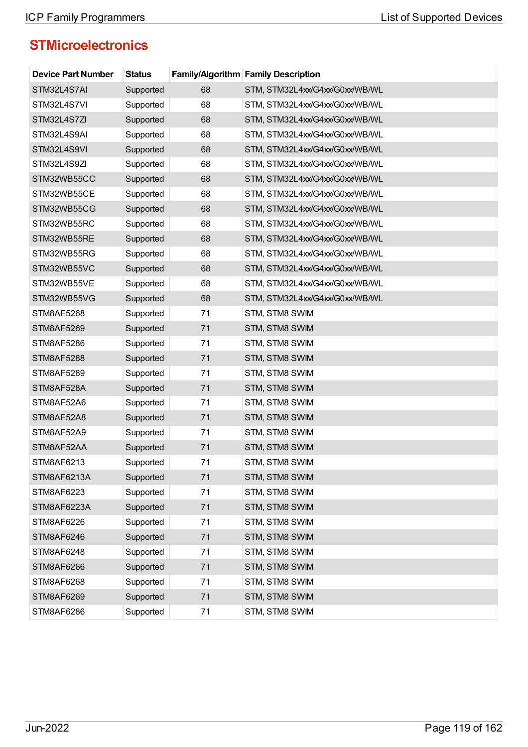| <b>Device Part Number</b> | <b>Status</b> |    | <b>Family/Algorithm Family Description</b> |
|---------------------------|---------------|----|--------------------------------------------|
| STM32L4S7AI               | Supported     | 68 | STM, STM32L4xx/G4xx/G0xx/WB/WL             |
| STM32L4S7VI               | Supported     | 68 | STM, STM32L4xx/G4xx/G0xx/WB/WL             |
| STM32L4S7ZI               | Supported     | 68 | STM, STM32L4xx/G4xx/G0xx/WB/WL             |
| STM32L4S9AI               | Supported     | 68 | STM, STM32L4xx/G4xx/G0xx/WB/WL             |
| STM32L4S9VI               | Supported     | 68 | STM, STM32L4xx/G4xx/G0xx/WB/WL             |
| STM32L4S9ZI               | Supported     | 68 | STM, STM32L4xx/G4xx/G0xx/WB/WL             |
| STM32WB55CC               | Supported     | 68 | STM, STM32L4xx/G4xx/G0xx/WB/WL             |
| STM32WB55CE               | Supported     | 68 | STM, STM32L4xx/G4xx/G0xx/WB/WL             |
| STM32WB55CG               | Supported     | 68 | STM, STM32L4xx/G4xx/G0xx/WB/WL             |
| STM32WB55RC               | Supported     | 68 | STM, STM32L4xx/G4xx/G0xx/WB/WL             |
| STM32WB55RE               | Supported     | 68 | STM, STM32L4xx/G4xx/G0xx/WB/WL             |
| STM32WB55RG               | Supported     | 68 | STM, STM32L4xx/G4xx/G0xx/WB/WL             |
| STM32WB55VC               | Supported     | 68 | STM, STM32L4xx/G4xx/G0xx/WB/WL             |
| STM32WB55VE               | Supported     | 68 | STM, STM32L4xx/G4xx/G0xx/WB/WL             |
| STM32WB55VG               | Supported     | 68 | STM, STM32L4xx/G4xx/G0xx/WB/WL             |
| STM8AF5268                | Supported     | 71 | STM, STM8 SWIM                             |
| STM8AF5269                | Supported     | 71 | STM, STM8 SWIM                             |
| STM8AF5286                | Supported     | 71 | STM, STM8 SWIM                             |
| STM8AF5288                | Supported     | 71 | STM, STM8 SWIM                             |
| STM8AF5289                | Supported     | 71 | STM, STM8 SWIM                             |
| STM8AF528A                | Supported     | 71 | STM, STM8 SWIM                             |
| STM8AF52A6                | Supported     | 71 | STM, STM8 SWIM                             |
| STM8AF52A8                | Supported     | 71 | STM, STM8 SWIM                             |
| STM8AF52A9                | Supported     | 71 | STM, STM8 SWIM                             |
| STM8AF52AA                | Supported     | 71 | STM, STM8 SWIM                             |
| STM8AF6213                | Supported     | 71 | STM, STM8 SWIM                             |
| STM8AF6213A               | Supported     | 71 | STM, STM8 SWIM                             |
| STM8AF6223                | Supported     | 71 | STM, STM8 SWIM                             |
| STM8AF6223A               | Supported     | 71 | STM, STM8 SWIM                             |
| STM8AF6226                | Supported     | 71 | STM, STM8 SWIM                             |
| STM8AF6246                | Supported     | 71 | STM, STM8 SWIM                             |
| STM8AF6248                | Supported     | 71 | STM, STM8 SWIM                             |
| STM8AF6266                | Supported     | 71 | STM, STM8 SWIM                             |
| STM8AF6268                | Supported     | 71 | STM, STM8 SWIM                             |
| <b>STM8AF6269</b>         | Supported     | 71 | STM, STM8 SWIM                             |
| STM8AF6286                | Supported     | 71 | STM, STM8 SWIM                             |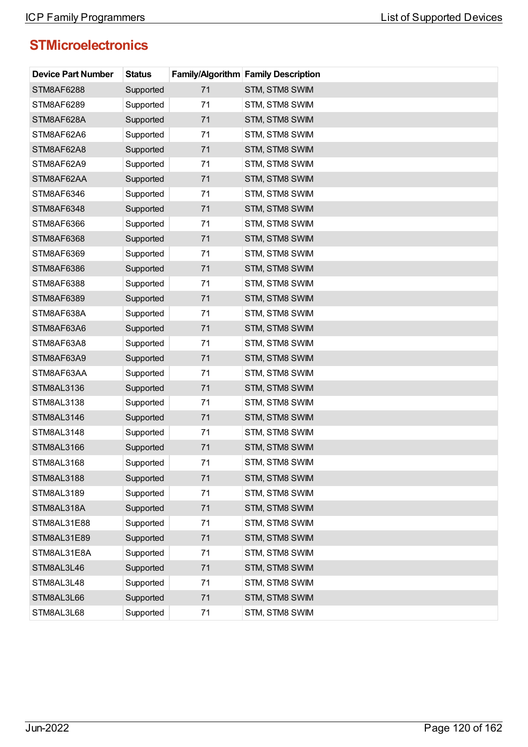| <b>Device Part Number</b> | <b>Status</b> |    | <b>Family/Algorithm Family Description</b> |
|---------------------------|---------------|----|--------------------------------------------|
| <b>STM8AF6288</b>         | Supported     | 71 | STM, STM8 SWIM                             |
| STM8AF6289                | Supported     | 71 | STM, STM8 SWIM                             |
| STM8AF628A                | Supported     | 71 | STM, STM8 SWIM                             |
| STM8AF62A6                | Supported     | 71 | STM, STM8 SWIM                             |
| STM8AF62A8                | Supported     | 71 | STM, STM8 SWIM                             |
| STM8AF62A9                | Supported     | 71 | STM, STM8 SWIM                             |
| STM8AF62AA                | Supported     | 71 | STM, STM8 SWIM                             |
| STM8AF6346                | Supported     | 71 | STM, STM8 SWIM                             |
| <b>STM8AF6348</b>         | Supported     | 71 | STM, STM8 SWIM                             |
| STM8AF6366                | Supported     | 71 | STM, STM8 SWIM                             |
| <b>STM8AF6368</b>         | Supported     | 71 | STM, STM8 SWIM                             |
| STM8AF6369                | Supported     | 71 | STM, STM8 SWIM                             |
| STM8AF6386                | Supported     | 71 | STM, STM8 SWIM                             |
| STM8AF6388                | Supported     | 71 | STM, STM8 SWIM                             |
| STM8AF6389                | Supported     | 71 | STM, STM8 SWIM                             |
| STM8AF638A                | Supported     | 71 | STM, STM8 SWIM                             |
| STM8AF63A6                | Supported     | 71 | STM, STM8 SWIM                             |
| STM8AF63A8                | Supported     | 71 | STM, STM8 SWIM                             |
| STM8AF63A9                | Supported     | 71 | STM, STM8 SWIM                             |
| STM8AF63AA                | Supported     | 71 | STM, STM8 SWIM                             |
| STM8AL3136                | Supported     | 71 | STM, STM8 SWIM                             |
| STM8AL3138                | Supported     | 71 | STM, STM8 SWIM                             |
| STM8AL3146                | Supported     | 71 | STM, STM8 SWIM                             |
| STM8AL3148                | Supported     | 71 | STM, STM8 SWIM                             |
| <b>STM8AL3166</b>         | Supported     | 71 | STM, STM8 SWIM                             |
| STM8AL3168                | Supported     | 71 | STM, STM8 SWIM                             |
| <b>STM8AL3188</b>         | Supported     | 71 | STM, STM8 SWIM                             |
| STM8AL3189                | Supported     | 71 | STM, STM8 SWIM                             |
| STM8AL318A                | Supported     | 71 | STM, STM8 SWIM                             |
| STM8AL31E88               | Supported     | 71 | STM, STM8 SWIM                             |
| STM8AL31E89               | Supported     | 71 | STM, STM8 SWIM                             |
| STM8AL31E8A               | Supported     | 71 | STM, STM8 SWIM                             |
| STM8AL3L46                | Supported     | 71 | STM, STM8 SWIM                             |
| STM8AL3L48                | Supported     | 71 | STM, STM8 SWIM                             |
| STM8AL3L66                | Supported     | 71 | STM, STM8 SWIM                             |
| STM8AL3L68                | Supported     | 71 | STM, STM8 SWIM                             |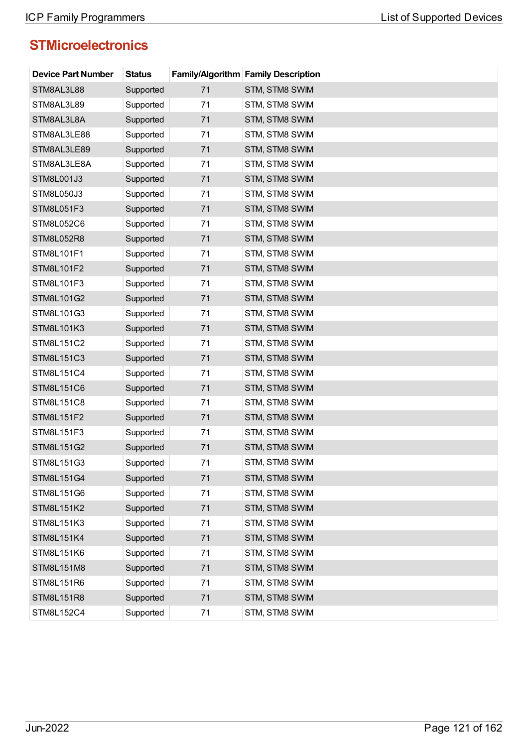| <b>Device Part Number</b> | <b>Status</b> |    | <b>Family/Algorithm Family Description</b> |
|---------------------------|---------------|----|--------------------------------------------|
| STM8AL3L88                | Supported     | 71 | STM, STM8 SWIM                             |
| STM8AL3L89                | Supported     | 71 | STM, STM8 SWIM                             |
| STM8AL3L8A                | Supported     | 71 | STM, STM8 SWIM                             |
| STM8AL3LE88               | Supported     | 71 | STM, STM8 SWIM                             |
| STM8AL3LE89               | Supported     | 71 | STM, STM8 SWIM                             |
| STM8AL3LE8A               | Supported     | 71 | STM, STM8 SWIM                             |
| STM8L001J3                | Supported     | 71 | STM, STM8 SWIM                             |
| STM8L050J3                | Supported     | 71 | STM, STM8 SWIM                             |
| STM8L051F3                | Supported     | 71 | STM, STM8 SWIM                             |
| STM8L052C6                | Supported     | 71 | STM, STM8 SWIM                             |
| STM8L052R8                | Supported     | 71 | STM, STM8 SWIM                             |
| STM8L101F1                | Supported     | 71 | STM, STM8 SWIM                             |
| STM8L101F2                | Supported     | 71 | STM, STM8 SWIM                             |
| STM8L101F3                | Supported     | 71 | STM, STM8 SWIM                             |
| STM8L101G2                | Supported     | 71 | STM, STM8 SWIM                             |
| STM8L101G3                | Supported     | 71 | STM, STM8 SWIM                             |
| STM8L101K3                | Supported     | 71 | STM, STM8 SWIM                             |
| STM8L151C2                | Supported     | 71 | STM, STM8 SWIM                             |
| STM8L151C3                | Supported     | 71 | STM, STM8 SWIM                             |
| STM8L151C4                | Supported     | 71 | STM, STM8 SWIM                             |
| STM8L151C6                | Supported     | 71 | STM, STM8 SWIM                             |
| STM8L151C8                | Supported     | 71 | STM, STM8 SWIM                             |
| STM8L151F2                | Supported     | 71 | STM, STM8 SWIM                             |
| STM8L151F3                | Supported     | 71 | STM, STM8 SWIM                             |
| STM8L151G2                | Supported     | 71 | STM, STM8 SWIM                             |
| STM8L151G3                | Supported     | 71 | STM, STM8 SWIM                             |
| STM8L151G4                | Supported     | 71 | STM, STM8 SWIM                             |
| STM8L151G6                | Supported     | 71 | STM, STM8 SWIM                             |
| STM8L151K2                | Supported     | 71 | STM, STM8 SWIM                             |
| STM8L151K3                | Supported     | 71 | STM, STM8 SWIM                             |
| <b>STM8L151K4</b>         | Supported     | 71 | STM, STM8 SWIM                             |
| STM8L151K6                | Supported     | 71 | STM, STM8 SWIM                             |
| STM8L151M8                | Supported     | 71 | STM, STM8 SWIM                             |
| STM8L151R6                | Supported     | 71 | STM, STM8 SWIM                             |
| STM8L151R8                | Supported     | 71 | STM, STM8 SWIM                             |
| STM8L152C4                | Supported     | 71 | STM, STM8 SWIM                             |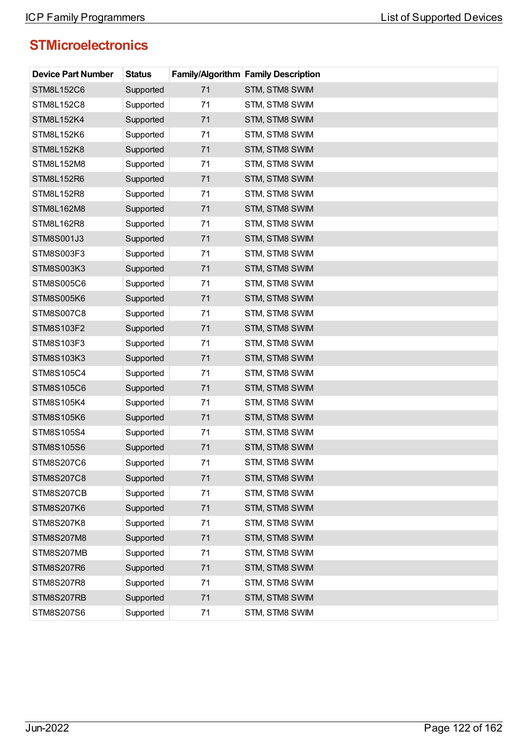| <b>Device Part Number</b> | <b>Status</b> |    | <b>Family/Algorithm Family Description</b> |
|---------------------------|---------------|----|--------------------------------------------|
| STM8L152C6                | Supported     | 71 | STM, STM8 SWIM                             |
| STM8L152C8                | Supported     | 71 | STM, STM8 SWIM                             |
| <b>STM8L152K4</b>         | Supported     | 71 | STM, STM8 SWIM                             |
| STM8L152K6                | Supported     | 71 | STM, STM8 SWIM                             |
| <b>STM8L152K8</b>         | Supported     | 71 | STM, STM8 SWIM                             |
| STM8L152M8                | Supported     | 71 | STM, STM8 SWIM                             |
| STM8L152R6                | Supported     | 71 | STM, STM8 SWIM                             |
| STM8L152R8                | Supported     | 71 | STM, STM8 SWIM                             |
| STM8L162M8                | Supported     | 71 | STM, STM8 SWIM                             |
| STM8L162R8                | Supported     | 71 | STM, STM8 SWIM                             |
| STM8S001J3                | Supported     | 71 | STM, STM8 SWIM                             |
| STM8S003F3                | Supported     | 71 | STM, STM8 SWIM                             |
| STM8S003K3                | Supported     | 71 | STM, STM8 SWIM                             |
| STM8S005C6                | Supported     | 71 | STM, STM8 SWIM                             |
| <b>STM8S005K6</b>         | Supported     | 71 | STM, STM8 SWIM                             |
| STM8S007C8                | Supported     | 71 | STM, STM8 SWIM                             |
| STM8S103F2                | Supported     | 71 | STM, STM8 SWIM                             |
| STM8S103F3                | Supported     | 71 | STM, STM8 SWIM                             |
| STM8S103K3                | Supported     | 71 | STM, STM8 SWIM                             |
| STM8S105C4                | Supported     | 71 | STM, STM8 SWIM                             |
| STM8S105C6                | Supported     | 71 | STM, STM8 SWIM                             |
| STM8S105K4                | Supported     | 71 | STM, STM8 SWIM                             |
| <b>STM8S105K6</b>         | Supported     | 71 | STM, STM8 SWIM                             |
| STM8S105S4                | Supported     | 71 | STM, STM8 SWIM                             |
| STM8S105S6                | Supported     | 71 | STM, STM8 SWIM                             |
| STM8S207C6                | Supported     | 71 | STM, STM8 SWIM                             |
| <b>STM8S207C8</b>         | Supported     | 71 | STM, STM8 SWIM                             |
| STM8S207CB                | Supported     | 71 | STM, STM8 SWIM                             |
| <b>STM8S207K6</b>         | Supported     | 71 | STM, STM8 SWIM                             |
| STM8S207K8                | Supported     | 71 | STM, STM8 SWIM                             |
| STM8S207M8                | Supported     | 71 | STM, STM8 SWIM                             |
| STM8S207MB                | Supported     | 71 | STM, STM8 SWIM                             |
| <b>STM8S207R6</b>         | Supported     | 71 | STM, STM8 SWIM                             |
| STM8S207R8                | Supported     | 71 | STM, STM8 SWIM                             |
| STM8S207RB                | Supported     | 71 | STM, STM8 SWIM                             |
| STM8S207S6                | Supported     | 71 | STM, STM8 SWIM                             |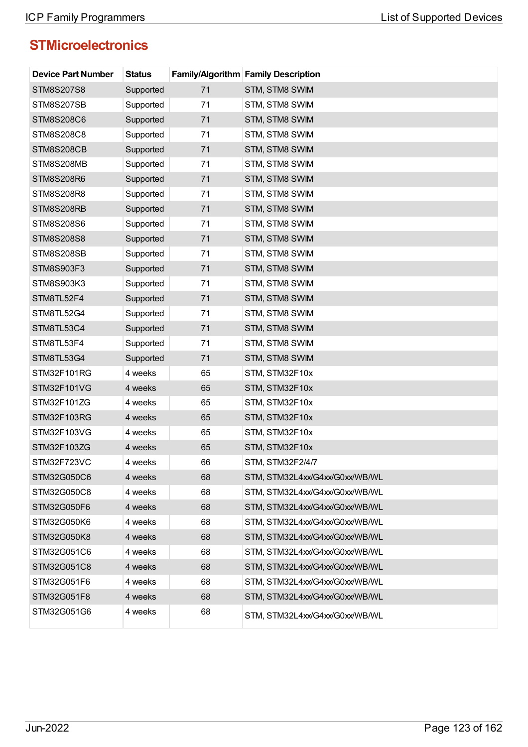| <b>Device Part Number</b> | <b>Status</b> |    | <b>Family/Algorithm Family Description</b> |
|---------------------------|---------------|----|--------------------------------------------|
| STM8S207S8                | Supported     | 71 | STM, STM8 SWIM                             |
| STM8S207SB                | Supported     | 71 | STM, STM8 SWIM                             |
| STM8S208C6                | Supported     | 71 | STM, STM8 SWIM                             |
| STM8S208C8                | Supported     | 71 | STM, STM8 SWIM                             |
| STM8S208CB                | Supported     | 71 | STM, STM8 SWIM                             |
| STM8S208MB                | Supported     | 71 | STM, STM8 SWIM                             |
| STM8S208R6                | Supported     | 71 | STM, STM8 SWIM                             |
| STM8S208R8                | Supported     | 71 | STM, STM8 SWIM                             |
| STM8S208RB                | Supported     | 71 | STM, STM8 SWIM                             |
| STM8S208S6                | Supported     | 71 | STM, STM8 SWIM                             |
| STM8S208S8                | Supported     | 71 | STM, STM8 SWIM                             |
| STM8S208SB                | Supported     | 71 | STM, STM8 SWIM                             |
| STM8S903F3                | Supported     | 71 | STM, STM8 SWIM                             |
| STM8S903K3                | Supported     | 71 | STM, STM8 SWIM                             |
| STM8TL52F4                | Supported     | 71 | STM, STM8 SWIM                             |
| STM8TL52G4                | Supported     | 71 | STM, STM8 SWIM                             |
| STM8TL53C4                | Supported     | 71 | STM, STM8 SWIM                             |
| STM8TL53F4                | Supported     | 71 | STM, STM8 SWIM                             |
| STM8TL53G4                | Supported     | 71 | STM, STM8 SWIM                             |
| STM32F101RG               | 4 weeks       | 65 | STM, STM32F10x                             |
| STM32F101VG               | 4 weeks       | 65 | STM, STM32F10x                             |
| STM32F101ZG               | 4 weeks       | 65 | STM, STM32F10x                             |
| STM32F103RG               | 4 weeks       | 65 | STM, STM32F10x                             |
| STM32F103VG               | 4 weeks       | 65 | STM, STM32F10x                             |
| STM32F103ZG               | 4 weeks       | 65 | STM, STM32F10x                             |
| STM32F723VC               | 4 weeks       | 66 | STM, STM32F2/4/7                           |
| STM32G050C6               | 4 weeks       | 68 | STM, STM32L4xx/G4xx/G0xx/WB/WL             |
| STM32G050C8               | 4 weeks       | 68 | STM, STM32L4xx/G4xx/G0xx/WB/WL             |
| STM32G050F6               | 4 weeks       | 68 | STM, STM32L4xx/G4xx/G0xx/WB/WL             |
| STM32G050K6               | 4 weeks       | 68 | STM, STM32L4xx/G4xx/G0xx/WB/WL             |
| STM32G050K8               | 4 weeks       | 68 | STM, STM32L4xx/G4xx/G0xx/WB/WL             |
| STM32G051C6               | 4 weeks       | 68 | STM, STM32L4xx/G4xx/G0xx/WB/WL             |
| STM32G051C8               | 4 weeks       | 68 | STM, STM32L4xx/G4xx/G0xx/WB/WL             |
| STM32G051F6               | 4 weeks       | 68 | STM, STM32L4xx/G4xx/G0xx/WB/WL             |
| STM32G051F8               | 4 weeks       | 68 | STM, STM32L4xx/G4xx/G0xx/WB/WL             |
| STM32G051G6               | 4 weeks       | 68 | STM, STM32L4xx/G4xx/G0xx/WB/WL             |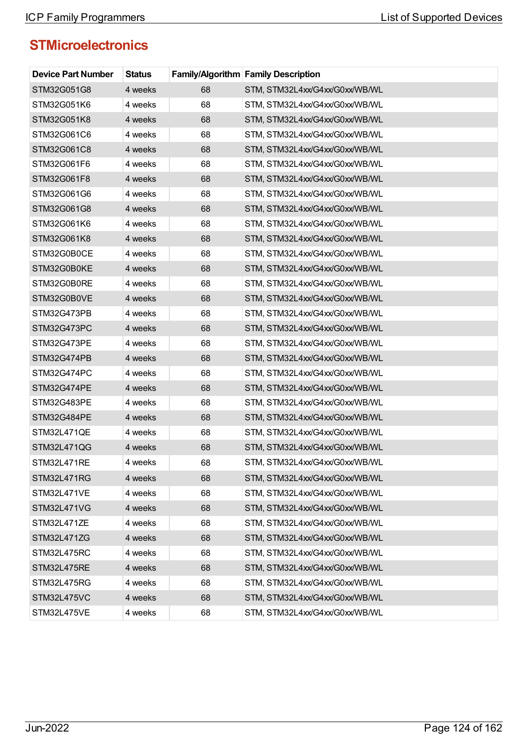| <b>Device Part Number</b> | <b>Status</b> |    | <b>Family/Algorithm Family Description</b> |
|---------------------------|---------------|----|--------------------------------------------|
| STM32G051G8               | 4 weeks       | 68 | STM, STM32L4xx/G4xx/G0xx/WB/WL             |
| STM32G051K6               | 4 weeks       | 68 | STM, STM32L4xx/G4xx/G0xx/WB/WL             |
| STM32G051K8               | 4 weeks       | 68 | STM, STM32L4xx/G4xx/G0xx/WB/WL             |
| STM32G061C6               | 4 weeks       | 68 | STM, STM32L4xx/G4xx/G0xx/WB/WL             |
| STM32G061C8               | 4 weeks       | 68 | STM, STM32L4xx/G4xx/G0xx/WB/WL             |
| STM32G061F6               | 4 weeks       | 68 | STM, STM32L4xx/G4xx/G0xx/WB/WL             |
| STM32G061F8               | 4 weeks       | 68 | STM, STM32L4xx/G4xx/G0xx/WB/WL             |
| STM32G061G6               | 4 weeks       | 68 | STM, STM32L4xx/G4xx/G0xx/WB/WL             |
| STM32G061G8               | 4 weeks       | 68 | STM, STM32L4xx/G4xx/G0xx/WB/WL             |
| STM32G061K6               | 4 weeks       | 68 | STM, STM32L4xx/G4xx/G0xx/WB/WL             |
| STM32G061K8               | 4 weeks       | 68 | STM, STM32L4xx/G4xx/G0xx/WB/WL             |
| STM32G0B0CE               | 4 weeks       | 68 | STM, STM32L4xx/G4xx/G0xx/WB/WL             |
| STM32G0B0KE               | 4 weeks       | 68 | STM, STM32L4xx/G4xx/G0xx/WB/WL             |
| STM32G0B0RE               | 4 weeks       | 68 | STM, STM32L4xx/G4xx/G0xx/WB/WL             |
| STM32G0B0VE               | 4 weeks       | 68 | STM, STM32L4xx/G4xx/G0xx/WB/WL             |
| STM32G473PB               | 4 weeks       | 68 | STM, STM32L4xx/G4xx/G0xx/WB/WL             |
| STM32G473PC               | 4 weeks       | 68 | STM, STM32L4xx/G4xx/G0xx/WB/WL             |
| STM32G473PE               | 4 weeks       | 68 | STM, STM32L4xx/G4xx/G0xx/WB/WL             |
| STM32G474PB               | 4 weeks       | 68 | STM, STM32L4xx/G4xx/G0xx/WB/WL             |
| STM32G474PC               | 4 weeks       | 68 | STM, STM32L4xx/G4xx/G0xx/WB/WL             |
| STM32G474PE               | 4 weeks       | 68 | STM, STM32L4xx/G4xx/G0xx/WB/WL             |
| STM32G483PE               | 4 weeks       | 68 | STM, STM32L4xx/G4xx/G0xx/WB/WL             |
| STM32G484PE               | 4 weeks       | 68 | STM, STM32L4xx/G4xx/G0xx/WB/WL             |
| STM32L471QE               | 4 weeks       | 68 | STM, STM32L4xx/G4xx/G0xx/WB/WL             |
| STM32L471QG               | 4 weeks       | 68 | STM, STM32L4xx/G4xx/G0xx/WB/WL             |
| STM32L471RE               | 4 weeks       | 68 | STM, STM32L4xx/G4xx/G0xx/WB/WL             |
| STM32L471RG               | 4 weeks       | 68 | STM, STM32L4xx/G4xx/G0xx/WB/WL             |
| STM32L471VE               | 4 weeks       | 68 | STM, STM32L4xx/G4xx/G0xx/WB/WL             |
| STM32L471VG               | 4 weeks       | 68 | STM, STM32L4xx/G4xx/G0xx/WB/WL             |
| STM32L471ZE               | 4 weeks       | 68 | STM, STM32L4xx/G4xx/G0xx/WB/WL             |
| STM32L471ZG               | 4 weeks       | 68 | STM, STM32L4xx/G4xx/G0xx/WB/WL             |
| STM32L475RC               | 4 weeks       | 68 | STM, STM32L4xx/G4xx/G0xx/WB/WL             |
| STM32L475RE               | 4 weeks       | 68 | STM, STM32L4xx/G4xx/G0xx/WB/WL             |
| STM32L475RG               | 4 weeks       | 68 | STM, STM32L4xx/G4xx/G0xx/WB/WL             |
| STM32L475VC               | 4 weeks       | 68 | STM, STM32L4xx/G4xx/G0xx/WB/WL             |
| STM32L475VE               | 4 weeks       | 68 | STM, STM32L4xx/G4xx/G0xx/WB/WL             |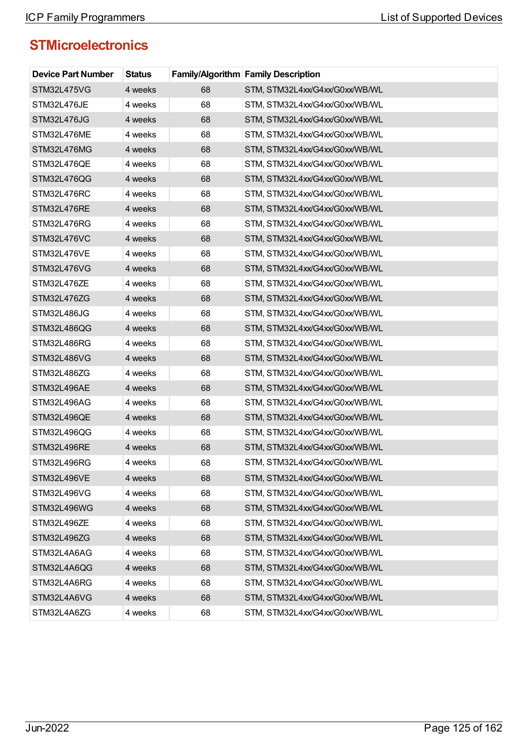| <b>Device Part Number</b> | <b>Status</b> |    | <b>Family/Algorithm Family Description</b> |
|---------------------------|---------------|----|--------------------------------------------|
| STM32L475VG               | 4 weeks       | 68 | STM, STM32L4xx/G4xx/G0xx/WB/WL             |
| STM32L476JE               | 4 weeks       | 68 | STM, STM32L4xx/G4xx/G0xx/WB/WL             |
| STM32L476JG               | 4 weeks       | 68 | STM, STM32L4xx/G4xx/G0xx/WB/WL             |
| STM32L476ME               | 4 weeks       | 68 | STM, STM32L4xx/G4xx/G0xx/WB/WL             |
| STM32L476MG               | 4 weeks       | 68 | STM, STM32L4xx/G4xx/G0xx/WB/WL             |
| STM32L476QE               | 4 weeks       | 68 | STM, STM32L4xx/G4xx/G0xx/WB/WL             |
| STM32L476QG               | 4 weeks       | 68 | STM, STM32L4xx/G4xx/G0xx/WB/WL             |
| STM32L476RC               | 4 weeks       | 68 | STM, STM32L4xx/G4xx/G0xx/WB/WL             |
| STM32L476RE               | 4 weeks       | 68 | STM, STM32L4xx/G4xx/G0xx/WB/WL             |
| STM32L476RG               | 4 weeks       | 68 | STM, STM32L4xx/G4xx/G0xx/WB/WL             |
| STM32L476VC               | 4 weeks       | 68 | STM, STM32L4xx/G4xx/G0xx/WB/WL             |
| STM32L476VE               | 4 weeks       | 68 | STM, STM32L4xx/G4xx/G0xx/WB/WL             |
| STM32L476VG               | 4 weeks       | 68 | STM, STM32L4xx/G4xx/G0xx/WB/WL             |
| STM32L476ZE               | 4 weeks       | 68 | STM, STM32L4xx/G4xx/G0xx/WB/WL             |
| STM32L476ZG               | 4 weeks       | 68 | STM, STM32L4xx/G4xx/G0xx/WB/WL             |
| STM32L486JG               | 4 weeks       | 68 | STM, STM32L4xx/G4xx/G0xx/WB/WL             |
| STM32L486QG               | 4 weeks       | 68 | STM, STM32L4xx/G4xx/G0xx/WB/WL             |
| STM32L486RG               | 4 weeks       | 68 | STM, STM32L4xx/G4xx/G0xx/WB/WL             |
| STM32L486VG               | 4 weeks       | 68 | STM, STM32L4xx/G4xx/G0xx/WB/WL             |
| STM32L486ZG               | 4 weeks       | 68 | STM, STM32L4xx/G4xx/G0xx/WB/WL             |
| STM32L496AE               | 4 weeks       | 68 | STM, STM32L4xx/G4xx/G0xx/WB/WL             |
| STM32L496AG               | 4 weeks       | 68 | STM, STM32L4xx/G4xx/G0xx/WB/WL             |
| STM32L496QE               | 4 weeks       | 68 | STM, STM32L4xx/G4xx/G0xx/WB/WL             |
| STM32L496QG               | 4 weeks       | 68 | STM, STM32L4xx/G4xx/G0xx/WB/WL             |
| STM32L496RE               | 4 weeks       | 68 | STM, STM32L4xx/G4xx/G0xx/WB/WL             |
| STM32L496RG               | 4 weeks       | 68 | STM, STM32L4xx/G4xx/G0xx/WB/WL             |
| STM32L496VE               | 4 weeks       | 68 | STM, STM32L4xx/G4xx/G0xx/WB/WL             |
| STM32L496VG               | 4 weeks       | 68 | STM, STM32L4xx/G4xx/G0xx/WB/WL             |
| STM32L496WG               | 4 weeks       | 68 | STM, STM32L4xx/G4xx/G0xx/WB/WL             |
| STM32L496ZE               | 4 weeks       | 68 | STM, STM32L4xx/G4xx/G0xx/WB/WL             |
| STM32L496ZG               | 4 weeks       | 68 | STM, STM32L4xx/G4xx/G0xx/WB/WL             |
| STM32L4A6AG               | 4 weeks       | 68 | STM, STM32L4xx/G4xx/G0xx/WB/WL             |
| STM32L4A6QG               | 4 weeks       | 68 | STM, STM32L4xx/G4xx/G0xx/WB/WL             |
| STM32L4A6RG               | 4 weeks       | 68 | STM, STM32L4xx/G4xx/G0xx/WB/WL             |
| STM32L4A6VG               | 4 weeks       | 68 | STM, STM32L4xx/G4xx/G0xx/WB/WL             |
| STM32L4A6ZG               | 4 weeks       | 68 | STM, STM32L4xx/G4xx/G0xx/WB/WL             |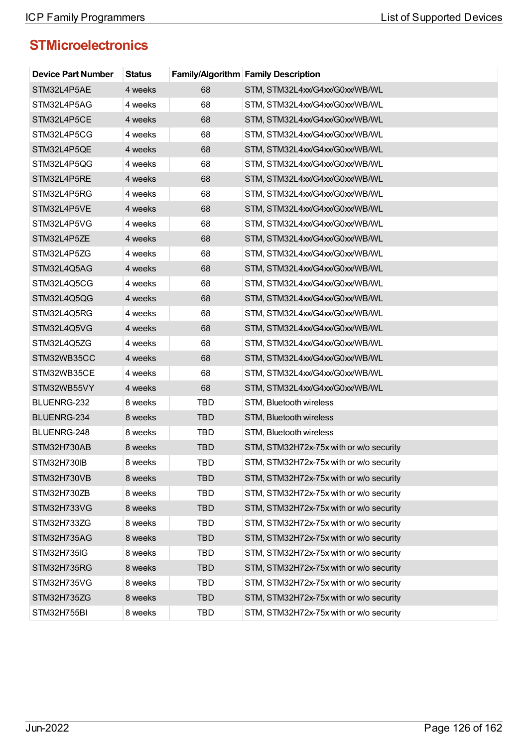| <b>Device Part Number</b> | <b>Status</b> |            | Family/Algorithm Family Description     |
|---------------------------|---------------|------------|-----------------------------------------|
| STM32L4P5AE               | 4 weeks       | 68         | STM, STM32L4xx/G4xx/G0xx/WB/WL          |
| STM32L4P5AG               | 4 weeks       | 68         | STM, STM32L4xx/G4xx/G0xx/WB/WL          |
| STM32L4P5CE               | 4 weeks       | 68         | STM, STM32L4xx/G4xx/G0xx/WB/WL          |
| STM32L4P5CG               | 4 weeks       | 68         | STM, STM32L4xx/G4xx/G0xx/WB/WL          |
| STM32L4P5QE               | 4 weeks       | 68         | STM, STM32L4xx/G4xx/G0xx/WB/WL          |
| STM32L4P5QG               | 4 weeks       | 68         | STM, STM32L4xx/G4xx/G0xx/WB/WL          |
| STM32L4P5RE               | 4 weeks       | 68         | STM, STM32L4xx/G4xx/G0xx/WB/WL          |
| STM32L4P5RG               | 4 weeks       | 68         | STM, STM32L4xx/G4xx/G0xx/WB/WL          |
| STM32L4P5VE               | 4 weeks       | 68         | STM, STM32L4xx/G4xx/G0xx/WB/WL          |
| STM32L4P5VG               | 4 weeks       | 68         | STM, STM32L4xx/G4xx/G0xx/WB/WL          |
| STM32L4P5ZE               | 4 weeks       | 68         | STM, STM32L4xx/G4xx/G0xx/WB/WL          |
| STM32L4P5ZG               | 4 weeks       | 68         | STM, STM32L4xx/G4xx/G0xx/WB/WL          |
| STM32L4Q5AG               | 4 weeks       | 68         | STM, STM32L4xx/G4xx/G0xx/WB/WL          |
| STM32L4Q5CG               | 4 weeks       | 68         | STM, STM32L4xx/G4xx/G0xx/WB/WL          |
| STM32L4Q5QG               | 4 weeks       | 68         | STM, STM32L4xx/G4xx/G0xx/WB/WL          |
| STM32L4Q5RG               | 4 weeks       | 68         | STM, STM32L4xx/G4xx/G0xx/WB/WL          |
| STM32L4Q5VG               | 4 weeks       | 68         | STM, STM32L4xx/G4xx/G0xx/WB/WL          |
| STM32L4Q5ZG               | 4 weeks       | 68         | STM, STM32L4xx/G4xx/G0xx/WB/WL          |
| STM32WB35CC               | 4 weeks       | 68         | STM, STM32L4xx/G4xx/G0xx/WB/WL          |
| STM32WB35CE               | 4 weeks       | 68         | STM, STM32L4xx/G4xx/G0xx/WB/WL          |
| STM32WB55VY               | 4 weeks       | 68         | STM, STM32L4xx/G4xx/G0xx/WB/WL          |
| BLUENRG-232               | 8 weeks       | TBD        | STM, Bluetooth wireless                 |
| BLUENRG-234               | 8 weeks       | <b>TBD</b> | STM, Bluetooth wireless                 |
| BLUENRG-248               | 8 weeks       | <b>TBD</b> | STM, Bluetooth wireless                 |
| STM32H730AB               | 8 weeks       | <b>TBD</b> | STM, STM32H72x-75x with or w/o security |
| STM32H730IB               | 8 weeks       | TBD        | STM, STM32H72x-75x with or w/o security |
| STM32H730VB               | 8 weeks       | <b>TBD</b> | STM, STM32H72x-75x with or w/o security |
| STM32H730ZB               | 8 weeks       | TBD        | STM, STM32H72x-75x with or w/o security |
| STM32H733VG               | 8 weeks       | <b>TBD</b> | STM, STM32H72x-75x with or w/o security |
| STM32H733ZG               | 8 weeks       | <b>TBD</b> | STM, STM32H72x-75x with or w/o security |
| STM32H735AG               | 8 weeks       | <b>TBD</b> | STM, STM32H72x-75x with or w/o security |
| STM32H735IG               | 8 weeks       | TBD        | STM, STM32H72x-75x with or w/o security |
| STM32H735RG               | 8 weeks       | <b>TBD</b> | STM, STM32H72x-75x with or w/o security |
| STM32H735VG               | 8 weeks       | TBD        | STM, STM32H72x-75x with or w/o security |
| STM32H735ZG               | 8 weeks       | <b>TBD</b> | STM, STM32H72x-75x with or w/o security |
| STM32H755BI               | 8 weeks       | TBD        | STM, STM32H72x-75x with or w/o security |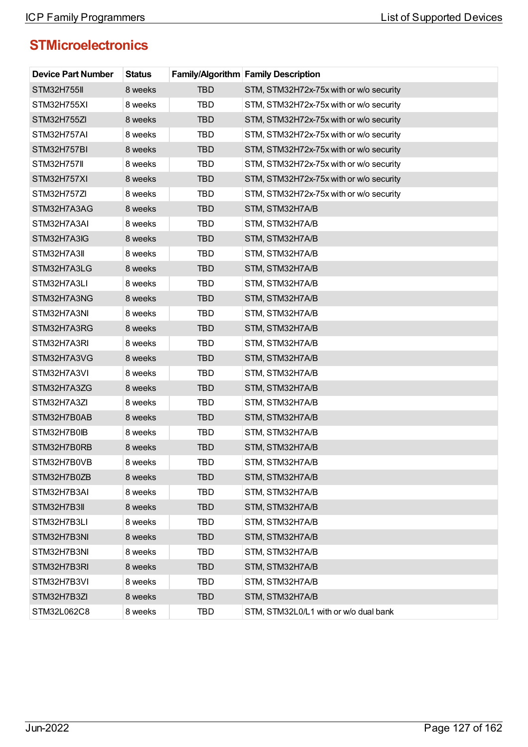| <b>Device Part Number</b> | <b>Status</b> |            | Family/Algorithm Family Description     |
|---------------------------|---------------|------------|-----------------------------------------|
| <b>STM32H755II</b>        | 8 weeks       | <b>TBD</b> | STM, STM32H72x-75x with or w/o security |
| STM32H755XI               | 8 weeks       | <b>TBD</b> | STM, STM32H72x-75x with or w/o security |
| STM32H755ZI               | 8 weeks       | <b>TBD</b> | STM, STM32H72x-75x with or w/o security |
| STM32H757AI               | 8 weeks       | <b>TBD</b> | STM, STM32H72x-75x with or w/o security |
| STM32H757BI               | 8 weeks       | <b>TBD</b> | STM, STM32H72x-75x with or w/o security |
| <b>STM32H757II</b>        | 8 weeks       | <b>TBD</b> | STM, STM32H72x-75x with or w/o security |
| STM32H757XI               | 8 weeks       | <b>TBD</b> | STM, STM32H72x-75x with or w/o security |
| STM32H757ZI               | 8 weeks       | <b>TBD</b> | STM, STM32H72x-75x with or w/o security |
| STM32H7A3AG               | 8 weeks       | <b>TBD</b> | STM, STM32H7A/B                         |
| STM32H7A3AI               | 8 weeks       | TBD        | STM, STM32H7A/B                         |
| STM32H7A3IG               | 8 weeks       | <b>TBD</b> | STM, STM32H7A/B                         |
| STM32H7A3II               | 8 weeks       | TBD        | STM, STM32H7A/B                         |
| STM32H7A3LG               | 8 weeks       | <b>TBD</b> | STM, STM32H7A/B                         |
| STM32H7A3LI               | 8 weeks       | <b>TBD</b> | STM, STM32H7A/B                         |
| STM32H7A3NG               | 8 weeks       | <b>TBD</b> | STM, STM32H7A/B                         |
| STM32H7A3NI               | 8 weeks       | <b>TBD</b> | STM, STM32H7A/B                         |
| STM32H7A3RG               | 8 weeks       | <b>TBD</b> | STM, STM32H7A/B                         |
| STM32H7A3RI               | 8 weeks       | <b>TBD</b> | STM, STM32H7A/B                         |
| STM32H7A3VG               | 8 weeks       | <b>TBD</b> | STM, STM32H7A/B                         |
| STM32H7A3VI               | 8 weeks       | <b>TBD</b> | STM, STM32H7A/B                         |
| STM32H7A3ZG               | 8 weeks       | <b>TBD</b> | STM, STM32H7A/B                         |
| STM32H7A3ZI               | 8 weeks       | TBD        | STM, STM32H7A/B                         |
| STM32H7B0AB               | 8 weeks       | <b>TBD</b> | STM, STM32H7A/B                         |
| STM32H7B0IB               | 8 weeks       | <b>TBD</b> | STM, STM32H7A/B                         |
| STM32H7B0RB               | 8 weeks       | <b>TBD</b> | STM, STM32H7A/B                         |
| STM32H7B0VB               | 8 weeks       | TBD        | STM, STM32H7A/B                         |
| STM32H7B0ZB               | 8 weeks       | <b>TBD</b> | STM, STM32H7A/B                         |
| STM32H7B3AI               | 8 weeks       | <b>TBD</b> | STM, STM32H7A/B                         |
| STM32H7B3II               | 8 weeks       | <b>TBD</b> | STM, STM32H7A/B                         |
| STM32H7B3LI               | 8 weeks       | <b>TBD</b> | STM, STM32H7A/B                         |
| STM32H7B3NI               | 8 weeks       | <b>TBD</b> | STM, STM32H7A/B                         |
| STM32H7B3NI               | 8 weeks       | <b>TBD</b> | STM, STM32H7A/B                         |
| STM32H7B3RI               | 8 weeks       | <b>TBD</b> | STM, STM32H7A/B                         |
| STM32H7B3VI               | 8 weeks       | <b>TBD</b> | STM, STM32H7A/B                         |
| STM32H7B3ZI               | 8 weeks       | <b>TBD</b> | STM, STM32H7A/B                         |
| STM32L062C8               | 8 weeks       | <b>TBD</b> | STM, STM32L0/L1 with or w/o dual bank   |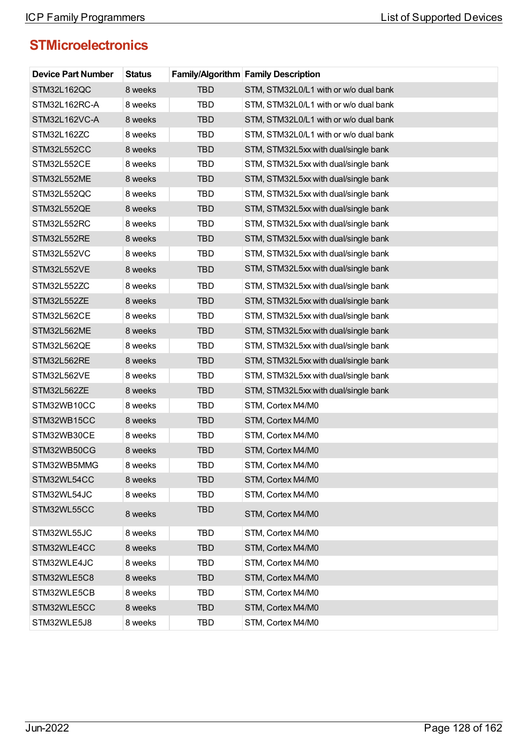| <b>Device Part Number</b> | <b>Status</b> |            | <b>Family/Algorithm Family Description</b> |
|---------------------------|---------------|------------|--------------------------------------------|
| STM32L162QC               | 8 weeks       | <b>TBD</b> | STM, STM32L0/L1 with or w/o dual bank      |
| STM32L162RC-A             | 8 weeks       | <b>TBD</b> | STM, STM32L0/L1 with or w/o dual bank      |
| STM32L162VC-A             | 8 weeks       | <b>TBD</b> | STM, STM32L0/L1 with or w/o dual bank      |
| STM32L162ZC               | 8 weeks       | <b>TBD</b> | STM, STM32L0/L1 with or w/o dual bank      |
| STM32L552CC               | 8 weeks       | <b>TBD</b> | STM, STM32L5xx with dual/single bank       |
| STM32L552CE               | 8 weeks       | <b>TBD</b> | STM, STM32L5xx with dual/single bank       |
| STM32L552ME               | 8 weeks       | <b>TBD</b> | STM, STM32L5xx with dual/single bank       |
| STM32L552QC               | 8 weeks       | TBD        | STM, STM32L5xx with dual/single bank       |
| STM32L552QE               | 8 weeks       | <b>TBD</b> | STM, STM32L5xx with dual/single bank       |
| STM32L552RC               | 8 weeks       | <b>TBD</b> | STM, STM32L5xx with dual/single bank       |
| STM32L552RE               | 8 weeks       | <b>TBD</b> | STM, STM32L5xx with dual/single bank       |
| STM32L552VC               | 8 weeks       | <b>TBD</b> | STM, STM32L5xx with dual/single bank       |
| STM32L552VE               | 8 weeks       | <b>TBD</b> | STM, STM32L5xx with dual/single bank       |
| STM32L552ZC               | 8 weeks       | <b>TBD</b> | STM, STM32L5xx with dual/single bank       |
| STM32L552ZE               | 8 weeks       | <b>TBD</b> | STM, STM32L5xx with dual/single bank       |
| STM32L562CE               | 8 weeks       | <b>TBD</b> | STM, STM32L5xx with dual/single bank       |
| STM32L562ME               | 8 weeks       | <b>TBD</b> | STM, STM32L5xx with dual/single bank       |
| STM32L562QE               | 8 weeks       | <b>TBD</b> | STM, STM32L5xx with dual/single bank       |
| STM32L562RE               | 8 weeks       | <b>TBD</b> | STM, STM32L5xx with dual/single bank       |
| STM32L562VE               | 8 weeks       | <b>TBD</b> | STM, STM32L5xx with dual/single bank       |
| STM32L562ZE               | 8 weeks       | <b>TBD</b> | STM, STM32L5xx with dual/single bank       |
| STM32WB10CC               | 8 weeks       | <b>TBD</b> | STM, Cortex M4/M0                          |
| STM32WB15CC               | 8 weeks       | <b>TBD</b> | STM, Cortex M4/M0                          |
| STM32WB30CE               | 8 weeks       | TBD        | STM, Cortex M4/M0                          |
| STM32WB50CG               | 8 weeks       | <b>TBD</b> | STM, Cortex M4/M0                          |
| STM32WB5MMG               | 8 weeks       | <b>TBD</b> | STM, Cortex M4/M0                          |
| STM32WL54CC               | 8 weeks       | <b>TBD</b> | STM, Cortex M4/M0                          |
| STM32WL54JC               | 8 weeks       | <b>TBD</b> | STM, Cortex M4/M0                          |
| STM32WL55CC               | 8 weeks       | <b>TBD</b> | STM, Cortex M4/M0                          |
| STM32WL55JC               | 8 weeks       | <b>TBD</b> | STM, Cortex M4/M0                          |
| STM32WLE4CC               | 8 weeks       | <b>TBD</b> | STM, Cortex M4/M0                          |
| STM32WLE4JC               | 8 weeks       | <b>TBD</b> | STM, Cortex M4/M0                          |
| STM32WLE5C8               | 8 weeks       | <b>TBD</b> | STM, Cortex M4/M0                          |
| STM32WLE5CB               | 8 weeks       | <b>TBD</b> | STM, Cortex M4/M0                          |
| STM32WLE5CC               | 8 weeks       | <b>TBD</b> | STM, Cortex M4/M0                          |
| STM32WLE5J8               | 8 weeks       | TBD        | STM, Cortex M4/M0                          |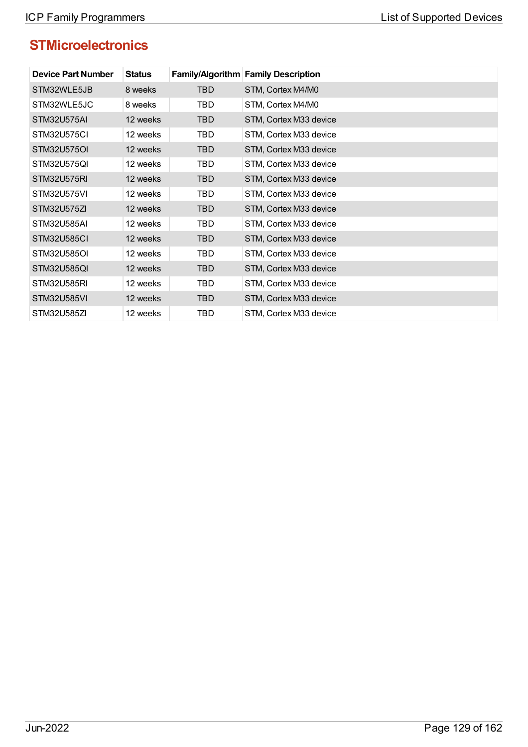| <b>Device Part Number</b> | <b>Status</b> |            | Family/Algorithm Family Description |
|---------------------------|---------------|------------|-------------------------------------|
| STM32WLE5JB               | 8 weeks       | TBD        | STM, Cortex M4/M0                   |
| STM32WLE5JC               | 8 weeks       | TBD        | STM, Cortex M4/M0                   |
| <b>STM32U575AI</b>        | 12 weeks      | TBD        | STM, Cortex M33 device              |
| STM32U575CI               | 12 weeks      | <b>TBD</b> | STM, Cortex M33 device              |
| STM32U575OI               | 12 weeks      | <b>TBD</b> | STM, Cortex M33 device              |
| STM32U575QI               | 12 weeks      | TBD        | STM, Cortex M33 device              |
| STM32U575RI               | 12 weeks      | TBD.       | STM, Cortex M33 device              |
| STM32U575VI               | 12 weeks      | TBD        | STM, Cortex M33 device              |
| STM32U575ZI               | 12 weeks      | TBD        | STM, Cortex M33 device              |
| STM32U585AI               | 12 weeks      | TBD        | STM, Cortex M33 device              |
| <b>STM32U585CI</b>        | 12 weeks      | TBD.       | STM, Cortex M33 device              |
| STM32U585OI               | 12 weeks      | TBD        | STM, Cortex M33 device              |
| STM32U585QI               | 12 weeks      | TBD        | STM, Cortex M33 device              |
| STM32U585RI               | 12 weeks      | TBD        | STM, Cortex M33 device              |
| STM32U585VI               | 12 weeks      | TBD        | STM, Cortex M33 device              |
| STM32U585ZI               | 12 weeks      | TBD        | STM, Cortex M33 device              |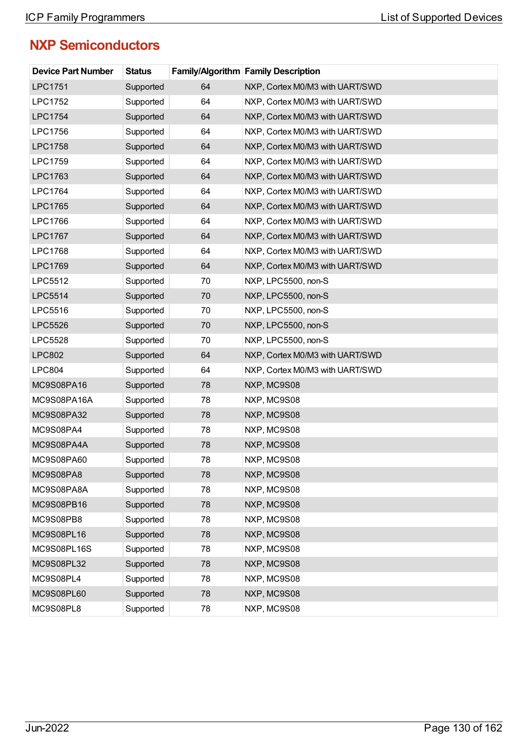## **NXP Semiconductors**

| <b>Device Part Number</b> | <b>Status</b> |    | <b>Family/Algorithm Family Description</b> |
|---------------------------|---------------|----|--------------------------------------------|
| <b>LPC1751</b>            | Supported     | 64 | NXP, Cortex M0/M3 with UART/SWD            |
| <b>LPC1752</b>            | Supported     | 64 | NXP, Cortex M0/M3 with UART/SWD            |
| <b>LPC1754</b>            | Supported     | 64 | NXP, Cortex M0/M3 with UART/SWD            |
| <b>LPC1756</b>            | Supported     | 64 | NXP, Cortex M0/M3 with UART/SWD            |
| <b>LPC1758</b>            | Supported     | 64 | NXP, Cortex M0/M3 with UART/SWD            |
| LPC1759                   | Supported     | 64 | NXP, Cortex M0/M3 with UART/SWD            |
| LPC1763                   | Supported     | 64 | NXP, Cortex M0/M3 with UART/SWD            |
| <b>LPC1764</b>            | Supported     | 64 | NXP, Cortex M0/M3 with UART/SWD            |
| <b>LPC1765</b>            | Supported     | 64 | NXP, Cortex M0/M3 with UART/SWD            |
| LPC1766                   | Supported     | 64 | NXP, Cortex M0/M3 with UART/SWD            |
| <b>LPC1767</b>            | Supported     | 64 | NXP, Cortex M0/M3 with UART/SWD            |
| <b>LPC1768</b>            | Supported     | 64 | NXP, Cortex M0/M3 with UART/SWD            |
| LPC1769                   | Supported     | 64 | NXP, Cortex M0/M3 with UART/SWD            |
| <b>LPC5512</b>            | Supported     | 70 | NXP, LPC5500, non-S                        |
| <b>LPC5514</b>            | Supported     | 70 | NXP, LPC5500, non-S                        |
| LPC5516                   | Supported     | 70 | NXP, LPC5500, non-S                        |
| <b>LPC5526</b>            | Supported     | 70 | NXP, LPC5500, non-S                        |
| <b>LPC5528</b>            | Supported     | 70 | NXP, LPC5500, non-S                        |
| <b>LPC802</b>             | Supported     | 64 | NXP, Cortex M0/M3 with UART/SWD            |
| <b>LPC804</b>             | Supported     | 64 | NXP, Cortex M0/M3 with UART/SWD            |
| MC9S08PA16                | Supported     | 78 | NXP, MC9S08                                |
| MC9S08PA16A               | Supported     | 78 | NXP, MC9S08                                |
| MC9S08PA32                | Supported     | 78 | NXP, MC9S08                                |
| MC9S08PA4                 | Supported     | 78 | NXP, MC9S08                                |
| MC9S08PA4A                | Supported     | 78 | NXP, MC9S08                                |
| MC9S08PA60                | Supported     | 78 | NXP, MC9S08                                |
| MC9S08PA8                 | Supported     | 78 | NXP, MC9S08                                |
| MC9S08PA8A                | Supported     | 78 | NXP, MC9S08                                |
| MC9S08PB16                | Supported     | 78 | NXP, MC9S08                                |
| MC9S08PB8                 | Supported     | 78 | NXP, MC9S08                                |
| MC9S08PL16                | Supported     | 78 | NXP, MC9S08                                |
| MC9S08PL16S               | Supported     | 78 | NXP, MC9S08                                |
| MC9S08PL32                | Supported     | 78 | NXP, MC9S08                                |
| MC9S08PL4                 | Supported     | 78 | NXP, MC9S08                                |
| MC9S08PL60                | Supported     | 78 | NXP, MC9S08                                |
| MC9S08PL8                 | Supported     | 78 | NXP, MC9S08                                |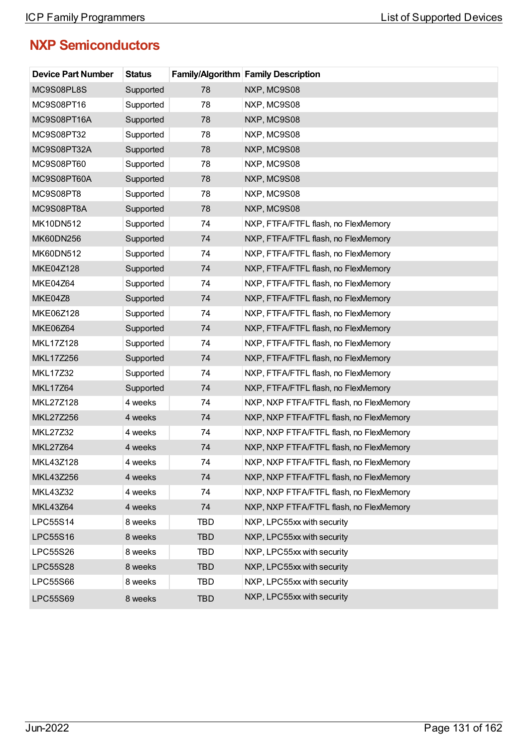## **NXP Semiconductors**

| <b>Device Part Number</b> | <b>Status</b> |            | <b>Family/Algorithm Family Description</b> |
|---------------------------|---------------|------------|--------------------------------------------|
| MC9S08PL8S                | Supported     | 78         | NXP, MC9S08                                |
| MC9S08PT16                | Supported     | 78         | NXP, MC9S08                                |
| MC9S08PT16A               | Supported     | 78         | NXP, MC9S08                                |
| MC9S08PT32                | Supported     | 78         | NXP, MC9S08                                |
| MC9S08PT32A               | Supported     | 78         | NXP, MC9S08                                |
| MC9S08PT60                | Supported     | 78         | NXP, MC9S08                                |
| MC9S08PT60A               | Supported     | 78         | NXP, MC9S08                                |
| MC9S08PT8                 | Supported     | 78         | NXP, MC9S08                                |
| MC9S08PT8A                | Supported     | 78         | NXP, MC9S08                                |
| MK10DN512                 | Supported     | 74         | NXP, FTFA/FTFL flash, no FlexMemory        |
| MK60DN256                 | Supported     | 74         | NXP, FTFA/FTFL flash, no FlexMemory        |
| MK60DN512                 | Supported     | 74         | NXP, FTFA/FTFL flash, no FlexMemory        |
| MKE04Z128                 | Supported     | 74         | NXP, FTFA/FTFL flash, no FlexMemory        |
| <b>MKE04Z64</b>           | Supported     | 74         | NXP, FTFA/FTFL flash, no FlexMemory        |
| MKE04Z8                   | Supported     | 74         | NXP, FTFA/FTFL flash, no FlexMemory        |
| MKE06Z128                 | Supported     | 74         | NXP, FTFA/FTFL flash, no FlexMemory        |
| <b>MKE06Z64</b>           | Supported     | 74         | NXP, FTFA/FTFL flash, no FlexMemory        |
| MKL17Z128                 | Supported     | 74         | NXP, FTFA/FTFL flash, no FlexMemory        |
| MKL17Z256                 | Supported     | 74         | NXP, FTFA/FTFL flash, no FlexMemory        |
| <b>MKL17Z32</b>           | Supported     | 74         | NXP, FTFA/FTFL flash, no FlexMemory        |
| <b>MKL17Z64</b>           | Supported     | 74         | NXP, FTFA/FTFL flash, no FlexMemory        |
| MKL27Z128                 | 4 weeks       | 74         | NXP, NXP FTFA/FTFL flash, no FlexMemory    |
| MKL27Z256                 | 4 weeks       | 74         | NXP, NXP FTFA/FTFL flash, no FlexMemory    |
| <b>MKL27Z32</b>           | 4 weeks       | 74         | NXP, NXP FTFA/FTFL flash, no FlexMemory    |
| <b>MKL27Z64</b>           | 4 weeks       | 74         | NXP, NXP FTFA/FTFL flash, no FlexMemory    |
| MKL43Z128                 | 4 weeks       | 74         | NXP, NXP FTFA/FTFL flash, no FlexMemory    |
| MKL43Z256                 | 4 weeks       | 74         | NXP, NXP FTFA/FTFL flash, no FlexMemory    |
| MKL43Z32                  | 4 weeks       | 74         | NXP, NXP FTFA/FTFL flash, no FlexMemory    |
| <b>MKL43Z64</b>           | 4 weeks       | 74         | NXP, NXP FTFA/FTFL flash, no FlexMemory    |
| LPC55S14                  | 8 weeks       | <b>TBD</b> | NXP, LPC55xx with security                 |
| <b>LPC55S16</b>           | 8 weeks       | <b>TBD</b> | NXP, LPC55xx with security                 |
| <b>LPC55S26</b>           | 8 weeks       | <b>TBD</b> | NXP, LPC55xx with security                 |
| <b>LPC55S28</b>           | 8 weeks       | <b>TBD</b> | NXP, LPC55xx with security                 |
| <b>LPC55S66</b>           | 8 weeks       | <b>TBD</b> | NXP, LPC55xx with security                 |
| <b>LPC55S69</b>           | 8 weeks       | <b>TBD</b> | NXP, LPC55xx with security                 |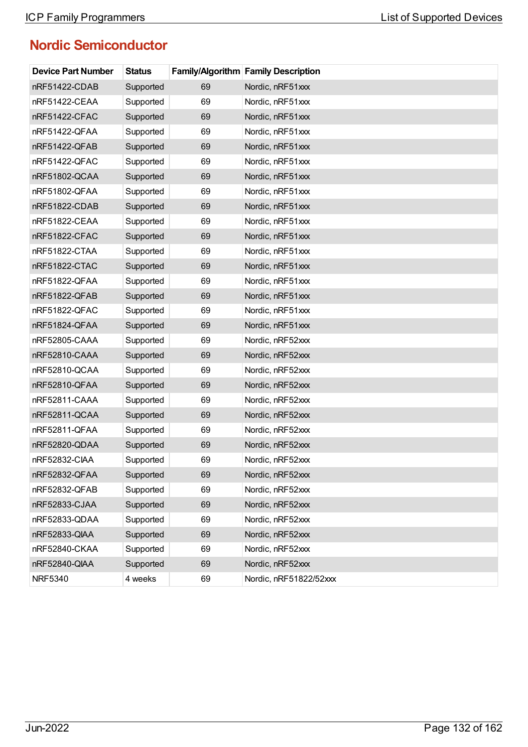## **Nordic Semiconductor**

| <b>Device Part Number</b> | <b>Status</b> |    | <b>Family/Algorithm Family Description</b> |
|---------------------------|---------------|----|--------------------------------------------|
| nRF51422-CDAB             | Supported     | 69 | Nordic, nRF51xxx                           |
| nRF51422-CEAA             | Supported     | 69 | Nordic, nRF51xxx                           |
| nRF51422-CFAC             | Supported     | 69 | Nordic, nRF51xxx                           |
| nRF51422-QFAA             | Supported     | 69 | Nordic, nRF51xxx                           |
| nRF51422-QFAB             | Supported     | 69 | Nordic, nRF51xxx                           |
| nRF51422-QFAC             | Supported     | 69 | Nordic, nRF51xxx                           |
| nRF51802-QCAA             | Supported     | 69 | Nordic, nRF51xxx                           |
| nRF51802-QFAA             | Supported     | 69 | Nordic, nRF51xxx                           |
| nRF51822-CDAB             | Supported     | 69 | Nordic, nRF51xxx                           |
| nRF51822-CEAA             | Supported     | 69 | Nordic, nRF51xxx                           |
| nRF51822-CFAC             | Supported     | 69 | Nordic, nRF51xxx                           |
| nRF51822-CTAA             | Supported     | 69 | Nordic, nRF51xxx                           |
| nRF51822-CTAC             | Supported     | 69 | Nordic, nRF51xxx                           |
| nRF51822-QFAA             | Supported     | 69 | Nordic, nRF51xxx                           |
| nRF51822-QFAB             | Supported     | 69 | Nordic, nRF51xxx                           |
| nRF51822-QFAC             | Supported     | 69 | Nordic, nRF51xxx                           |
| nRF51824-QFAA             | Supported     | 69 | Nordic, nRF51xxx                           |
| nRF52805-CAAA             | Supported     | 69 | Nordic, nRF52xxx                           |
| nRF52810-CAAA             | Supported     | 69 | Nordic, nRF52xxx                           |
| nRF52810-QCAA             | Supported     | 69 | Nordic, nRF52xxx                           |
| nRF52810-QFAA             | Supported     | 69 | Nordic, nRF52xxx                           |
| nRF52811-CAAA             | Supported     | 69 | Nordic, nRF52xxx                           |
| nRF52811-QCAA             | Supported     | 69 | Nordic, nRF52xxx                           |
| nRF52811-QFAA             | Supported     | 69 | Nordic, nRF52xxx                           |
| nRF52820-QDAA             | Supported     | 69 | Nordic, nRF52xxx                           |
| nRF52832-CIAA             | Supported     | 69 | Nordic, nRF52xxx                           |
| nRF52832-QFAA             | Supported     | 69 | Nordic, nRF52xxx                           |
| nRF52832-QFAB             | Supported     | 69 | Nordic, nRF52xxx                           |
| nRF52833-CJAA             | Supported     | 69 | Nordic, nRF52xxx                           |
| nRF52833-QDAA             | Supported     | 69 | Nordic, nRF52xxx                           |
| nRF52833-QIAA             | Supported     | 69 | Nordic, nRF52xxx                           |
| nRF52840-CKAA             | Supported     | 69 | Nordic, nRF52xxx                           |
| nRF52840-QIAA             | Supported     | 69 | Nordic, nRF52xxx                           |
| <b>NRF5340</b>            | 4 weeks       | 69 | Nordic, nRF51822/52xxx                     |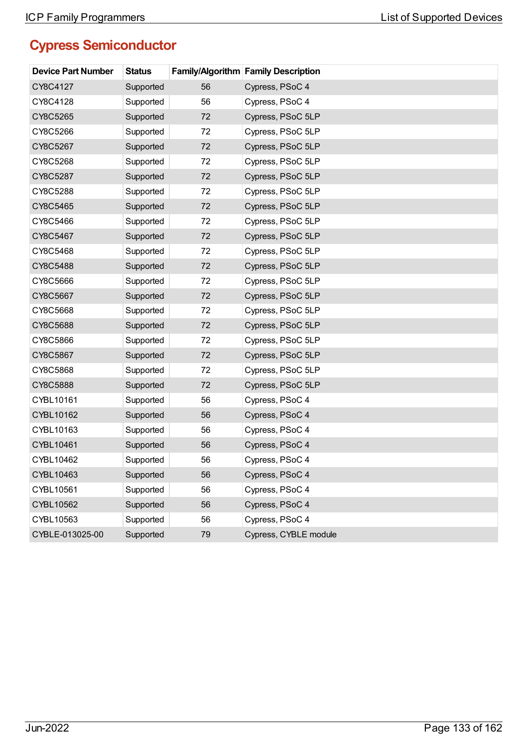## **Cypress Semiconductor**

| <b>Device Part Number</b> | <b>Status</b> |    | <b>Family/Algorithm Family Description</b> |
|---------------------------|---------------|----|--------------------------------------------|
| CY8C4127                  | Supported     | 56 | Cypress, PSoC 4                            |
| CY8C4128                  | Supported     | 56 | Cypress, PSoC 4                            |
| CY8C5265                  | Supported     | 72 | Cypress, PSoC 5LP                          |
| CY8C5266                  | Supported     | 72 | Cypress, PSoC 5LP                          |
| CY8C5267                  | Supported     | 72 | Cypress, PSoC 5LP                          |
| CY8C5268                  | Supported     | 72 | Cypress, PSoC 5LP                          |
| CY8C5287                  | Supported     | 72 | Cypress, PSoC 5LP                          |
| CY8C5288                  | Supported     | 72 | Cypress, PSoC 5LP                          |
| CY8C5465                  | Supported     | 72 | Cypress, PSoC 5LP                          |
| CY8C5466                  | Supported     | 72 | Cypress, PSoC 5LP                          |
| CY8C5467                  | Supported     | 72 | Cypress, PSoC 5LP                          |
| CY8C5468                  | Supported     | 72 | Cypress, PSoC 5LP                          |
| CY8C5488                  | Supported     | 72 | Cypress, PSoC 5LP                          |
| CY8C5666                  | Supported     | 72 | Cypress, PSoC 5LP                          |
| CY8C5667                  | Supported     | 72 | Cypress, PSoC 5LP                          |
| CY8C5668                  | Supported     | 72 | Cypress, PSoC 5LP                          |
| CY8C5688                  | Supported     | 72 | Cypress, PSoC 5LP                          |
| CY8C5866                  | Supported     | 72 | Cypress, PSoC 5LP                          |
| CY8C5867                  | Supported     | 72 | Cypress, PSoC 5LP                          |
| CY8C5868                  | Supported     | 72 | Cypress, PSoC 5LP                          |
| CY8C5888                  | Supported     | 72 | Cypress, PSoC 5LP                          |
| CYBL10161                 | Supported     | 56 | Cypress, PSoC 4                            |
| CYBL10162                 | Supported     | 56 | Cypress, PSoC 4                            |
| CYBL10163                 | Supported     | 56 | Cypress, PSoC 4                            |
| CYBL10461                 | Supported     | 56 | Cypress, PSoC 4                            |
| CYBL10462                 | Supported     | 56 | Cypress, PSoC 4                            |
| CYBL10463                 | Supported     | 56 | Cypress, PSoC 4                            |
| CYBL10561                 | Supported     | 56 | Cypress, PSoC 4                            |
| CYBL10562                 | Supported     | 56 | Cypress, PSoC 4                            |
| CYBL10563                 | Supported     | 56 | Cypress, PSoC 4                            |
| CYBLE-013025-00           | Supported     | 79 | Cypress, CYBLE module                      |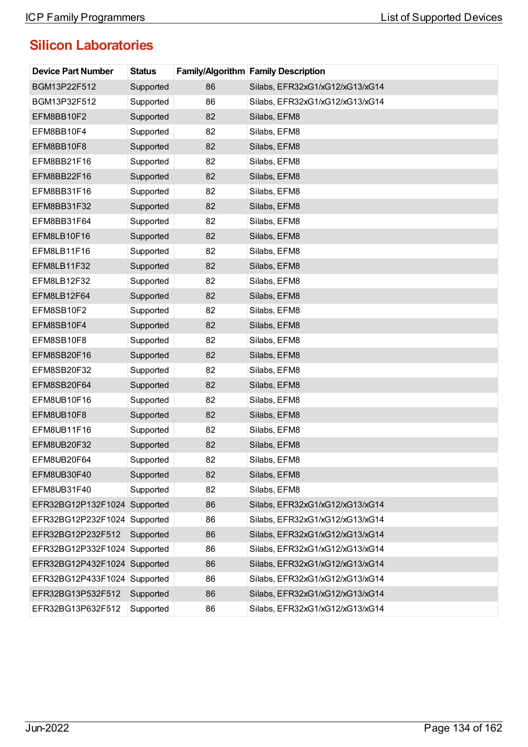| <b>Device Part Number</b>    | <b>Status</b> |    | <b>Family/Algorithm Family Description</b> |
|------------------------------|---------------|----|--------------------------------------------|
| BGM13P22F512                 | Supported     | 86 | Silabs, EFR32xG1/xG12/xG13/xG14            |
| BGM13P32F512                 | Supported     | 86 | Silabs, EFR32xG1/xG12/xG13/xG14            |
| EFM8BB10F2                   | Supported     | 82 | Silabs, EFM8                               |
| EFM8BB10F4                   | Supported     | 82 | Silabs, EFM8                               |
| EFM8BB10F8                   | Supported     | 82 | Silabs, EFM8                               |
| EFM8BB21F16                  | Supported     | 82 | Silabs, EFM8                               |
| EFM8BB22F16                  | Supported     | 82 | Silabs, EFM8                               |
| EFM8BB31F16                  | Supported     | 82 | Silabs, EFM8                               |
| EFM8BB31F32                  | Supported     | 82 | Silabs, EFM8                               |
| EFM8BB31F64                  | Supported     | 82 | Silabs, EFM8                               |
| EFM8LB10F16                  | Supported     | 82 | Silabs, EFM8                               |
| EFM8LB11F16                  | Supported     | 82 | Silabs, EFM8                               |
| EFM8LB11F32                  | Supported     | 82 | Silabs, EFM8                               |
| EFM8LB12F32                  | Supported     | 82 | Silabs, EFM8                               |
| EFM8LB12F64                  | Supported     | 82 | Silabs, EFM8                               |
| EFM8SB10F2                   | Supported     | 82 | Silabs, EFM8                               |
| EFM8SB10F4                   | Supported     | 82 | Silabs, EFM8                               |
| EFM8SB10F8                   | Supported     | 82 | Silabs, EFM8                               |
| EFM8SB20F16                  | Supported     | 82 | Silabs, EFM8                               |
| EFM8SB20F32                  | Supported     | 82 | Silabs, EFM8                               |
| EFM8SB20F64                  | Supported     | 82 | Silabs, EFM8                               |
| EFM8UB10F16                  | Supported     | 82 | Silabs, EFM8                               |
| EFM8UB10F8                   | Supported     | 82 | Silabs, EFM8                               |
| EFM8UB11F16                  | Supported     | 82 | Silabs, EFM8                               |
| EFM8UB20F32                  | Supported     | 82 | Silabs, EFM8                               |
| EFM8UB20F64                  | Supported     | 82 | Silabs, EFM8                               |
| EFM8UB30F40                  | Supported     | 82 | Silabs, EFM8                               |
| EFM8UB31F40                  | Supported     | 82 | Silabs, EFM8                               |
| EFR32BG12P132F1024 Supported |               | 86 | Silabs, EFR32xG1/xG12/xG13/xG14            |
| EFR32BG12P232F1024           | Supported     | 86 | Silabs, EFR32xG1/xG12/xG13/xG14            |
| EFR32BG12P232F512            | Supported     | 86 | Silabs, EFR32xG1/xG12/xG13/xG14            |
| EFR32BG12P332F1024           | Supported     | 86 | Silabs, EFR32xG1/xG12/xG13/xG14            |
| EFR32BG12P432F1024 Supported |               | 86 | Silabs, EFR32xG1/xG12/xG13/xG14            |
| EFR32BG12P433F1024           | Supported     | 86 | Silabs, EFR32xG1/xG12/xG13/xG14            |
| EFR32BG13P532F512            | Supported     | 86 | Silabs, EFR32xG1/xG12/xG13/xG14            |
| EFR32BG13P632F512            | Supported     | 86 | Silabs, EFR32xG1/xG12/xG13/xG14            |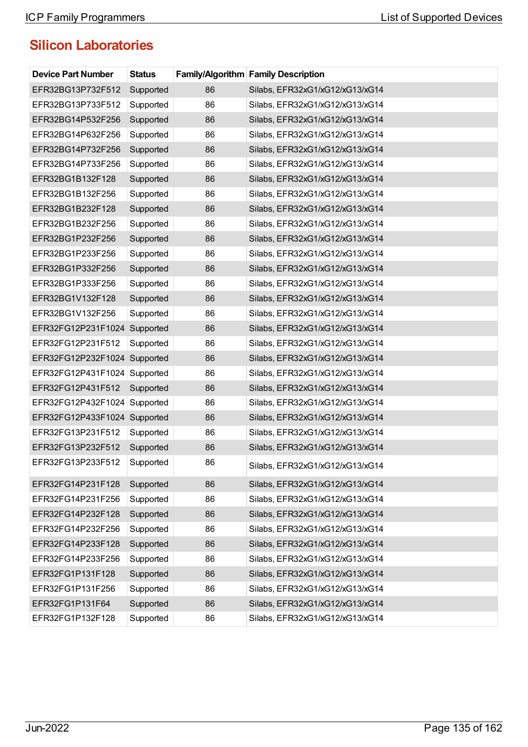| <b>Device Part Number</b>    | <b>Status</b> |    | Family/Algorithm Family Description |
|------------------------------|---------------|----|-------------------------------------|
| EFR32BG13P732F512            | Supported     | 86 | Silabs, EFR32xG1/xG12/xG13/xG14     |
| EFR32BG13P733F512            | Supported     | 86 | Silabs, EFR32xG1/xG12/xG13/xG14     |
| EFR32BG14P532F256            | Supported     | 86 | Silabs, EFR32xG1/xG12/xG13/xG14     |
| EFR32BG14P632F256            | Supported     | 86 | Silabs, EFR32xG1/xG12/xG13/xG14     |
| EFR32BG14P732F256            | Supported     | 86 | Silabs, EFR32xG1/xG12/xG13/xG14     |
| EFR32BG14P733F256            | Supported     | 86 | Silabs, EFR32xG1/xG12/xG13/xG14     |
| EFR32BG1B132F128             | Supported     | 86 | Silabs, EFR32xG1/xG12/xG13/xG14     |
| EFR32BG1B132F256             | Supported     | 86 | Silabs, EFR32xG1/xG12/xG13/xG14     |
| EFR32BG1B232F128             | Supported     | 86 | Silabs, EFR32xG1/xG12/xG13/xG14     |
| EFR32BG1B232F256             | Supported     | 86 | Silabs, EFR32xG1/xG12/xG13/xG14     |
| EFR32BG1P232F256             | Supported     | 86 | Silabs, EFR32xG1/xG12/xG13/xG14     |
| EFR32BG1P233F256             | Supported     | 86 | Silabs, EFR32xG1/xG12/xG13/xG14     |
| EFR32BG1P332F256             | Supported     | 86 | Silabs, EFR32xG1/xG12/xG13/xG14     |
| EFR32BG1P333F256             | Supported     | 86 | Silabs, EFR32xG1/xG12/xG13/xG14     |
| EFR32BG1V132F128             | Supported     | 86 | Silabs, EFR32xG1/xG12/xG13/xG14     |
| EFR32BG1V132F256             | Supported     | 86 | Silabs, EFR32xG1/xG12/xG13/xG14     |
| EFR32FG12P231F1024 Supported |               | 86 | Silabs, EFR32xG1/xG12/xG13/xG14     |
| EFR32FG12P231F512            | Supported     | 86 | Silabs, EFR32xG1/xG12/xG13/xG14     |
| EFR32FG12P232F1024 Supported |               | 86 | Silabs, EFR32xG1/xG12/xG13/xG14     |
| EFR32FG12P431F1024 Supported |               | 86 | Silabs, EFR32xG1/xG12/xG13/xG14     |
| EFR32FG12P431F512            | Supported     | 86 | Silabs, EFR32xG1/xG12/xG13/xG14     |
| EFR32FG12P432F1024 Supported |               | 86 | Silabs, EFR32xG1/xG12/xG13/xG14     |
| EFR32FG12P433F1024 Supported |               | 86 | Silabs, EFR32xG1/xG12/xG13/xG14     |
| EFR32FG13P231F512            | Supported     | 86 | Silabs, EFR32xG1/xG12/xG13/xG14     |
| EFR32FG13P232F512            | Supported     | 86 | Silabs, EFR32xG1/xG12/xG13/xG14     |
| EFR32FG13P233F512            | Supported     | 86 | Silabs, EFR32xG1/xG12/xG13/xG14     |
| EFR32FG14P231F128            | Supported     | 86 | Silabs, EFR32xG1/xG12/xG13/xG14     |
| EFR32FG14P231F256            | Supported     | 86 | Silabs, EFR32xG1/xG12/xG13/xG14     |
| EFR32FG14P232F128            | Supported     | 86 | Silabs, EFR32xG1/xG12/xG13/xG14     |
| EFR32FG14P232F256            | Supported     | 86 | Silabs, EFR32xG1/xG12/xG13/xG14     |
| EFR32FG14P233F128            | Supported     | 86 | Silabs, EFR32xG1/xG12/xG13/xG14     |
| EFR32FG14P233F256            | Supported     | 86 | Silabs, EFR32xG1/xG12/xG13/xG14     |
| EFR32FG1P131F128             | Supported     | 86 | Silabs, EFR32xG1/xG12/xG13/xG14     |
| EFR32FG1P131F256             | Supported     | 86 | Silabs, EFR32xG1/xG12/xG13/xG14     |
| EFR32FG1P131F64              | Supported     | 86 | Silabs, EFR32xG1/xG12/xG13/xG14     |
| EFR32FG1P132F128             | Supported     | 86 | Silabs, EFR32xG1/xG12/xG13/xG14     |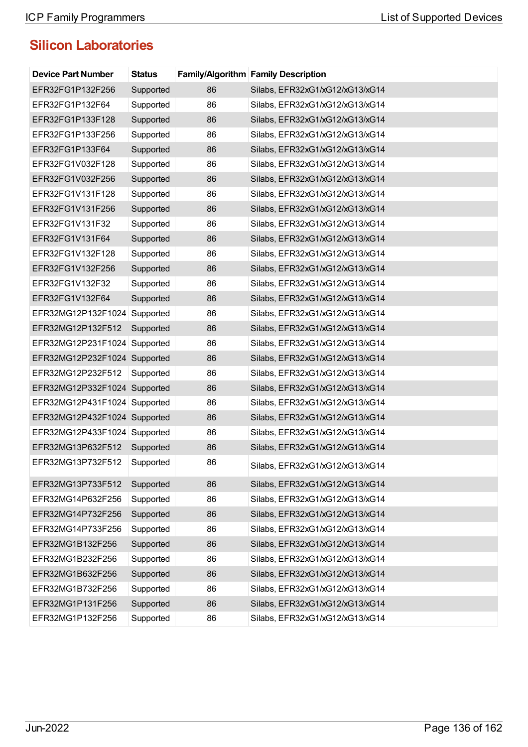| <b>Device Part Number</b>    | <b>Status</b> |    | <b>Family/Algorithm Family Description</b> |
|------------------------------|---------------|----|--------------------------------------------|
| EFR32FG1P132F256             | Supported     | 86 | Silabs, EFR32xG1/xG12/xG13/xG14            |
| EFR32FG1P132F64              | Supported     | 86 | Silabs, EFR32xG1/xG12/xG13/xG14            |
| EFR32FG1P133F128             | Supported     | 86 | Silabs, EFR32xG1/xG12/xG13/xG14            |
| EFR32FG1P133F256             | Supported     | 86 | Silabs, EFR32xG1/xG12/xG13/xG14            |
| EFR32FG1P133F64              | Supported     | 86 | Silabs, EFR32xG1/xG12/xG13/xG14            |
| EFR32FG1V032F128             | Supported     | 86 | Silabs, EFR32xG1/xG12/xG13/xG14            |
| EFR32FG1V032F256             | Supported     | 86 | Silabs, EFR32xG1/xG12/xG13/xG14            |
| EFR32FG1V131F128             | Supported     | 86 | Silabs, EFR32xG1/xG12/xG13/xG14            |
| EFR32FG1V131F256             | Supported     | 86 | Silabs, EFR32xG1/xG12/xG13/xG14            |
| EFR32FG1V131F32              | Supported     | 86 | Silabs, EFR32xG1/xG12/xG13/xG14            |
| EFR32FG1V131F64              | Supported     | 86 | Silabs, EFR32xG1/xG12/xG13/xG14            |
| EFR32FG1V132F128             | Supported     | 86 | Silabs, EFR32xG1/xG12/xG13/xG14            |
| EFR32FG1V132F256             | Supported     | 86 | Silabs, EFR32xG1/xG12/xG13/xG14            |
| EFR32FG1V132F32              | Supported     | 86 | Silabs, EFR32xG1/xG12/xG13/xG14            |
| EFR32FG1V132F64              | Supported     | 86 | Silabs, EFR32xG1/xG12/xG13/xG14            |
| EFR32MG12P132F1024           | Supported     | 86 | Silabs, EFR32xG1/xG12/xG13/xG14            |
| EFR32MG12P132F512            | Supported     | 86 | Silabs, EFR32xG1/xG12/xG13/xG14            |
| EFR32MG12P231F1024           | Supported     | 86 | Silabs, EFR32xG1/xG12/xG13/xG14            |
| EFR32MG12P232F1024 Supported |               | 86 | Silabs, EFR32xG1/xG12/xG13/xG14            |
| EFR32MG12P232F512            | Supported     | 86 | Silabs, EFR32xG1/xG12/xG13/xG14            |
| EFR32MG12P332F1024 Supported |               | 86 | Silabs, EFR32xG1/xG12/xG13/xG14            |
| EFR32MG12P431F1024 Supported |               | 86 | Silabs, EFR32xG1/xG12/xG13/xG14            |
| EFR32MG12P432F1024 Supported |               | 86 | Silabs, EFR32xG1/xG12/xG13/xG14            |
| EFR32MG12P433F1024 Supported |               | 86 | Silabs, EFR32xG1/xG12/xG13/xG14            |
| EFR32MG13P632F512            | Supported     | 86 | Silabs, EFR32xG1/xG12/xG13/xG14            |
| EFR32MG13P732F512            | Supported     | 86 | Silabs, EFR32xG1/xG12/xG13/xG14            |
| EFR32MG13P733F512            | Supported     | 86 | Silabs, EFR32xG1/xG12/xG13/xG14            |
| EFR32MG14P632F256            | Supported     | 86 | Silabs, EFR32xG1/xG12/xG13/xG14            |
| EFR32MG14P732F256            | Supported     | 86 | Silabs, EFR32xG1/xG12/xG13/xG14            |
| EFR32MG14P733F256            | Supported     | 86 | Silabs, EFR32xG1/xG12/xG13/xG14            |
| EFR32MG1B132F256             | Supported     | 86 | Silabs, EFR32xG1/xG12/xG13/xG14            |
| EFR32MG1B232F256             | Supported     | 86 | Silabs, EFR32xG1/xG12/xG13/xG14            |
| EFR32MG1B632F256             | Supported     | 86 | Silabs, EFR32xG1/xG12/xG13/xG14            |
| EFR32MG1B732F256             | Supported     | 86 | Silabs, EFR32xG1/xG12/xG13/xG14            |
| EFR32MG1P131F256             | Supported     | 86 | Silabs, EFR32xG1/xG12/xG13/xG14            |
| EFR32MG1P132F256             | Supported     | 86 | Silabs, EFR32xG1/xG12/xG13/xG14            |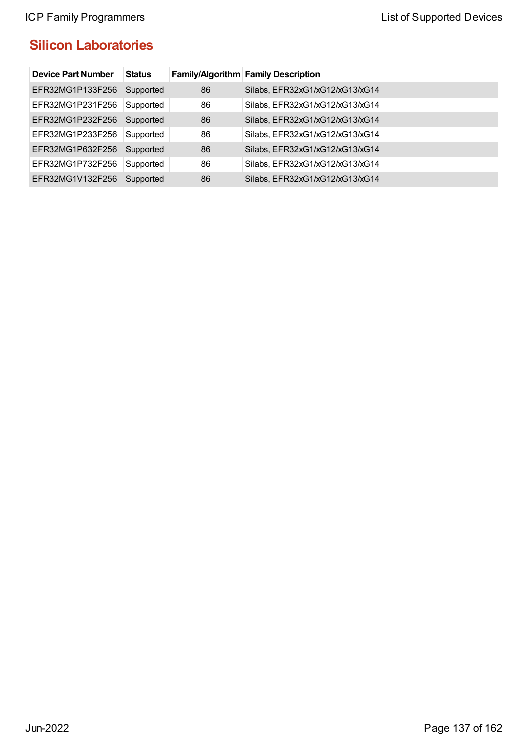| <b>Device Part Number</b> | <b>Status</b> |    | <b>Family/Algorithm Family Description</b> |
|---------------------------|---------------|----|--------------------------------------------|
| EFR32MG1P133F256          | Supported     | 86 | Silabs, EFR32xG1/xG12/xG13/xG14            |
| EFR32MG1P231F256          | Supported     | 86 | Silabs, EFR32xG1/xG12/xG13/xG14            |
| EFR32MG1P232F256          | Supported     | 86 | Silabs, EFR32xG1/xG12/xG13/xG14            |
| EFR32MG1P233F256          | Supported     | 86 | Silabs, EFR32xG1/xG12/xG13/xG14            |
| EFR32MG1P632F256          | Supported     | 86 | Silabs, EFR32xG1/xG12/xG13/xG14            |
| EFR32MG1P732F256          | Supported     | 86 | Silabs, EFR32xG1/xG12/xG13/xG14            |
| EFR32MG1V132F256          | Supported     | 86 | Silabs, EFR32xG1/xG12/xG13/xG14            |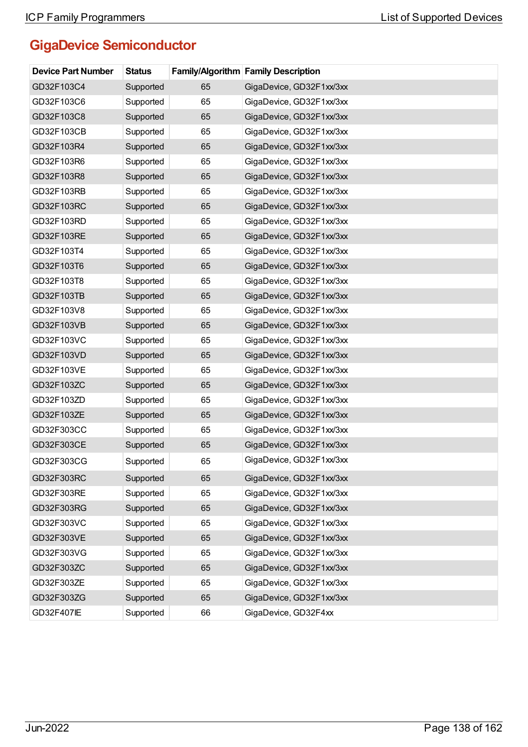# **GigaDevice Semiconductor**

| <b>Device Part Number</b> | <b>Status</b> |    | <b>Family/Algorithm Family Description</b> |
|---------------------------|---------------|----|--------------------------------------------|
| GD32F103C4                | Supported     | 65 | GigaDevice, GD32F1xx/3xx                   |
| GD32F103C6                | Supported     | 65 | GigaDevice, GD32F1xx/3xx                   |
| GD32F103C8                | Supported     | 65 | GigaDevice, GD32F1xx/3xx                   |
| GD32F103CB                | Supported     | 65 | GigaDevice, GD32F1xx/3xx                   |
| GD32F103R4                | Supported     | 65 | GigaDevice, GD32F1xx/3xx                   |
| GD32F103R6                | Supported     | 65 | GigaDevice, GD32F1xx/3xx                   |
| GD32F103R8                | Supported     | 65 | GigaDevice, GD32F1xx/3xx                   |
| GD32F103RB                | Supported     | 65 | GigaDevice, GD32F1xx/3xx                   |
| GD32F103RC                | Supported     | 65 | GigaDevice, GD32F1xx/3xx                   |
| GD32F103RD                | Supported     | 65 | GigaDevice, GD32F1xx/3xx                   |
| GD32F103RE                | Supported     | 65 | GigaDevice, GD32F1xx/3xx                   |
| GD32F103T4                | Supported     | 65 | GigaDevice, GD32F1xx/3xx                   |
| GD32F103T6                | Supported     | 65 | GigaDevice, GD32F1xx/3xx                   |
| GD32F103T8                | Supported     | 65 | GigaDevice, GD32F1xx/3xx                   |
| GD32F103TB                | Supported     | 65 | GigaDevice, GD32F1xx/3xx                   |
| GD32F103V8                | Supported     | 65 | GigaDevice, GD32F1xx/3xx                   |
| GD32F103VB                | Supported     | 65 | GigaDevice, GD32F1xx/3xx                   |
| GD32F103VC                | Supported     | 65 | GigaDevice, GD32F1xx/3xx                   |
| GD32F103VD                | Supported     | 65 | GigaDevice, GD32F1xx/3xx                   |
| GD32F103VE                | Supported     | 65 | GigaDevice, GD32F1xx/3xx                   |
| GD32F103ZC                | Supported     | 65 | GigaDevice, GD32F1xx/3xx                   |
| GD32F103ZD                | Supported     | 65 | GigaDevice, GD32F1xx/3xx                   |
| GD32F103ZE                | Supported     | 65 | GigaDevice, GD32F1xx/3xx                   |
| GD32F303CC                | Supported     | 65 | GigaDevice, GD32F1xx/3xx                   |
| GD32F303CE                | Supported     | 65 | GigaDevice, GD32F1xx/3xx                   |
| GD32F303CG                | Supported     | 65 | GigaDevice, GD32F1xx/3xx                   |
| GD32F303RC                | Supported     | 65 | GigaDevice, GD32F1xx/3xx                   |
| GD32F303RE                | Supported     | 65 | GigaDevice, GD32F1xx/3xx                   |
| GD32F303RG                | Supported     | 65 | GigaDevice, GD32F1xx/3xx                   |
| GD32F303VC                | Supported     | 65 | GigaDevice, GD32F1xx/3xx                   |
| GD32F303VE                | Supported     | 65 | GigaDevice, GD32F1xx/3xx                   |
| GD32F303VG                | Supported     | 65 | GigaDevice, GD32F1xx/3xx                   |
| GD32F303ZC                | Supported     | 65 | GigaDevice, GD32F1xx/3xx                   |
| GD32F303ZE                | Supported     | 65 | GigaDevice, GD32F1xx/3xx                   |
| GD32F303ZG                | Supported     | 65 | GigaDevice, GD32F1xx/3xx                   |
| GD32F407IE                | Supported     | 66 | GigaDevice, GD32F4xx                       |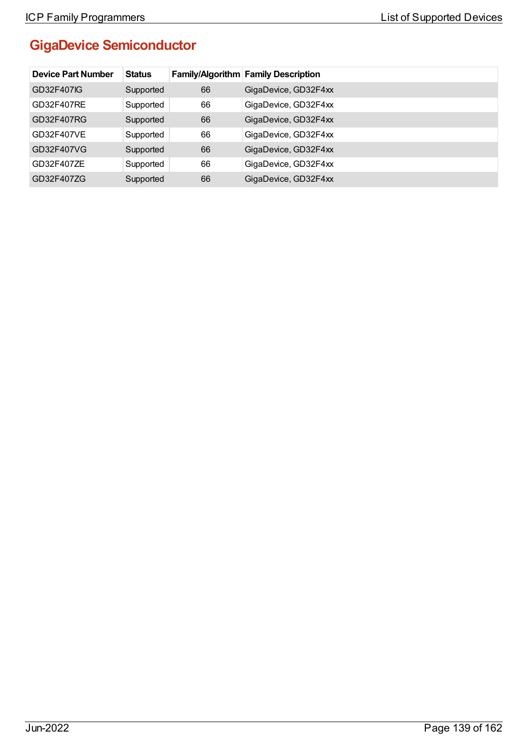# **GigaDevice Semiconductor**

| <b>Device Part Number</b> | <b>Status</b> |    | <b>Family/Algorithm Family Description</b> |
|---------------------------|---------------|----|--------------------------------------------|
| GD32F407IG                | Supported     | 66 | GigaDevice, GD32F4xx                       |
| GD32F407RE                | Supported     | 66 | GigaDevice, GD32F4xx                       |
| GD32F407RG                | Supported     | 66 | GigaDevice, GD32F4xx                       |
| GD32F407VE                | Supported     | 66 | GigaDevice, GD32F4xx                       |
| GD32F407VG                | Supported     | 66 | GigaDevice, GD32F4xx                       |
| GD32F407ZE                | Supported     | 66 | GigaDevice, GD32F4xx                       |
| GD32F407ZG                | Supported     | 66 | GigaDevice, GD32F4xx                       |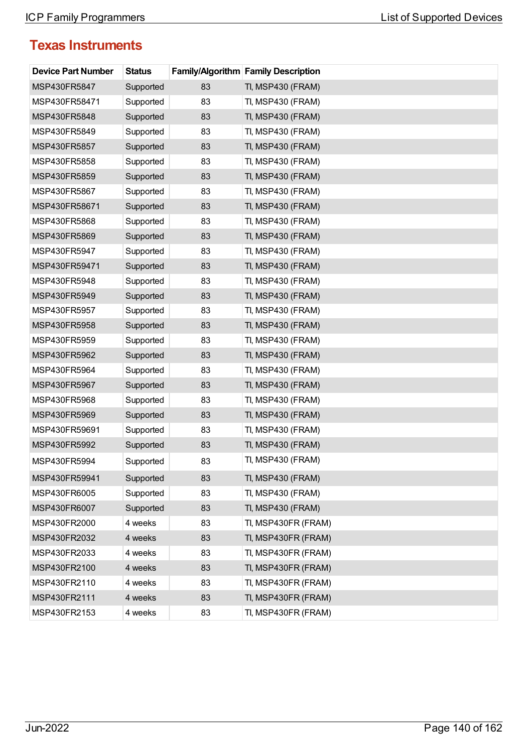| <b>Device Part Number</b> | <b>Status</b> |    | <b>Family/Algorithm Family Description</b> |
|---------------------------|---------------|----|--------------------------------------------|
| MSP430FR5847              | Supported     | 83 | TI, MSP430 (FRAM)                          |
| MSP430FR58471             | Supported     | 83 | TI, MSP430 (FRAM)                          |
| MSP430FR5848              | Supported     | 83 | TI, MSP430 (FRAM)                          |
| MSP430FR5849              | Supported     | 83 | TI, MSP430 (FRAM)                          |
| MSP430FR5857              | Supported     | 83 | TI, MSP430 (FRAM)                          |
| MSP430FR5858              | Supported     | 83 | TI, MSP430 (FRAM)                          |
| MSP430FR5859              | Supported     | 83 | TI, MSP430 (FRAM)                          |
| MSP430FR5867              | Supported     | 83 | TI, MSP430 (FRAM)                          |
| MSP430FR58671             | Supported     | 83 | TI, MSP430 (FRAM)                          |
| MSP430FR5868              | Supported     | 83 | TI, MSP430 (FRAM)                          |
| MSP430FR5869              | Supported     | 83 | TI, MSP430 (FRAM)                          |
| MSP430FR5947              | Supported     | 83 | TI, MSP430 (FRAM)                          |
| MSP430FR59471             | Supported     | 83 | TI, MSP430 (FRAM)                          |
| MSP430FR5948              | Supported     | 83 | TI, MSP430 (FRAM)                          |
| MSP430FR5949              | Supported     | 83 | TI, MSP430 (FRAM)                          |
| MSP430FR5957              | Supported     | 83 | TI, MSP430 (FRAM)                          |
| MSP430FR5958              | Supported     | 83 | TI, MSP430 (FRAM)                          |
| MSP430FR5959              | Supported     | 83 | TI, MSP430 (FRAM)                          |
| MSP430FR5962              | Supported     | 83 | TI, MSP430 (FRAM)                          |
| MSP430FR5964              | Supported     | 83 | TI, MSP430 (FRAM)                          |
| MSP430FR5967              | Supported     | 83 | TI, MSP430 (FRAM)                          |
| MSP430FR5968              | Supported     | 83 | TI, MSP430 (FRAM)                          |
| MSP430FR5969              | Supported     | 83 | TI, MSP430 (FRAM)                          |
| MSP430FR59691             | Supported     | 83 | TI, MSP430 (FRAM)                          |
| MSP430FR5992              | Supported     | 83 | TI, MSP430 (FRAM)                          |
| MSP430FR5994              | Supported     | 83 | TI, MSP430 (FRAM)                          |
| MSP430FR59941             | Supported     | 83 | TI, MSP430 (FRAM)                          |
| MSP430FR6005              | Supported     | 83 | TI, MSP430 (FRAM)                          |
| MSP430FR6007              | Supported     | 83 | TI, MSP430 (FRAM)                          |
| MSP430FR2000              | 4 weeks       | 83 | TI, MSP430FR (FRAM)                        |
| MSP430FR2032              | 4 weeks       | 83 | TI, MSP430FR (FRAM)                        |
| MSP430FR2033              | 4 weeks       | 83 | TI, MSP430FR (FRAM)                        |
| MSP430FR2100              | 4 weeks       | 83 | TI, MSP430FR (FRAM)                        |
| MSP430FR2110              | 4 weeks       | 83 | TI, MSP430FR (FRAM)                        |
| MSP430FR2111              | 4 weeks       | 83 | TI, MSP430FR (FRAM)                        |
| MSP430FR2153              | 4 weeks       | 83 | TI, MSP430FR (FRAM)                        |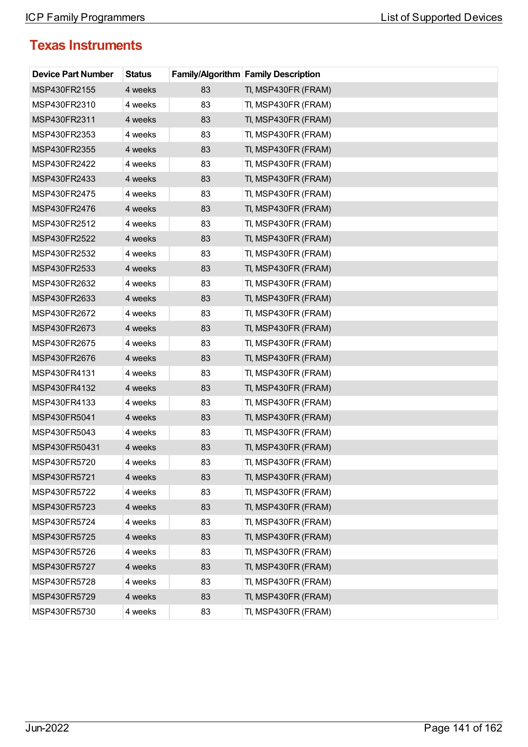| <b>Device Part Number</b> | <b>Status</b> |    | <b>Family/Algorithm Family Description</b> |
|---------------------------|---------------|----|--------------------------------------------|
| MSP430FR2155              | 4 weeks       | 83 | TI, MSP430FR (FRAM)                        |
| MSP430FR2310              | 4 weeks       | 83 | TI, MSP430FR (FRAM)                        |
| MSP430FR2311              | 4 weeks       | 83 | TI, MSP430FR (FRAM)                        |
| MSP430FR2353              | 4 weeks       | 83 | TI, MSP430FR (FRAM)                        |
| MSP430FR2355              | 4 weeks       | 83 | TI, MSP430FR (FRAM)                        |
| MSP430FR2422              | 4 weeks       | 83 | TI, MSP430FR (FRAM)                        |
| MSP430FR2433              | 4 weeks       | 83 | TI, MSP430FR (FRAM)                        |
| MSP430FR2475              | 4 weeks       | 83 | TI, MSP430FR (FRAM)                        |
| MSP430FR2476              | 4 weeks       | 83 | TI, MSP430FR (FRAM)                        |
| MSP430FR2512              | 4 weeks       | 83 | TI, MSP430FR (FRAM)                        |
| MSP430FR2522              | 4 weeks       | 83 | TI, MSP430FR (FRAM)                        |
| MSP430FR2532              | 4 weeks       | 83 | TI, MSP430FR (FRAM)                        |
| MSP430FR2533              | 4 weeks       | 83 | TI, MSP430FR (FRAM)                        |
| MSP430FR2632              | 4 weeks       | 83 | TI, MSP430FR (FRAM)                        |
| MSP430FR2633              | 4 weeks       | 83 | TI, MSP430FR (FRAM)                        |
| MSP430FR2672              | 4 weeks       | 83 | TI, MSP430FR (FRAM)                        |
| MSP430FR2673              | 4 weeks       | 83 | TI, MSP430FR (FRAM)                        |
| MSP430FR2675              | 4 weeks       | 83 | TI, MSP430FR (FRAM)                        |
| MSP430FR2676              | 4 weeks       | 83 | TI, MSP430FR (FRAM)                        |
| MSP430FR4131              | 4 weeks       | 83 | TI, MSP430FR (FRAM)                        |
| MSP430FR4132              | 4 weeks       | 83 | TI, MSP430FR (FRAM)                        |
| MSP430FR4133              | 4 weeks       | 83 | TI, MSP430FR (FRAM)                        |
| MSP430FR5041              | 4 weeks       | 83 | TI, MSP430FR (FRAM)                        |
| MSP430FR5043              | 4 weeks       | 83 | TI, MSP430FR (FRAM)                        |
| MSP430FR50431             | 4 weeks       | 83 | TI, MSP430FR (FRAM)                        |
| MSP430FR5720              | 4 weeks       | 83 | TI, MSP430FR (FRAM)                        |
| MSP430FR5721              | 4 weeks       | 83 | TI, MSP430FR (FRAM)                        |
| MSP430FR5722              | 4 weeks       | 83 | TI, MSP430FR (FRAM)                        |
| MSP430FR5723              | 4 weeks       | 83 | TI, MSP430FR (FRAM)                        |
| MSP430FR5724              | 4 weeks       | 83 | TI, MSP430FR (FRAM)                        |
| MSP430FR5725              | 4 weeks       | 83 | TI, MSP430FR (FRAM)                        |
| MSP430FR5726              | 4 weeks       | 83 | TI, MSP430FR (FRAM)                        |
| MSP430FR5727              | 4 weeks       | 83 | TI, MSP430FR (FRAM)                        |
| MSP430FR5728              | 4 weeks       | 83 | TI, MSP430FR (FRAM)                        |
| MSP430FR5729              | 4 weeks       | 83 | TI, MSP430FR (FRAM)                        |
| MSP430FR5730              | 4 weeks       | 83 | TI, MSP430FR (FRAM)                        |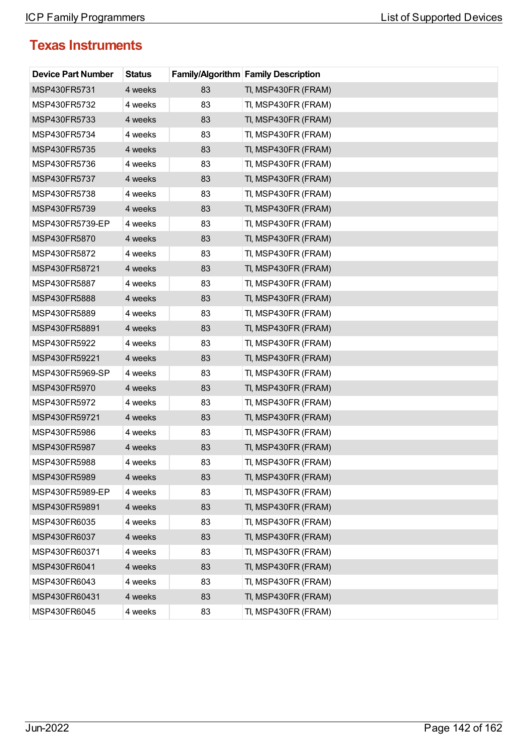| <b>Device Part Number</b> | <b>Status</b> |    | <b>Family/Algorithm Family Description</b> |
|---------------------------|---------------|----|--------------------------------------------|
| MSP430FR5731              | 4 weeks       | 83 | TI, MSP430FR (FRAM)                        |
| MSP430FR5732              | 4 weeks       | 83 | TI, MSP430FR (FRAM)                        |
| MSP430FR5733              | 4 weeks       | 83 | TI, MSP430FR (FRAM)                        |
| MSP430FR5734              | 4 weeks       | 83 | TI, MSP430FR (FRAM)                        |
| MSP430FR5735              | 4 weeks       | 83 | TI, MSP430FR (FRAM)                        |
| MSP430FR5736              | 4 weeks       | 83 | TI, MSP430FR (FRAM)                        |
| MSP430FR5737              | 4 weeks       | 83 | TI, MSP430FR (FRAM)                        |
| MSP430FR5738              | 4 weeks       | 83 | TI, MSP430FR (FRAM)                        |
| MSP430FR5739              | 4 weeks       | 83 | TI, MSP430FR (FRAM)                        |
| MSP430FR5739-EP           | 4 weeks       | 83 | TI, MSP430FR (FRAM)                        |
| MSP430FR5870              | 4 weeks       | 83 | TI, MSP430FR (FRAM)                        |
| MSP430FR5872              | 4 weeks       | 83 | TI, MSP430FR (FRAM)                        |
| MSP430FR58721             | 4 weeks       | 83 | TI, MSP430FR (FRAM)                        |
| MSP430FR5887              | 4 weeks       | 83 | TI, MSP430FR (FRAM)                        |
| MSP430FR5888              | 4 weeks       | 83 | TI, MSP430FR (FRAM)                        |
| MSP430FR5889              | 4 weeks       | 83 | TI, MSP430FR (FRAM)                        |
| MSP430FR58891             | 4 weeks       | 83 | TI, MSP430FR (FRAM)                        |
| MSP430FR5922              | 4 weeks       | 83 | TI, MSP430FR (FRAM)                        |
| MSP430FR59221             | 4 weeks       | 83 | TI, MSP430FR (FRAM)                        |
| MSP430FR5969-SP           | 4 weeks       | 83 | TI, MSP430FR (FRAM)                        |
| MSP430FR5970              | 4 weeks       | 83 | TI, MSP430FR (FRAM)                        |
| MSP430FR5972              | 4 weeks       | 83 | TI, MSP430FR (FRAM)                        |
| MSP430FR59721             | 4 weeks       | 83 | TI, MSP430FR (FRAM)                        |
| MSP430FR5986              | 4 weeks       | 83 | TI, MSP430FR (FRAM)                        |
| MSP430FR5987              | 4 weeks       | 83 | TI, MSP430FR (FRAM)                        |
| MSP430FR5988              | 4 weeks       | 83 | TI, MSP430FR (FRAM)                        |
| MSP430FR5989              | 4 weeks       | 83 | TI, MSP430FR (FRAM)                        |
| MSP430FR5989-EP           | 4 weeks       | 83 | TI, MSP430FR (FRAM)                        |
| MSP430FR59891             | 4 weeks       | 83 | TI, MSP430FR (FRAM)                        |
| MSP430FR6035              | 4 weeks       | 83 | TI, MSP430FR (FRAM)                        |
| MSP430FR6037              | 4 weeks       | 83 | TI, MSP430FR (FRAM)                        |
| MSP430FR60371             | 4 weeks       | 83 | TI, MSP430FR (FRAM)                        |
| MSP430FR6041              | 4 weeks       | 83 | TI, MSP430FR (FRAM)                        |
| MSP430FR6043              | 4 weeks       | 83 | TI, MSP430FR (FRAM)                        |
| MSP430FR60431             | 4 weeks       | 83 | TI, MSP430FR (FRAM)                        |
| MSP430FR6045              | 4 weeks       | 83 | TI, MSP430FR (FRAM)                        |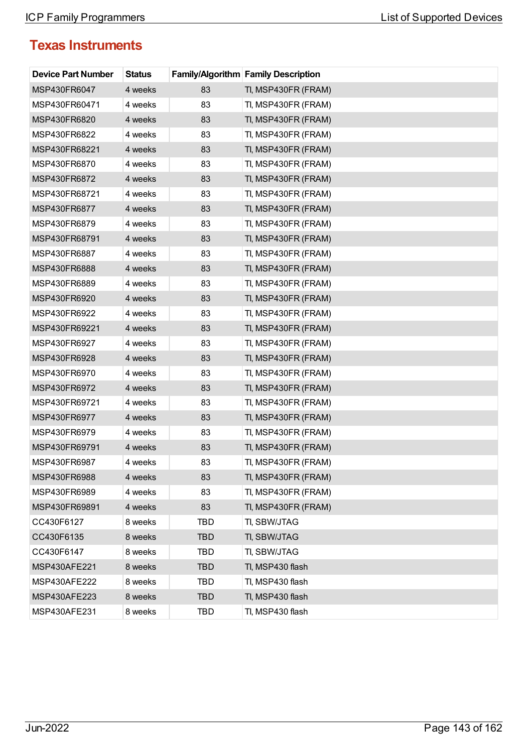| <b>Device Part Number</b> | <b>Status</b> |            | <b>Family/Algorithm Family Description</b> |
|---------------------------|---------------|------------|--------------------------------------------|
| MSP430FR6047              | 4 weeks       | 83         | TI, MSP430FR (FRAM)                        |
| MSP430FR60471             | 4 weeks       | 83         | TI, MSP430FR (FRAM)                        |
| MSP430FR6820              | 4 weeks       | 83         | TI, MSP430FR (FRAM)                        |
| MSP430FR6822              | 4 weeks       | 83         | TI, MSP430FR (FRAM)                        |
| MSP430FR68221             | 4 weeks       | 83         | TI, MSP430FR (FRAM)                        |
| MSP430FR6870              | 4 weeks       | 83         | TI, MSP430FR (FRAM)                        |
| MSP430FR6872              | 4 weeks       | 83         | TI, MSP430FR (FRAM)                        |
| MSP430FR68721             | 4 weeks       | 83         | TI, MSP430FR (FRAM)                        |
| MSP430FR6877              | 4 weeks       | 83         | TI, MSP430FR (FRAM)                        |
| MSP430FR6879              | 4 weeks       | 83         | TI, MSP430FR (FRAM)                        |
| MSP430FR68791             | 4 weeks       | 83         | TI, MSP430FR (FRAM)                        |
| MSP430FR6887              | 4 weeks       | 83         | TI, MSP430FR (FRAM)                        |
| MSP430FR6888              | 4 weeks       | 83         | TI, MSP430FR (FRAM)                        |
| MSP430FR6889              | 4 weeks       | 83         | TI, MSP430FR (FRAM)                        |
| MSP430FR6920              | 4 weeks       | 83         | TI, MSP430FR (FRAM)                        |
| MSP430FR6922              | 4 weeks       | 83         | TI, MSP430FR (FRAM)                        |
| MSP430FR69221             | 4 weeks       | 83         | TI, MSP430FR (FRAM)                        |
| MSP430FR6927              | 4 weeks       | 83         | TI, MSP430FR (FRAM)                        |
| MSP430FR6928              | 4 weeks       | 83         | TI, MSP430FR (FRAM)                        |
| MSP430FR6970              | 4 weeks       | 83         | TI, MSP430FR (FRAM)                        |
| MSP430FR6972              | 4 weeks       | 83         | TI, MSP430FR (FRAM)                        |
| MSP430FR69721             | 4 weeks       | 83         | TI, MSP430FR (FRAM)                        |
| MSP430FR6977              | 4 weeks       | 83         | TI, MSP430FR (FRAM)                        |
| MSP430FR6979              | 4 weeks       | 83         | TI, MSP430FR (FRAM)                        |
| MSP430FR69791             | 4 weeks       | 83         | TI, MSP430FR (FRAM)                        |
| MSP430FR6987              | 4 weeks       | 83         | TI, MSP430FR (FRAM)                        |
| MSP430FR6988              | 4 weeks       | 83         | TI, MSP430FR (FRAM)                        |
| MSP430FR6989              | 4 weeks       | 83         | TI, MSP430FR (FRAM)                        |
| MSP430FR69891             | 4 weeks       | 83         | TI, MSP430FR (FRAM)                        |
| CC430F6127                | 8 weeks       | TBD        | TI, SBW/JTAG                               |
| CC430F6135                | 8 weeks       | <b>TBD</b> | TI, SBW/JTAG                               |
| CC430F6147                | 8 weeks       | <b>TBD</b> | TI, SBW/JTAG                               |
| MSP430AFE221              | 8 weeks       | <b>TBD</b> | TI, MSP430 flash                           |
| MSP430AFE222              | 8 weeks       | <b>TBD</b> | TI, MSP430 flash                           |
| MSP430AFE223              | 8 weeks       | <b>TBD</b> | TI, MSP430 flash                           |
| MSP430AFE231              | 8 weeks       | TBD        | TI, MSP430 flash                           |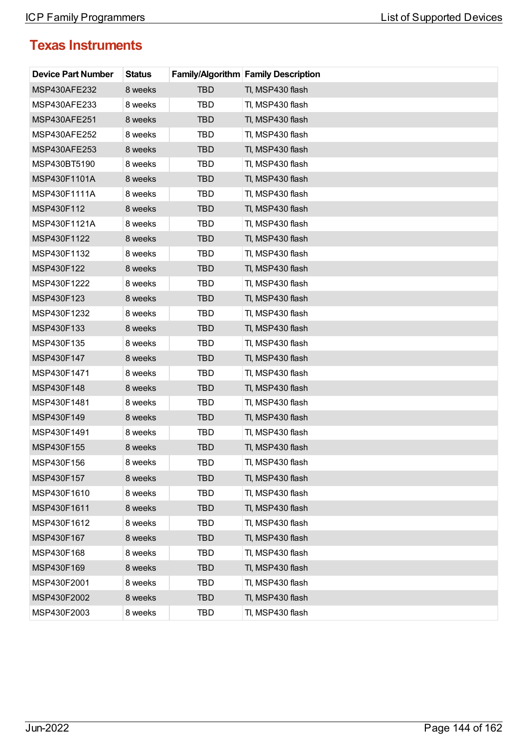| <b>Device Part Number</b> | <b>Status</b> |            | <b>Family/Algorithm Family Description</b> |
|---------------------------|---------------|------------|--------------------------------------------|
| <b>MSP430AFE232</b>       | 8 weeks       | <b>TBD</b> | TI, MSP430 flash                           |
| MSP430AFE233              | 8 weeks       | TBD        | TI, MSP430 flash                           |
| MSP430AFE251              | 8 weeks       | <b>TBD</b> | TI, MSP430 flash                           |
| MSP430AFE252              | 8 weeks       | TBD        | TI, MSP430 flash                           |
| MSP430AFE253              | 8 weeks       | <b>TBD</b> | TI, MSP430 flash                           |
| MSP430BT5190              | 8 weeks       | TBD        | TI, MSP430 flash                           |
| MSP430F1101A              | 8 weeks       | <b>TBD</b> | TI, MSP430 flash                           |
| MSP430F1111A              | 8 weeks       | TBD        | TI, MSP430 flash                           |
| MSP430F112                | 8 weeks       | <b>TBD</b> | TI, MSP430 flash                           |
| MSP430F1121A              | 8 weeks       | TBD        | TI, MSP430 flash                           |
| MSP430F1122               | 8 weeks       | <b>TBD</b> | TI, MSP430 flash                           |
| MSP430F1132               | 8 weeks       | TBD        | TI, MSP430 flash                           |
| MSP430F122                | 8 weeks       | <b>TBD</b> | TI, MSP430 flash                           |
| MSP430F1222               | 8 weeks       | <b>TBD</b> | TI, MSP430 flash                           |
| MSP430F123                | 8 weeks       | <b>TBD</b> | TI, MSP430 flash                           |
| MSP430F1232               | 8 weeks       | TBD        | TI, MSP430 flash                           |
| MSP430F133                | 8 weeks       | <b>TBD</b> | TI, MSP430 flash                           |
| MSP430F135                | 8 weeks       | TBD        | TI, MSP430 flash                           |
| MSP430F147                | 8 weeks       | <b>TBD</b> | TI, MSP430 flash                           |
| MSP430F1471               | 8 weeks       | TBD        | TI, MSP430 flash                           |
| MSP430F148                | 8 weeks       | <b>TBD</b> | TI, MSP430 flash                           |
| MSP430F1481               | 8 weeks       | TBD        | TI, MSP430 flash                           |
| MSP430F149                | 8 weeks       | <b>TBD</b> | TI, MSP430 flash                           |
| MSP430F1491               | 8 weeks       | TBD        | TI, MSP430 flash                           |
| MSP430F155                | 8 weeks       | <b>TBD</b> | TI, MSP430 flash                           |
| MSP430F156                | 8 weeks       | TBD        | TI, MSP430 flash                           |
| MSP430F157                | 8 weeks       | <b>TBD</b> | TI, MSP430 flash                           |
| MSP430F1610               | 8 weeks       | TBD        | TI, MSP430 flash                           |
| MSP430F1611               | 8 weeks       | <b>TBD</b> | TI, MSP430 flash                           |
| MSP430F1612               | 8 weeks       | TBD        | TI, MSP430 flash                           |
| MSP430F167                | 8 weeks       | <b>TBD</b> | TI, MSP430 flash                           |
| MSP430F168                | 8 weeks       | TBD        | TI, MSP430 flash                           |
| MSP430F169                | 8 weeks       | <b>TBD</b> | TI, MSP430 flash                           |
| MSP430F2001               | 8 weeks       | TBD        | TI, MSP430 flash                           |
| MSP430F2002               | 8 weeks       | <b>TBD</b> | TI, MSP430 flash                           |
| MSP430F2003               | 8 weeks       | TBD        | TI, MSP430 flash                           |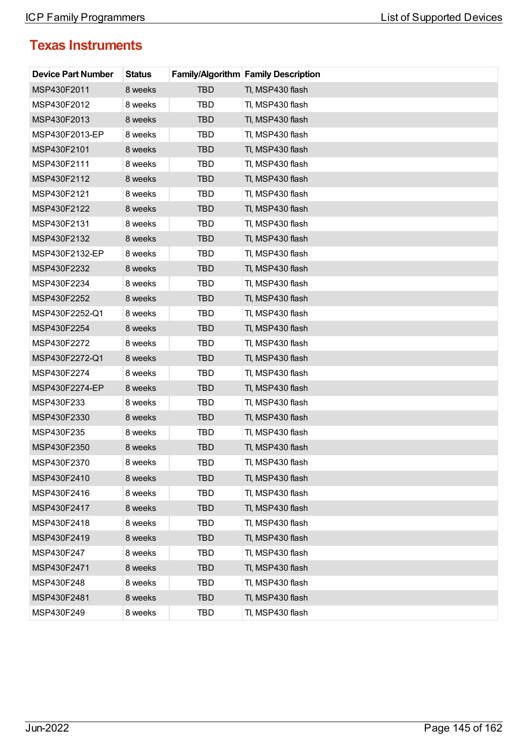| <b>Device Part Number</b> | <b>Status</b> |            | <b>Family/Algorithm Family Description</b> |
|---------------------------|---------------|------------|--------------------------------------------|
| MSP430F2011               | 8 weeks       | TBD        | TI, MSP430 flash                           |
| MSP430F2012               | 8 weeks       | <b>TBD</b> | TI, MSP430 flash                           |
| MSP430F2013               | 8 weeks       | <b>TBD</b> | TI, MSP430 flash                           |
| MSP430F2013-EP            | 8 weeks       | TBD        | TI, MSP430 flash                           |
| MSP430F2101               | 8 weeks       | <b>TBD</b> | TI, MSP430 flash                           |
| MSP430F2111               | 8 weeks       | TBD        | TI, MSP430 flash                           |
| MSP430F2112               | 8 weeks       | <b>TBD</b> | TI, MSP430 flash                           |
| MSP430F2121               | 8 weeks       | TBD        | TI, MSP430 flash                           |
| MSP430F2122               | 8 weeks       | <b>TBD</b> | TI, MSP430 flash                           |
| MSP430F2131               | 8 weeks       | TBD        | TI, MSP430 flash                           |
| MSP430F2132               | 8 weeks       | <b>TBD</b> | TI, MSP430 flash                           |
| MSP430F2132-EP            | 8 weeks       | <b>TBD</b> | TI, MSP430 flash                           |
| MSP430F2232               | 8 weeks       | <b>TBD</b> | TI, MSP430 flash                           |
| MSP430F2234               | 8 weeks       | TBD        | TI, MSP430 flash                           |
| MSP430F2252               | 8 weeks       | <b>TBD</b> | TI, MSP430 flash                           |
| MSP430F2252-Q1            | 8 weeks       | TBD        | TI, MSP430 flash                           |
| MSP430F2254               | 8 weeks       | <b>TBD</b> | TI, MSP430 flash                           |
| MSP430F2272               | 8 weeks       | <b>TBD</b> | TI, MSP430 flash                           |
| MSP430F2272-Q1            | 8 weeks       | <b>TBD</b> | TI, MSP430 flash                           |
| MSP430F2274               | 8 weeks       | TBD        | TI, MSP430 flash                           |
| MSP430F2274-EP            | 8 weeks       | <b>TBD</b> | TI, MSP430 flash                           |
| MSP430F233                | 8 weeks       | TBD        | TI, MSP430 flash                           |
| MSP430F2330               | 8 weeks       | <b>TBD</b> | TI, MSP430 flash                           |
| MSP430F235                | 8 weeks       | TBD        | TI, MSP430 flash                           |
| MSP430F2350               | 8 weeks       | <b>TBD</b> | TI, MSP430 flash                           |
| MSP430F2370               | 8 weeks       | TBD        | TI, MSP430 flash                           |
| MSP430F2410               | 8 weeks       | <b>TBD</b> | TI, MSP430 flash                           |
| MSP430F2416               | 8 weeks       | TBD        | TI, MSP430 flash                           |
| MSP430F2417               | 8 weeks       | <b>TBD</b> | TI, MSP430 flash                           |
| MSP430F2418               | 8 weeks       | <b>TBD</b> | TI, MSP430 flash                           |
| MSP430F2419               | 8 weeks       | <b>TBD</b> | TI, MSP430 flash                           |
| MSP430F247                | 8 weeks       | TBD        | Tl, MSP430 flash                           |
| MSP430F2471               | 8 weeks       | <b>TBD</b> | TI, MSP430 flash                           |
| MSP430F248                | 8 weeks       | TBD        | TI, MSP430 flash                           |
| MSP430F2481               | 8 weeks       | <b>TBD</b> | TI, MSP430 flash                           |
| MSP430F249                | 8 weeks       | TBD        | TI, MSP430 flash                           |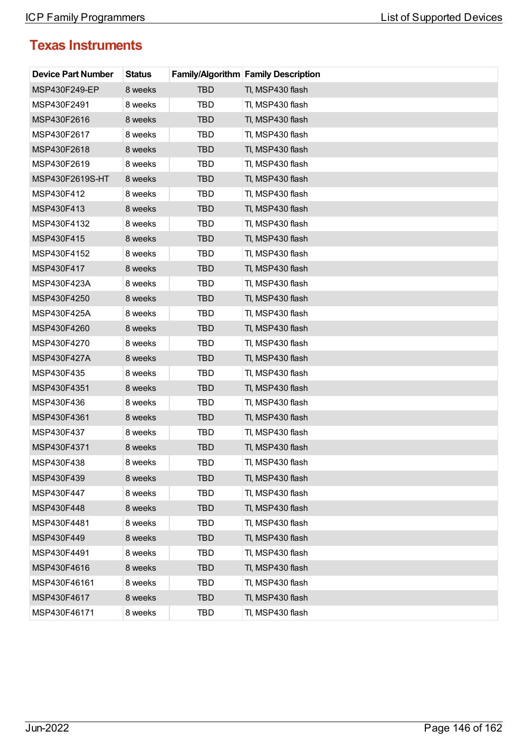| <b>Device Part Number</b> | <b>Status</b> |            | <b>Family/Algorithm Family Description</b> |
|---------------------------|---------------|------------|--------------------------------------------|
| MSP430F249-EP             | 8 weeks       | <b>TBD</b> | TI, MSP430 flash                           |
| MSP430F2491               | 8 weeks       | TBD        | TI, MSP430 flash                           |
| MSP430F2616               | 8 weeks       | <b>TBD</b> | TI, MSP430 flash                           |
| MSP430F2617               | 8 weeks       | TBD        | TI, MSP430 flash                           |
| MSP430F2618               | 8 weeks       | <b>TBD</b> | TI, MSP430 flash                           |
| MSP430F2619               | 8 weeks       | TBD        | TI, MSP430 flash                           |
| MSP430F2619S-HT           | 8 weeks       | <b>TBD</b> | TI, MSP430 flash                           |
| MSP430F412                | 8 weeks       | TBD        | TI, MSP430 flash                           |
| MSP430F413                | 8 weeks       | <b>TBD</b> | TI, MSP430 flash                           |
| MSP430F4132               | 8 weeks       | TBD        | TI, MSP430 flash                           |
| MSP430F415                | 8 weeks       | <b>TBD</b> | TI, MSP430 flash                           |
| MSP430F4152               | 8 weeks       | TBD        | TI, MSP430 flash                           |
| MSP430F417                | 8 weeks       | <b>TBD</b> | TI, MSP430 flash                           |
| MSP430F423A               | 8 weeks       | <b>TBD</b> | TI, MSP430 flash                           |
| MSP430F4250               | 8 weeks       | <b>TBD</b> | TI, MSP430 flash                           |
| MSP430F425A               | 8 weeks       | TBD        | TI, MSP430 flash                           |
| MSP430F4260               | 8 weeks       | <b>TBD</b> | TI, MSP430 flash                           |
| MSP430F4270               | 8 weeks       | TBD        | TI, MSP430 flash                           |
| MSP430F427A               | 8 weeks       | <b>TBD</b> | TI, MSP430 flash                           |
| MSP430F435                | 8 weeks       | TBD        | TI, MSP430 flash                           |
| MSP430F4351               | 8 weeks       | <b>TBD</b> | TI, MSP430 flash                           |
| MSP430F436                | 8 weeks       | TBD        | TI, MSP430 flash                           |
| MSP430F4361               | 8 weeks       | <b>TBD</b> | TI, MSP430 flash                           |
| MSP430F437                | 8 weeks       | TBD        | TI, MSP430 flash                           |
| MSP430F4371               | 8 weeks       | <b>TBD</b> | TI, MSP430 flash                           |
| MSP430F438                | 8 weeks       | TBD        | TI, MSP430 flash                           |
| MSP430F439                | 8 weeks       | <b>TBD</b> | TI, MSP430 flash                           |
| MSP430F447                | 8 weeks       | TBD        | TI, MSP430 flash                           |
| MSP430F448                | 8 weeks       | <b>TBD</b> | TI, MSP430 flash                           |
| MSP430F4481               | 8 weeks       | TBD        | TI, MSP430 flash                           |
| MSP430F449                | 8 weeks       | <b>TBD</b> | TI, MSP430 flash                           |
| MSP430F4491               | 8 weeks       | TBD        | TI, MSP430 flash                           |
| MSP430F4616               | 8 weeks       | <b>TBD</b> | TI, MSP430 flash                           |
| MSP430F46161              | 8 weeks       | TBD        | TI, MSP430 flash                           |
| MSP430F4617               | 8 weeks       | <b>TBD</b> | TI, MSP430 flash                           |
| MSP430F46171              | 8 weeks       | TBD        | TI, MSP430 flash                           |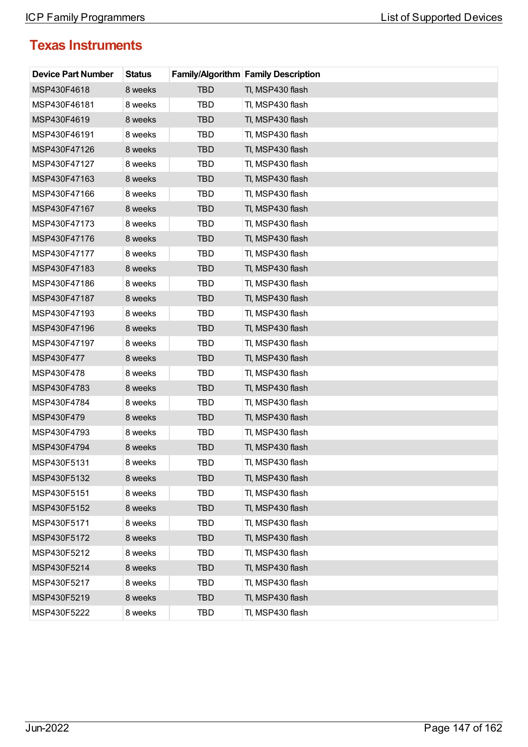| <b>Device Part Number</b> | <b>Status</b> |            | <b>Family/Algorithm Family Description</b> |
|---------------------------|---------------|------------|--------------------------------------------|
| MSP430F4618               | 8 weeks       | <b>TBD</b> | TI, MSP430 flash                           |
| MSP430F46181              | 8 weeks       | <b>TBD</b> | TI, MSP430 flash                           |
| MSP430F4619               | 8 weeks       | <b>TBD</b> | TI, MSP430 flash                           |
| MSP430F46191              | 8 weeks       | TBD        | TI, MSP430 flash                           |
| MSP430F47126              | 8 weeks       | <b>TBD</b> | TI, MSP430 flash                           |
| MSP430F47127              | 8 weeks       | TBD        | TI, MSP430 flash                           |
| MSP430F47163              | 8 weeks       | <b>TBD</b> | TI, MSP430 flash                           |
| MSP430F47166              | 8 weeks       | <b>TBD</b> | TI, MSP430 flash                           |
| MSP430F47167              | 8 weeks       | <b>TBD</b> | TI, MSP430 flash                           |
| MSP430F47173              | 8 weeks       | TBD        | TI, MSP430 flash                           |
| MSP430F47176              | 8 weeks       | <b>TBD</b> | TI, MSP430 flash                           |
| MSP430F47177              | 8 weeks       | TBD        | TI, MSP430 flash                           |
| MSP430F47183              | 8 weeks       | <b>TBD</b> | TI, MSP430 flash                           |
| MSP430F47186              | 8 weeks       | TBD        | TI, MSP430 flash                           |
| MSP430F47187              | 8 weeks       | <b>TBD</b> | TI, MSP430 flash                           |
| MSP430F47193              | 8 weeks       | TBD        | TI, MSP430 flash                           |
| MSP430F47196              | 8 weeks       | <b>TBD</b> | TI, MSP430 flash                           |
| MSP430F47197              | 8 weeks       | <b>TBD</b> | TI, MSP430 flash                           |
| MSP430F477                | 8 weeks       | <b>TBD</b> | TI, MSP430 flash                           |
| MSP430F478                | 8 weeks       | TBD        | TI, MSP430 flash                           |
| MSP430F4783               | 8 weeks       | <b>TBD</b> | TI, MSP430 flash                           |
| MSP430F4784               | 8 weeks       | TBD        | TI, MSP430 flash                           |
| MSP430F479                | 8 weeks       | <b>TBD</b> | TI, MSP430 flash                           |
| MSP430F4793               | 8 weeks       | TBD        | TI, MSP430 flash                           |
| MSP430F4794               | 8 weeks       | <b>TBD</b> | TI, MSP430 flash                           |
| MSP430F5131               | 8 weeks       | TBD        | TI, MSP430 flash                           |
| MSP430F5132               | 8 weeks       | <b>TBD</b> | TI, MSP430 flash                           |
| MSP430F5151               | 8 weeks       | TBD        | TI, MSP430 flash                           |
| MSP430F5152               | 8 weeks       | <b>TBD</b> | TI, MSP430 flash                           |
| MSP430F5171               | 8 weeks       | TBD        | TI, MSP430 flash                           |
| MSP430F5172               | 8 weeks       | <b>TBD</b> | TI, MSP430 flash                           |
| MSP430F5212               | 8 weeks       | TBD        | TI, MSP430 flash                           |
| MSP430F5214               | 8 weeks       | <b>TBD</b> | TI, MSP430 flash                           |
| MSP430F5217               | 8 weeks       | TBD        | TI, MSP430 flash                           |
| MSP430F5219               | 8 weeks       | <b>TBD</b> | TI, MSP430 flash                           |
| MSP430F5222               | 8 weeks       | TBD        | TI, MSP430 flash                           |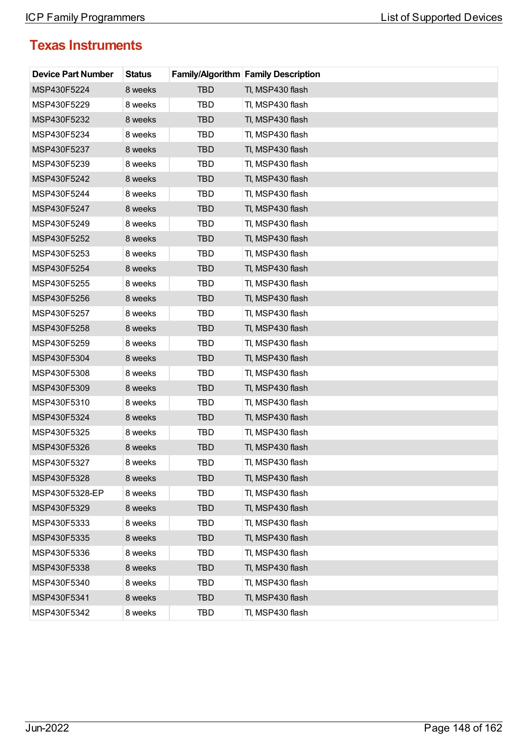| <b>Device Part Number</b> | <b>Status</b> |            | <b>Family/Algorithm Family Description</b> |
|---------------------------|---------------|------------|--------------------------------------------|
| MSP430F5224               | 8 weeks       | TBD        | TI, MSP430 flash                           |
| MSP430F5229               | 8 weeks       | <b>TBD</b> | TI, MSP430 flash                           |
| MSP430F5232               | 8 weeks       | <b>TBD</b> | TI, MSP430 flash                           |
| MSP430F5234               | 8 weeks       | TBD        | TI, MSP430 flash                           |
| MSP430F5237               | 8 weeks       | <b>TBD</b> | TI, MSP430 flash                           |
| MSP430F5239               | 8 weeks       | TBD        | TI, MSP430 flash                           |
| MSP430F5242               | 8 weeks       | <b>TBD</b> | TI, MSP430 flash                           |
| MSP430F5244               | 8 weeks       | TBD        | TI, MSP430 flash                           |
| MSP430F5247               | 8 weeks       | <b>TBD</b> | TI, MSP430 flash                           |
| MSP430F5249               | 8 weeks       | TBD        | TI, MSP430 flash                           |
| MSP430F5252               | 8 weeks       | <b>TBD</b> | TI, MSP430 flash                           |
| MSP430F5253               | 8 weeks       | <b>TBD</b> | TI, MSP430 flash                           |
| MSP430F5254               | 8 weeks       | <b>TBD</b> | TI, MSP430 flash                           |
| MSP430F5255               | 8 weeks       | TBD        | TI, MSP430 flash                           |
| MSP430F5256               | 8 weeks       | <b>TBD</b> | TI, MSP430 flash                           |
| MSP430F5257               | 8 weeks       | TBD        | TI, MSP430 flash                           |
| MSP430F5258               | 8 weeks       | <b>TBD</b> | TI, MSP430 flash                           |
| MSP430F5259               | 8 weeks       | <b>TBD</b> | TI, MSP430 flash                           |
| MSP430F5304               | 8 weeks       | <b>TBD</b> | TI, MSP430 flash                           |
| MSP430F5308               | 8 weeks       | TBD        | TI, MSP430 flash                           |
| MSP430F5309               | 8 weeks       | <b>TBD</b> | TI, MSP430 flash                           |
| MSP430F5310               | 8 weeks       | TBD        | TI, MSP430 flash                           |
| MSP430F5324               | 8 weeks       | <b>TBD</b> | TI, MSP430 flash                           |
| MSP430F5325               | 8 weeks       | TBD        | TI, MSP430 flash                           |
| MSP430F5326               | 8 weeks       | <b>TBD</b> | TI, MSP430 flash                           |
| MSP430F5327               | 8 weeks       | TBD        | TI, MSP430 flash                           |
| MSP430F5328               | 8 weeks       | <b>TBD</b> | TI, MSP430 flash                           |
| MSP430F5328-EP            | 8 weeks       | TBD        | TI, MSP430 flash                           |
| MSP430F5329               | 8 weeks       | <b>TBD</b> | TI, MSP430 flash                           |
| MSP430F5333               | 8 weeks       | <b>TBD</b> | TI, MSP430 flash                           |
| MSP430F5335               | 8 weeks       | <b>TBD</b> | TI, MSP430 flash                           |
| MSP430F5336               | 8 weeks       | TBD        | Tl, MSP430 flash                           |
| MSP430F5338               | 8 weeks       | <b>TBD</b> | TI, MSP430 flash                           |
| MSP430F5340               | 8 weeks       | TBD        | TI, MSP430 flash                           |
| MSP430F5341               | 8 weeks       | <b>TBD</b> | TI, MSP430 flash                           |
| MSP430F5342               | 8 weeks       | TBD        | TI, MSP430 flash                           |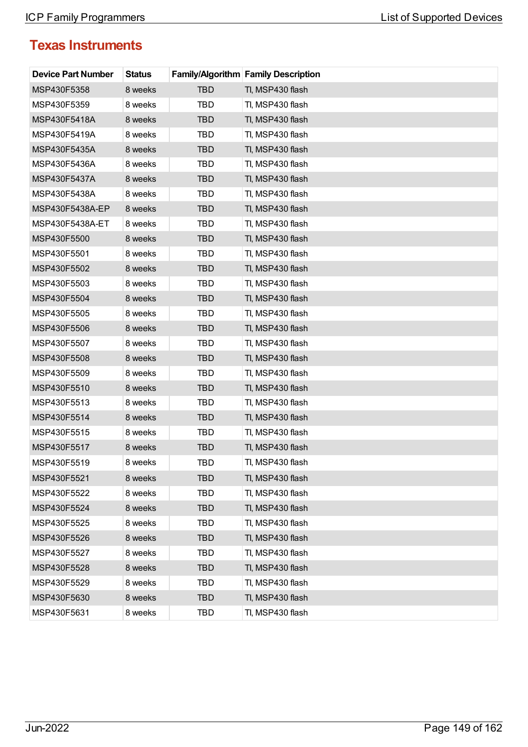| <b>Device Part Number</b> | <b>Status</b> |            | <b>Family/Algorithm Family Description</b> |
|---------------------------|---------------|------------|--------------------------------------------|
| MSP430F5358               | 8 weeks       | <b>TBD</b> | TI, MSP430 flash                           |
| MSP430F5359               | 8 weeks       | TBD        | TI, MSP430 flash                           |
| MSP430F5418A              | 8 weeks       | <b>TBD</b> | TI, MSP430 flash                           |
| MSP430F5419A              | 8 weeks       | TBD        | TI, MSP430 flash                           |
| MSP430F5435A              | 8 weeks       | <b>TBD</b> | TI, MSP430 flash                           |
| MSP430F5436A              | 8 weeks       | TBD        | TI, MSP430 flash                           |
| MSP430F5437A              | 8 weeks       | <b>TBD</b> | TI, MSP430 flash                           |
| MSP430F5438A              | 8 weeks       | TBD        | TI, MSP430 flash                           |
| MSP430F5438A-EP           | 8 weeks       | <b>TBD</b> | TI, MSP430 flash                           |
| MSP430F5438A-ET           | 8 weeks       | TBD        | TI, MSP430 flash                           |
| MSP430F5500               | 8 weeks       | <b>TBD</b> | TI, MSP430 flash                           |
| MSP430F5501               | 8 weeks       | TBD        | TI, MSP430 flash                           |
| MSP430F5502               | 8 weeks       | <b>TBD</b> | TI, MSP430 flash                           |
| MSP430F5503               | 8 weeks       | <b>TBD</b> | TI, MSP430 flash                           |
| MSP430F5504               | 8 weeks       | <b>TBD</b> | TI, MSP430 flash                           |
| MSP430F5505               | 8 weeks       | TBD        | TI, MSP430 flash                           |
| MSP430F5506               | 8 weeks       | <b>TBD</b> | TI, MSP430 flash                           |
| MSP430F5507               | 8 weeks       | TBD        | TI, MSP430 flash                           |
| MSP430F5508               | 8 weeks       | <b>TBD</b> | TI, MSP430 flash                           |
| MSP430F5509               | 8 weeks       | TBD        | TI, MSP430 flash                           |
| MSP430F5510               | 8 weeks       | <b>TBD</b> | TI, MSP430 flash                           |
| MSP430F5513               | 8 weeks       | TBD        | TI, MSP430 flash                           |
| MSP430F5514               | 8 weeks       | <b>TBD</b> | TI, MSP430 flash                           |
| MSP430F5515               | 8 weeks       | TBD        | TI, MSP430 flash                           |
| MSP430F5517               | 8 weeks       | <b>TBD</b> | TI, MSP430 flash                           |
| MSP430F5519               | 8 weeks       | TBD        | TI, MSP430 flash                           |
| MSP430F5521               | 8 weeks       | <b>TBD</b> | TI, MSP430 flash                           |
| MSP430F5522               | 8 weeks       | TBD        | TI, MSP430 flash                           |
| MSP430F5524               | 8 weeks       | <b>TBD</b> | TI, MSP430 flash                           |
| MSP430F5525               | 8 weeks       | TBD        | TI, MSP430 flash                           |
| MSP430F5526               | 8 weeks       | <b>TBD</b> | TI, MSP430 flash                           |
| MSP430F5527               | 8 weeks       | TBD        | TI, MSP430 flash                           |
| MSP430F5528               | 8 weeks       | <b>TBD</b> | TI, MSP430 flash                           |
| MSP430F5529               | 8 weeks       | TBD        | TI, MSP430 flash                           |
| MSP430F5630               | 8 weeks       | <b>TBD</b> | TI, MSP430 flash                           |
| MSP430F5631               | 8 weeks       | TBD        | TI, MSP430 flash                           |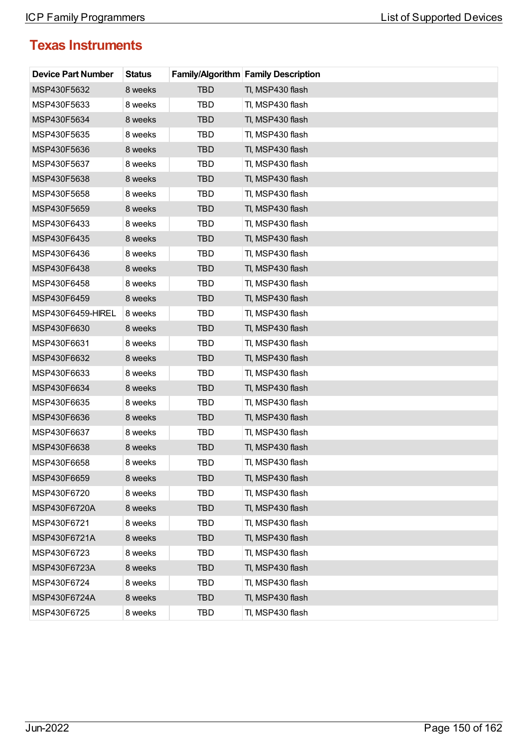| <b>Device Part Number</b> | <b>Status</b> |            | <b>Family/Algorithm Family Description</b> |
|---------------------------|---------------|------------|--------------------------------------------|
| MSP430F5632               | 8 weeks       | TBD        | TI, MSP430 flash                           |
| MSP430F5633               | 8 weeks       | <b>TBD</b> | TI, MSP430 flash                           |
| MSP430F5634               | 8 weeks       | <b>TBD</b> | TI, MSP430 flash                           |
| MSP430F5635               | 8 weeks       | TBD        | TI, MSP430 flash                           |
| MSP430F5636               | 8 weeks       | <b>TBD</b> | TI, MSP430 flash                           |
| MSP430F5637               | 8 weeks       | TBD        | TI, MSP430 flash                           |
| MSP430F5638               | 8 weeks       | <b>TBD</b> | TI, MSP430 flash                           |
| MSP430F5658               | 8 weeks       | TBD        | TI, MSP430 flash                           |
| MSP430F5659               | 8 weeks       | <b>TBD</b> | TI, MSP430 flash                           |
| MSP430F6433               | 8 weeks       | TBD        | TI, MSP430 flash                           |
| MSP430F6435               | 8 weeks       | <b>TBD</b> | TI, MSP430 flash                           |
| MSP430F6436               | 8 weeks       | <b>TBD</b> | TI, MSP430 flash                           |
| MSP430F6438               | 8 weeks       | <b>TBD</b> | TI, MSP430 flash                           |
| MSP430F6458               | 8 weeks       | TBD        | TI, MSP430 flash                           |
| MSP430F6459               | 8 weeks       | <b>TBD</b> | TI, MSP430 flash                           |
| MSP430F6459-HIREL         | 8 weeks       | TBD        | TI, MSP430 flash                           |
| MSP430F6630               | 8 weeks       | <b>TBD</b> | TI, MSP430 flash                           |
| MSP430F6631               | 8 weeks       | <b>TBD</b> | TI, MSP430 flash                           |
| MSP430F6632               | 8 weeks       | <b>TBD</b> | TI, MSP430 flash                           |
| MSP430F6633               | 8 weeks       | TBD        | TI, MSP430 flash                           |
| MSP430F6634               | 8 weeks       | <b>TBD</b> | TI, MSP430 flash                           |
| MSP430F6635               | 8 weeks       | TBD        | TI, MSP430 flash                           |
| MSP430F6636               | 8 weeks       | <b>TBD</b> | TI, MSP430 flash                           |
| MSP430F6637               | 8 weeks       | TBD        | TI, MSP430 flash                           |
| MSP430F6638               | 8 weeks       | <b>TBD</b> | TI, MSP430 flash                           |
| MSP430F6658               | 8 weeks       | TBD        | TI, MSP430 flash                           |
| MSP430F6659               | 8 weeks       | <b>TBD</b> | TI, MSP430 flash                           |
| MSP430F6720               | 8 weeks       | TBD        | TI, MSP430 flash                           |
| MSP430F6720A              | 8 weeks       | <b>TBD</b> | TI, MSP430 flash                           |
| MSP430F6721               | 8 weeks       | <b>TBD</b> | TI, MSP430 flash                           |
| MSP430F6721A              | 8 weeks       | <b>TBD</b> | TI, MSP430 flash                           |
| MSP430F6723               | 8 weeks       | TBD        | Tl, MSP430 flash                           |
| MSP430F6723A              | 8 weeks       | <b>TBD</b> | TI, MSP430 flash                           |
| MSP430F6724               | 8 weeks       | TBD        | TI, MSP430 flash                           |
| MSP430F6724A              | 8 weeks       | <b>TBD</b> | TI, MSP430 flash                           |
| MSP430F6725               | 8 weeks       | TBD        | TI, MSP430 flash                           |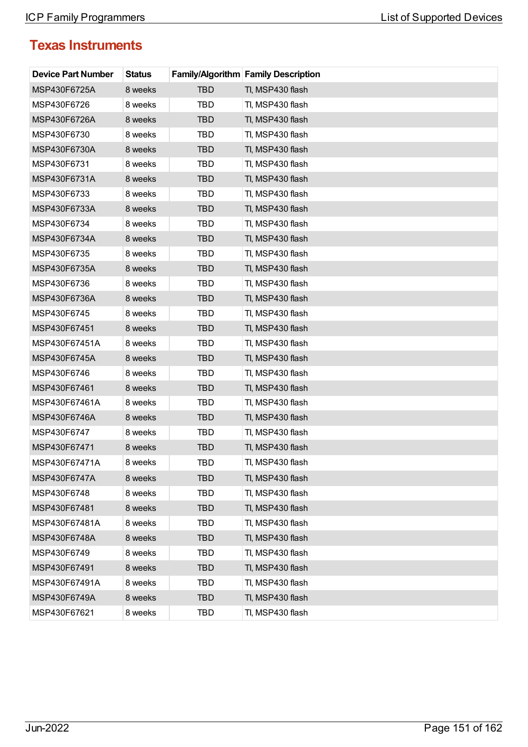| <b>Device Part Number</b> | <b>Status</b> |            | <b>Family/Algorithm Family Description</b> |
|---------------------------|---------------|------------|--------------------------------------------|
| MSP430F6725A              | 8 weeks       | <b>TBD</b> | TI, MSP430 flash                           |
| MSP430F6726               | 8 weeks       | <b>TBD</b> | TI, MSP430 flash                           |
| MSP430F6726A              | 8 weeks       | <b>TBD</b> | TI, MSP430 flash                           |
| MSP430F6730               | 8 weeks       | TBD        | TI, MSP430 flash                           |
| MSP430F6730A              | 8 weeks       | <b>TBD</b> | TI, MSP430 flash                           |
| MSP430F6731               | 8 weeks       | TBD        | TI, MSP430 flash                           |
| MSP430F6731A              | 8 weeks       | <b>TBD</b> | TI, MSP430 flash                           |
| MSP430F6733               | 8 weeks       | <b>TBD</b> | TI, MSP430 flash                           |
| MSP430F6733A              | 8 weeks       | <b>TBD</b> | TI, MSP430 flash                           |
| MSP430F6734               | 8 weeks       | TBD        | TI, MSP430 flash                           |
| MSP430F6734A              | 8 weeks       | <b>TBD</b> | TI, MSP430 flash                           |
| MSP430F6735               | 8 weeks       | TBD        | TI, MSP430 flash                           |
| MSP430F6735A              | 8 weeks       | <b>TBD</b> | TI, MSP430 flash                           |
| MSP430F6736               | 8 weeks       | TBD        | TI, MSP430 flash                           |
| MSP430F6736A              | 8 weeks       | <b>TBD</b> | TI, MSP430 flash                           |
| MSP430F6745               | 8 weeks       | TBD        | TI, MSP430 flash                           |
| MSP430F67451              | 8 weeks       | <b>TBD</b> | TI, MSP430 flash                           |
| MSP430F67451A             | 8 weeks       | <b>TBD</b> | TI, MSP430 flash                           |
| MSP430F6745A              | 8 weeks       | <b>TBD</b> | TI, MSP430 flash                           |
| MSP430F6746               | 8 weeks       | TBD        | TI, MSP430 flash                           |
| MSP430F67461              | 8 weeks       | <b>TBD</b> | TI, MSP430 flash                           |
| MSP430F67461A             | 8 weeks       | TBD        | TI, MSP430 flash                           |
| MSP430F6746A              | 8 weeks       | <b>TBD</b> | TI, MSP430 flash                           |
| MSP430F6747               | 8 weeks       | TBD        | TI, MSP430 flash                           |
| MSP430F67471              | 8 weeks       | <b>TBD</b> | TI, MSP430 flash                           |
| MSP430F67471A             | 8 weeks       | TBD        | TI, MSP430 flash                           |
| MSP430F6747A              | 8 weeks       | <b>TBD</b> | TI, MSP430 flash                           |
| MSP430F6748               | 8 weeks       | TBD        | TI, MSP430 flash                           |
| MSP430F67481              | 8 weeks       | <b>TBD</b> | TI, MSP430 flash                           |
| MSP430F67481A             | 8 weeks       | TBD        | TI, MSP430 flash                           |
| MSP430F6748A              | 8 weeks       | <b>TBD</b> | TI, MSP430 flash                           |
| MSP430F6749               | 8 weeks       | TBD        | TI, MSP430 flash                           |
| MSP430F67491              | 8 weeks       | <b>TBD</b> | TI, MSP430 flash                           |
| MSP430F67491A             | 8 weeks       | TBD        | TI, MSP430 flash                           |
| MSP430F6749A              | 8 weeks       | <b>TBD</b> | TI, MSP430 flash                           |
| MSP430F67621              | 8 weeks       | TBD        | TI, MSP430 flash                           |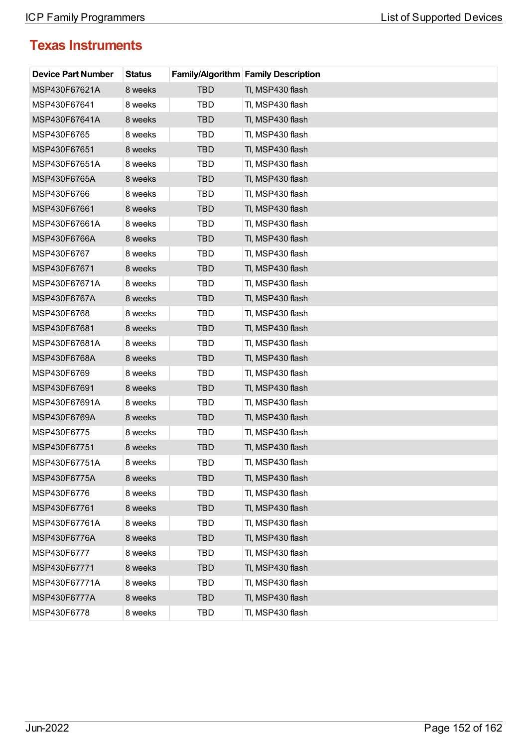| <b>Device Part Number</b> | <b>Status</b> |            | <b>Family/Algorithm Family Description</b> |
|---------------------------|---------------|------------|--------------------------------------------|
| MSP430F67621A             | 8 weeks       | <b>TBD</b> | TI, MSP430 flash                           |
| MSP430F67641              | 8 weeks       | TBD        | TI, MSP430 flash                           |
| MSP430F67641A             | 8 weeks       | <b>TBD</b> | TI, MSP430 flash                           |
| MSP430F6765               | 8 weeks       | TBD        | TI, MSP430 flash                           |
| MSP430F67651              | 8 weeks       | <b>TBD</b> | TI, MSP430 flash                           |
| MSP430F67651A             | 8 weeks       | TBD        | TI, MSP430 flash                           |
| MSP430F6765A              | 8 weeks       | <b>TBD</b> | TI, MSP430 flash                           |
| MSP430F6766               | 8 weeks       | TBD        | TI, MSP430 flash                           |
| MSP430F67661              | 8 weeks       | <b>TBD</b> | TI, MSP430 flash                           |
| MSP430F67661A             | 8 weeks       | TBD        | TI, MSP430 flash                           |
| MSP430F6766A              | 8 weeks       | <b>TBD</b> | TI, MSP430 flash                           |
| MSP430F6767               | 8 weeks       | TBD        | TI, MSP430 flash                           |
| MSP430F67671              | 8 weeks       | <b>TBD</b> | TI, MSP430 flash                           |
| MSP430F67671A             | 8 weeks       | <b>TBD</b> | TI, MSP430 flash                           |
| MSP430F6767A              | 8 weeks       | <b>TBD</b> | TI, MSP430 flash                           |
| MSP430F6768               | 8 weeks       | TBD        | TI, MSP430 flash                           |
| MSP430F67681              | 8 weeks       | <b>TBD</b> | TI, MSP430 flash                           |
| MSP430F67681A             | 8 weeks       | TBD        | TI, MSP430 flash                           |
| MSP430F6768A              | 8 weeks       | <b>TBD</b> | TI, MSP430 flash                           |
| MSP430F6769               | 8 weeks       | TBD        | TI, MSP430 flash                           |
| MSP430F67691              | 8 weeks       | <b>TBD</b> | TI, MSP430 flash                           |
| MSP430F67691A             | 8 weeks       | TBD        | TI, MSP430 flash                           |
| MSP430F6769A              | 8 weeks       | <b>TBD</b> | TI, MSP430 flash                           |
| MSP430F6775               | 8 weeks       | TBD        | TI, MSP430 flash                           |
| MSP430F67751              | 8 weeks       | <b>TBD</b> | TI, MSP430 flash                           |
| MSP430F67751A             | 8 weeks       | TBD        | TI, MSP430 flash                           |
| MSP430F6775A              | 8 weeks       | <b>TBD</b> | TI, MSP430 flash                           |
| MSP430F6776               | 8 weeks       | TBD        | TI, MSP430 flash                           |
| MSP430F67761              | 8 weeks       | <b>TBD</b> | TI, MSP430 flash                           |
| MSP430F67761A             | 8 weeks       | TBD        | TI, MSP430 flash                           |
| MSP430F6776A              | 8 weeks       | <b>TBD</b> | TI, MSP430 flash                           |
| MSP430F6777               | 8 weeks       | TBD        | TI, MSP430 flash                           |
| MSP430F67771              | 8 weeks       | <b>TBD</b> | TI, MSP430 flash                           |
| MSP430F67771A             | 8 weeks       | TBD        | TI, MSP430 flash                           |
| MSP430F6777A              | 8 weeks       | <b>TBD</b> | TI, MSP430 flash                           |
| MSP430F6778               | 8 weeks       | TBD        | TI, MSP430 flash                           |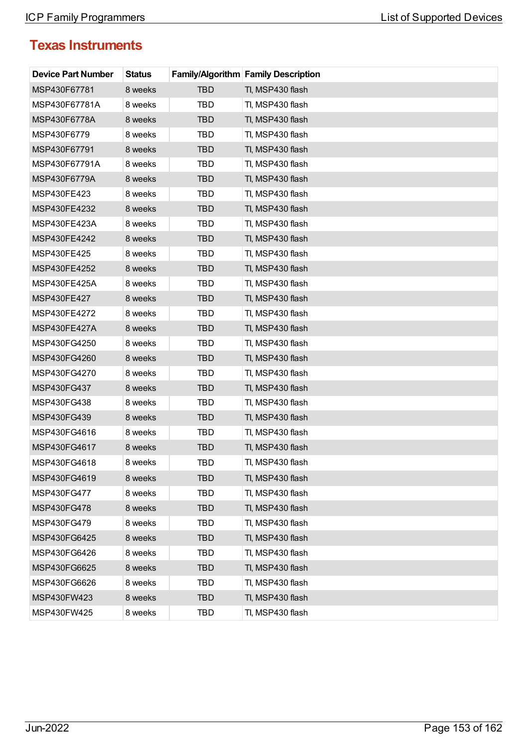| <b>Device Part Number</b> | <b>Status</b> |            | <b>Family/Algorithm Family Description</b> |
|---------------------------|---------------|------------|--------------------------------------------|
| MSP430F67781              | 8 weeks       | <b>TBD</b> | TI, MSP430 flash                           |
| MSP430F67781A             | 8 weeks       | TBD        | TI, MSP430 flash                           |
| MSP430F6778A              | 8 weeks       | <b>TBD</b> | TI, MSP430 flash                           |
| MSP430F6779               | 8 weeks       | TBD        | TI, MSP430 flash                           |
| MSP430F67791              | 8 weeks       | <b>TBD</b> | TI, MSP430 flash                           |
| MSP430F67791A             | 8 weeks       | TBD        | TI, MSP430 flash                           |
| MSP430F6779A              | 8 weeks       | <b>TBD</b> | TI, MSP430 flash                           |
| MSP430FE423               | 8 weeks       | TBD        | TI, MSP430 flash                           |
| MSP430FE4232              | 8 weeks       | <b>TBD</b> | TI, MSP430 flash                           |
| MSP430FE423A              | 8 weeks       | TBD        | TI, MSP430 flash                           |
| MSP430FE4242              | 8 weeks       | <b>TBD</b> | TI, MSP430 flash                           |
| MSP430FE425               | 8 weeks       | TBD        | TI, MSP430 flash                           |
| MSP430FE4252              | 8 weeks       | <b>TBD</b> | TI, MSP430 flash                           |
| MSP430FE425A              | 8 weeks       | <b>TBD</b> | TI, MSP430 flash                           |
| MSP430FE427               | 8 weeks       | <b>TBD</b> | TI, MSP430 flash                           |
| MSP430FE4272              | 8 weeks       | TBD        | TI, MSP430 flash                           |
| MSP430FE427A              | 8 weeks       | <b>TBD</b> | TI, MSP430 flash                           |
| MSP430FG4250              | 8 weeks       | <b>TBD</b> | TI, MSP430 flash                           |
| MSP430FG4260              | 8 weeks       | <b>TBD</b> | TI, MSP430 flash                           |
| MSP430FG4270              | 8 weeks       | TBD        | TI, MSP430 flash                           |
| MSP430FG437               | 8 weeks       | TBD        | TI, MSP430 flash                           |
| MSP430FG438               | 8 weeks       | TBD        | TI, MSP430 flash                           |
| MSP430FG439               | 8 weeks       | <b>TBD</b> | TI, MSP430 flash                           |
| MSP430FG4616              | 8 weeks       | TBD        | TI, MSP430 flash                           |
| MSP430FG4617              | 8 weeks       | <b>TBD</b> | TI, MSP430 flash                           |
| MSP430FG4618              | 8 weeks       | TBD        | TI, MSP430 flash                           |
| MSP430FG4619              | 8 weeks       | <b>TBD</b> | TI, MSP430 flash                           |
| MSP430FG477               | 8 weeks       | TBD        | TI, MSP430 flash                           |
| MSP430FG478               | 8 weeks       | <b>TBD</b> | TI, MSP430 flash                           |
| MSP430FG479               | 8 weeks       | TBD        | TI, MSP430 flash                           |
| MSP430FG6425              | 8 weeks       | <b>TBD</b> | TI, MSP430 flash                           |
| MSP430FG6426              | 8 weeks       | TBD        | TI, MSP430 flash                           |
| MSP430FG6625              | 8 weeks       | <b>TBD</b> | TI, MSP430 flash                           |
| MSP430FG6626              | 8 weeks       | TBD        | TI, MSP430 flash                           |
| MSP430FW423               | 8 weeks       | <b>TBD</b> | TI, MSP430 flash                           |
| MSP430FW425               | 8 weeks       | TBD        | TI, MSP430 flash                           |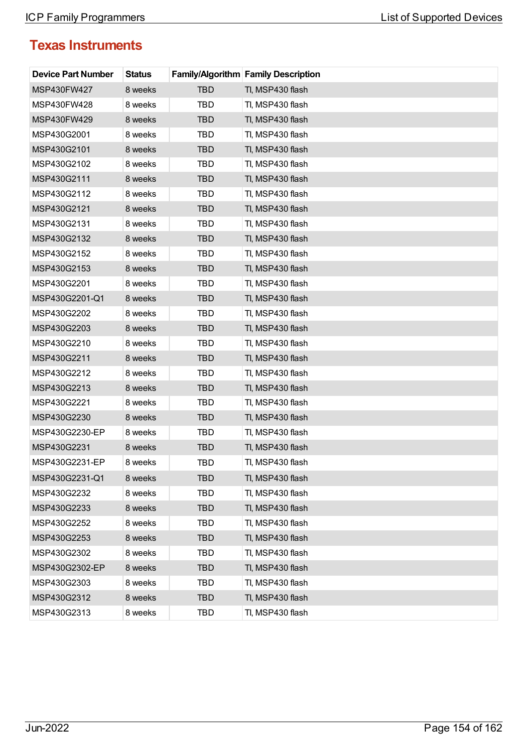| <b>Device Part Number</b> | <b>Status</b> |            | <b>Family/Algorithm Family Description</b> |
|---------------------------|---------------|------------|--------------------------------------------|
| MSP430FW427               | 8 weeks       | <b>TBD</b> | TI, MSP430 flash                           |
| MSP430FW428               | 8 weeks       | <b>TBD</b> | TI, MSP430 flash                           |
| MSP430FW429               | 8 weeks       | <b>TBD</b> | TI, MSP430 flash                           |
| MSP430G2001               | 8 weeks       | TBD        | TI, MSP430 flash                           |
| MSP430G2101               | 8 weeks       | <b>TBD</b> | TI, MSP430 flash                           |
| MSP430G2102               | 8 weeks       | TBD        | TI, MSP430 flash                           |
| MSP430G2111               | 8 weeks       | <b>TBD</b> | TI, MSP430 flash                           |
| MSP430G2112               | 8 weeks       | <b>TBD</b> | TI, MSP430 flash                           |
| MSP430G2121               | 8 weeks       | <b>TBD</b> | TI, MSP430 flash                           |
| MSP430G2131               | 8 weeks       | TBD        | TI, MSP430 flash                           |
| MSP430G2132               | 8 weeks       | <b>TBD</b> | TI, MSP430 flash                           |
| MSP430G2152               | 8 weeks       | TBD        | TI, MSP430 flash                           |
| MSP430G2153               | 8 weeks       | <b>TBD</b> | TI, MSP430 flash                           |
| MSP430G2201               | 8 weeks       | TBD        | TI, MSP430 flash                           |
| MSP430G2201-Q1            | 8 weeks       | <b>TBD</b> | TI, MSP430 flash                           |
| MSP430G2202               | 8 weeks       | TBD        | TI, MSP430 flash                           |
| MSP430G2203               | 8 weeks       | <b>TBD</b> | TI, MSP430 flash                           |
| MSP430G2210               | 8 weeks       | <b>TBD</b> | TI, MSP430 flash                           |
| MSP430G2211               | 8 weeks       | <b>TBD</b> | TI, MSP430 flash                           |
| MSP430G2212               | 8 weeks       | TBD        | TI, MSP430 flash                           |
| MSP430G2213               | 8 weeks       | <b>TBD</b> | TI, MSP430 flash                           |
| MSP430G2221               | 8 weeks       | TBD        | TI, MSP430 flash                           |
| MSP430G2230               | 8 weeks       | <b>TBD</b> | TI, MSP430 flash                           |
| MSP430G2230-EP            | 8 weeks       | TBD        | TI, MSP430 flash                           |
| MSP430G2231               | 8 weeks       | <b>TBD</b> | TI, MSP430 flash                           |
| MSP430G2231-EP            | 8 weeks       | TBD        | TI, MSP430 flash                           |
| MSP430G2231-Q1            | 8 weeks       | <b>TBD</b> | TI, MSP430 flash                           |
| MSP430G2232               | 8 weeks       | TBD        | TI, MSP430 flash                           |
| MSP430G2233               | 8 weeks       | <b>TBD</b> | TI, MSP430 flash                           |
| MSP430G2252               | 8 weeks       | TBD        | TI, MSP430 flash                           |
| MSP430G2253               | 8 weeks       | <b>TBD</b> | TI, MSP430 flash                           |
| MSP430G2302               | 8 weeks       | TBD        | TI, MSP430 flash                           |
| MSP430G2302-EP            | 8 weeks       | <b>TBD</b> | TI, MSP430 flash                           |
| MSP430G2303               | 8 weeks       | TBD        | TI, MSP430 flash                           |
| MSP430G2312               | 8 weeks       | <b>TBD</b> | TI, MSP430 flash                           |
| MSP430G2313               | 8 weeks       | TBD        | TI, MSP430 flash                           |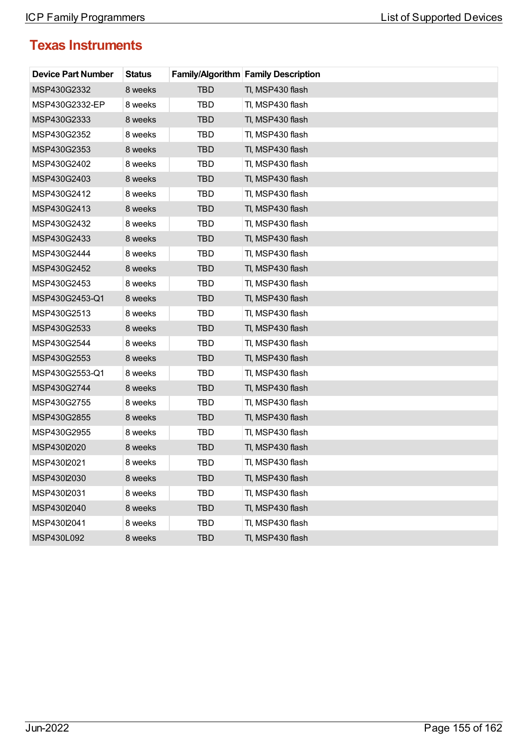| <b>Device Part Number</b> | <b>Status</b> |            | <b>Family/Algorithm Family Description</b> |
|---------------------------|---------------|------------|--------------------------------------------|
| MSP430G2332               | 8 weeks       | <b>TBD</b> | TI, MSP430 flash                           |
| MSP430G2332-EP            | 8 weeks       | <b>TBD</b> | TI, MSP430 flash                           |
| MSP430G2333               | 8 weeks       | <b>TBD</b> | TI, MSP430 flash                           |
| MSP430G2352               | 8 weeks       | TBD        | TI, MSP430 flash                           |
| MSP430G2353               | 8 weeks       | <b>TBD</b> | TI, MSP430 flash                           |
| MSP430G2402               | 8 weeks       | TBD        | TI, MSP430 flash                           |
| MSP430G2403               | 8 weeks       | <b>TBD</b> | TI, MSP430 flash                           |
| MSP430G2412               | 8 weeks       | <b>TBD</b> | TI, MSP430 flash                           |
| MSP430G2413               | 8 weeks       | <b>TBD</b> | TI, MSP430 flash                           |
| MSP430G2432               | 8 weeks       | TBD        | TI, MSP430 flash                           |
| MSP430G2433               | 8 weeks       | <b>TBD</b> | TI, MSP430 flash                           |
| MSP430G2444               | 8 weeks       | TBD        | TI, MSP430 flash                           |
| MSP430G2452               | 8 weeks       | <b>TBD</b> | TI, MSP430 flash                           |
| MSP430G2453               | 8 weeks       | TBD        | TI, MSP430 flash                           |
| MSP430G2453-Q1            | 8 weeks       | <b>TBD</b> | TI, MSP430 flash                           |
| MSP430G2513               | 8 weeks       | TBD        | TI, MSP430 flash                           |
| MSP430G2533               | 8 weeks       | <b>TBD</b> | TI, MSP430 flash                           |
| MSP430G2544               | 8 weeks       | <b>TBD</b> | TI, MSP430 flash                           |
| MSP430G2553               | 8 weeks       | <b>TBD</b> | TI, MSP430 flash                           |
| MSP430G2553-Q1            | 8 weeks       | TBD        | TI, MSP430 flash                           |
| MSP430G2744               | 8 weeks       | <b>TBD</b> | TI, MSP430 flash                           |
| MSP430G2755               | 8 weeks       | TBD        | TI, MSP430 flash                           |
| MSP430G2855               | 8 weeks       | <b>TBD</b> | TI, MSP430 flash                           |
| MSP430G2955               | 8 weeks       | TBD        | TI, MSP430 flash                           |
| MSP430l2020               | 8 weeks       | <b>TBD</b> | TI, MSP430 flash                           |
| MSP430l2021               | 8 weeks       | TBD        | TI, MSP430 flash                           |
| MSP430l2030               | 8 weeks       | <b>TBD</b> | TI, MSP430 flash                           |
| MSP430I2031               | 8 weeks       | <b>TBD</b> | TI, MSP430 flash                           |
| MSP430l2040               | 8 weeks       | <b>TBD</b> | TI, MSP430 flash                           |
| MSP430I2041               | 8 weeks       | <b>TBD</b> | TI, MSP430 flash                           |
| MSP430L092                | 8 weeks       | <b>TBD</b> | TI, MSP430 flash                           |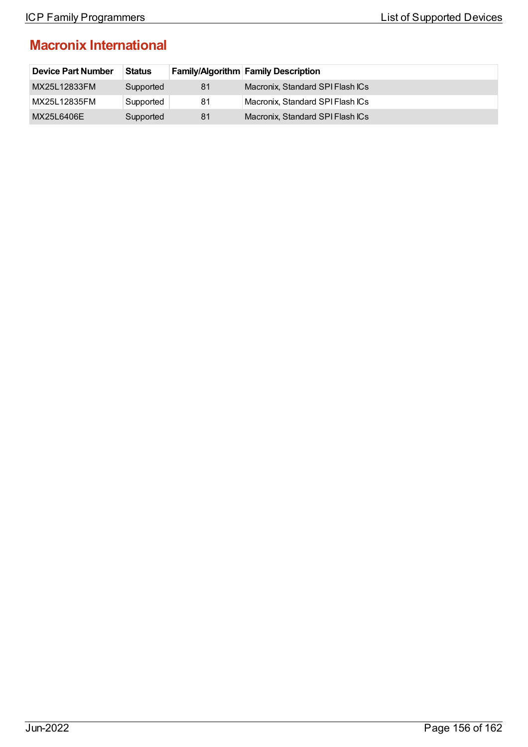## **Macronix International**

| <b>Device Part Number</b> | <b>Status</b> |    | <b>Family/Algorithm Family Description</b> |
|---------------------------|---------------|----|--------------------------------------------|
| MX25L12833FM              | Supported     | 81 | Macronix, Standard SPI Flash ICs           |
| MX25L12835FM              | Supported     | 81 | Macronix, Standard SPI Flash ICs           |
| MX25L6406E                | Supported     | 81 | Macronix, Standard SPI Flash ICs           |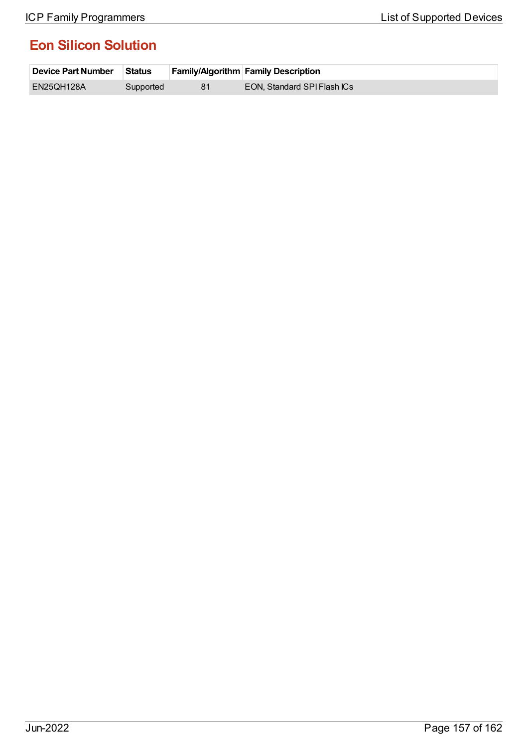## **Eon Silicon Solution**

| ∣ Device Part Number | <b>Status</b> | <b>Family/Algorithm Family Description</b> |
|----------------------|---------------|--------------------------------------------|
| EN25QH128A           | Supported     | EON, Standard SPI Flash ICs                |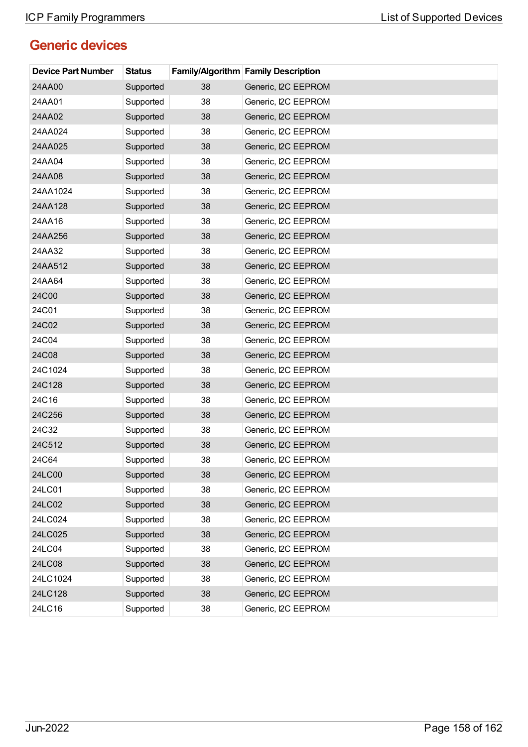## **Generic devices**

| <b>Device Part Number</b> | <b>Status</b> |    | <b>Family/Algorithm Family Description</b> |
|---------------------------|---------------|----|--------------------------------------------|
| 24AA00                    | Supported     | 38 | Generic, I2C EEPROM                        |
| 24AA01                    | Supported     | 38 | Generic, I2C EEPROM                        |
| 24AA02                    | Supported     | 38 | Generic, I2C EEPROM                        |
| 24AA024                   | Supported     | 38 | Generic, I2C EEPROM                        |
| 24AA025                   | Supported     | 38 | Generic, I2C EEPROM                        |
| 24AA04                    | Supported     | 38 | Generic, I2C EEPROM                        |
| 24AA08                    | Supported     | 38 | Generic, I2C EEPROM                        |
| 24AA1024                  | Supported     | 38 | Generic, I2C EEPROM                        |
| 24AA128                   | Supported     | 38 | Generic, I2C EEPROM                        |
| 24AA16                    | Supported     | 38 | Generic, I2C EEPROM                        |
| 24AA256                   | Supported     | 38 | Generic, I2C EEPROM                        |
| 24AA32                    | Supported     | 38 | Generic, I2C EEPROM                        |
| 24AA512                   | Supported     | 38 | Generic, I2C EEPROM                        |
| 24AA64                    | Supported     | 38 | Generic, I2C EEPROM                        |
| 24C00                     | Supported     | 38 | Generic, I2C EEPROM                        |
| 24C01                     | Supported     | 38 | Generic, I2C EEPROM                        |
| 24C02                     | Supported     | 38 | Generic, I2C EEPROM                        |
| 24C04                     | Supported     | 38 | Generic, I2C EEPROM                        |
| 24C08                     | Supported     | 38 | Generic, I2C EEPROM                        |
| 24C1024                   | Supported     | 38 | Generic, I2C EEPROM                        |
| 24C128                    | Supported     | 38 | Generic, I2C EEPROM                        |
| 24C16                     | Supported     | 38 | Generic, I2C EEPROM                        |
| 24C256                    | Supported     | 38 | Generic, I2C EEPROM                        |
| 24C32                     | Supported     | 38 | Generic, I2C EEPROM                        |
| 24C512                    | Supported     | 38 | Generic, I2C EEPROM                        |
| 24C64                     | Supported     | 38 | Generic, I2C EEPROM                        |
| 24LC00                    | Supported     | 38 | Generic, I2C EEPROM                        |
| 24LC01                    | Supported     | 38 | Generic, I2C EEPROM                        |
| 24LC02                    | Supported     | 38 | Generic, I2C EEPROM                        |
| 24LC024                   | Supported     | 38 | Generic, I2C EEPROM                        |
| 24LC025                   | Supported     | 38 | Generic, I2C EEPROM                        |
| 24LC04                    | Supported     | 38 | Generic, I2C EEPROM                        |
| 24LC08                    | Supported     | 38 | Generic, I2C EEPROM                        |
| 24LC1024                  | Supported     | 38 | Generic, I2C EEPROM                        |
| 24LC128                   | Supported     | 38 | Generic, I2C EEPROM                        |
| 24LC16                    | Supported     | 38 | Generic, I2C EEPROM                        |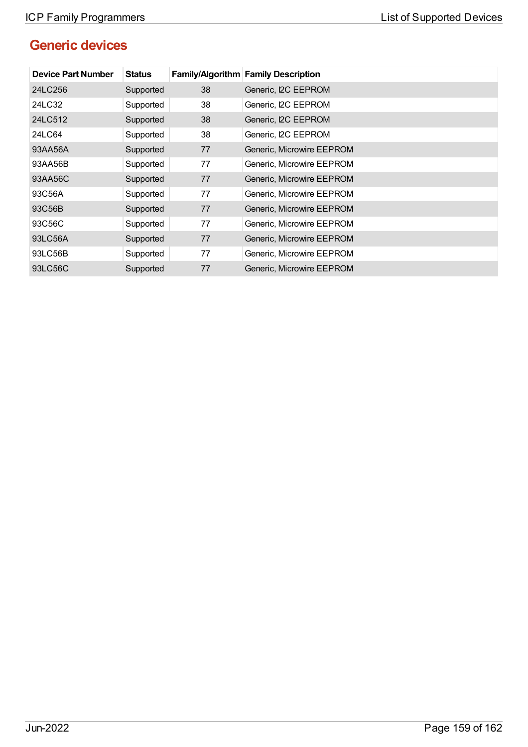# **Generic devices**

| <b>Device Part Number</b> | <b>Status</b> |    | <b>Family/Algorithm Family Description</b> |
|---------------------------|---------------|----|--------------------------------------------|
| 24LC256                   | Supported     | 38 | Generic, I2C EEPROM                        |
| 24LC32                    | Supported     | 38 | Generic, I2C EEPROM                        |
| 24LC512                   | Supported     | 38 | Generic, I2C EEPROM                        |
| 24LC64                    | Supported     | 38 | Generic, I2C EEPROM                        |
| 93AA56A                   | Supported     | 77 | Generic, Microwire EEPROM                  |
| 93AA56B                   | Supported     | 77 | Generic, Microwire EEPROM                  |
| 93AA56C                   | Supported     | 77 | Generic, Microwire EEPROM                  |
| 93C56A                    | Supported     | 77 | Generic, Microwire EEPROM                  |
| 93C56B                    | Supported     | 77 | Generic, Microwire EEPROM                  |
| 93C56C                    | Supported     | 77 | Generic, Microwire EEPROM                  |
| 93LC56A                   | Supported     | 77 | Generic, Microwire EEPROM                  |
| 93LC56B                   | Supported     | 77 | Generic, Microwire EEPROM                  |
| 93LC56C                   | Supported     | 77 | Generic, Microwire EEPROM                  |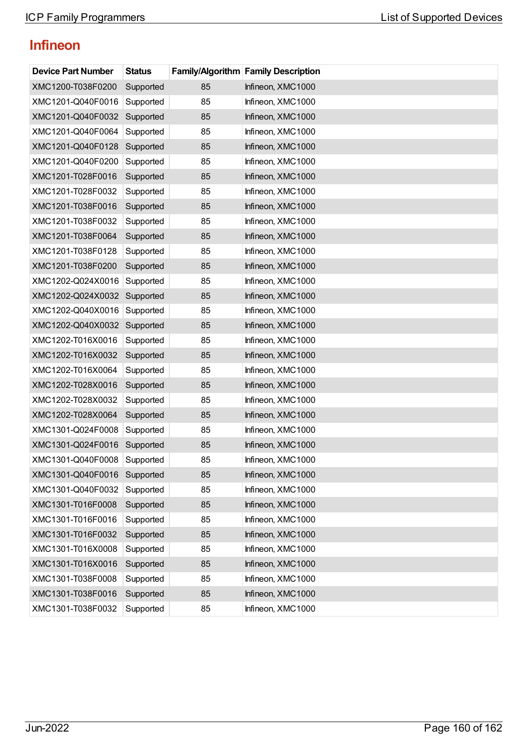# **Infineon**

| <b>Device Part Number</b> | <b>Status</b> |    | <b>Family/Algorithm Family Description</b> |
|---------------------------|---------------|----|--------------------------------------------|
| XMC1200-T038F0200         | Supported     | 85 | Infineon, XMC1000                          |
| XMC1201-Q040F0016         | Supported     | 85 | Infineon, XMC1000                          |
| XMC1201-Q040F0032         | Supported     | 85 | Infineon, XMC1000                          |
| XMC1201-Q040F0064         | Supported     | 85 | Infineon, XMC1000                          |
| XMC1201-Q040F0128         | Supported     | 85 | Infineon, XMC1000                          |
| XMC1201-Q040F0200         | Supported     | 85 | Infineon, XMC1000                          |
| XMC1201-T028F0016         | Supported     | 85 | Infineon, XMC1000                          |
| XMC1201-T028F0032         | Supported     | 85 | Infineon, XMC1000                          |
| XMC1201-T038F0016         | Supported     | 85 | Infineon, XMC1000                          |
| XMC1201-T038F0032         | Supported     | 85 | Infineon, XMC1000                          |
| XMC1201-T038F0064         | Supported     | 85 | Infineon, XMC1000                          |
| XMC1201-T038F0128         | Supported     | 85 | Infineon, XMC1000                          |
| XMC1201-T038F0200         | Supported     | 85 | Infineon, XMC1000                          |
| XMC1202-Q024X0016         | Supported     | 85 | Infineon, XMC1000                          |
| XMC1202-Q024X0032         | Supported     | 85 | Infineon, XMC1000                          |
| XMC1202-Q040X0016         | Supported     | 85 | Infineon, XMC1000                          |
| XMC1202-Q040X0032         | Supported     | 85 | Infineon, XMC1000                          |
| XMC1202-T016X0016         | Supported     | 85 | Infineon, XMC1000                          |
| XMC1202-T016X0032         | Supported     | 85 | Infineon, XMC1000                          |
| XMC1202-T016X0064         | Supported     | 85 | Infineon, XMC1000                          |
| XMC1202-T028X0016         | Supported     | 85 | Infineon, XMC1000                          |
| XMC1202-T028X0032         | Supported     | 85 | Infineon, XMC1000                          |
| XMC1202-T028X0064         | Supported     | 85 | Infineon, XMC1000                          |
| XMC1301-Q024F0008         | Supported     | 85 | Infineon, XMC1000                          |
| XMC1301-Q024F0016         | Supported     | 85 | Infineon, XMC1000                          |
| XMC1301-Q040F0008         | Supported     | 85 | Infineon, XMC1000                          |
| XMC1301-Q040F0016         | Supported     | 85 | Infineon, XMC1000                          |
| XMC1301-Q040F0032         | Supported     | 85 | Infineon, XMC1000                          |
| XMC1301-T016F0008         | Supported     | 85 | Infineon, XMC1000                          |
| XMC1301-T016F0016         | Supported     | 85 | Infineon, XMC1000                          |
| XMC1301-T016F0032         | Supported     | 85 | Infineon, XMC1000                          |
| XMC1301-T016X0008         | Supported     | 85 | Infineon, XMC1000                          |
| XMC1301-T016X0016         | Supported     | 85 | Infineon, XMC1000                          |
| XMC1301-T038F0008         | Supported     | 85 | Infineon, XMC1000                          |
| XMC1301-T038F0016         | Supported     | 85 | Infineon, XMC1000                          |
| XMC1301-T038F0032         | Supported     | 85 | Infineon, XMC1000                          |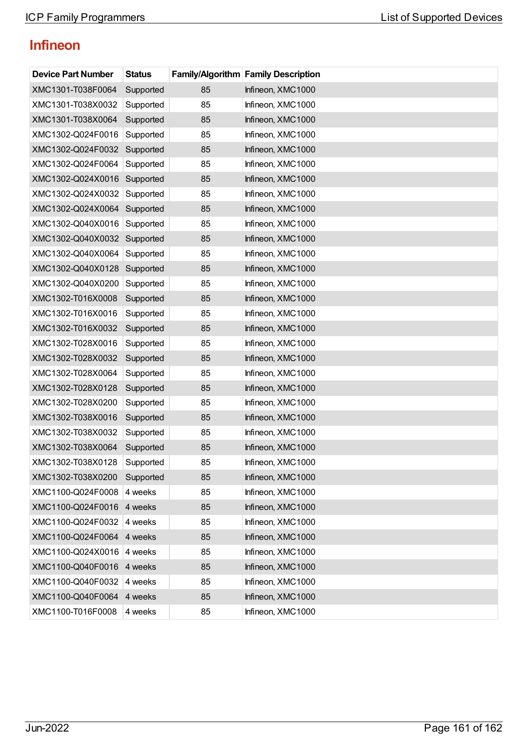# **Infineon**

| <b>Device Part Number</b> | <b>Status</b> |    | <b>Family/Algorithm Family Description</b> |
|---------------------------|---------------|----|--------------------------------------------|
| XMC1301-T038F0064         | Supported     | 85 | Infineon, XMC1000                          |
| XMC1301-T038X0032         | Supported     | 85 | Infineon, XMC1000                          |
| XMC1301-T038X0064         | Supported     | 85 | Infineon, XMC1000                          |
| XMC1302-Q024F0016         | Supported     | 85 | Infineon, XMC1000                          |
| XMC1302-Q024F0032         | Supported     | 85 | Infineon, XMC1000                          |
| XMC1302-Q024F0064         | Supported     | 85 | Infineon, XMC1000                          |
| XMC1302-Q024X0016         | Supported     | 85 | Infineon, XMC1000                          |
| XMC1302-Q024X0032         | Supported     | 85 | Infineon, XMC1000                          |
| XMC1302-Q024X0064         | Supported     | 85 | Infineon, XMC1000                          |
| XMC1302-Q040X0016         | Supported     | 85 | Infineon, XMC1000                          |
| XMC1302-Q040X0032         | Supported     | 85 | Infineon, XMC1000                          |
| XMC1302-Q040X0064         | Supported     | 85 | Infineon, XMC1000                          |
| XMC1302-Q040X0128         | Supported     | 85 | Infineon, XMC1000                          |
| XMC1302-Q040X0200         | Supported     | 85 | Infineon, XMC1000                          |
| XMC1302-T016X0008         | Supported     | 85 | Infineon, XMC1000                          |
| XMC1302-T016X0016         | Supported     | 85 | Infineon, XMC1000                          |
| XMC1302-T016X0032         | Supported     | 85 | Infineon, XMC1000                          |
| XMC1302-T028X0016         | Supported     | 85 | Infineon, XMC1000                          |
| XMC1302-T028X0032         | Supported     | 85 | Infineon, XMC1000                          |
| XMC1302-T028X0064         | Supported     | 85 | Infineon, XMC1000                          |
| XMC1302-T028X0128         | Supported     | 85 | Infineon, XMC1000                          |
| XMC1302-T028X0200         | Supported     | 85 | Infineon, XMC1000                          |
| XMC1302-T038X0016         | Supported     | 85 | Infineon, XMC1000                          |
| XMC1302-T038X0032         | Supported     | 85 | Infineon, XMC1000                          |
| XMC1302-T038X0064         | Supported     | 85 | Infineon, XMC1000                          |
| XMC1302-T038X0128         | Supported     | 85 | Infineon, XMC1000                          |
| XMC1302-T038X0200         | Supported     | 85 | Infineon, XMC1000                          |
| XMC1100-Q024F0008         | 4 weeks       | 85 | Infineon, XMC1000                          |
| XMC1100-Q024F0016         | 4 weeks       | 85 | Infineon, XMC1000                          |
| XMC1100-Q024F0032         | 4 weeks       | 85 | Infineon, XMC1000                          |
| XMC1100-Q024F0064         | 4 weeks       | 85 | Infineon, XMC1000                          |
| XMC1100-Q024X0016         | 4 weeks       | 85 | Infineon, XMC1000                          |
| XMC1100-Q040F0016         | 4 weeks       | 85 | Infineon, XMC1000                          |
| XMC1100-Q040F0032         | 4 weeks       | 85 | Infineon, XMC1000                          |
| XMC1100-Q040F0064         | 4 weeks       | 85 | Infineon, XMC1000                          |
| XMC1100-T016F0008         | 4 weeks       | 85 | Infineon, XMC1000                          |